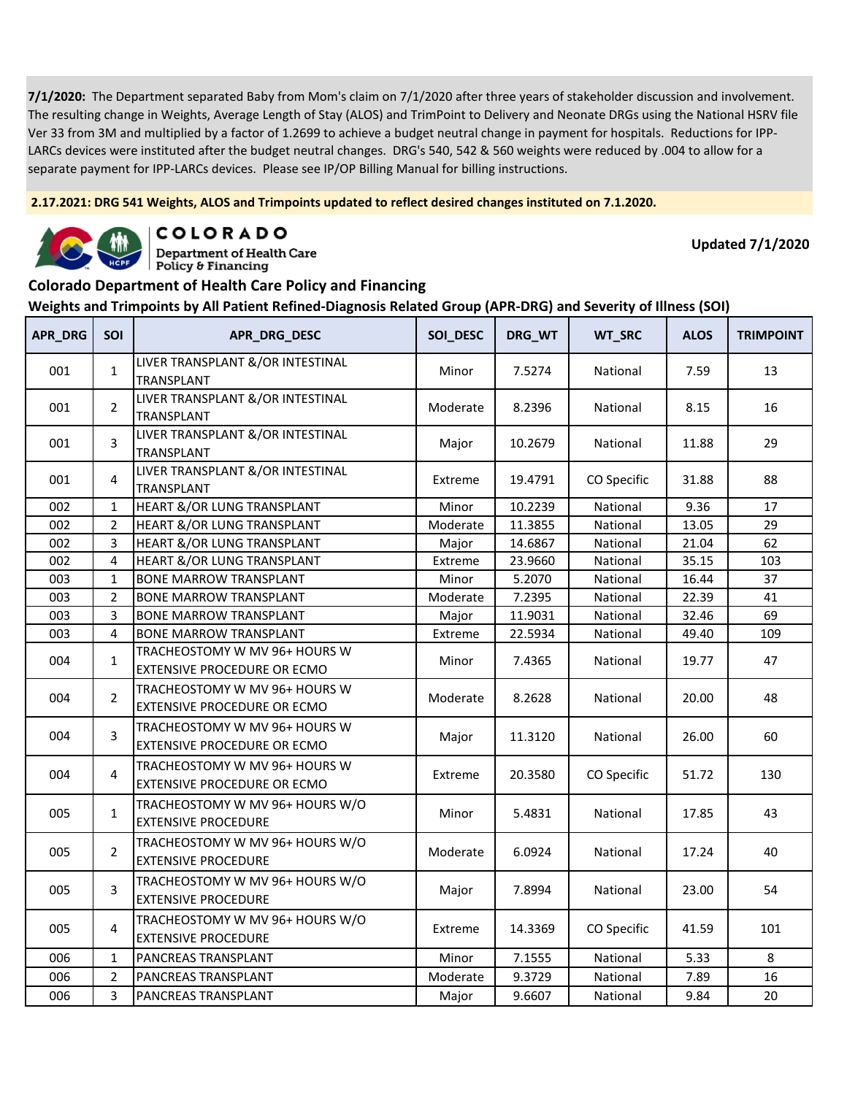**2.17.2021: DRG 541 Weights, ALOS and Trimpoints updated to reflect desired changes instituted on 7.1.2020.**



COLORADO

**Department of Health Care** Policy & Financing

**Updated 7/1/2020**

#### **Colorado Department of Health Care Policy and Financing**

| <b>APR_DRG</b> | SOI            | APR_DRG_DESC                                                        | SOI_DESC | DRG_WT  | WT_SRC      | <b>ALOS</b> | <b>TRIMPOINT</b> |
|----------------|----------------|---------------------------------------------------------------------|----------|---------|-------------|-------------|------------------|
| 001            | $\mathbf{1}$   | LIVER TRANSPLANT &/OR INTESTINAL<br>TRANSPLANT                      | Minor    | 7.5274  | National    | 7.59        | 13               |
| 001            | $\overline{2}$ | LIVER TRANSPLANT &/OR INTESTINAL<br>TRANSPLANT                      | Moderate | 8.2396  | National    | 8.15        | 16               |
| 001            | 3              | LIVER TRANSPLANT &/OR INTESTINAL<br><b>TRANSPLANT</b>               | Major    | 10.2679 | National    | 11.88       | 29               |
| 001            | $\overline{4}$ | LIVER TRANSPLANT &/OR INTESTINAL<br><b>TRANSPLANT</b>               | Extreme  | 19.4791 | CO Specific | 31.88       | 88               |
| 002            | $\mathbf 1$    | <b>HEART &amp;/OR LUNG TRANSPLANT</b>                               | Minor    | 10.2239 | National    | 9.36        | 17               |
| 002            | $\mathbf 2$    | HEART &/OR LUNG TRANSPLANT                                          | Moderate | 11.3855 | National    | 13.05       | 29               |
| 002            | 3              | HEART &/OR LUNG TRANSPLANT                                          | Major    | 14.6867 | National    | 21.04       | 62               |
| 002            | $\overline{4}$ | HEART &/OR LUNG TRANSPLANT                                          | Extreme  | 23.9660 | National    | 35.15       | 103              |
| 003            | $\mathbf{1}$   | <b>BONE MARROW TRANSPLANT</b>                                       | Minor    | 5.2070  | National    | 16.44       | 37               |
| 003            | $\overline{2}$ | <b>BONE MARROW TRANSPLANT</b>                                       | Moderate | 7.2395  | National    | 22.39       | 41               |
| 003            | 3              | <b>BONE MARROW TRANSPLANT</b>                                       | Major    | 11.9031 | National    | 32.46       | 69               |
| 003            | 4              | <b>BONE MARROW TRANSPLANT</b>                                       | Extreme  | 22.5934 | National    | 49.40       | 109              |
| 004            | $\mathbf{1}$   | TRACHEOSTOMY W MV 96+ HOURS W<br>EXTENSIVE PROCEDURE OR ECMO        | Minor    | 7.4365  | National    | 19.77       | 47               |
| 004            | $\overline{2}$ | TRACHEOSTOMY W MV 96+ HOURS W<br>EXTENSIVE PROCEDURE OR ECMO        | Moderate | 8.2628  | National    | 20.00       | 48               |
| 004            | 3              | TRACHEOSTOMY W MV 96+ HOURS W<br>EXTENSIVE PROCEDURE OR ECMO        | Major    | 11.3120 | National    | 26.00       | 60               |
| 004            | $\overline{4}$ | TRACHEOSTOMY W MV 96+ HOURS W<br><b>EXTENSIVE PROCEDURE OR ECMO</b> | Extreme  | 20.3580 | CO Specific | 51.72       | 130              |
| 005            | $\mathbf{1}$   | TRACHEOSTOMY W MV 96+ HOURS W/O<br><b>EXTENSIVE PROCEDURE</b>       | Minor    | 5.4831  | National    | 17.85       | 43               |
| 005            | $\overline{2}$ | TRACHEOSTOMY W MV 96+ HOURS W/O<br><b>EXTENSIVE PROCEDURE</b>       | Moderate | 6.0924  | National    | 17.24       | 40               |
| 005            | $\overline{3}$ | TRACHEOSTOMY W MV 96+ HOURS W/O<br><b>EXTENSIVE PROCEDURE</b>       | Major    | 7.8994  | National    | 23.00       | 54               |
| 005            | 4              | TRACHEOSTOMY W MV 96+ HOURS W/O<br><b>EXTENSIVE PROCEDURE</b>       | Extreme  | 14.3369 | CO Specific | 41.59       | 101              |
| 006            | $\mathbf{1}$   | PANCREAS TRANSPLANT                                                 | Minor    | 7.1555  | National    | 5.33        | 8                |
| 006            | $\overline{2}$ | PANCREAS TRANSPLANT                                                 | Moderate | 9.3729  | National    | 7.89        | 16               |
| 006            | 3              | PANCREAS TRANSPLANT                                                 | Major    | 9.6607  | National    | 9.84        | 20               |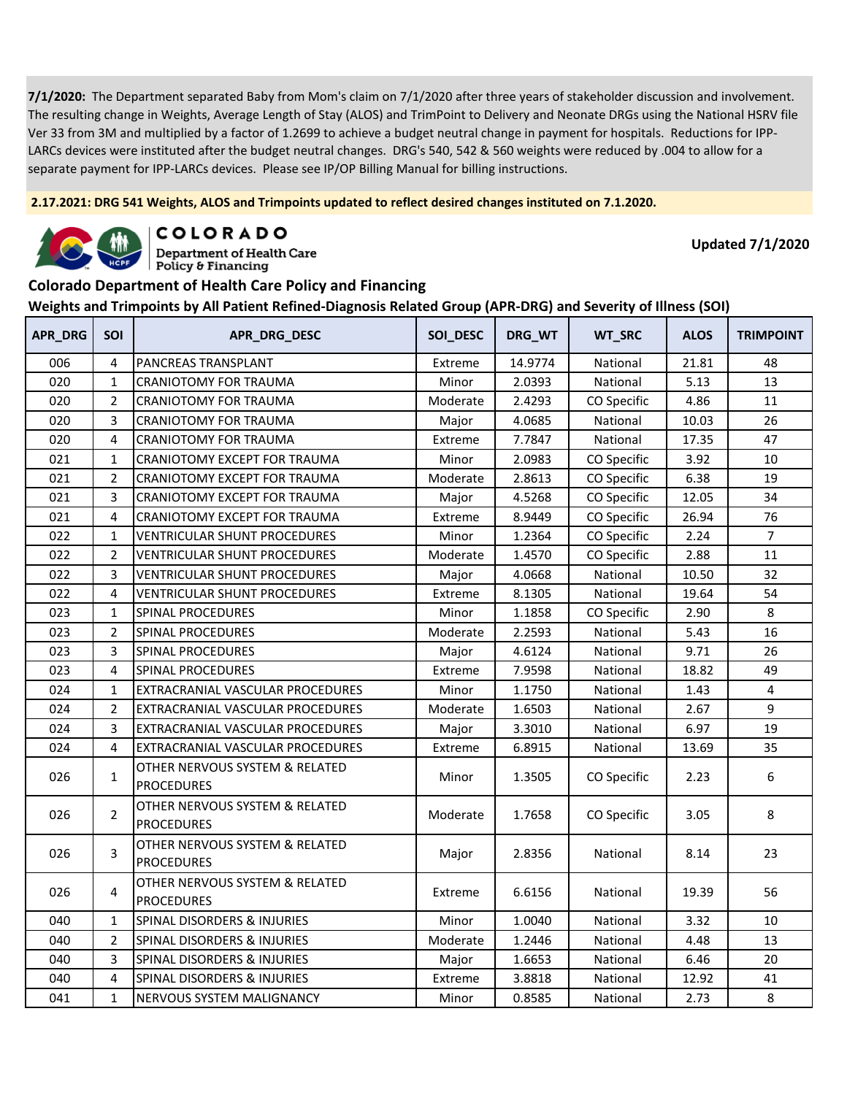**2.17.2021: DRG 541 Weights, ALOS and Trimpoints updated to reflect desired changes instituted on 7.1.2020.**



COLORADO

**Department of Health Care** Policy & Financing

**Updated 7/1/2020**

#### **Colorado Department of Health Care Policy and Financing**

| <b>APR_DRG</b> | SOI            | APR_DRG_DESC                                        | SOI_DESC | DRG_WT  | WT_SRC      | <b>ALOS</b> | <b>TRIMPOINT</b> |
|----------------|----------------|-----------------------------------------------------|----------|---------|-------------|-------------|------------------|
| 006            | $\overline{4}$ | PANCREAS TRANSPLANT                                 | Extreme  | 14.9774 | National    | 21.81       | 48               |
| 020            | $\mathbf 1$    | CRANIOTOMY FOR TRAUMA                               | Minor    | 2.0393  | National    | 5.13        | 13               |
| 020            | $\overline{2}$ | <b>CRANIOTOMY FOR TRAUMA</b>                        | Moderate | 2.4293  | CO Specific | 4.86        | 11               |
| 020            | 3              | <b>CRANIOTOMY FOR TRAUMA</b>                        | Major    | 4.0685  | National    | 10.03       | 26               |
| 020            | 4              | <b>CRANIOTOMY FOR TRAUMA</b>                        | Extreme  | 7.7847  | National    | 17.35       | 47               |
| 021            | $\mathbf{1}$   | CRANIOTOMY EXCEPT FOR TRAUMA                        | Minor    | 2.0983  | CO Specific | 3.92        | 10               |
| 021            | $\overline{2}$ | CRANIOTOMY EXCEPT FOR TRAUMA                        | Moderate | 2.8613  | CO Specific | 6.38        | 19               |
| 021            | 3              | CRANIOTOMY EXCEPT FOR TRAUMA                        | Major    | 4.5268  | CO Specific | 12.05       | 34               |
| 021            | 4              | CRANIOTOMY EXCEPT FOR TRAUMA                        | Extreme  | 8.9449  | CO Specific | 26.94       | 76               |
| 022            | $\mathbf{1}$   | <b>VENTRICULAR SHUNT PROCEDURES</b>                 | Minor    | 1.2364  | CO Specific | 2.24        | $\overline{7}$   |
| 022            | $\overline{2}$ | <b>VENTRICULAR SHUNT PROCEDURES</b>                 | Moderate | 1.4570  | CO Specific | 2.88        | 11               |
| 022            | 3              | <b>VENTRICULAR SHUNT PROCEDURES</b>                 | Major    | 4.0668  | National    | 10.50       | 32               |
| 022            | 4              | <b>VENTRICULAR SHUNT PROCEDURES</b>                 | Extreme  | 8.1305  | National    | 19.64       | 54               |
| 023            | $\mathbf{1}$   | <b>SPINAL PROCEDURES</b>                            | Minor    | 1.1858  | CO Specific | 2.90        | 8                |
| 023            | $\overline{2}$ | <b>SPINAL PROCEDURES</b>                            | Moderate | 2.2593  | National    | 5.43        | 16               |
| 023            | 3              | <b>SPINAL PROCEDURES</b>                            | Major    | 4.6124  | National    | 9.71        | 26               |
| 023            | 4              | SPINAL PROCEDURES                                   | Extreme  | 7.9598  | National    | 18.82       | 49               |
| 024            | $\mathbf{1}$   | EXTRACRANIAL VASCULAR PROCEDURES                    | Minor    | 1.1750  | National    | 1.43        | 4                |
| 024            | $\overline{2}$ | EXTRACRANIAL VASCULAR PROCEDURES                    | Moderate | 1.6503  | National    | 2.67        | 9                |
| 024            | 3              | EXTRACRANIAL VASCULAR PROCEDURES                    | Major    | 3.3010  | National    | 6.97        | 19               |
| 024            | 4              | EXTRACRANIAL VASCULAR PROCEDURES                    | Extreme  | 6.8915  | National    | 13.69       | 35               |
| 026            | $\mathbf{1}$   | OTHER NERVOUS SYSTEM & RELATED<br><b>PROCEDURES</b> | Minor    | 1.3505  | CO Specific | 2.23        | 6                |
| 026            | $\overline{2}$ | OTHER NERVOUS SYSTEM & RELATED<br><b>PROCEDURES</b> | Moderate | 1.7658  | CO Specific | 3.05        | 8                |
| 026            | $\overline{3}$ | OTHER NERVOUS SYSTEM & RELATED<br><b>PROCEDURES</b> | Major    | 2.8356  | National    | 8.14        | 23               |
| 026            | 4              | OTHER NERVOUS SYSTEM & RELATED<br><b>PROCEDURES</b> | Extreme  | 6.6156  | National    | 19.39       | 56               |
| 040            | $\mathbf 1$    | SPINAL DISORDERS & INJURIES                         | Minor    | 1.0040  | National    | 3.32        | 10               |
| 040            | $\overline{2}$ | SPINAL DISORDERS & INJURIES                         | Moderate | 1.2446  | National    | 4.48        | 13               |
| 040            | 3              | SPINAL DISORDERS & INJURIES                         | Major    | 1.6653  | National    | 6.46        | 20               |
| 040            | 4              | SPINAL DISORDERS & INJURIES                         | Extreme  | 3.8818  | National    | 12.92       | 41               |
| 041            | $\mathbf{1}$   | NERVOUS SYSTEM MALIGNANCY                           | Minor    | 0.8585  | National    | 2.73        | 8                |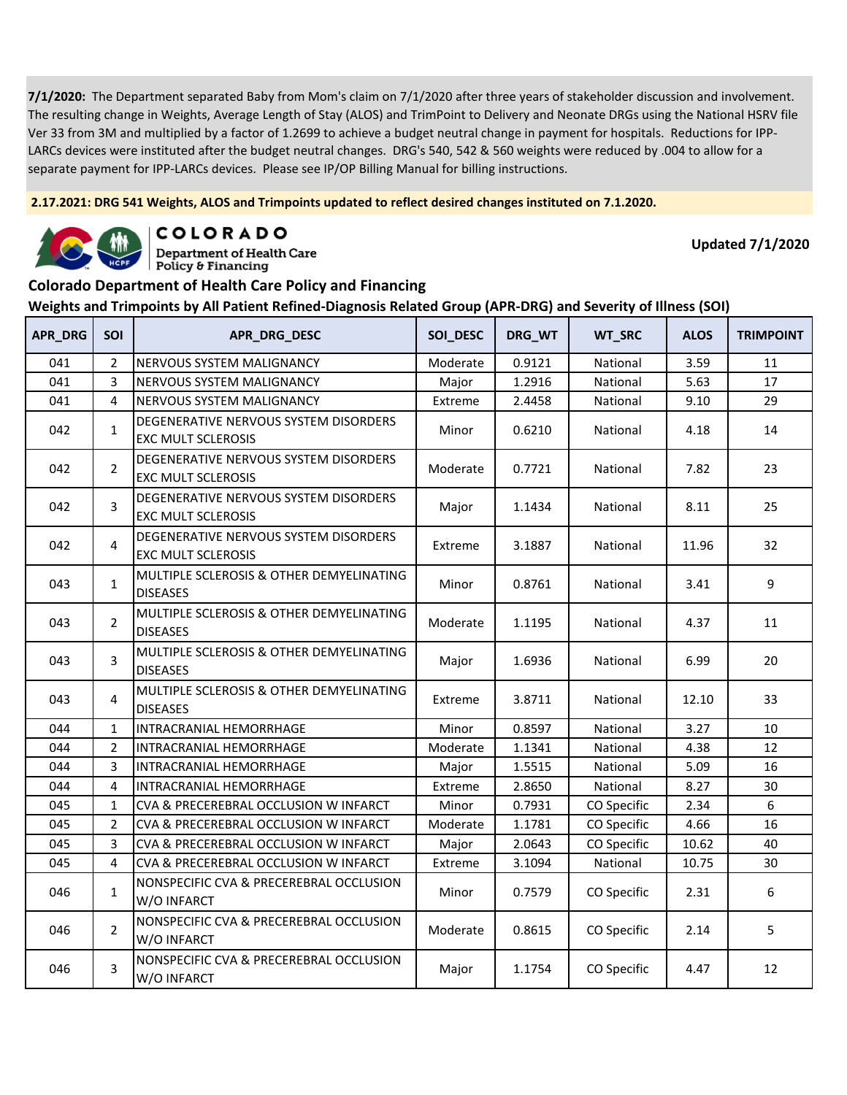**2.17.2021: DRG 541 Weights, ALOS and Trimpoints updated to reflect desired changes instituted on 7.1.2020.**



COLORADO

**Department of Health Care** Policy & Financing

**Updated 7/1/2020**

### **Colorado Department of Health Care Policy and Financing**

| APR_DRG | SOI            | APR_DRG_DESC                                                       | SOI_DESC | DRG_WT | WT_SRC      | <b>ALOS</b> | <b>TRIMPOINT</b> |
|---------|----------------|--------------------------------------------------------------------|----------|--------|-------------|-------------|------------------|
| 041     | $\overline{2}$ | NERVOUS SYSTEM MALIGNANCY                                          | Moderate | 0.9121 | National    | 3.59        | 11               |
| 041     | 3              | NERVOUS SYSTEM MALIGNANCY                                          | Major    | 1.2916 | National    | 5.63        | 17               |
| 041     | 4              | NERVOUS SYSTEM MALIGNANCY                                          | Extreme  | 2.4458 | National    | 9.10        | 29               |
| 042     | $\mathbf{1}$   | DEGENERATIVE NERVOUS SYSTEM DISORDERS<br><b>EXC MULT SCLEROSIS</b> | Minor    | 0.6210 | National    | 4.18        | 14               |
| 042     | $\overline{2}$ | DEGENERATIVE NERVOUS SYSTEM DISORDERS<br><b>EXC MULT SCLEROSIS</b> | Moderate | 0.7721 | National    | 7.82        | 23               |
| 042     | 3              | DEGENERATIVE NERVOUS SYSTEM DISORDERS<br><b>EXC MULT SCLEROSIS</b> | Major    | 1.1434 | National    | 8.11        | 25               |
| 042     | 4              | DEGENERATIVE NERVOUS SYSTEM DISORDERS<br><b>EXC MULT SCLEROSIS</b> | Extreme  | 3.1887 | National    | 11.96       | 32               |
| 043     | $\mathbf{1}$   | MULTIPLE SCLEROSIS & OTHER DEMYELINATING<br><b>DISEASES</b>        | Minor    | 0.8761 | National    | 3.41        | 9                |
| 043     | $\overline{2}$ | MULTIPLE SCLEROSIS & OTHER DEMYELINATING<br><b>DISEASES</b>        | Moderate | 1.1195 | National    | 4.37        | 11               |
| 043     | 3              | MULTIPLE SCLEROSIS & OTHER DEMYELINATING<br><b>DISEASES</b>        | Major    | 1.6936 | National    | 6.99        | 20               |
| 043     | 4              | MULTIPLE SCLEROSIS & OTHER DEMYELINATING<br><b>DISEASES</b>        | Extreme  | 3.8711 | National    | 12.10       | 33               |
| 044     | $\mathbf{1}$   | INTRACRANIAL HEMORRHAGE                                            | Minor    | 0.8597 | National    | 3.27        | 10               |
| 044     | $\overline{2}$ | INTRACRANIAL HEMORRHAGE                                            | Moderate | 1.1341 | National    | 4.38        | 12               |
| 044     | 3              | INTRACRANIAL HEMORRHAGE                                            | Major    | 1.5515 | National    | 5.09        | 16               |
| 044     | 4              | INTRACRANIAL HEMORRHAGE                                            | Extreme  | 2.8650 | National    | 8.27        | 30               |
| 045     | 1              | CVA & PRECEREBRAL OCCLUSION W INFARCT                              | Minor    | 0.7931 | CO Specific | 2.34        | 6                |
| 045     | $\overline{2}$ | CVA & PRECEREBRAL OCCLUSION W INFARCT                              | Moderate | 1.1781 | CO Specific | 4.66        | 16               |
| 045     | 3              | CVA & PRECEREBRAL OCCLUSION W INFARCT                              | Major    | 2.0643 | CO Specific | 10.62       | 40               |
| 045     | 4              | CVA & PRECEREBRAL OCCLUSION W INFARCT                              | Extreme  | 3.1094 | National    | 10.75       | 30               |
| 046     | $\mathbf{1}$   | NONSPECIFIC CVA & PRECEREBRAL OCCLUSION<br>W/O INFARCT             | Minor    | 0.7579 | CO Specific | 2.31        | 6                |
| 046     | $\overline{2}$ | NONSPECIFIC CVA & PRECEREBRAL OCCLUSION<br>W/O INFARCT             | Moderate | 0.8615 | CO Specific | 2.14        | 5                |
| 046     | 3              | NONSPECIFIC CVA & PRECEREBRAL OCCLUSION<br>W/O INFARCT             | Major    | 1.1754 | CO Specific | 4.47        | 12               |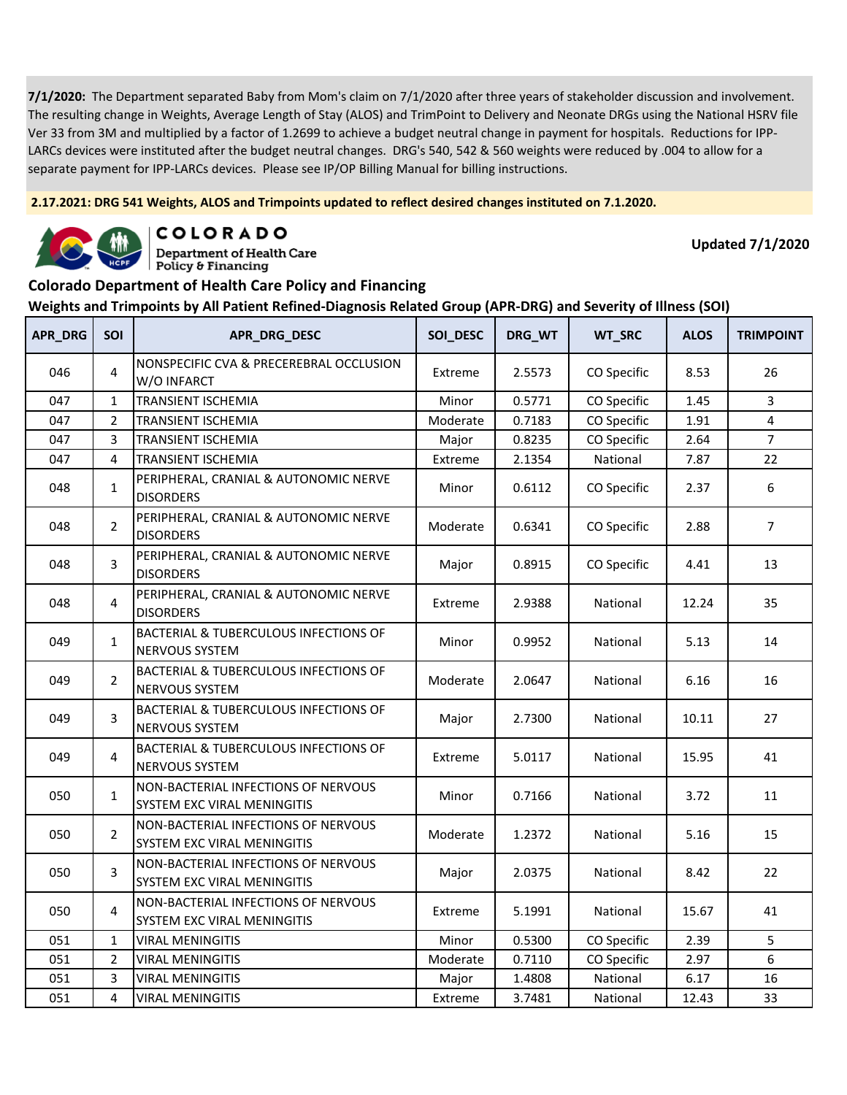**2.17.2021: DRG 541 Weights, ALOS and Trimpoints updated to reflect desired changes instituted on 7.1.2020.**



COLORADO

**Department of Health Care** Policy & Financing

**Updated 7/1/2020**

#### **Colorado Department of Health Care Policy and Financing**

| <b>APR_DRG</b> | <b>SOI</b>     | APR_DRG_DESC                                                       | SOI_DESC | DRG_WT | WT_SRC      | <b>ALOS</b> | <b>TRIMPOINT</b> |
|----------------|----------------|--------------------------------------------------------------------|----------|--------|-------------|-------------|------------------|
| 046            | $\overline{4}$ | NONSPECIFIC CVA & PRECEREBRAL OCCLUSION<br>W/O INFARCT             | Extreme  | 2.5573 | CO Specific | 8.53        | 26               |
| 047            | $\mathbf{1}$   | <b>TRANSIENT ISCHEMIA</b>                                          | Minor    | 0.5771 | CO Specific | 1.45        | 3                |
| 047            | $\overline{2}$ | <b>TRANSIENT ISCHEMIA</b>                                          | Moderate | 0.7183 | CO Specific | 1.91        | 4                |
| 047            | 3              | <b>TRANSIENT ISCHEMIA</b>                                          | Major    | 0.8235 | CO Specific | 2.64        | $\overline{7}$   |
| 047            | 4              | <b>TRANSIENT ISCHEMIA</b>                                          | Extreme  | 2.1354 | National    | 7.87        | 22               |
| 048            | $\mathbf{1}$   | PERIPHERAL, CRANIAL & AUTONOMIC NERVE<br><b>DISORDERS</b>          | Minor    | 0.6112 | CO Specific | 2.37        | 6                |
| 048            | $\overline{2}$ | PERIPHERAL, CRANIAL & AUTONOMIC NERVE<br><b>DISORDERS</b>          | Moderate | 0.6341 | CO Specific | 2.88        | $\overline{7}$   |
| 048            | 3              | PERIPHERAL, CRANIAL & AUTONOMIC NERVE<br><b>DISORDERS</b>          | Major    | 0.8915 | CO Specific | 4.41        | 13               |
| 048            | 4              | PERIPHERAL, CRANIAL & AUTONOMIC NERVE<br><b>DISORDERS</b>          | Extreme  | 2.9388 | National    | 12.24       | 35               |
| 049            | $\mathbf{1}$   | <b>BACTERIAL &amp; TUBERCULOUS INFECTIONS OF</b><br>NERVOUS SYSTEM | Minor    | 0.9952 | National    | 5.13        | 14               |
| 049            | $\overline{2}$ | BACTERIAL & TUBERCULOUS INFECTIONS OF<br>NERVOUS SYSTEM            | Moderate | 2.0647 | National    | 6.16        | 16               |
| 049            | 3              | <b>BACTERIAL &amp; TUBERCULOUS INFECTIONS OF</b><br>NERVOUS SYSTEM | Major    | 2.7300 | National    | 10.11       | 27               |
| 049            | 4              | BACTERIAL & TUBERCULOUS INFECTIONS OF<br>NERVOUS SYSTEM            | Extreme  | 5.0117 | National    | 15.95       | 41               |
| 050            | $\mathbf{1}$   | NON-BACTERIAL INFECTIONS OF NERVOUS<br>SYSTEM EXC VIRAL MENINGITIS | Minor    | 0.7166 | National    | 3.72        | 11               |
| 050            | $\overline{2}$ | NON-BACTERIAL INFECTIONS OF NERVOUS<br>SYSTEM EXC VIRAL MENINGITIS | Moderate | 1.2372 | National    | 5.16        | 15               |
| 050            | $\overline{3}$ | NON-BACTERIAL INFECTIONS OF NERVOUS<br>SYSTEM EXC VIRAL MENINGITIS | Major    | 2.0375 | National    | 8.42        | 22               |
| 050            | $\overline{4}$ | NON-BACTERIAL INFECTIONS OF NERVOUS<br>SYSTEM EXC VIRAL MENINGITIS | Extreme  | 5.1991 | National    | 15.67       | 41               |
| 051            | $\mathbf{1}$   | <b>VIRAL MENINGITIS</b>                                            | Minor    | 0.5300 | CO Specific | 2.39        | 5                |
| 051            | $\overline{2}$ | <b>VIRAL MENINGITIS</b>                                            | Moderate | 0.7110 | CO Specific | 2.97        | 6                |
| 051            | 3              | VIRAL MENINGITIS                                                   | Major    | 1.4808 | National    | 6.17        | 16               |
| 051            | 4              | <b>VIRAL MENINGITIS</b>                                            | Extreme  | 3.7481 | National    | 12.43       | 33               |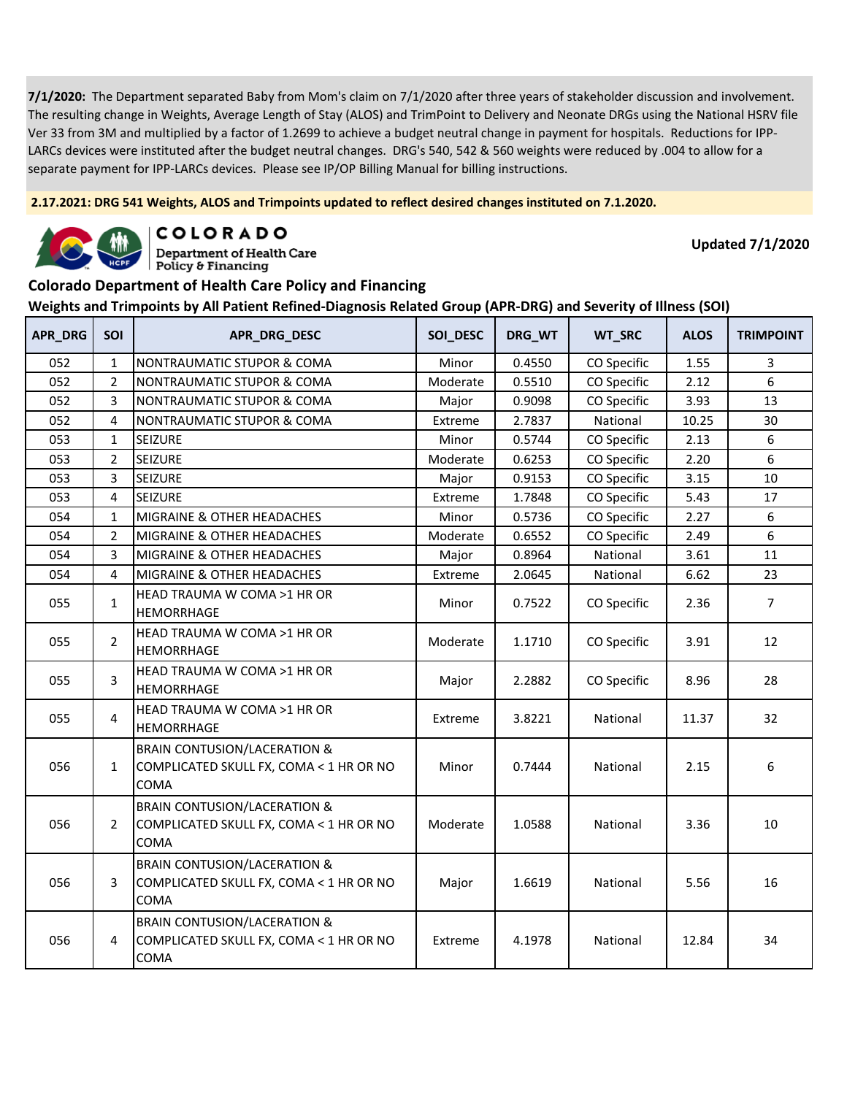**2.17.2021: DRG 541 Weights, ALOS and Trimpoints updated to reflect desired changes instituted on 7.1.2020.**



**COLORADO** 

**Department of Health Care** Policy & Financing

**Updated 7/1/2020**

#### **Colorado Department of Health Care Policy and Financing**

| APR_DRG | SOI            | APR_DRG_DESC                                                                                      | SOI_DESC | DRG WT | WT_SRC      | <b>ALOS</b> | <b>TRIMPOINT</b> |
|---------|----------------|---------------------------------------------------------------------------------------------------|----------|--------|-------------|-------------|------------------|
| 052     | $\mathbf{1}$   | NONTRAUMATIC STUPOR & COMA                                                                        | Minor    | 0.4550 | CO Specific | 1.55        | 3                |
| 052     | $\overline{2}$ | NONTRAUMATIC STUPOR & COMA                                                                        | Moderate | 0.5510 | CO Specific | 2.12        | 6                |
| 052     | 3              | NONTRAUMATIC STUPOR & COMA                                                                        | Major    | 0.9098 | CO Specific | 3.93        | 13               |
| 052     | 4              | NONTRAUMATIC STUPOR & COMA                                                                        | Extreme  | 2.7837 | National    | 10.25       | 30               |
| 053     | 1              | <b>SEIZURE</b>                                                                                    | Minor    | 0.5744 | CO Specific | 2.13        | 6                |
| 053     | $\overline{2}$ | <b>SEIZURE</b>                                                                                    | Moderate | 0.6253 | CO Specific | 2.20        | 6                |
| 053     | 3              | SEIZURE                                                                                           | Major    | 0.9153 | CO Specific | 3.15        | 10               |
| 053     | $\overline{4}$ | <b>SEIZURE</b>                                                                                    | Extreme  | 1.7848 | CO Specific | 5.43        | 17               |
| 054     | $\mathbf{1}$   | MIGRAINE & OTHER HEADACHES                                                                        | Minor    | 0.5736 | CO Specific | 2.27        | 6                |
| 054     | $\overline{2}$ | MIGRAINE & OTHER HEADACHES                                                                        | Moderate | 0.6552 | CO Specific | 2.49        | 6                |
| 054     | 3              | MIGRAINE & OTHER HEADACHES                                                                        | Major    | 0.8964 | National    | 3.61        | 11               |
| 054     | 4              | MIGRAINE & OTHER HEADACHES                                                                        | Extreme  | 2.0645 | National    | 6.62        | 23               |
| 055     | $\mathbf{1}$   | HEAD TRAUMA W COMA >1 HR OR<br>HEMORRHAGE                                                         | Minor    | 0.7522 | CO Specific | 2.36        | $\overline{7}$   |
| 055     | $\overline{2}$ | HEAD TRAUMA W COMA >1 HR OR<br><b>HEMORRHAGE</b>                                                  | Moderate | 1.1710 | CO Specific | 3.91        | 12               |
| 055     | 3              | HEAD TRAUMA W COMA >1 HR OR<br>HEMORRHAGE                                                         | Major    | 2.2882 | CO Specific | 8.96        | 28               |
| 055     | 4              | HEAD TRAUMA W COMA >1 HR OR<br><b>HEMORRHAGE</b>                                                  | Extreme  | 3.8221 | National    | 11.37       | 32               |
| 056     | $\mathbf{1}$   | <b>BRAIN CONTUSION/LACERATION &amp;</b><br>COMPLICATED SKULL FX, COMA < 1 HR OR NO<br><b>COMA</b> | Minor    | 0.7444 | National    | 2.15        | 6                |
| 056     | $\overline{2}$ | <b>BRAIN CONTUSION/LACERATION &amp;</b><br>COMPLICATED SKULL FX, COMA < 1 HR OR NO<br>COMA        | Moderate | 1.0588 | National    | 3.36        | 10               |
| 056     | 3              | <b>BRAIN CONTUSION/LACERATION &amp;</b><br>COMPLICATED SKULL FX, COMA < 1 HR OR NO<br>COMA        | Major    | 1.6619 | National    | 5.56        | 16               |
| 056     | 4              | <b>BRAIN CONTUSION/LACERATION &amp;</b><br>COMPLICATED SKULL FX, COMA < 1 HR OR NO<br>COMA        | Extreme  | 4.1978 | National    | 12.84       | 34               |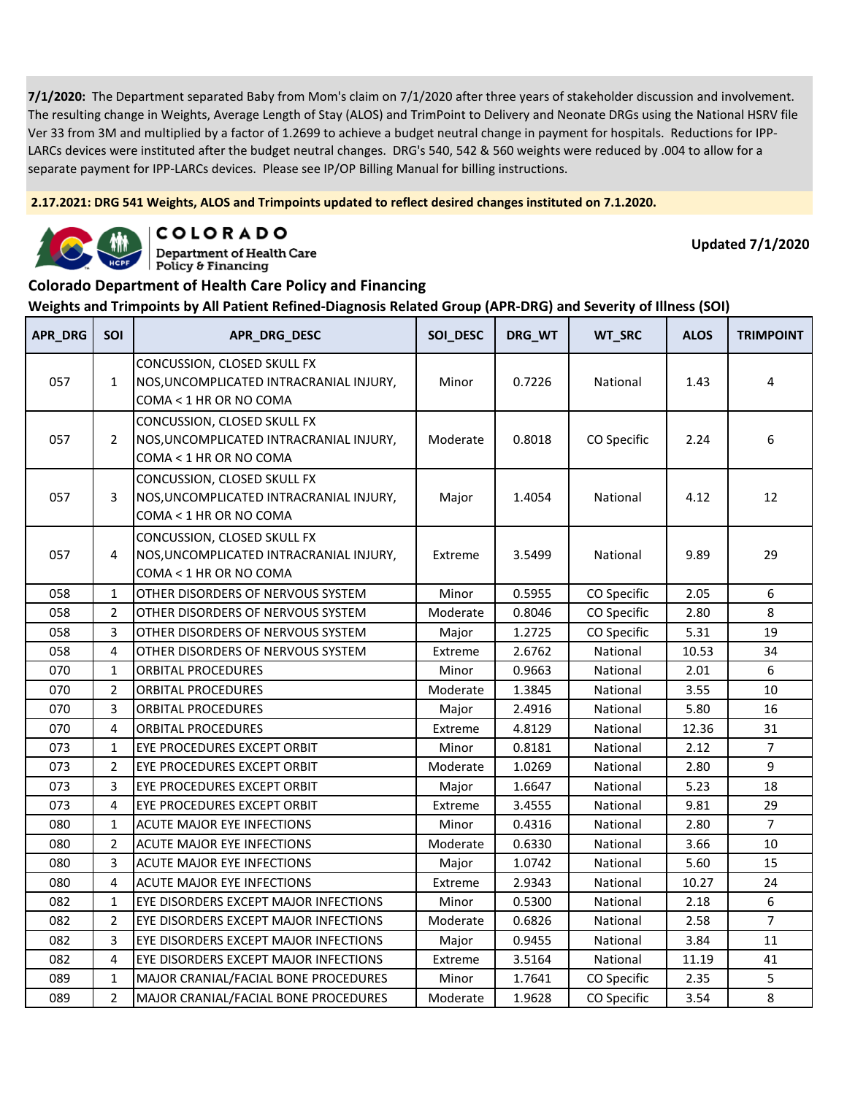**2.17.2021: DRG 541 Weights, ALOS and Trimpoints updated to reflect desired changes instituted on 7.1.2020.**



COLORADO

**Department of Health Care** Policy & Financing

**Updated 7/1/2020**

#### **Colorado Department of Health Care Policy and Financing**

| APR_DRG | <b>SOI</b>     | APR_DRG_DESC                                                                                     | SOI_DESC | DRG_WT | WT_SRC      | <b>ALOS</b> | <b>TRIMPOINT</b> |
|---------|----------------|--------------------------------------------------------------------------------------------------|----------|--------|-------------|-------------|------------------|
| 057     | $\mathbf{1}$   | CONCUSSION, CLOSED SKULL FX<br>NOS, UNCOMPLICATED INTRACRANIAL INJURY,<br>COMA < 1 HR OR NO COMA | Minor    | 0.7226 | National    | 1.43        | 4                |
| 057     | 2              | CONCUSSION, CLOSED SKULL FX<br>NOS, UNCOMPLICATED INTRACRANIAL INJURY,<br>COMA < 1 HR OR NO COMA | Moderate | 0.8018 | CO Specific | 2.24        | 6                |
| 057     | 3              | CONCUSSION, CLOSED SKULL FX<br>NOS, UNCOMPLICATED INTRACRANIAL INJURY,<br>COMA < 1 HR OR NO COMA | Major    | 1.4054 | National    | 4.12        | 12               |
| 057     | 4              | CONCUSSION, CLOSED SKULL FX<br>NOS, UNCOMPLICATED INTRACRANIAL INJURY,<br>COMA < 1 HR OR NO COMA | Extreme  | 3.5499 | National    | 9.89        | 29               |
| 058     | $\mathbf 1$    | OTHER DISORDERS OF NERVOUS SYSTEM                                                                | Minor    | 0.5955 | CO Specific | 2.05        | 6                |
| 058     | $\overline{2}$ | OTHER DISORDERS OF NERVOUS SYSTEM                                                                | Moderate | 0.8046 | CO Specific | 2.80        | 8                |
| 058     | 3              | OTHER DISORDERS OF NERVOUS SYSTEM                                                                | Major    | 1.2725 | CO Specific | 5.31        | 19               |
| 058     | 4              | OTHER DISORDERS OF NERVOUS SYSTEM                                                                | Extreme  | 2.6762 | National    | 10.53       | 34               |
| 070     | $\mathbf{1}$   | <b>ORBITAL PROCEDURES</b>                                                                        | Minor    | 0.9663 | National    | 2.01        | 6                |
| 070     | $\overline{2}$ | <b>ORBITAL PROCEDURES</b>                                                                        | Moderate | 1.3845 | National    | 3.55        | $10\,$           |
| 070     | 3              | <b>ORBITAL PROCEDURES</b>                                                                        | Major    | 2.4916 | National    | 5.80        | 16               |
| 070     | 4              | <b>ORBITAL PROCEDURES</b>                                                                        | Extreme  | 4.8129 | National    | 12.36       | 31               |
| 073     | $\mathbf{1}$   | EYE PROCEDURES EXCEPT ORBIT                                                                      | Minor    | 0.8181 | National    | 2.12        | $\overline{7}$   |
| 073     | $\overline{2}$ | EYE PROCEDURES EXCEPT ORBIT                                                                      | Moderate | 1.0269 | National    | 2.80        | 9                |
| 073     | 3              | EYE PROCEDURES EXCEPT ORBIT                                                                      | Major    | 1.6647 | National    | 5.23        | 18               |
| 073     | 4              | EYE PROCEDURES EXCEPT ORBIT                                                                      | Extreme  | 3.4555 | National    | 9.81        | 29               |
| 080     | $\mathbf{1}$   | <b>ACUTE MAJOR EYE INFECTIONS</b>                                                                | Minor    | 0.4316 | National    | 2.80        | $\overline{7}$   |
| 080     | $\overline{2}$ | <b>ACUTE MAJOR EYE INFECTIONS</b>                                                                | Moderate | 0.6330 | National    | 3.66        | 10               |
| 080     | 3              | <b>ACUTE MAJOR EYE INFECTIONS</b>                                                                | Major    | 1.0742 | National    | 5.60        | 15               |
| 080     | 4              | ACUTE MAJOR EYE INFECTIONS                                                                       | Extreme  | 2.9343 | National    | 10.27       | 24               |
| 082     | $\mathbf{1}$   | EYE DISORDERS EXCEPT MAJOR INFECTIONS                                                            | Minor    | 0.5300 | National    | 2.18        | 6                |
| 082     | $\overline{2}$ | EYE DISORDERS EXCEPT MAJOR INFECTIONS                                                            | Moderate | 0.6826 | National    | 2.58        | $\overline{7}$   |
| 082     | 3              | EYE DISORDERS EXCEPT MAJOR INFECTIONS                                                            | Major    | 0.9455 | National    | 3.84        | 11               |
| 082     | 4              | EYE DISORDERS EXCEPT MAJOR INFECTIONS                                                            | Extreme  | 3.5164 | National    | 11.19       | 41               |
| 089     | $\mathbf{1}$   | MAJOR CRANIAL/FACIAL BONE PROCEDURES                                                             | Minor    | 1.7641 | CO Specific | 2.35        | 5                |
| 089     | $\overline{2}$ | MAJOR CRANIAL/FACIAL BONE PROCEDURES                                                             | Moderate | 1.9628 | CO Specific | 3.54        | 8                |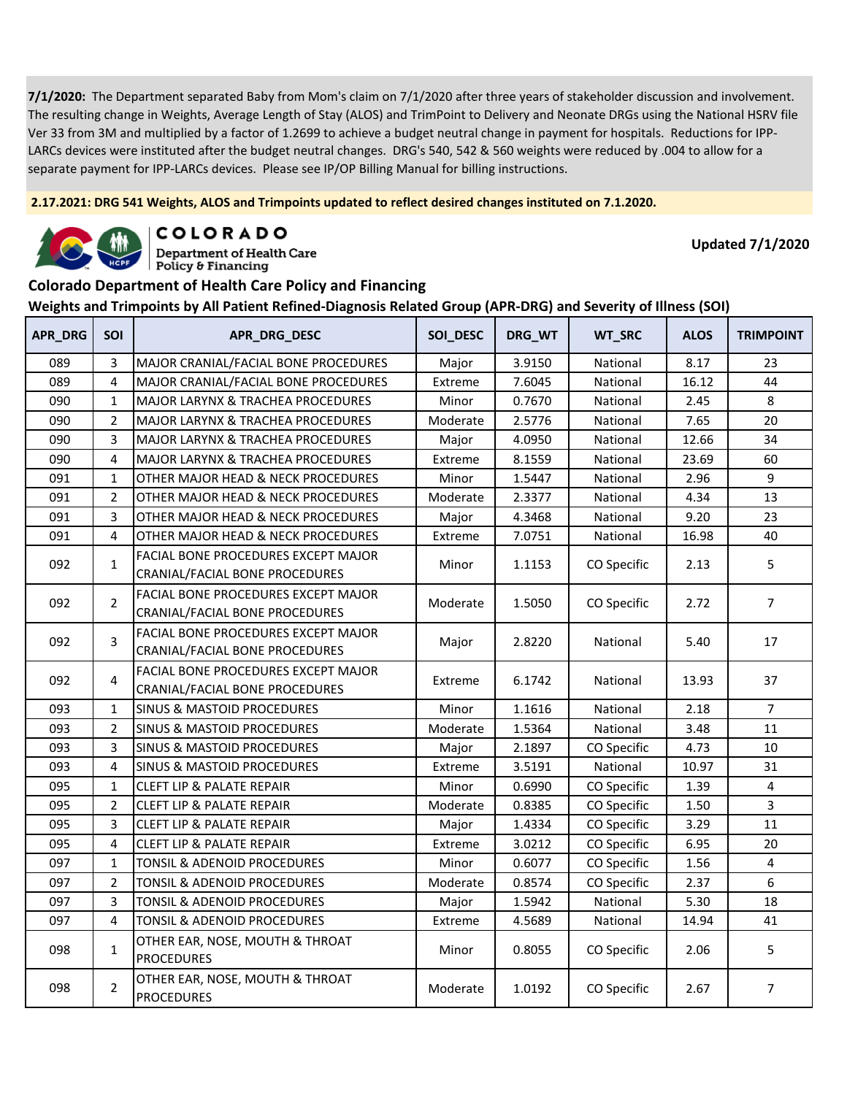**2.17.2021: DRG 541 Weights, ALOS and Trimpoints updated to reflect desired changes instituted on 7.1.2020.**



**COLORADO** 

**Department of Health Care** Policy & Financing

**Updated 7/1/2020**

#### **Colorado Department of Health Care Policy and Financing**

| APR_DRG | <b>SOI</b>     | APR_DRG_DESC                                                                 | SOI_DESC | DRG_WT | WT_SRC      | <b>ALOS</b> | <b>TRIMPOINT</b> |
|---------|----------------|------------------------------------------------------------------------------|----------|--------|-------------|-------------|------------------|
| 089     | 3              | MAJOR CRANIAL/FACIAL BONE PROCEDURES                                         | Major    | 3.9150 | National    | 8.17        | 23               |
| 089     | $\overline{4}$ | MAJOR CRANIAL/FACIAL BONE PROCEDURES                                         | Extreme  | 7.6045 | National    | 16.12       | 44               |
| 090     | $\mathbf{1}$   | <b>MAJOR LARYNX &amp; TRACHEA PROCEDURES</b>                                 | Minor    | 0.7670 | National    | 2.45        | 8                |
| 090     | $\overline{2}$ | MAJOR LARYNX & TRACHEA PROCEDURES                                            | Moderate | 2.5776 | National    | 7.65        | 20               |
| 090     | 3              | MAJOR LARYNX & TRACHEA PROCEDURES                                            | Major    | 4.0950 | National    | 12.66       | 34               |
| 090     | 4              | <b>MAJOR LARYNX &amp; TRACHEA PROCEDURES</b>                                 | Extreme  | 8.1559 | National    | 23.69       | 60               |
| 091     | $\mathbf{1}$   | OTHER MAJOR HEAD & NECK PROCEDURES                                           | Minor    | 1.5447 | National    | 2.96        | 9                |
| 091     | $\overline{2}$ | OTHER MAJOR HEAD & NECK PROCEDURES                                           | Moderate | 2.3377 | National    | 4.34        | 13               |
| 091     | 3              | OTHER MAJOR HEAD & NECK PROCEDURES                                           | Major    | 4.3468 | National    | 9.20        | 23               |
| 091     | 4              | OTHER MAJOR HEAD & NECK PROCEDURES                                           | Extreme  | 7.0751 | National    | 16.98       | 40               |
| 092     | $\mathbf{1}$   | FACIAL BONE PROCEDURES EXCEPT MAJOR<br>CRANIAL/FACIAL BONE PROCEDURES        | Minor    | 1.1153 | CO Specific | 2.13        | 5                |
| 092     | $\overline{2}$ | <b>FACIAL BONE PROCEDURES EXCEPT MAJOR</b><br>CRANIAL/FACIAL BONE PROCEDURES | Moderate | 1.5050 | CO Specific | 2.72        | $\overline{7}$   |
| 092     | $\overline{3}$ | FACIAL BONE PROCEDURES EXCEPT MAJOR<br>CRANIAL/FACIAL BONE PROCEDURES        | Major    | 2.8220 | National    | 5.40        | 17               |
| 092     | $\overline{4}$ | <b>FACIAL BONE PROCEDURES EXCEPT MAJOR</b><br>CRANIAL/FACIAL BONE PROCEDURES | Extreme  | 6.1742 | National    | 13.93       | 37               |
| 093     | 1              | <b>SINUS &amp; MASTOID PROCEDURES</b>                                        | Minor    | 1.1616 | National    | 2.18        | $\overline{7}$   |
| 093     | 2              | SINUS & MASTOID PROCEDURES                                                   | Moderate | 1.5364 | National    | 3.48        | 11               |
| 093     | 3              | <b>SINUS &amp; MASTOID PROCEDURES</b>                                        | Major    | 2.1897 | CO Specific | 4.73        | 10               |
| 093     | 4              | <b>SINUS &amp; MASTOID PROCEDURES</b>                                        | Extreme  | 3.5191 | National    | 10.97       | 31               |
| 095     | $\mathbf{1}$   | <b>CLEFT LIP &amp; PALATE REPAIR</b>                                         | Minor    | 0.6990 | CO Specific | 1.39        | $\overline{4}$   |
| 095     | $\overline{2}$ | <b>CLEFT LIP &amp; PALATE REPAIR</b>                                         | Moderate | 0.8385 | CO Specific | 1.50        | $\overline{3}$   |
| 095     | 3              | <b>CLEFT LIP &amp; PALATE REPAIR</b>                                         | Major    | 1.4334 | CO Specific | 3.29        | 11               |
| 095     | 4              | CLEFT LIP & PALATE REPAIR                                                    | Extreme  | 3.0212 | CO Specific | 6.95        | 20               |
| 097     | $\mathbf{1}$   | TONSIL & ADENOID PROCEDURES                                                  | Minor    | 0.6077 | CO Specific | 1.56        | $\overline{4}$   |
| 097     | $\overline{2}$ | TONSIL & ADENOID PROCEDURES                                                  | Moderate | 0.8574 | CO Specific | 2.37        | 6                |
| 097     | 3              | TONSIL & ADENOID PROCEDURES                                                  | Major    | 1.5942 | National    | 5.30        | 18               |
| 097     | 4              | TONSIL & ADENOID PROCEDURES                                                  | Extreme  | 4.5689 | National    | 14.94       | 41               |
| 098     | $\mathbf{1}$   | OTHER EAR, NOSE, MOUTH & THROAT<br><b>PROCEDURES</b>                         | Minor    | 0.8055 | CO Specific | 2.06        | 5                |
| 098     | $\overline{2}$ | OTHER EAR, NOSE, MOUTH & THROAT<br><b>PROCEDURES</b>                         | Moderate | 1.0192 | CO Specific | 2.67        | $\overline{7}$   |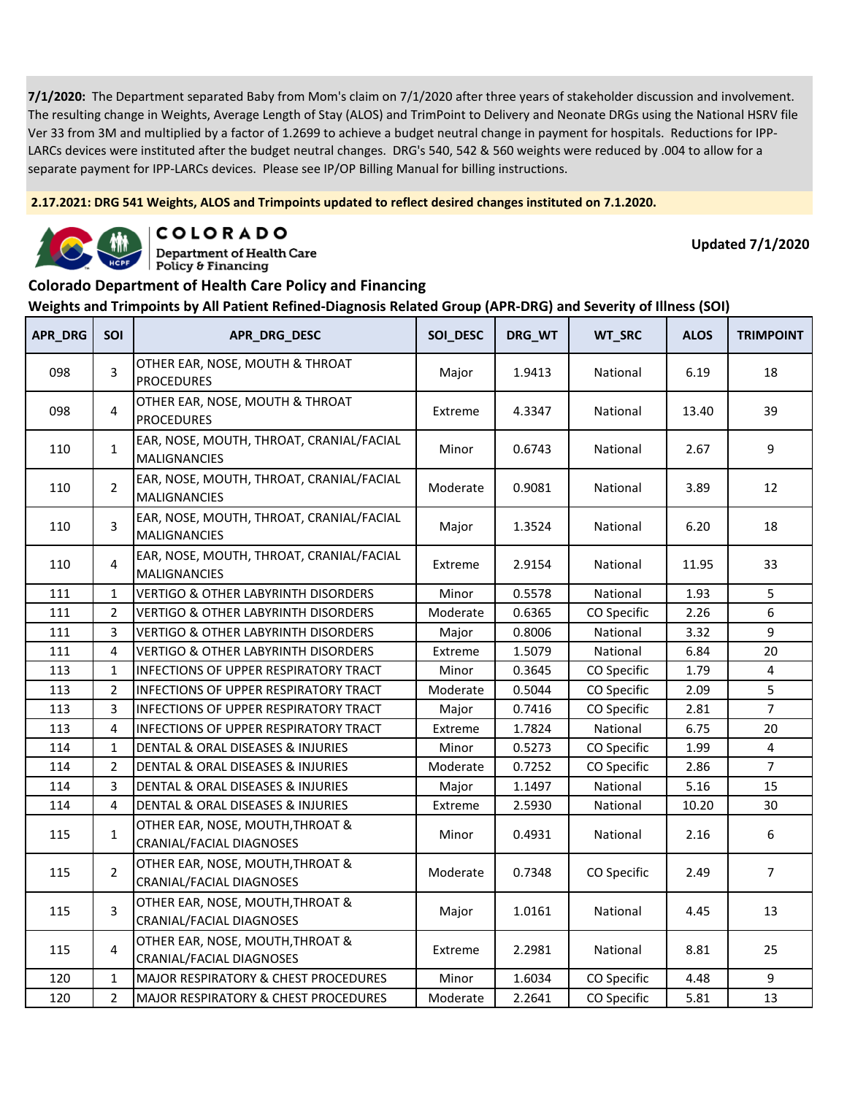**2.17.2021: DRG 541 Weights, ALOS and Trimpoints updated to reflect desired changes instituted on 7.1.2020.**



COLORADO **Department of Health Care** 

Policy & Financing

**Updated 7/1/2020**

### **Colorado Department of Health Care Policy and Financing**

| APR_DRG | <b>SOI</b>     | APR_DRG_DESC                                                        | SOI_DESC | DRG_WT | <b>WT_SRC</b> | <b>ALOS</b> | <b>TRIMPOINT</b> |
|---------|----------------|---------------------------------------------------------------------|----------|--------|---------------|-------------|------------------|
| 098     | 3              | OTHER EAR, NOSE, MOUTH & THROAT<br><b>PROCEDURES</b>                | Major    | 1.9413 | National      | 6.19        | 18               |
| 098     | 4              | OTHER EAR, NOSE, MOUTH & THROAT<br><b>PROCEDURES</b>                | Extreme  | 4.3347 | National      | 13.40       | 39               |
| 110     | $\mathbf{1}$   | EAR, NOSE, MOUTH, THROAT, CRANIAL/FACIAL<br>MALIGNANCIES            | Minor    | 0.6743 | National      | 2.67        | 9                |
| 110     | $\overline{2}$ | EAR, NOSE, MOUTH, THROAT, CRANIAL/FACIAL<br><b>MALIGNANCIES</b>     | Moderate | 0.9081 | National      | 3.89        | 12               |
| 110     | 3              | EAR, NOSE, MOUTH, THROAT, CRANIAL/FACIAL<br><b>MALIGNANCIES</b>     | Major    | 1.3524 | National      | 6.20        | 18               |
| 110     | 4              | EAR, NOSE, MOUTH, THROAT, CRANIAL/FACIAL<br><b>MALIGNANCIES</b>     | Extreme  | 2.9154 | National      | 11.95       | 33               |
| 111     | $\mathbf 1$    | <b>VERTIGO &amp; OTHER LABYRINTH DISORDERS</b>                      | Minor    | 0.5578 | National      | 1.93        | 5                |
| 111     | $\overline{2}$ | <b>VERTIGO &amp; OTHER LABYRINTH DISORDERS</b>                      | Moderate | 0.6365 | CO Specific   | 2.26        | 6                |
| 111     | 3              | <b>VERTIGO &amp; OTHER LABYRINTH DISORDERS</b>                      | Major    | 0.8006 | National      | 3.32        | 9                |
| 111     | 4              | <b>VERTIGO &amp; OTHER LABYRINTH DISORDERS</b>                      | Extreme  | 1.5079 | National      | 6.84        | 20               |
| 113     | $\mathbf{1}$   | INFECTIONS OF UPPER RESPIRATORY TRACT                               | Minor    | 0.3645 | CO Specific   | 1.79        | 4                |
| 113     | 2              | INFECTIONS OF UPPER RESPIRATORY TRACT                               | Moderate | 0.5044 | CO Specific   | 2.09        | 5                |
| 113     | 3              | INFECTIONS OF UPPER RESPIRATORY TRACT                               | Major    | 0.7416 | CO Specific   | 2.81        | $\overline{7}$   |
| 113     | 4              | <b>INFECTIONS OF UPPER RESPIRATORY TRACT</b>                        | Extreme  | 1.7824 | National      | 6.75        | 20               |
| 114     | $\mathbf{1}$   | DENTAL & ORAL DISEASES & INJURIES                                   | Minor    | 0.5273 | CO Specific   | 1.99        | 4                |
| 114     | $\overline{2}$ | DENTAL & ORAL DISEASES & INJURIES                                   | Moderate | 0.7252 | CO Specific   | 2.86        | $\overline{7}$   |
| 114     | 3              | DENTAL & ORAL DISEASES & INJURIES                                   | Major    | 1.1497 | National      | 5.16        | 15               |
| 114     | 4              | DENTAL & ORAL DISEASES & INJURIES                                   | Extreme  | 2.5930 | National      | 10.20       | 30               |
| 115     | $\mathbf{1}$   | OTHER EAR, NOSE, MOUTH, THROAT &<br><b>CRANIAL/FACIAL DIAGNOSES</b> | Minor    | 0.4931 | National      | 2.16        | 6                |
| 115     | $\overline{2}$ | OTHER EAR, NOSE, MOUTH, THROAT &<br>CRANIAL/FACIAL DIAGNOSES        | Moderate | 0.7348 | CO Specific   | 2.49        | $\overline{7}$   |
| 115     | 3              | OTHER EAR, NOSE, MOUTH, THROAT &<br>CRANIAL/FACIAL DIAGNOSES        | Major    | 1.0161 | National      | 4.45        | 13               |
| 115     | 4              | OTHER EAR, NOSE, MOUTH, THROAT &<br>CRANIAL/FACIAL DIAGNOSES        | Extreme  | 2.2981 | National      | 8.81        | 25               |
| 120     | $\mathbf{1}$   | MAJOR RESPIRATORY & CHEST PROCEDURES                                | Minor    | 1.6034 | CO Specific   | 4.48        | 9                |
| 120     | $\overline{2}$ | MAJOR RESPIRATORY & CHEST PROCEDURES                                | Moderate | 2.2641 | CO Specific   | 5.81        | 13               |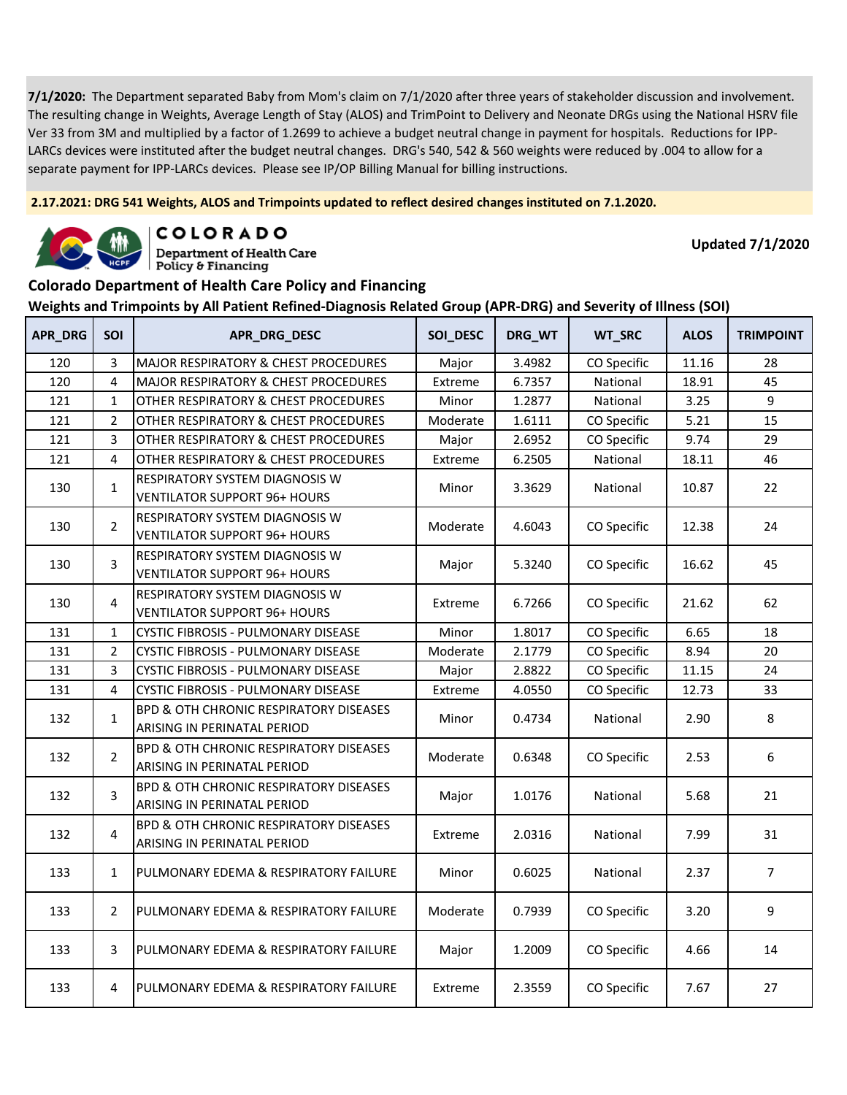**2.17.2021: DRG 541 Weights, ALOS and Trimpoints updated to reflect desired changes instituted on 7.1.2020.**



COLORADO

**Department of Health Care** Policy & Financing

**Updated 7/1/2020**

#### **Colorado Department of Health Care Policy and Financing**

| APR_DRG | <b>SOI</b>     | APR_DRG_DESC                                                                     | SOI_DESC | DRG_WT | WT_SRC      | <b>ALOS</b> | <b>TRIMPOINT</b> |
|---------|----------------|----------------------------------------------------------------------------------|----------|--------|-------------|-------------|------------------|
| 120     | 3              | MAJOR RESPIRATORY & CHEST PROCEDURES                                             | Major    | 3.4982 | CO Specific | 11.16       | 28               |
| 120     | 4              | <b>MAJOR RESPIRATORY &amp; CHEST PROCEDURES</b>                                  | Extreme  | 6.7357 | National    | 18.91       | 45               |
| 121     | $\mathbf{1}$   | OTHER RESPIRATORY & CHEST PROCEDURES                                             | Minor    | 1.2877 | National    | 3.25        | 9                |
| 121     | $\overline{2}$ | OTHER RESPIRATORY & CHEST PROCEDURES                                             | Moderate | 1.6111 | CO Specific | 5.21        | 15               |
| 121     | 3              | OTHER RESPIRATORY & CHEST PROCEDURES                                             | Major    | 2.6952 | CO Specific | 9.74        | 29               |
| 121     | 4              | OTHER RESPIRATORY & CHEST PROCEDURES                                             | Extreme  | 6.2505 | National    | 18.11       | 46               |
| 130     | $\mathbf{1}$   | <b>RESPIRATORY SYSTEM DIAGNOSIS W</b><br><b>VENTILATOR SUPPORT 96+ HOURS</b>     | Minor    | 3.3629 | National    | 10.87       | 22               |
| 130     | $\overline{2}$ | RESPIRATORY SYSTEM DIAGNOSIS W<br><b>VENTILATOR SUPPORT 96+ HOURS</b>            | Moderate | 4.6043 | CO Specific | 12.38       | 24               |
| 130     | 3              | RESPIRATORY SYSTEM DIAGNOSIS W<br><b>VENTILATOR SUPPORT 96+ HOURS</b>            | Major    | 5.3240 | CO Specific | 16.62       | 45               |
| 130     | 4              | <b>RESPIRATORY SYSTEM DIAGNOSIS W</b><br>VENTILATOR SUPPORT 96+ HOURS            | Extreme  | 6.7266 | CO Specific | 21.62       | 62               |
| 131     | $\mathbf{1}$   | CYSTIC FIBROSIS - PULMONARY DISEASE                                              | Minor    | 1.8017 | CO Specific | 6.65        | 18               |
| 131     | $\overline{2}$ | <b>CYSTIC FIBROSIS - PULMONARY DISEASE</b>                                       | Moderate | 2.1779 | CO Specific | 8.94        | 20               |
| 131     | 3              | <b>CYSTIC FIBROSIS - PULMONARY DISEASE</b>                                       | Major    | 2.8822 | CO Specific | 11.15       | 24               |
| 131     | 4              | CYSTIC FIBROSIS - PULMONARY DISEASE                                              | Extreme  | 4.0550 | CO Specific | 12.73       | 33               |
| 132     | $\mathbf{1}$   | <b>BPD &amp; OTH CHRONIC RESPIRATORY DISEASES</b><br>ARISING IN PERINATAL PERIOD | Minor    | 0.4734 | National    | 2.90        | 8                |
| 132     | $\overline{2}$ | <b>BPD &amp; OTH CHRONIC RESPIRATORY DISEASES</b><br>ARISING IN PERINATAL PERIOD | Moderate | 0.6348 | CO Specific | 2.53        | 6                |
| 132     | 3              | <b>BPD &amp; OTH CHRONIC RESPIRATORY DISEASES</b><br>ARISING IN PERINATAL PERIOD | Major    | 1.0176 | National    | 5.68        | 21               |
| 132     | 4              | <b>BPD &amp; OTH CHRONIC RESPIRATORY DISEASES</b><br>ARISING IN PERINATAL PERIOD | Extreme  | 2.0316 | National    | 7.99        | 31               |
| 133     | $\mathbf{1}$   | PULMONARY EDEMA & RESPIRATORY FAILURE                                            | Minor    | 0.6025 | National    | 2.37        | $\overline{7}$   |
| 133     | $\overline{2}$ | PULMONARY EDEMA & RESPIRATORY FAILURE                                            | Moderate | 0.7939 | CO Specific | 3.20        | 9                |
| 133     | 3              | PULMONARY EDEMA & RESPIRATORY FAILURE                                            | Major    | 1.2009 | CO Specific | 4.66        | 14               |
| 133     | 4              | PULMONARY EDEMA & RESPIRATORY FAILURE                                            | Extreme  | 2.3559 | CO Specific | 7.67        | 27               |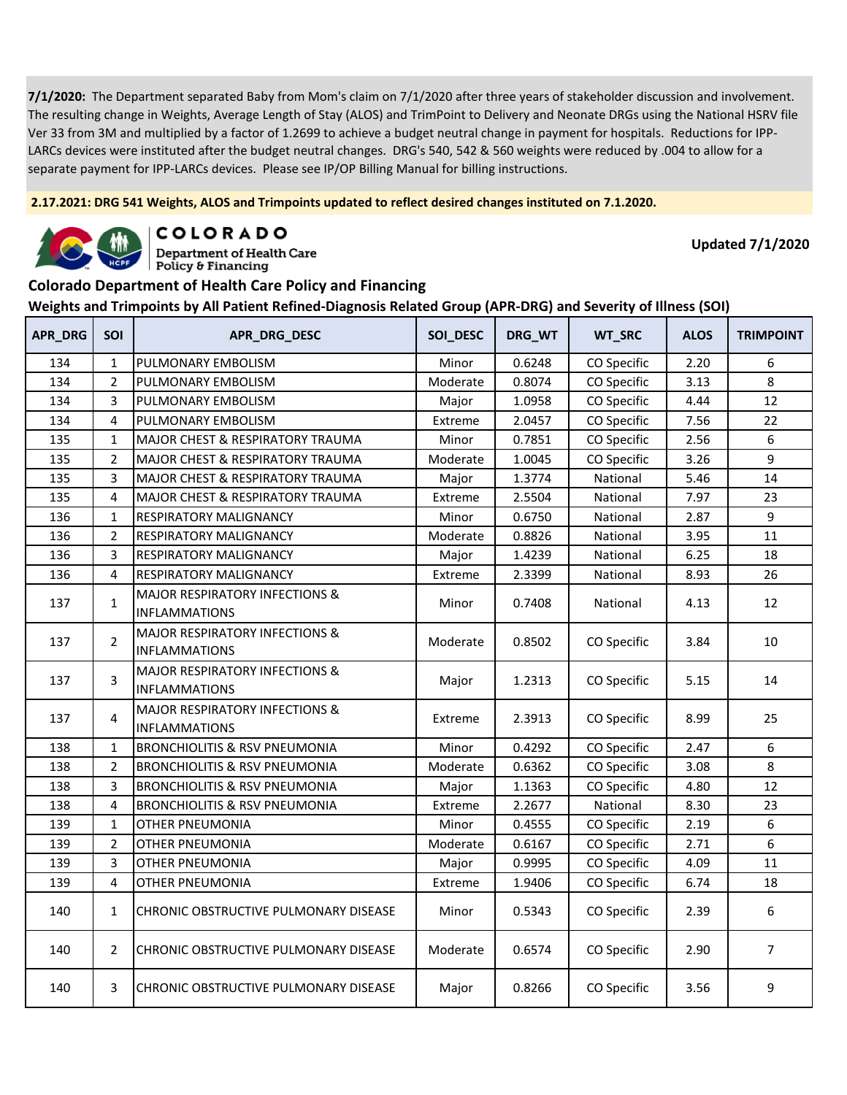**2.17.2021: DRG 541 Weights, ALOS and Trimpoints updated to reflect desired changes instituted on 7.1.2020.**



COLORADO

**Department of Health Care** Policy & Financing

**Updated 7/1/2020**

#### **Colorado Department of Health Care Policy and Financing**

| <b>APR_DRG</b> | SOI            | APR_DRG_DESC                                                      | SOI_DESC | DRG_WT | WT_SRC      | <b>ALOS</b> | <b>TRIMPOINT</b> |
|----------------|----------------|-------------------------------------------------------------------|----------|--------|-------------|-------------|------------------|
| 134            | $\mathbf{1}$   | PULMONARY EMBOLISM                                                | Minor    | 0.6248 | CO Specific | 2.20        | 6                |
| 134            | $\overline{2}$ | PULMONARY EMBOLISM                                                | Moderate | 0.8074 | CO Specific | 3.13        | 8                |
| 134            | 3              | PULMONARY EMBOLISM                                                | Major    | 1.0958 | CO Specific | 4.44        | 12               |
| 134            | $\overline{4}$ | PULMONARY EMBOLISM                                                | Extreme  | 2.0457 | CO Specific | 7.56        | 22               |
| 135            | $\mathbf{1}$   | MAJOR CHEST & RESPIRATORY TRAUMA                                  | Minor    | 0.7851 | CO Specific | 2.56        | 6                |
| 135            | $\overline{2}$ | MAJOR CHEST & RESPIRATORY TRAUMA                                  | Moderate | 1.0045 | CO Specific | 3.26        | 9                |
| 135            | 3              | <b>MAJOR CHEST &amp; RESPIRATORY TRAUMA</b>                       | Major    | 1.3774 | National    | 5.46        | 14               |
| 135            | 4              | MAJOR CHEST & RESPIRATORY TRAUMA                                  | Extreme  | 2.5504 | National    | 7.97        | 23               |
| 136            | $\mathbf{1}$   | RESPIRATORY MALIGNANCY                                            | Minor    | 0.6750 | National    | 2.87        | 9                |
| 136            | $\overline{2}$ | <b>RESPIRATORY MALIGNANCY</b>                                     | Moderate | 0.8826 | National    | 3.95        | 11               |
| 136            | 3              | RESPIRATORY MALIGNANCY                                            | Major    | 1.4239 | National    | 6.25        | 18               |
| 136            | 4              | RESPIRATORY MALIGNANCY                                            | Extreme  | 2.3399 | National    | 8.93        | 26               |
| 137            | $\mathbf{1}$   | <b>MAJOR RESPIRATORY INFECTIONS &amp;</b><br><b>INFLAMMATIONS</b> | Minor    | 0.7408 | National    | 4.13        | 12               |
| 137            | $\overline{2}$ | <b>MAJOR RESPIRATORY INFECTIONS &amp;</b><br><b>INFLAMMATIONS</b> | Moderate | 0.8502 | CO Specific | 3.84        | 10               |
| 137            | 3              | <b>MAJOR RESPIRATORY INFECTIONS &amp;</b><br><b>INFLAMMATIONS</b> | Major    | 1.2313 | CO Specific | 5.15        | 14               |
| 137            | 4              | <b>MAJOR RESPIRATORY INFECTIONS &amp;</b><br><b>INFLAMMATIONS</b> | Extreme  | 2.3913 | CO Specific | 8.99        | 25               |
| 138            | $\mathbf{1}$   | <b>BRONCHIOLITIS &amp; RSV PNEUMONIA</b>                          | Minor    | 0.4292 | CO Specific | 2.47        | 6                |
| 138            | $\overline{2}$ | <b>BRONCHIOLITIS &amp; RSV PNEUMONIA</b>                          | Moderate | 0.6362 | CO Specific | 3.08        | 8                |
| 138            | 3              | <b>BRONCHIOLITIS &amp; RSV PNEUMONIA</b>                          | Major    | 1.1363 | CO Specific | 4.80        | 12               |
| 138            | $\overline{4}$ | <b>BRONCHIOLITIS &amp; RSV PNEUMONIA</b>                          | Extreme  | 2.2677 | National    | 8.30        | 23               |
| 139            | $\mathbf{1}$   | <b>OTHER PNEUMONIA</b>                                            | Minor    | 0.4555 | CO Specific | 2.19        | 6                |
| 139            | $\overline{2}$ | <b>OTHER PNEUMONIA</b>                                            | Moderate | 0.6167 | CO Specific | 2.71        | 6                |
| 139            | 3              | <b>OTHER PNEUMONIA</b>                                            | Major    | 0.9995 | CO Specific | 4.09        | 11               |
| 139            | 4              | OTHER PNEUMONIA                                                   | Extreme  | 1.9406 | CO Specific | 6.74        | 18               |
| 140            | $\mathbf{1}$   | CHRONIC OBSTRUCTIVE PULMONARY DISEASE                             | Minor    | 0.5343 | CO Specific | 2.39        | 6                |
| 140            | $\overline{2}$ | CHRONIC OBSTRUCTIVE PULMONARY DISEASE                             | Moderate | 0.6574 | CO Specific | 2.90        | $\overline{7}$   |
| 140            | 3              | CHRONIC OBSTRUCTIVE PULMONARY DISEASE                             | Major    | 0.8266 | CO Specific | 3.56        | 9                |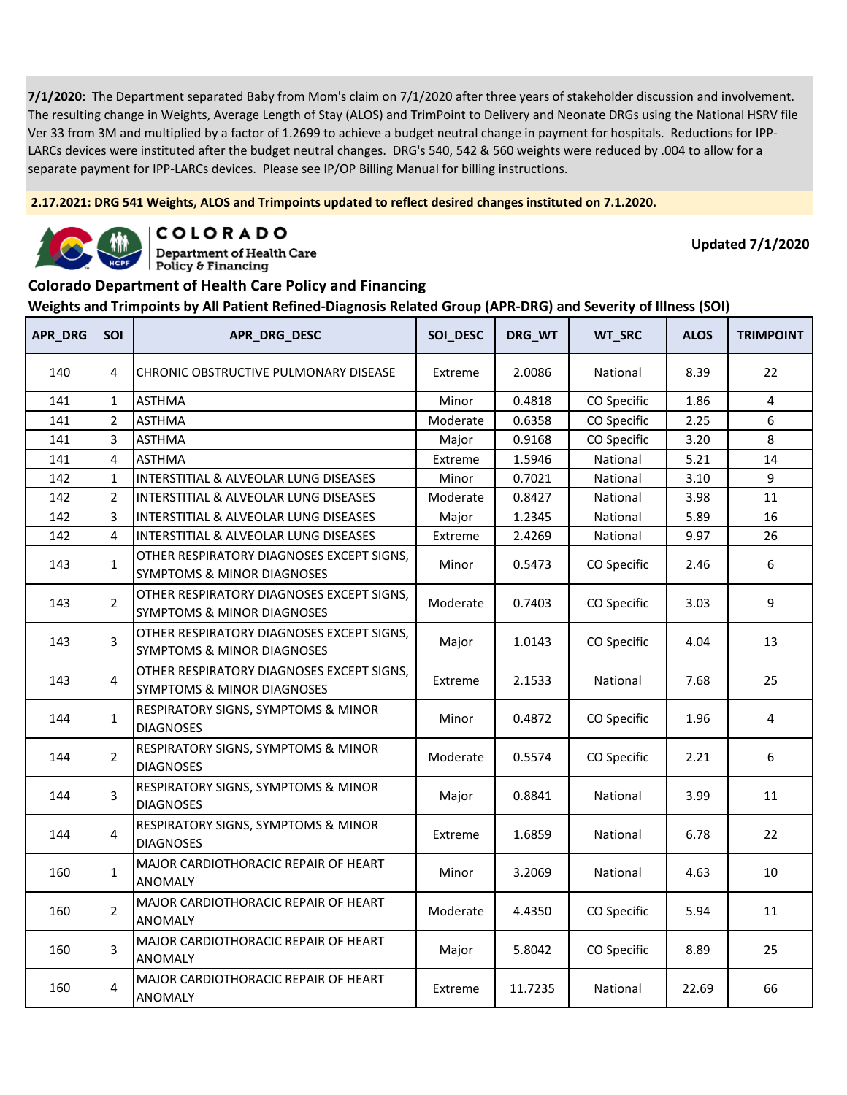**2.17.2021: DRG 541 Weights, ALOS and Trimpoints updated to reflect desired changes instituted on 7.1.2020.**



COLORADO **Department of Health Care** 

**Updated 7/1/2020**

#### **Colorado Department of Health Care Policy and Financing**

Policy & Financing

| <b>APR_DRG</b> | <b>SOI</b>     | APR_DRG_DESC                                                                       | SOI_DESC | DRG_WT  | WT_SRC      | <b>ALOS</b> | <b>TRIMPOINT</b> |
|----------------|----------------|------------------------------------------------------------------------------------|----------|---------|-------------|-------------|------------------|
| 140            | 4              | CHRONIC OBSTRUCTIVE PULMONARY DISEASE                                              | Extreme  | 2.0086  | National    | 8.39        | 22               |
| 141            | $\mathbf{1}$   | <b>ASTHMA</b>                                                                      | Minor    | 0.4818  | CO Specific | 1.86        | 4                |
| 141            | $\overline{2}$ | <b>ASTHMA</b>                                                                      | Moderate | 0.6358  | CO Specific | 2.25        | 6                |
| 141            | 3              | <b>ASTHMA</b>                                                                      | Major    | 0.9168  | CO Specific | 3.20        | 8                |
| 141            | 4              | <b>ASTHMA</b>                                                                      | Extreme  | 1.5946  | National    | 5.21        | 14               |
| 142            | $\mathbf{1}$   | INTERSTITIAL & ALVEOLAR LUNG DISEASES                                              | Minor    | 0.7021  | National    | 3.10        | 9                |
| 142            | $\overline{2}$ | INTERSTITIAL & ALVEOLAR LUNG DISEASES                                              | Moderate | 0.8427  | National    | 3.98        | 11               |
| 142            | 3              | INTERSTITIAL & ALVEOLAR LUNG DISEASES                                              | Major    | 1.2345  | National    | 5.89        | 16               |
| 142            | 4              | INTERSTITIAL & ALVEOLAR LUNG DISEASES                                              | Extreme  | 2.4269  | National    | 9.97        | 26               |
| 143            | $\mathbf{1}$   | OTHER RESPIRATORY DIAGNOSES EXCEPT SIGNS,<br><b>SYMPTOMS &amp; MINOR DIAGNOSES</b> | Minor    | 0.5473  | CO Specific | 2.46        | 6                |
| 143            | $\overline{2}$ | OTHER RESPIRATORY DIAGNOSES EXCEPT SIGNS,<br>SYMPTOMS & MINOR DIAGNOSES            | Moderate | 0.7403  | CO Specific | 3.03        | 9                |
| 143            | 3              | OTHER RESPIRATORY DIAGNOSES EXCEPT SIGNS,<br>SYMPTOMS & MINOR DIAGNOSES            | Major    | 1.0143  | CO Specific | 4.04        | 13               |
| 143            | 4              | OTHER RESPIRATORY DIAGNOSES EXCEPT SIGNS.<br><b>SYMPTOMS &amp; MINOR DIAGNOSES</b> | Extreme  | 2.1533  | National    | 7.68        | 25               |
| 144            | $\mathbf{1}$   | <b>RESPIRATORY SIGNS, SYMPTOMS &amp; MINOR</b><br><b>DIAGNOSES</b>                 | Minor    | 0.4872  | CO Specific | 1.96        | 4                |
| 144            | $\overline{2}$ | RESPIRATORY SIGNS, SYMPTOMS & MINOR<br><b>DIAGNOSES</b>                            | Moderate | 0.5574  | CO Specific | 2.21        | 6                |
| 144            | 3              | RESPIRATORY SIGNS, SYMPTOMS & MINOR<br><b>DIAGNOSES</b>                            | Major    | 0.8841  | National    | 3.99        | 11               |
| 144            | 4              | RESPIRATORY SIGNS, SYMPTOMS & MINOR<br><b>DIAGNOSES</b>                            | Extreme  | 1.6859  | National    | 6.78        | 22               |
| 160            | $\mathbf{1}$   | MAJOR CARDIOTHORACIC REPAIR OF HEART<br><b>ANOMALY</b>                             | Minor    | 3.2069  | National    | 4.63        | 10               |
| 160            | $\overline{2}$ | MAJOR CARDIOTHORACIC REPAIR OF HEART<br><b>ANOMALY</b>                             | Moderate | 4.4350  | CO Specific | 5.94        | 11               |
| 160            | 3              | MAJOR CARDIOTHORACIC REPAIR OF HEART<br><b>ANOMALY</b>                             | Major    | 5.8042  | CO Specific | 8.89        | 25               |
| 160            | $\overline{4}$ | MAJOR CARDIOTHORACIC REPAIR OF HEART<br><b>ANOMALY</b>                             | Extreme  | 11.7235 | National    | 22.69       | 66               |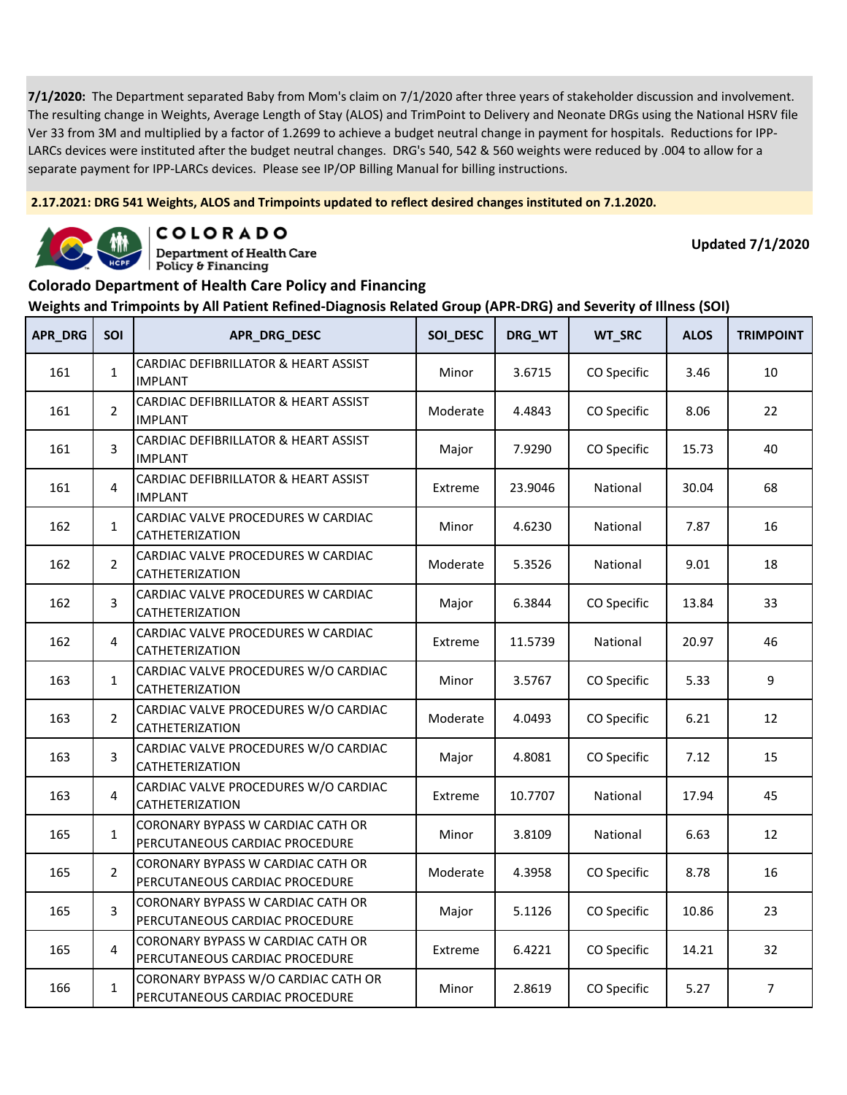**2.17.2021: DRG 541 Weights, ALOS and Trimpoints updated to reflect desired changes instituted on 7.1.2020.**



COLORADO **Department of Health Care** 

Policy & Financing

**Updated 7/1/2020**

### **Colorado Department of Health Care Policy and Financing**

| <b>APR_DRG</b> | <b>SOI</b>     | APR_DRG_DESC                                                          | SOI_DESC | DRG_WT  | WT_SRC      | <b>ALOS</b> | <b>TRIMPOINT</b> |
|----------------|----------------|-----------------------------------------------------------------------|----------|---------|-------------|-------------|------------------|
| 161            | $\mathbf{1}$   | CARDIAC DEFIBRILLATOR & HEART ASSIST<br><b>IMPLANT</b>                | Minor    | 3.6715  | CO Specific | 3.46        | 10               |
| 161            | $\overline{2}$ | CARDIAC DEFIBRILLATOR & HEART ASSIST<br><b>IMPLANT</b>                | Moderate | 4.4843  | CO Specific | 8.06        | 22               |
| 161            | 3              | CARDIAC DEFIBRILLATOR & HEART ASSIST<br><b>IMPLANT</b>                | Major    | 7.9290  | CO Specific | 15.73       | 40               |
| 161            | 4              | CARDIAC DEFIBRILLATOR & HEART ASSIST<br>IMPLANT                       | Extreme  | 23.9046 | National    | 30.04       | 68               |
| 162            | $\mathbf{1}$   | CARDIAC VALVE PROCEDURES W CARDIAC<br>CATHETERIZATION                 | Minor    | 4.6230  | National    | 7.87        | 16               |
| 162            | $\overline{2}$ | CARDIAC VALVE PROCEDURES W CARDIAC<br>CATHETERIZATION                 | Moderate | 5.3526  | National    | 9.01        | 18               |
| 162            | 3              | CARDIAC VALVE PROCEDURES W CARDIAC<br>CATHETERIZATION                 | Major    | 6.3844  | CO Specific | 13.84       | 33               |
| 162            | $\overline{4}$ | CARDIAC VALVE PROCEDURES W CARDIAC<br>CATHETERIZATION                 | Extreme  | 11.5739 | National    | 20.97       | 46               |
| 163            | $\mathbf{1}$   | CARDIAC VALVE PROCEDURES W/O CARDIAC<br>CATHETERIZATION               | Minor    | 3.5767  | CO Specific | 5.33        | 9                |
| 163            | $\overline{2}$ | CARDIAC VALVE PROCEDURES W/O CARDIAC<br>CATHETERIZATION               | Moderate | 4.0493  | CO Specific | 6.21        | 12               |
| 163            | 3              | CARDIAC VALVE PROCEDURES W/O CARDIAC<br>CATHETERIZATION               | Major    | 4.8081  | CO Specific | 7.12        | 15               |
| 163            | 4              | CARDIAC VALVE PROCEDURES W/O CARDIAC<br>CATHETERIZATION               | Extreme  | 10.7707 | National    | 17.94       | 45               |
| 165            | $\mathbf{1}$   | CORONARY BYPASS W CARDIAC CATH OR<br>PERCUTANEOUS CARDIAC PROCEDURE   | Minor    | 3.8109  | National    | 6.63        | 12               |
| 165            | $\overline{2}$ | CORONARY BYPASS W CARDIAC CATH OR<br>PERCUTANEOUS CARDIAC PROCEDURE   | Moderate | 4.3958  | CO Specific | 8.78        | 16               |
| 165            | 3              | CORONARY BYPASS W CARDIAC CATH OR<br>PERCUTANEOUS CARDIAC PROCEDURE   | Major    | 5.1126  | CO Specific | 10.86       | 23               |
| 165            | 4              | CORONARY BYPASS W CARDIAC CATH OR<br>PERCUTANEOUS CARDIAC PROCEDURE   | Extreme  | 6.4221  | CO Specific | 14.21       | 32               |
| 166            | $\mathbf{1}$   | CORONARY BYPASS W/O CARDIAC CATH OR<br>PERCUTANEOUS CARDIAC PROCEDURE | Minor    | 2.8619  | CO Specific | 5.27        | $\overline{7}$   |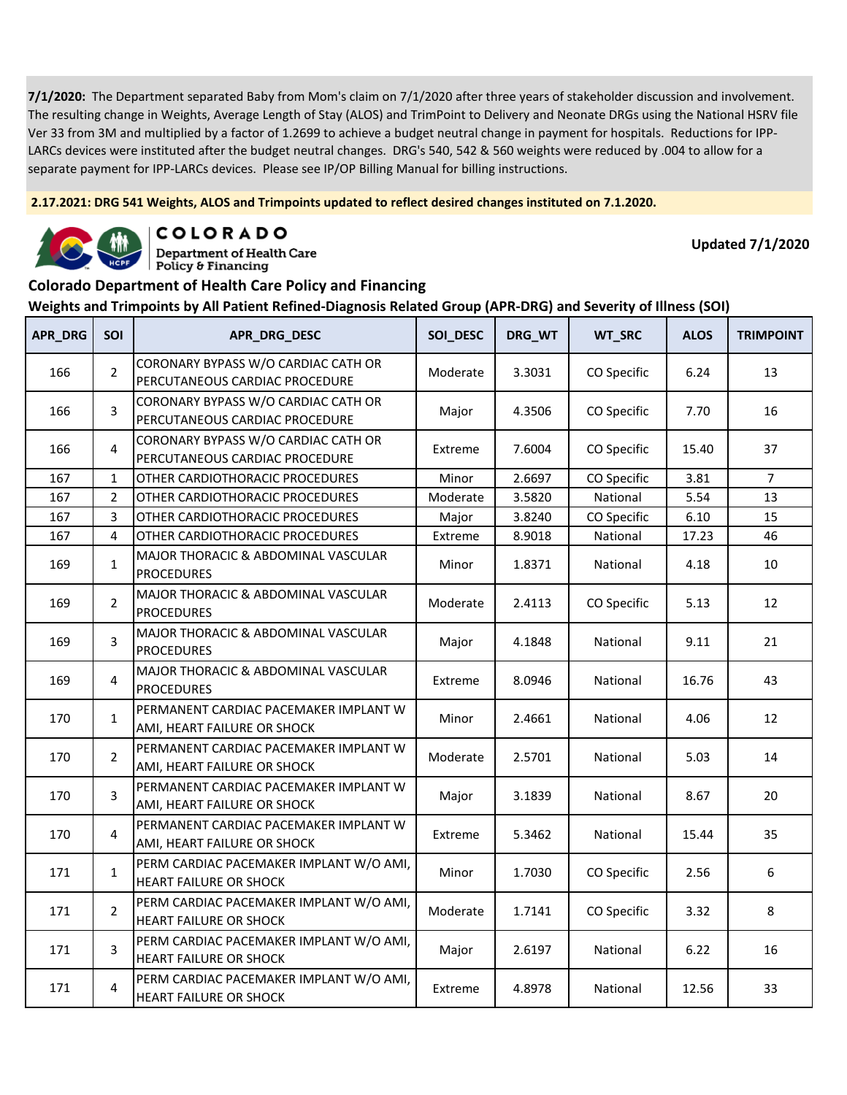**2.17.2021: DRG 541 Weights, ALOS and Trimpoints updated to reflect desired changes instituted on 7.1.2020.**



COLORADO

**Department of Health Care** Policy & Financing

**Updated 7/1/2020**

#### **Colorado Department of Health Care Policy and Financing**

| <b>APR_DRG</b> | SOI            | APR_DRG_DESC                                                          | SOI_DESC | DRG_WT | WT_SRC      | <b>ALOS</b> | <b>TRIMPOINT</b> |
|----------------|----------------|-----------------------------------------------------------------------|----------|--------|-------------|-------------|------------------|
| 166            | $\overline{2}$ | CORONARY BYPASS W/O CARDIAC CATH OR<br>PERCUTANEOUS CARDIAC PROCEDURE | Moderate | 3.3031 | CO Specific | 6.24        | 13               |
| 166            | 3              | CORONARY BYPASS W/O CARDIAC CATH OR<br>PERCUTANEOUS CARDIAC PROCEDURE | Major    | 4.3506 | CO Specific | 7.70        | 16               |
| 166            | 4              | CORONARY BYPASS W/O CARDIAC CATH OR<br>PERCUTANEOUS CARDIAC PROCEDURE | Extreme  | 7.6004 | CO Specific | 15.40       | 37               |
| 167            | $\mathbf{1}$   | OTHER CARDIOTHORACIC PROCEDURES                                       | Minor    | 2.6697 | CO Specific | 3.81        | $\overline{7}$   |
| 167            | 2              | OTHER CARDIOTHORACIC PROCEDURES                                       | Moderate | 3.5820 | National    | 5.54        | 13               |
| 167            | 3              | OTHER CARDIOTHORACIC PROCEDURES                                       | Major    | 3.8240 | CO Specific | 6.10        | 15               |
| 167            | 4              | OTHER CARDIOTHORACIC PROCEDURES                                       | Extreme  | 8.9018 | National    | 17.23       | 46               |
| 169            | $\mathbf{1}$   | <b>MAJOR THORACIC &amp; ABDOMINAL VASCULAR</b><br><b>PROCEDURES</b>   | Minor    | 1.8371 | National    | 4.18        | 10               |
| 169            | $\overline{2}$ | MAJOR THORACIC & ABDOMINAL VASCULAR<br><b>PROCEDURES</b>              | Moderate | 2.4113 | CO Specific | 5.13        | 12               |
| 169            | 3              | MAJOR THORACIC & ABDOMINAL VASCULAR<br><b>PROCEDURES</b>              | Major    | 4.1848 | National    | 9.11        | 21               |
| 169            | 4              | MAJOR THORACIC & ABDOMINAL VASCULAR<br><b>PROCEDURES</b>              | Extreme  | 8.0946 | National    | 16.76       | 43               |
| 170            | $\mathbf{1}$   | PERMANENT CARDIAC PACEMAKER IMPLANT W<br>AMI, HEART FAILURE OR SHOCK  | Minor    | 2.4661 | National    | 4.06        | 12               |
| 170            | $\overline{2}$ | PERMANENT CARDIAC PACEMAKER IMPLANT W<br>AMI, HEART FAILURE OR SHOCK  | Moderate | 2.5701 | National    | 5.03        | 14               |
| 170            | 3              | PERMANENT CARDIAC PACEMAKER IMPLANT W<br>AMI, HEART FAILURE OR SHOCK  | Major    | 3.1839 | National    | 8.67        | 20               |
| 170            | $\overline{4}$ | PERMANENT CARDIAC PACEMAKER IMPLANT W<br>AMI, HEART FAILURE OR SHOCK  | Extreme  | 5.3462 | National    | 15.44       | 35               |
| 171            | $\mathbf{1}$   | PERM CARDIAC PACEMAKER IMPLANT W/O AMI,<br>HEART FAILURE OR SHOCK     | Minor    | 1.7030 | CO Specific | 2.56        | 6                |
| 171            | $\overline{2}$ | PERM CARDIAC PACEMAKER IMPLANT W/O AMI,<br>HEART FAILURE OR SHOCK     | Moderate | 1.7141 | CO Specific | 3.32        | 8                |
| 171            | 3              | PERM CARDIAC PACEMAKER IMPLANT W/O AMI,<br>HEART FAILURE OR SHOCK     | Major    | 2.6197 | National    | 6.22        | 16               |
| 171            | 4              | PERM CARDIAC PACEMAKER IMPLANT W/O AMI,<br>HEART FAILURE OR SHOCK     | Extreme  | 4.8978 | National    | 12.56       | 33               |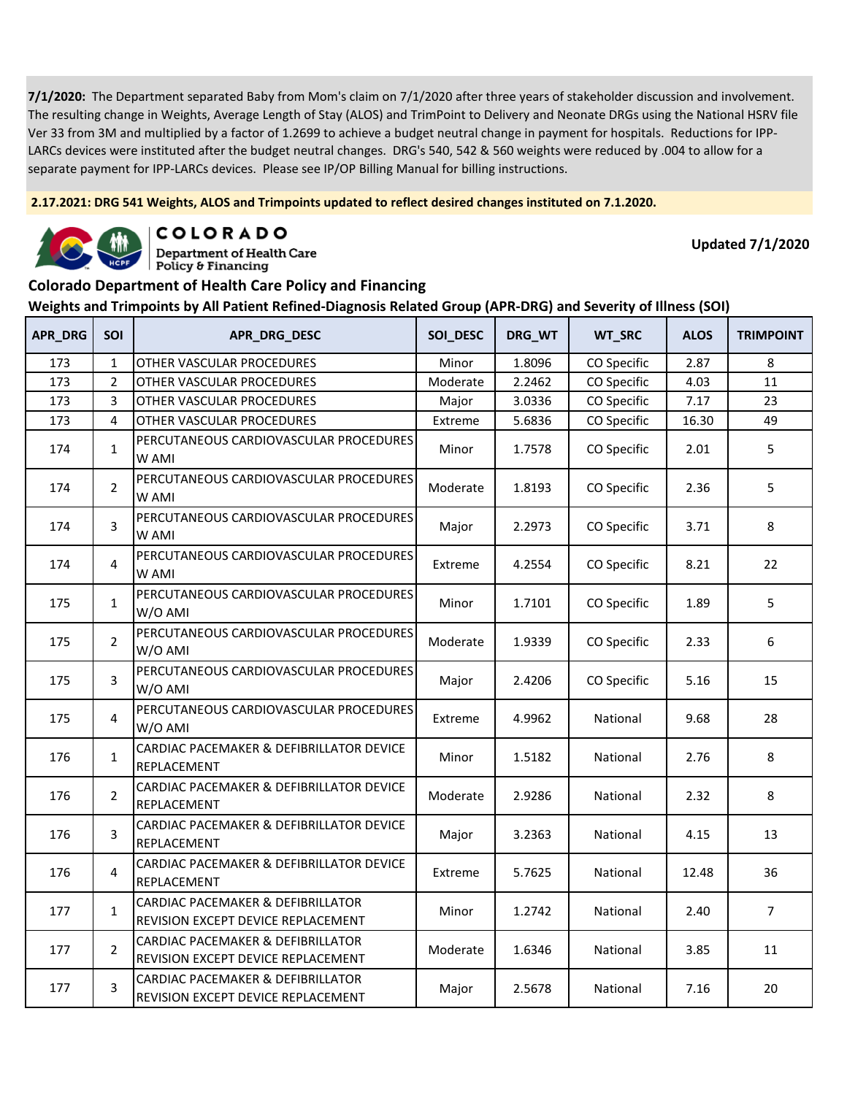**2.17.2021: DRG 541 Weights, ALOS and Trimpoints updated to reflect desired changes instituted on 7.1.2020.**



COLORADO

**Department of Health Care** Policy & Financing

**Updated 7/1/2020**

### **Colorado Department of Health Care Policy and Financing**

| <b>APR DRG</b> | SOI            | APR_DRG_DESC                                                            | SOI DESC | DRG_WT | WT_SRC      | <b>ALOS</b> | <b>TRIMPOINT</b> |
|----------------|----------------|-------------------------------------------------------------------------|----------|--------|-------------|-------------|------------------|
| 173            | $\mathbf{1}$   | OTHER VASCULAR PROCEDURES                                               | Minor    | 1.8096 | CO Specific | 2.87        | 8                |
| 173            | $\overline{2}$ | OTHER VASCULAR PROCEDURES                                               | Moderate | 2.2462 | CO Specific | 4.03        | 11               |
| 173            | 3              | OTHER VASCULAR PROCEDURES                                               | Major    | 3.0336 | CO Specific | 7.17        | 23               |
| 173            | 4              | OTHER VASCULAR PROCEDURES                                               | Extreme  | 5.6836 | CO Specific | 16.30       | 49               |
| 174            | $\mathbf{1}$   | PERCUTANEOUS CARDIOVASCULAR PROCEDURES<br>W AMI                         | Minor    | 1.7578 | CO Specific | 2.01        | 5                |
| 174            | $\overline{2}$ | PERCUTANEOUS CARDIOVASCULAR PROCEDURES<br>W AMI                         | Moderate | 1.8193 | CO Specific | 2.36        | 5                |
| 174            | 3              | PERCUTANEOUS CARDIOVASCULAR PROCEDURES<br>W AMI                         | Major    | 2.2973 | CO Specific | 3.71        | 8                |
| 174            | 4              | PERCUTANEOUS CARDIOVASCULAR PROCEDURES<br>W AMI                         | Extreme  | 4.2554 | CO Specific | 8.21        | 22               |
| 175            | $\mathbf{1}$   | PERCUTANEOUS CARDIOVASCULAR PROCEDURES<br>W/O AMI                       | Minor    | 1.7101 | CO Specific | 1.89        | 5                |
| 175            | $\overline{2}$ | PERCUTANEOUS CARDIOVASCULAR PROCEDURES<br>W/O AMI                       | Moderate | 1.9339 | CO Specific | 2.33        | 6                |
| 175            | 3              | PERCUTANEOUS CARDIOVASCULAR PROCEDURES<br>W/O AMI                       | Major    | 2.4206 | CO Specific | 5.16        | 15               |
| 175            | 4              | PERCUTANEOUS CARDIOVASCULAR PROCEDURES<br>W/O AMI                       | Extreme  | 4.9962 | National    | 9.68        | 28               |
| 176            | $\mathbf{1}$   | CARDIAC PACEMAKER & DEFIBRILLATOR DEVICE<br>REPLACEMENT                 | Minor    | 1.5182 | National    | 2.76        | 8                |
| 176            | $\overline{2}$ | CARDIAC PACEMAKER & DEFIBRILLATOR DEVICE<br>REPLACEMENT                 | Moderate | 2.9286 | National    | 2.32        | 8                |
| 176            | 3              | CARDIAC PACEMAKER & DEFIBRILLATOR DEVICE<br>REPLACEMENT                 | Major    | 3.2363 | National    | 4.15        | 13               |
| 176            | 4              | CARDIAC PACEMAKER & DEFIBRILLATOR DEVICE<br>REPLACEMENT                 | Extreme  | 5.7625 | National    | 12.48       | 36               |
| 177            | $\mathbf{1}$   | CARDIAC PACEMAKER & DEFIBRILLATOR<br>REVISION EXCEPT DEVICE REPLACEMENT | Minor    | 1.2742 | National    | 2.40        | $\overline{7}$   |
| 177            | $\overline{2}$ | CARDIAC PACEMAKER & DEFIBRILLATOR<br>REVISION EXCEPT DEVICE REPLACEMENT | Moderate | 1.6346 | National    | 3.85        | 11               |
| 177            | 3              | CARDIAC PACEMAKER & DEFIBRILLATOR<br>REVISION EXCEPT DEVICE REPLACEMENT | Major    | 2.5678 | National    | 7.16        | 20               |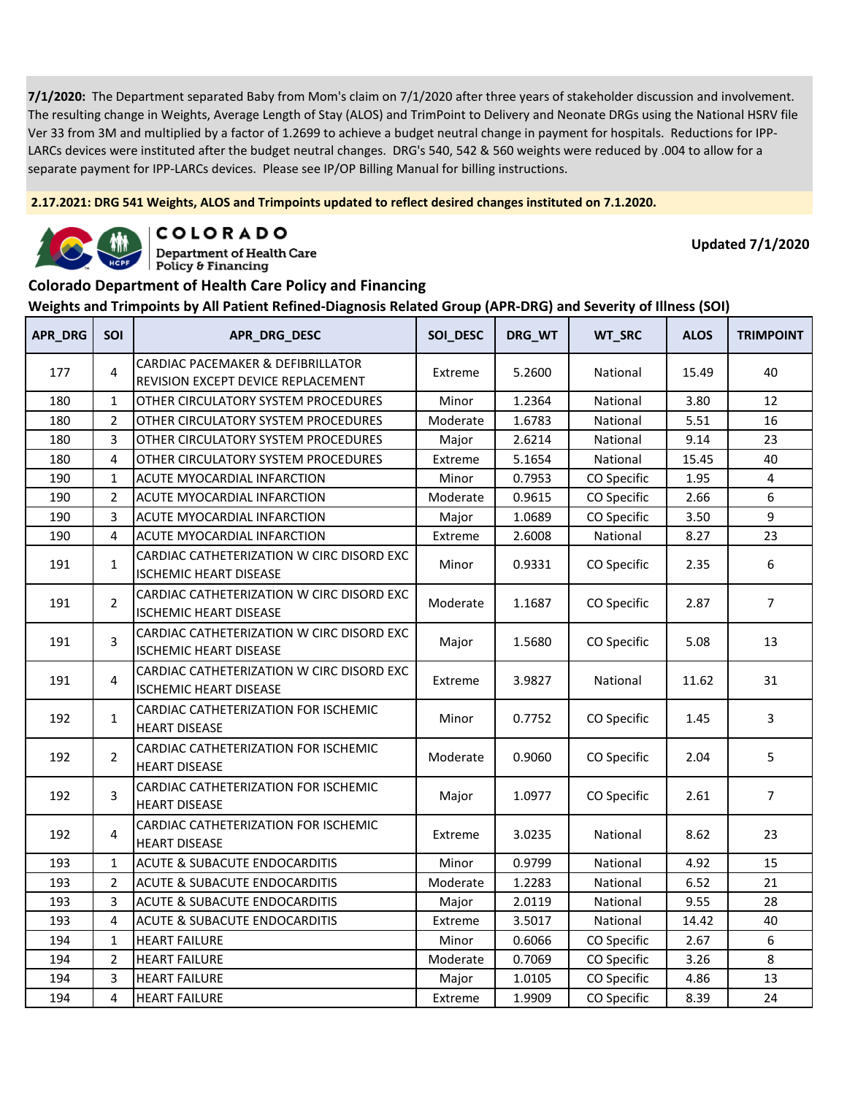**2.17.2021: DRG 541 Weights, ALOS and Trimpoints updated to reflect desired changes instituted on 7.1.2020.**



COLORADO

**Department of Health Care** Policy & Financing

**Updated 7/1/2020**

#### **Colorado Department of Health Care Policy and Financing**

| <b>APR_DRG</b> | <b>SOI</b>     | APR_DRG_DESC                                                               | SOI_DESC | DRG_WT | WT_SRC      | <b>ALOS</b> | <b>TRIMPOINT</b> |
|----------------|----------------|----------------------------------------------------------------------------|----------|--------|-------------|-------------|------------------|
| 177            | 4              | CARDIAC PACEMAKER & DEFIBRILLATOR<br>REVISION EXCEPT DEVICE REPLACEMENT    | Extreme  | 5.2600 | National    | 15.49       | 40               |
| 180            | $\mathbf{1}$   | OTHER CIRCULATORY SYSTEM PROCEDURES                                        | Minor    | 1.2364 | National    | 3.80        | 12               |
| 180            | $\overline{2}$ | OTHER CIRCULATORY SYSTEM PROCEDURES                                        | Moderate | 1.6783 | National    | 5.51        | 16               |
| 180            | 3              | OTHER CIRCULATORY SYSTEM PROCEDURES                                        | Major    | 2.6214 | National    | 9.14        | 23               |
| 180            | 4              | OTHER CIRCULATORY SYSTEM PROCEDURES                                        | Extreme  | 5.1654 | National    | 15.45       | 40               |
| 190            | 1              | ACUTE MYOCARDIAL INFARCTION                                                | Minor    | 0.7953 | CO Specific | 1.95        | 4                |
| 190            | 2              | ACUTE MYOCARDIAL INFARCTION                                                | Moderate | 0.9615 | CO Specific | 2.66        | 6                |
| 190            | 3              | ACUTE MYOCARDIAL INFARCTION                                                | Major    | 1.0689 | CO Specific | 3.50        | 9                |
| 190            | 4              | ACUTE MYOCARDIAL INFARCTION                                                | Extreme  | 2.6008 | National    | 8.27        | 23               |
| 191            | $\mathbf{1}$   | CARDIAC CATHETERIZATION W CIRC DISORD EXC<br><b>ISCHEMIC HEART DISEASE</b> | Minor    | 0.9331 | CO Specific | 2.35        | 6                |
| 191            | $\overline{2}$ | CARDIAC CATHETERIZATION W CIRC DISORD EXC<br>ISCHEMIC HEART DISEASE        | Moderate | 1.1687 | CO Specific | 2.87        | $\overline{7}$   |
| 191            | 3              | CARDIAC CATHETERIZATION W CIRC DISORD EXC<br><b>ISCHEMIC HEART DISEASE</b> | Major    | 1.5680 | CO Specific | 5.08        | 13               |
| 191            | 4              | CARDIAC CATHETERIZATION W CIRC DISORD EXC<br><b>ISCHEMIC HEART DISEASE</b> | Extreme  | 3.9827 | National    | 11.62       | 31               |
| 192            | $\mathbf{1}$   | CARDIAC CATHETERIZATION FOR ISCHEMIC<br><b>HEART DISEASE</b>               | Minor    | 0.7752 | CO Specific | 1.45        | 3                |
| 192            | $\overline{2}$ | CARDIAC CATHETERIZATION FOR ISCHEMIC<br><b>HEART DISEASE</b>               | Moderate | 0.9060 | CO Specific | 2.04        | 5                |
| 192            | 3              | CARDIAC CATHETERIZATION FOR ISCHEMIC<br><b>HEART DISEASE</b>               | Major    | 1.0977 | CO Specific | 2.61        | $\overline{7}$   |
| 192            | $\overline{4}$ | CARDIAC CATHETERIZATION FOR ISCHEMIC<br><b>HEART DISEASE</b>               | Extreme  | 3.0235 | National    | 8.62        | 23               |
| 193            | $\mathbf{1}$   | <b>ACUTE &amp; SUBACUTE ENDOCARDITIS</b>                                   | Minor    | 0.9799 | National    | 4.92        | 15               |
| 193            | $\overline{2}$ | <b>ACUTE &amp; SUBACUTE ENDOCARDITIS</b>                                   | Moderate | 1.2283 | National    | 6.52        | 21               |
| 193            | 3              | ACUTE & SUBACUTE ENDOCARDITIS                                              | Major    | 2.0119 | National    | 9.55        | 28               |
| 193            | 4              | <b>ACUTE &amp; SUBACUTE ENDOCARDITIS</b>                                   | Extreme  | 3.5017 | National    | 14.42       | 40               |
| 194            | $\mathbf{1}$   | <b>HEART FAILURE</b>                                                       | Minor    | 0.6066 | CO Specific | 2.67        | 6                |
| 194            | $\overline{2}$ | <b>HEART FAILURE</b>                                                       | Moderate | 0.7069 | CO Specific | 3.26        | 8                |
| 194            | 3              | <b>HEART FAILURE</b>                                                       | Major    | 1.0105 | CO Specific | 4.86        | 13               |
| 194            | 4              | <b>HEART FAILURE</b>                                                       | Extreme  | 1.9909 | CO Specific | 8.39        | 24               |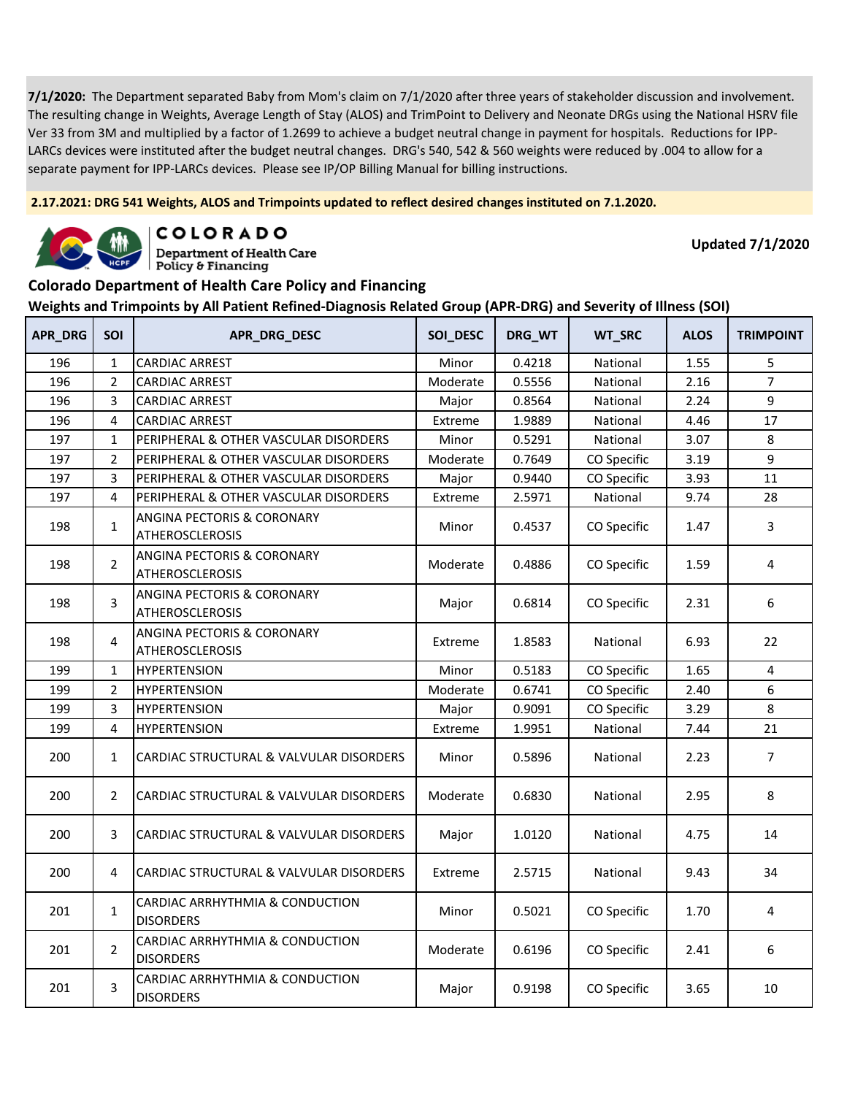**2.17.2021: DRG 541 Weights, ALOS and Trimpoints updated to reflect desired changes instituted on 7.1.2020.**



COLORADO

**Department of Health Care** Policy & Financing

**Updated 7/1/2020**

### **Colorado Department of Health Care Policy and Financing**

| APR_DRG | <b>SOI</b>     | APR_DRG_DESC                                         | SOI_DESC | DRG_WT | WT_SRC      | <b>ALOS</b> | <b>TRIMPOINT</b> |
|---------|----------------|------------------------------------------------------|----------|--------|-------------|-------------|------------------|
| 196     | $\mathbf{1}$   | <b>CARDIAC ARREST</b>                                | Minor    | 0.4218 | National    | 1.55        | 5                |
| 196     | $\overline{2}$ | <b>CARDIAC ARREST</b>                                | Moderate | 0.5556 | National    | 2.16        | $\overline{7}$   |
| 196     | 3              | <b>CARDIAC ARREST</b>                                | Major    | 0.8564 | National    | 2.24        | 9                |
| 196     | 4              | <b>CARDIAC ARREST</b>                                | Extreme  | 1.9889 | National    | 4.46        | 17               |
| 197     | $\mathbf{1}$   | PERIPHERAL & OTHER VASCULAR DISORDERS                | Minor    | 0.5291 | National    | 3.07        | 8                |
| 197     | $\overline{2}$ | PERIPHERAL & OTHER VASCULAR DISORDERS                | Moderate | 0.7649 | CO Specific | 3.19        | 9                |
| 197     | 3              | PERIPHERAL & OTHER VASCULAR DISORDERS                | Major    | 0.9440 | CO Specific | 3.93        | 11               |
| 197     | 4              | PERIPHERAL & OTHER VASCULAR DISORDERS                | Extreme  | 2.5971 | National    | 9.74        | 28               |
| 198     | $\mathbf{1}$   | ANGINA PECTORIS & CORONARY<br><b>ATHEROSCLEROSIS</b> | Minor    | 0.4537 | CO Specific | 1.47        | 3                |
| 198     | $\overline{2}$ | ANGINA PECTORIS & CORONARY<br><b>ATHEROSCLEROSIS</b> | Moderate | 0.4886 | CO Specific | 1.59        | 4                |
| 198     | 3              | ANGINA PECTORIS & CORONARY<br><b>ATHEROSCLEROSIS</b> | Major    | 0.6814 | CO Specific | 2.31        | 6                |
| 198     | 4              | ANGINA PECTORIS & CORONARY<br><b>ATHEROSCLEROSIS</b> | Extreme  | 1.8583 | National    | 6.93        | 22               |
| 199     | 1              | <b>HYPERTENSION</b>                                  | Minor    | 0.5183 | CO Specific | 1.65        | 4                |
| 199     | $\overline{2}$ | <b>HYPERTENSION</b>                                  | Moderate | 0.6741 | CO Specific | 2.40        | 6                |
| 199     | 3              | <b>HYPERTENSION</b>                                  | Major    | 0.9091 | CO Specific | 3.29        | $\,$ 8 $\,$      |
| 199     | 4              | <b>HYPERTENSION</b>                                  | Extreme  | 1.9951 | National    | 7.44        | 21               |
| 200     | $\mathbf{1}$   | CARDIAC STRUCTURAL & VALVULAR DISORDERS              | Minor    | 0.5896 | National    | 2.23        | $\overline{7}$   |
| 200     | $\overline{2}$ | CARDIAC STRUCTURAL & VALVULAR DISORDERS              | Moderate | 0.6830 | National    | 2.95        | 8                |
| 200     | 3              | CARDIAC STRUCTURAL & VALVULAR DISORDERS              | Major    | 1.0120 | National    | 4.75        | 14               |
| 200     | 4              | CARDIAC STRUCTURAL & VALVULAR DISORDERS              | Extreme  | 2.5715 | National    | 9.43        | 34               |
| 201     | $\mathbf{1}$   | CARDIAC ARRHYTHMIA & CONDUCTION<br><b>DISORDERS</b>  | Minor    | 0.5021 | CO Specific | 1.70        | 4                |
| 201     | $\overline{2}$ | CARDIAC ARRHYTHMIA & CONDUCTION<br><b>DISORDERS</b>  | Moderate | 0.6196 | CO Specific | 2.41        | 6                |
| 201     | 3              | CARDIAC ARRHYTHMIA & CONDUCTION<br><b>DISORDERS</b>  | Major    | 0.9198 | CO Specific | 3.65        | 10               |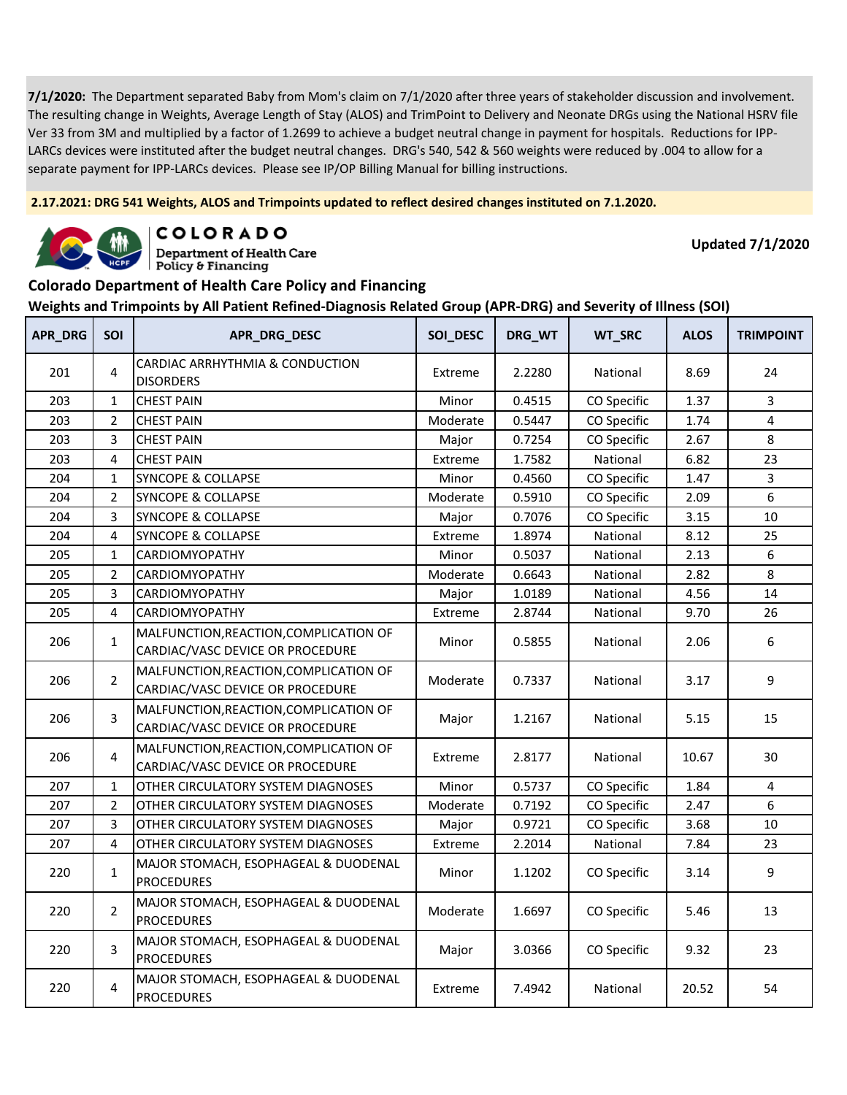**2.17.2021: DRG 541 Weights, ALOS and Trimpoints updated to reflect desired changes instituted on 7.1.2020.**



COLORADO

**Department of Health Care** Policy & Financing

**Updated 7/1/2020**

#### **Colorado Department of Health Care Policy and Financing**

| APR_DRG | <b>SOI</b>     | APR_DRG_DESC                                                               | SOI_DESC | DRG_WT | WT_SRC      | <b>ALOS</b> | <b>TRIMPOINT</b> |
|---------|----------------|----------------------------------------------------------------------------|----------|--------|-------------|-------------|------------------|
| 201     | 4              | CARDIAC ARRHYTHMIA & CONDUCTION<br><b>DISORDERS</b>                        | Extreme  | 2.2280 | National    | 8.69        | 24               |
| 203     | $\mathbf{1}$   | <b>CHEST PAIN</b>                                                          | Minor    | 0.4515 | CO Specific | 1.37        | 3                |
| 203     | $\overline{2}$ | <b>CHEST PAIN</b>                                                          | Moderate | 0.5447 | CO Specific | 1.74        | 4                |
| 203     | 3              | <b>CHEST PAIN</b>                                                          | Major    | 0.7254 | CO Specific | 2.67        | 8                |
| 203     | 4              | <b>CHEST PAIN</b>                                                          | Extreme  | 1.7582 | National    | 6.82        | 23               |
| 204     | $\mathbf{1}$   | <b>SYNCOPE &amp; COLLAPSE</b>                                              | Minor    | 0.4560 | CO Specific | 1.47        | 3                |
| 204     | $\overline{2}$ | <b>SYNCOPE &amp; COLLAPSE</b>                                              | Moderate | 0.5910 | CO Specific | 2.09        | 6                |
| 204     | 3              | <b>SYNCOPE &amp; COLLAPSE</b>                                              | Major    | 0.7076 | CO Specific | 3.15        | 10               |
| 204     | 4              | <b>SYNCOPE &amp; COLLAPSE</b>                                              | Extreme  | 1.8974 | National    | 8.12        | 25               |
| 205     | $\mathbf{1}$   | CARDIOMYOPATHY                                                             | Minor    | 0.5037 | National    | 2.13        | 6                |
| 205     | $\overline{2}$ | CARDIOMYOPATHY                                                             | Moderate | 0.6643 | National    | 2.82        | 8                |
| 205     | 3              | CARDIOMYOPATHY                                                             | Major    | 1.0189 | National    | 4.56        | 14               |
| 205     | 4              | <b>CARDIOMYOPATHY</b>                                                      | Extreme  | 2.8744 | National    | 9.70        | 26               |
| 206     | $\mathbf{1}$   | MALFUNCTION, REACTION, COMPLICATION OF<br>CARDIAC/VASC DEVICE OR PROCEDURE | Minor    | 0.5855 | National    | 2.06        | 6                |
| 206     | $\overline{2}$ | MALFUNCTION, REACTION, COMPLICATION OF<br>CARDIAC/VASC DEVICE OR PROCEDURE | Moderate | 0.7337 | National    | 3.17        | 9                |
| 206     | 3              | MALFUNCTION, REACTION, COMPLICATION OF<br>CARDIAC/VASC DEVICE OR PROCEDURE | Major    | 1.2167 | National    | 5.15        | 15               |
| 206     | 4              | MALFUNCTION, REACTION, COMPLICATION OF<br>CARDIAC/VASC DEVICE OR PROCEDURE | Extreme  | 2.8177 | National    | 10.67       | 30               |
| 207     | $\mathbf 1$    | OTHER CIRCULATORY SYSTEM DIAGNOSES                                         | Minor    | 0.5737 | CO Specific | 1.84        | $\overline{4}$   |
| 207     | $\overline{2}$ | OTHER CIRCULATORY SYSTEM DIAGNOSES                                         | Moderate | 0.7192 | CO Specific | 2.47        | 6                |
| 207     | 3              | OTHER CIRCULATORY SYSTEM DIAGNOSES                                         | Major    | 0.9721 | CO Specific | 3.68        | 10               |
| 207     | 4              | OTHER CIRCULATORY SYSTEM DIAGNOSES                                         | Extreme  | 2.2014 | National    | 7.84        | 23               |
| 220     | $\mathbf{1}$   | MAJOR STOMACH, ESOPHAGEAL & DUODENAL<br><b>PROCEDURES</b>                  | Minor    | 1.1202 | CO Specific | 3.14        | 9                |
| 220     | $\overline{2}$ | MAJOR STOMACH, ESOPHAGEAL & DUODENAL<br><b>PROCEDURES</b>                  | Moderate | 1.6697 | CO Specific | 5.46        | 13               |
| 220     | 3              | MAJOR STOMACH, ESOPHAGEAL & DUODENAL<br><b>PROCEDURES</b>                  | Major    | 3.0366 | CO Specific | 9.32        | 23               |
| 220     | 4              | MAJOR STOMACH, ESOPHAGEAL & DUODENAL<br><b>PROCEDURES</b>                  | Extreme  | 7.4942 | National    | 20.52       | 54               |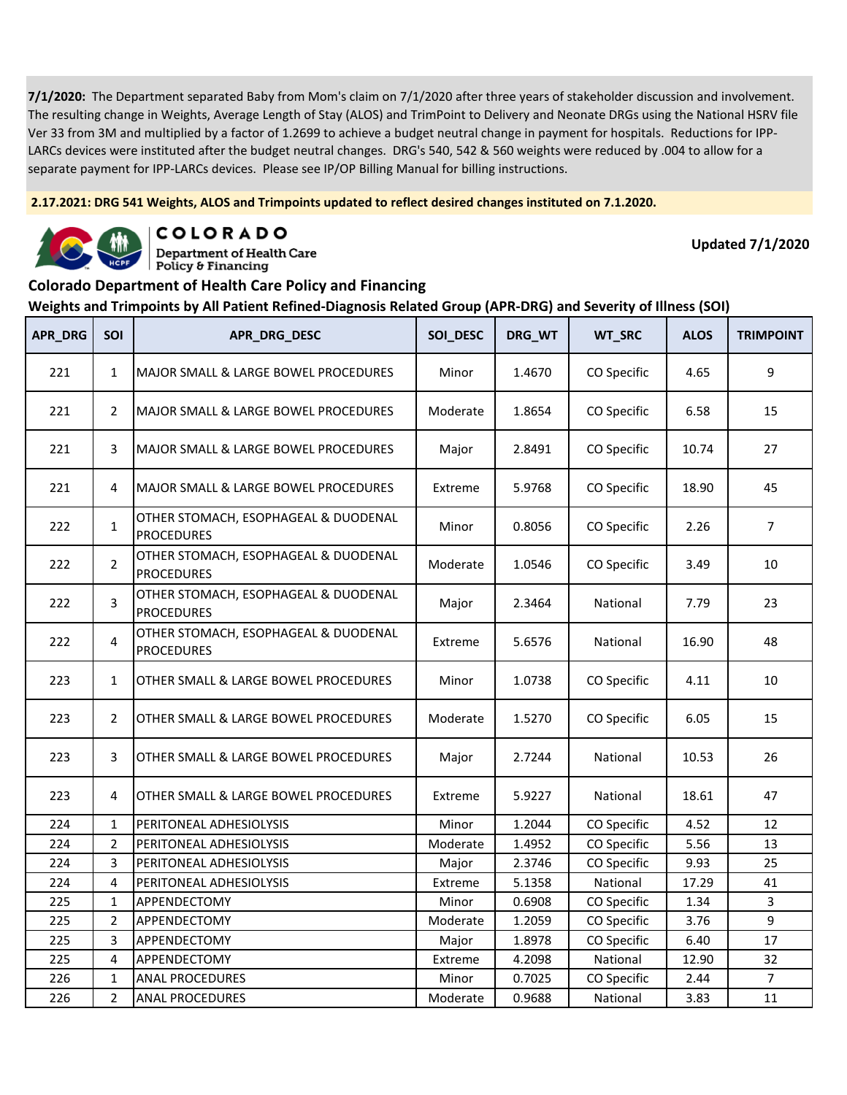**2.17.2021: DRG 541 Weights, ALOS and Trimpoints updated to reflect desired changes instituted on 7.1.2020.**



COLORADO **Department of Health Care** 

Policy & Financing

**Updated 7/1/2020**

# **Colorado Department of Health Care Policy and Financing**

| APR_DRG | SOI            | APR_DRG_DESC                                              | SOI_DESC | DRG_WT | WT_SRC      | <b>ALOS</b> | <b>TRIMPOINT</b> |
|---------|----------------|-----------------------------------------------------------|----------|--------|-------------|-------------|------------------|
| 221     | $\mathbf{1}$   | <b>MAJOR SMALL &amp; LARGE BOWEL PROCEDURES</b>           | Minor    | 1.4670 | CO Specific | 4.65        | 9                |
| 221     | $\overline{2}$ | <b>MAJOR SMALL &amp; LARGE BOWEL PROCEDURES</b>           | Moderate | 1.8654 | CO Specific | 6.58        | 15               |
| 221     | 3              | <b>MAJOR SMALL &amp; LARGE BOWEL PROCEDURES</b>           | Major    | 2.8491 | CO Specific | 10.74       | 27               |
| 221     | 4              | <b>MAJOR SMALL &amp; LARGE BOWEL PROCEDURES</b>           | Extreme  | 5.9768 | CO Specific | 18.90       | 45               |
| 222     | $\mathbf{1}$   | OTHER STOMACH, ESOPHAGEAL & DUODENAL<br><b>PROCEDURES</b> | Minor    | 0.8056 | CO Specific | 2.26        | $\overline{7}$   |
| 222     | $\overline{2}$ | OTHER STOMACH, ESOPHAGEAL & DUODENAL<br><b>PROCEDURES</b> | Moderate | 1.0546 | CO Specific | 3.49        | 10               |
| 222     | 3              | OTHER STOMACH, ESOPHAGEAL & DUODENAL<br><b>PROCEDURES</b> | Major    | 2.3464 | National    | 7.79        | 23               |
| 222     | 4              | OTHER STOMACH, ESOPHAGEAL & DUODENAL<br><b>PROCEDURES</b> | Extreme  | 5.6576 | National    | 16.90       | 48               |
| 223     | $\mathbf{1}$   | OTHER SMALL & LARGE BOWEL PROCEDURES                      | Minor    | 1.0738 | CO Specific | 4.11        | 10               |
| 223     | $\overline{2}$ | OTHER SMALL & LARGE BOWEL PROCEDURES                      | Moderate | 1.5270 | CO Specific | 6.05        | 15               |
| 223     | 3              | OTHER SMALL & LARGE BOWEL PROCEDURES                      | Major    | 2.7244 | National    | 10.53       | 26               |
| 223     | 4              | OTHER SMALL & LARGE BOWEL PROCEDURES                      | Extreme  | 5.9227 | National    | 18.61       | 47               |
| 224     | $\mathbf{1}$   | PERITONEAL ADHESIOLYSIS                                   | Minor    | 1.2044 | CO Specific | 4.52        | 12               |
| 224     | $\overline{2}$ | PERITONEAL ADHESIOLYSIS                                   | Moderate | 1.4952 | CO Specific | 5.56        | 13               |
| 224     | 3              | PERITONEAL ADHESIOLYSIS                                   | Major    | 2.3746 | CO Specific | 9.93        | 25               |
| 224     | $\overline{4}$ | PERITONEAL ADHESIOLYSIS                                   | Extreme  | 5.1358 | National    | 17.29       | 41               |
| 225     | $\mathbf{1}$   | APPENDECTOMY                                              | Minor    | 0.6908 | CO Specific | 1.34        | 3                |
| 225     | $\overline{2}$ | APPENDECTOMY                                              | Moderate | 1.2059 | CO Specific | 3.76        | 9                |
| 225     | 3              | APPENDECTOMY                                              | Major    | 1.8978 | CO Specific | 6.40        | 17               |
| 225     | $\overline{4}$ | APPENDECTOMY                                              | Extreme  | 4.2098 | National    | 12.90       | 32               |
| 226     | 1              | <b>ANAL PROCEDURES</b>                                    | Minor    | 0.7025 | CO Specific | 2.44        | $\overline{7}$   |
| 226     | $\overline{2}$ | ANAL PROCEDURES                                           | Moderate | 0.9688 | National    | 3.83        | 11               |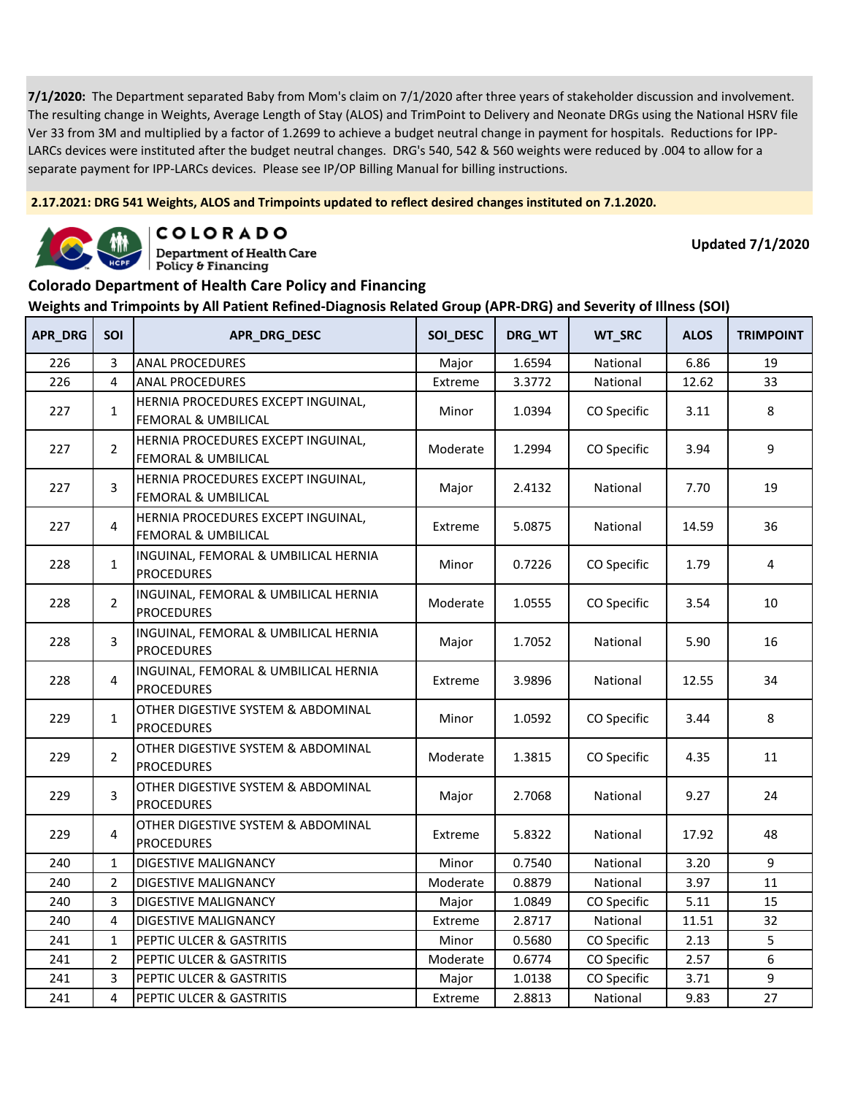**2.17.2021: DRG 541 Weights, ALOS and Trimpoints updated to reflect desired changes instituted on 7.1.2020.**



COLORADO

**Department of Health Care** Policy & Financing

**Updated 7/1/2020**

#### **Colorado Department of Health Care Policy and Financing Weights and Trimpoints by All Patient Refined-Diagnosis Related Group (APR-DRG) and Severity of Illness (SOI)**

| APR_DRG | <b>SOI</b>     | APR_DRG_DESC                                              | SOI_DESC | DRG_WT | WT_SRC      | <b>ALOS</b> | <b>TRIMPOINT</b> |
|---------|----------------|-----------------------------------------------------------|----------|--------|-------------|-------------|------------------|
| 226     | 3              | <b>ANAL PROCEDURES</b>                                    | Major    | 1.6594 | National    | 6.86        | 19               |
| 226     | 4              | <b>ANAL PROCEDURES</b>                                    | Extreme  | 3.3772 | National    | 12.62       | 33               |
| 227     | $\mathbf{1}$   | HERNIA PROCEDURES EXCEPT INGUINAL,<br>FEMORAL & UMBILICAL | Minor    | 1.0394 | CO Specific | 3.11        | 8                |
| 227     | $\overline{2}$ | HERNIA PROCEDURES EXCEPT INGUINAL,<br>FEMORAL & UMBILICAL | Moderate | 1.2994 | CO Specific | 3.94        | 9                |
| 227     | $\overline{3}$ | HERNIA PROCEDURES EXCEPT INGUINAL,<br>FEMORAL & UMBILICAL | Major    | 2.4132 | National    | 7.70        | 19               |
| 227     | 4              | HERNIA PROCEDURES EXCEPT INGUINAL,<br>FEMORAL & UMBILICAL | Extreme  | 5.0875 | National    | 14.59       | 36               |
| 228     | $\mathbf{1}$   | INGUINAL, FEMORAL & UMBILICAL HERNIA<br><b>PROCEDURES</b> | Minor    | 0.7226 | CO Specific | 1.79        | 4                |
| 228     | $\overline{2}$ | INGUINAL, FEMORAL & UMBILICAL HERNIA<br><b>PROCEDURES</b> | Moderate | 1.0555 | CO Specific | 3.54        | 10               |
| 228     | 3              | INGUINAL, FEMORAL & UMBILICAL HERNIA<br><b>PROCEDURES</b> | Major    | 1.7052 | National    | 5.90        | 16               |
| 228     | 4              | INGUINAL, FEMORAL & UMBILICAL HERNIA<br><b>PROCEDURES</b> | Extreme  | 3.9896 | National    | 12.55       | 34               |
| 229     | $\mathbf 1$    | OTHER DIGESTIVE SYSTEM & ABDOMINAL<br><b>PROCEDURES</b>   | Minor    | 1.0592 | CO Specific | 3.44        | 8                |
| 229     | $\overline{2}$ | OTHER DIGESTIVE SYSTEM & ABDOMINAL<br><b>PROCEDURES</b>   | Moderate | 1.3815 | CO Specific | 4.35        | 11               |
| 229     | 3              | OTHER DIGESTIVE SYSTEM & ABDOMINAL<br><b>PROCEDURES</b>   | Major    | 2.7068 | National    | 9.27        | 24               |
| 229     | 4              | OTHER DIGESTIVE SYSTEM & ABDOMINAL<br><b>PROCEDURES</b>   | Extreme  | 5.8322 | National    | 17.92       | 48               |
| 240     | $\mathbf{1}$   | DIGESTIVE MALIGNANCY                                      | Minor    | 0.7540 | National    | 3.20        | 9                |
| 240     | $\overline{2}$ | DIGESTIVE MALIGNANCY                                      | Moderate | 0.8879 | National    | 3.97        | 11               |
| 240     | 3              | DIGESTIVE MALIGNANCY                                      | Major    | 1.0849 | CO Specific | 5.11        | 15               |
| 240     | 4              | DIGESTIVE MALIGNANCY                                      | Extreme  | 2.8717 | National    | 11.51       | 32               |
| 241     | $\mathbf{1}$   | PEPTIC ULCER & GASTRITIS                                  | Minor    | 0.5680 | CO Specific | 2.13        | 5                |
| 241     | $\overline{2}$ | PEPTIC ULCER & GASTRITIS                                  | Moderate | 0.6774 | CO Specific | 2.57        | 6                |
| 241     | 3              | PEPTIC ULCER & GASTRITIS                                  | Major    | 1.0138 | CO Specific | 3.71        | 9                |
| 241     | 4              | PEPTIC ULCER & GASTRITIS                                  | Extreme  | 2.8813 | National    | 9.83        | 27               |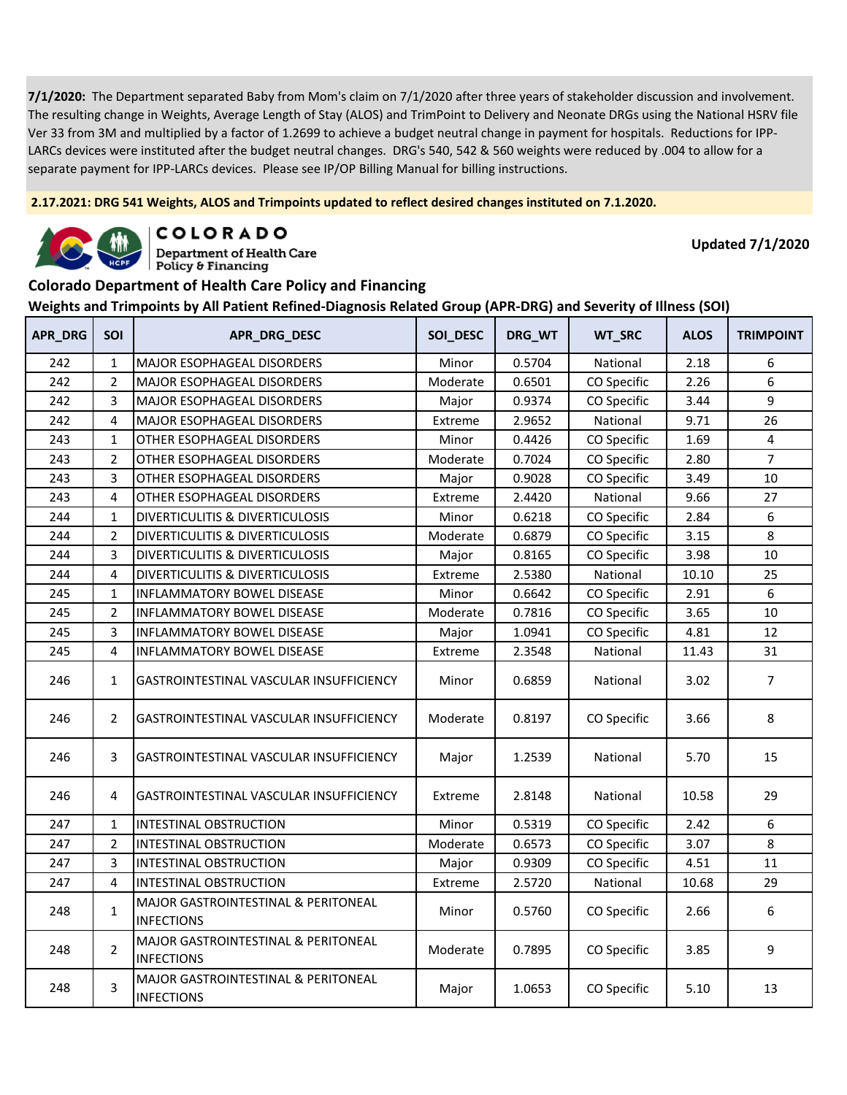**2.17.2021: DRG 541 Weights, ALOS and Trimpoints updated to reflect desired changes instituted on 7.1.2020.**



COLORADO

**Department of Health Care** Policy & Financing

**Updated 7/1/2020**

#### **Colorado Department of Health Care Policy and Financing**

| APR_DRG | SOI            | APR_DRG_DESC                                                        | SOI_DESC | DRG_WT | WT_SRC      | <b>ALOS</b> | <b>TRIMPOINT</b> |
|---------|----------------|---------------------------------------------------------------------|----------|--------|-------------|-------------|------------------|
| 242     | $\mathbf{1}$   | MAJOR ESOPHAGEAL DISORDERS                                          | Minor    | 0.5704 | National    | 2.18        | 6                |
| 242     | $\overline{2}$ | MAJOR ESOPHAGEAL DISORDERS                                          | Moderate | 0.6501 | CO Specific | 2.26        | 6                |
| 242     | 3              | <b>MAJOR ESOPHAGEAL DISORDERS</b>                                   | Major    | 0.9374 | CO Specific | 3.44        | 9                |
| 242     | 4              | <b>MAJOR ESOPHAGEAL DISORDERS</b>                                   | Extreme  | 2.9652 | National    | 9.71        | 26               |
| 243     | $\mathbf{1}$   | OTHER ESOPHAGEAL DISORDERS                                          | Minor    | 0.4426 | CO Specific | 1.69        | $\overline{4}$   |
| 243     | $\overline{2}$ | OTHER ESOPHAGEAL DISORDERS                                          | Moderate | 0.7024 | CO Specific | 2.80        | $\overline{7}$   |
| 243     | 3              | OTHER ESOPHAGEAL DISORDERS                                          | Major    | 0.9028 | CO Specific | 3.49        | 10               |
| 243     | 4              | OTHER ESOPHAGEAL DISORDERS                                          | Extreme  | 2.4420 | National    | 9.66        | 27               |
| 244     | $\mathbf{1}$   | DIVERTICULITIS & DIVERTICULOSIS                                     | Minor    | 0.6218 | CO Specific | 2.84        | 6                |
| 244     | $\overline{2}$ | DIVERTICULITIS & DIVERTICULOSIS                                     | Moderate | 0.6879 | CO Specific | 3.15        | 8                |
| 244     | 3              | DIVERTICULITIS & DIVERTICULOSIS                                     | Major    | 0.8165 | CO Specific | 3.98        | 10               |
| 244     | 4              | DIVERTICULITIS & DIVERTICULOSIS                                     | Extreme  | 2.5380 | National    | 10.10       | 25               |
| 245     | $\mathbf{1}$   | INFLAMMATORY BOWEL DISEASE                                          | Minor    | 0.6642 | CO Specific | 2.91        | 6                |
| 245     | $\overline{2}$ | <b>INFLAMMATORY BOWEL DISEASE</b>                                   | Moderate | 0.7816 | CO Specific | 3.65        | 10               |
| 245     | 3              | <b>INFLAMMATORY BOWEL DISEASE</b>                                   | Major    | 1.0941 | CO Specific | 4.81        | 12               |
| 245     | 4              | INFLAMMATORY BOWEL DISEASE                                          | Extreme  | 2.3548 | National    | 11.43       | 31               |
| 246     | $\mathbf{1}$   | GASTROINTESTINAL VASCULAR INSUFFICIENCY                             | Minor    | 0.6859 | National    | 3.02        | $\overline{7}$   |
| 246     | $\overline{2}$ | GASTROINTESTINAL VASCULAR INSUFFICIENCY                             | Moderate | 0.8197 | CO Specific | 3.66        | 8                |
| 246     | 3              | GASTROINTESTINAL VASCULAR INSUFFICIENCY                             | Major    | 1.2539 | National    | 5.70        | 15               |
| 246     | 4              | GASTROINTESTINAL VASCULAR INSUFFICIENCY                             | Extreme  | 2.8148 | National    | 10.58       | 29               |
| 247     | $\mathbf{1}$   | INTESTINAL OBSTRUCTION                                              | Minor    | 0.5319 | CO Specific | 2.42        | 6                |
| 247     | $\overline{2}$ | <b>INTESTINAL OBSTRUCTION</b>                                       | Moderate | 0.6573 | CO Specific | 3.07        | 8                |
| 247     | 3              | INTESTINAL OBSTRUCTION                                              | Major    | 0.9309 | CO Specific | 4.51        | 11               |
| 247     | 4              | INTESTINAL OBSTRUCTION                                              | Extreme  | 2.5720 | National    | 10.68       | 29               |
| 248     | $\mathbf{1}$   | MAJOR GASTROINTESTINAL & PERITONEAL<br><b>INFECTIONS</b>            | Minor    | 0.5760 | CO Specific | 2.66        | 6                |
| 248     | $\overline{2}$ | MAJOR GASTROINTESTINAL & PERITONEAL<br><b>INFECTIONS</b>            | Moderate | 0.7895 | CO Specific | 3.85        | 9                |
| 248     | 3              | <b>MAJOR GASTROINTESTINAL &amp; PERITONEAL</b><br><b>INFECTIONS</b> | Major    | 1.0653 | CO Specific | 5.10        | 13               |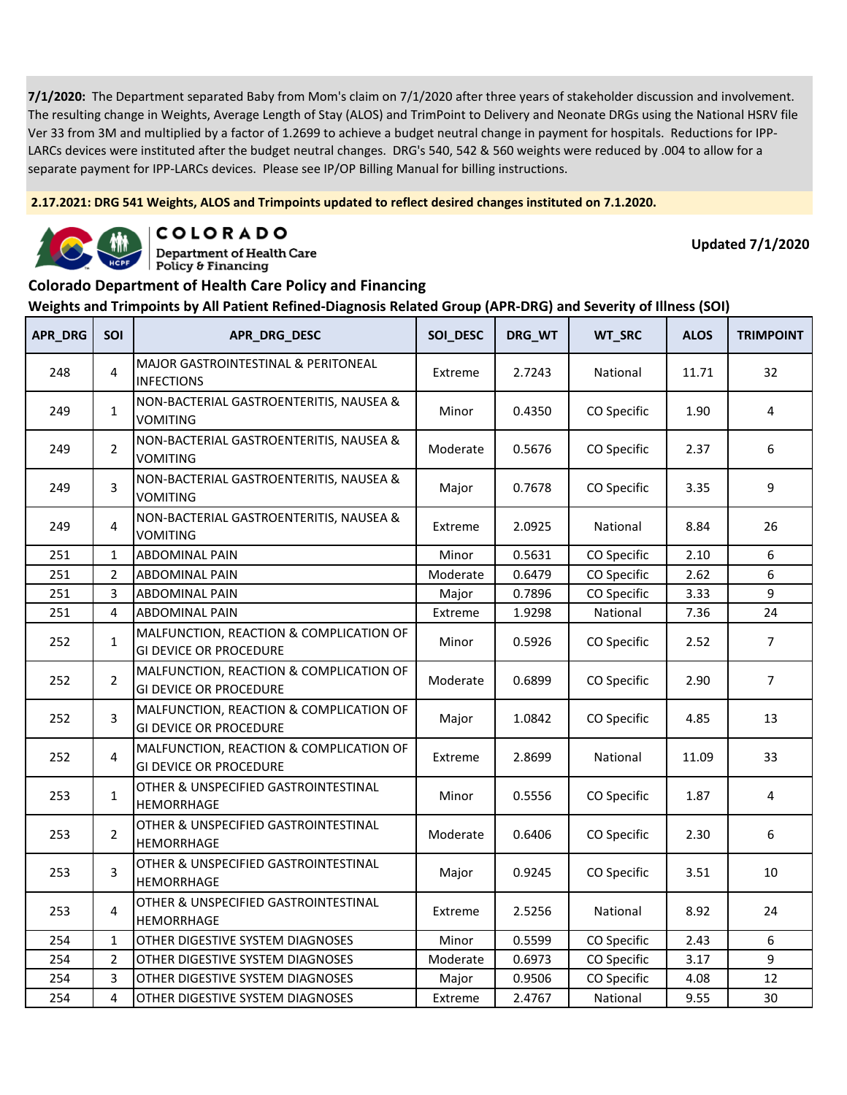**2.17.2021: DRG 541 Weights, ALOS and Trimpoints updated to reflect desired changes instituted on 7.1.2020.**



COLORADO **Department of Health Care** 

Policy & Financing

**Updated 7/1/2020**

#### **Colorado Department of Health Care Policy and Financing**

| <b>APR DRG</b> | <b>SOI</b>     | APR_DRG_DESC                                                             | SOI_DESC | DRG_WT | WT_SRC      | <b>ALOS</b> | <b>TRIMPOINT</b> |
|----------------|----------------|--------------------------------------------------------------------------|----------|--------|-------------|-------------|------------------|
| 248            | 4              | MAJOR GASTROINTESTINAL & PERITONEAL<br><b>INFECTIONS</b>                 | Extreme  | 2.7243 | National    | 11.71       | 32               |
| 249            | $\mathbf{1}$   | NON-BACTERIAL GASTROENTERITIS, NAUSEA &<br><b>VOMITING</b>               | Minor    | 0.4350 | CO Specific | 1.90        | 4                |
| 249            | $\overline{2}$ | NON-BACTERIAL GASTROENTERITIS, NAUSEA &<br><b>VOMITING</b>               | Moderate | 0.5676 | CO Specific | 2.37        | 6                |
| 249            | 3              | NON-BACTERIAL GASTROENTERITIS, NAUSEA &<br><b>VOMITING</b>               | Major    | 0.7678 | CO Specific | 3.35        | 9                |
| 249            | 4              | NON-BACTERIAL GASTROENTERITIS, NAUSEA &<br><b>VOMITING</b>               | Extreme  | 2.0925 | National    | 8.84        | 26               |
| 251            | $\mathbf{1}$   | <b>ABDOMINAL PAIN</b>                                                    | Minor    | 0.5631 | CO Specific | 2.10        | 6                |
| 251            | $\overline{2}$ | <b>ABDOMINAL PAIN</b>                                                    | Moderate | 0.6479 | CO Specific | 2.62        | 6                |
| 251            | 3              | <b>ABDOMINAL PAIN</b>                                                    | Major    | 0.7896 | CO Specific | 3.33        | 9                |
| 251            | 4              | <b>ABDOMINAL PAIN</b>                                                    | Extreme  | 1.9298 | National    | 7.36        | 24               |
| 252            | $\mathbf{1}$   | MALFUNCTION, REACTION & COMPLICATION OF<br><b>GI DEVICE OR PROCEDURE</b> | Minor    | 0.5926 | CO Specific | 2.52        | $\overline{7}$   |
| 252            | $\overline{2}$ | MALFUNCTION, REACTION & COMPLICATION OF<br><b>GI DEVICE OR PROCEDURE</b> | Moderate | 0.6899 | CO Specific | 2.90        | $\overline{7}$   |
| 252            | 3              | MALFUNCTION, REACTION & COMPLICATION OF<br><b>GI DEVICE OR PROCEDURE</b> | Major    | 1.0842 | CO Specific | 4.85        | 13               |
| 252            | 4              | MALFUNCTION, REACTION & COMPLICATION OF<br><b>GI DEVICE OR PROCEDURE</b> | Extreme  | 2.8699 | National    | 11.09       | 33               |
| 253            | $\mathbf{1}$   | OTHER & UNSPECIFIED GASTROINTESTINAL<br>HEMORRHAGE                       | Minor    | 0.5556 | CO Specific | 1.87        | 4                |
| 253            | $\overline{2}$ | OTHER & UNSPECIFIED GASTROINTESTINAL<br>HEMORRHAGE                       | Moderate | 0.6406 | CO Specific | 2.30        | 6                |
| 253            | 3              | OTHER & UNSPECIFIED GASTROINTESTINAL<br><b>HEMORRHAGE</b>                | Major    | 0.9245 | CO Specific | 3.51        | 10               |
| 253            | 4              | OTHER & UNSPECIFIED GASTROINTESTINAL<br><b>HEMORRHAGE</b>                | Extreme  | 2.5256 | National    | 8.92        | 24               |
| 254            | $\mathbf{1}$   | OTHER DIGESTIVE SYSTEM DIAGNOSES                                         | Minor    | 0.5599 | CO Specific | 2.43        | 6                |
| 254            | $\overline{2}$ | OTHER DIGESTIVE SYSTEM DIAGNOSES                                         | Moderate | 0.6973 | CO Specific | 3.17        | 9                |
| 254            | 3              | OTHER DIGESTIVE SYSTEM DIAGNOSES                                         | Major    | 0.9506 | CO Specific | 4.08        | 12               |
| 254            | 4              | OTHER DIGESTIVE SYSTEM DIAGNOSES                                         | Extreme  | 2.4767 | National    | 9.55        | 30               |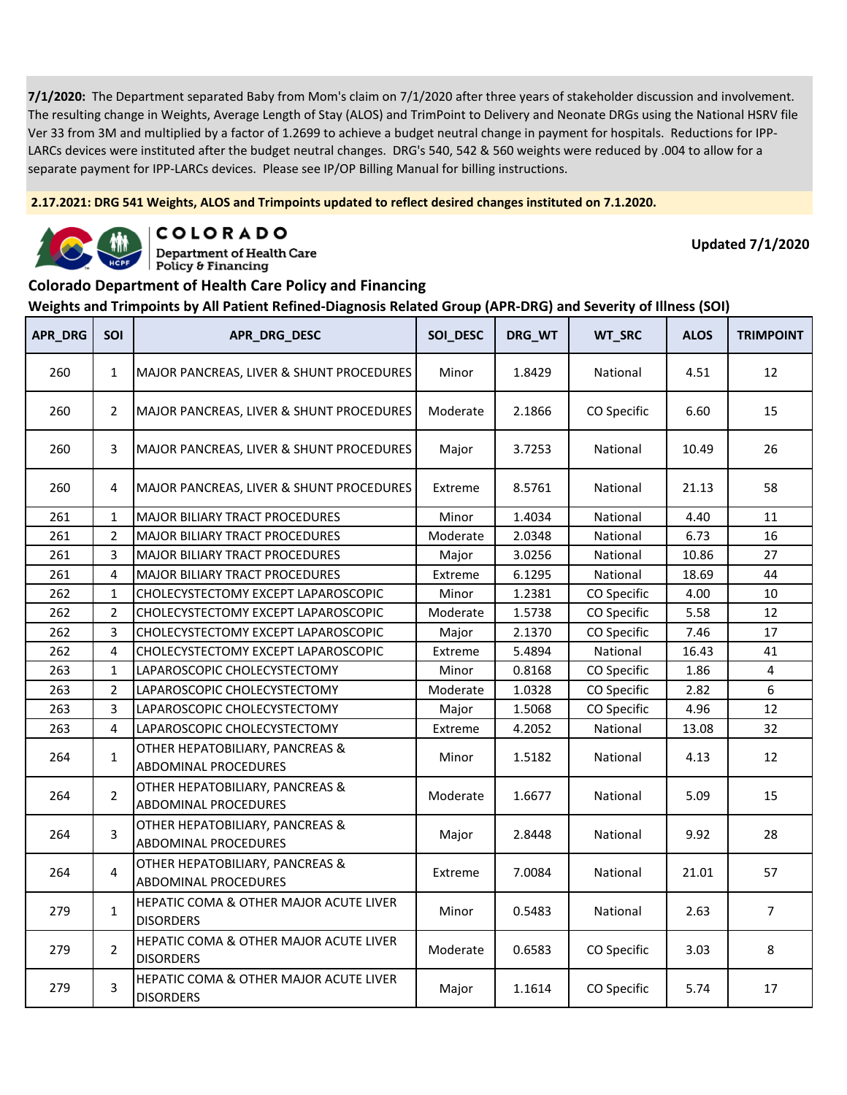**2.17.2021: DRG 541 Weights, ALOS and Trimpoints updated to reflect desired changes instituted on 7.1.2020.**



COLORADO **Department of Health Care** 

Policy & Financing

**Updated 7/1/2020**

# **Colorado Department of Health Care Policy and Financing**

| APR_DRG | SOI            | APR_DRG_DESC                                                          | SOI_DESC | DRG_WT | WT_SRC      | <b>ALOS</b> | <b>TRIMPOINT</b> |
|---------|----------------|-----------------------------------------------------------------------|----------|--------|-------------|-------------|------------------|
| 260     | $\mathbf{1}$   | MAJOR PANCREAS, LIVER & SHUNT PROCEDURES                              | Minor    | 1.8429 | National    | 4.51        | 12               |
| 260     | $\overline{2}$ | MAJOR PANCREAS, LIVER & SHUNT PROCEDURES                              | Moderate | 2.1866 | CO Specific | 6.60        | 15               |
| 260     | 3              | MAJOR PANCREAS, LIVER & SHUNT PROCEDURES                              | Major    | 3.7253 | National    | 10.49       | 26               |
| 260     | 4              | MAJOR PANCREAS, LIVER & SHUNT PROCEDURES                              | Extreme  | 8.5761 | National    | 21.13       | 58               |
| 261     | $\mathbf{1}$   | MAJOR BILIARY TRACT PROCEDURES                                        | Minor    | 1.4034 | National    | 4.40        | 11               |
| 261     | $\overline{2}$ | MAJOR BILIARY TRACT PROCEDURES                                        | Moderate | 2.0348 | National    | 6.73        | 16               |
| 261     | 3              | <b>MAJOR BILIARY TRACT PROCEDURES</b>                                 | Major    | 3.0256 | National    | 10.86       | 27               |
| 261     | 4              | MAJOR BILIARY TRACT PROCEDURES                                        | Extreme  | 6.1295 | National    | 18.69       | 44               |
| 262     | 1              | CHOLECYSTECTOMY EXCEPT LAPAROSCOPIC                                   | Minor    | 1.2381 | CO Specific | 4.00        | 10               |
| 262     | $\overline{2}$ | CHOLECYSTECTOMY EXCEPT LAPAROSCOPIC                                   | Moderate | 1.5738 | CO Specific | 5.58        | 12               |
| 262     | 3              | CHOLECYSTECTOMY EXCEPT LAPAROSCOPIC                                   | Major    | 2.1370 | CO Specific | 7.46        | 17               |
| 262     | 4              | CHOLECYSTECTOMY EXCEPT LAPAROSCOPIC                                   | Extreme  | 5.4894 | National    | 16.43       | 41               |
| 263     | $\mathbf{1}$   | LAPAROSCOPIC CHOLECYSTECTOMY                                          | Minor    | 0.8168 | CO Specific | 1.86        | $\overline{4}$   |
| 263     | $\overline{2}$ | LAPAROSCOPIC CHOLECYSTECTOMY                                          | Moderate | 1.0328 | CO Specific | 2.82        | 6                |
| 263     | 3              | LAPAROSCOPIC CHOLECYSTECTOMY                                          | Major    | 1.5068 | CO Specific | 4.96        | 12               |
| 263     | 4              | LAPAROSCOPIC CHOLECYSTECTOMY                                          | Extreme  | 4.2052 | National    | 13.08       | 32               |
| 264     | $\mathbf{1}$   | OTHER HEPATOBILIARY, PANCREAS &<br>ABDOMINAL PROCEDURES               | Minor    | 1.5182 | National    | 4.13        | 12               |
| 264     | $\overline{2}$ | OTHER HEPATOBILIARY, PANCREAS &<br>ABDOMINAL PROCEDURES               | Moderate | 1.6677 | National    | 5.09        | 15               |
| 264     | 3              | OTHER HEPATOBILIARY, PANCREAS &<br>ABDOMINAL PROCEDURES               | Major    | 2.8448 | National    | 9.92        | 28               |
| 264     | 4              | OTHER HEPATOBILIARY, PANCREAS &<br><b>ABDOMINAL PROCEDURES</b>        | Extreme  | 7.0084 | National    | 21.01       | 57               |
| 279     | $\mathbf{1}$   | HEPATIC COMA & OTHER MAJOR ACUTE LIVER<br><b>DISORDERS</b>            | Minor    | 0.5483 | National    | 2.63        | $\overline{7}$   |
| 279     | $\overline{2}$ | HEPATIC COMA & OTHER MAJOR ACUTE LIVER<br><b>DISORDERS</b>            | Moderate | 0.6583 | CO Specific | 3.03        | 8                |
| 279     | 3              | <b>HEPATIC COMA &amp; OTHER MAJOR ACUTE LIVER</b><br><b>DISORDERS</b> | Major    | 1.1614 | CO Specific | 5.74        | 17               |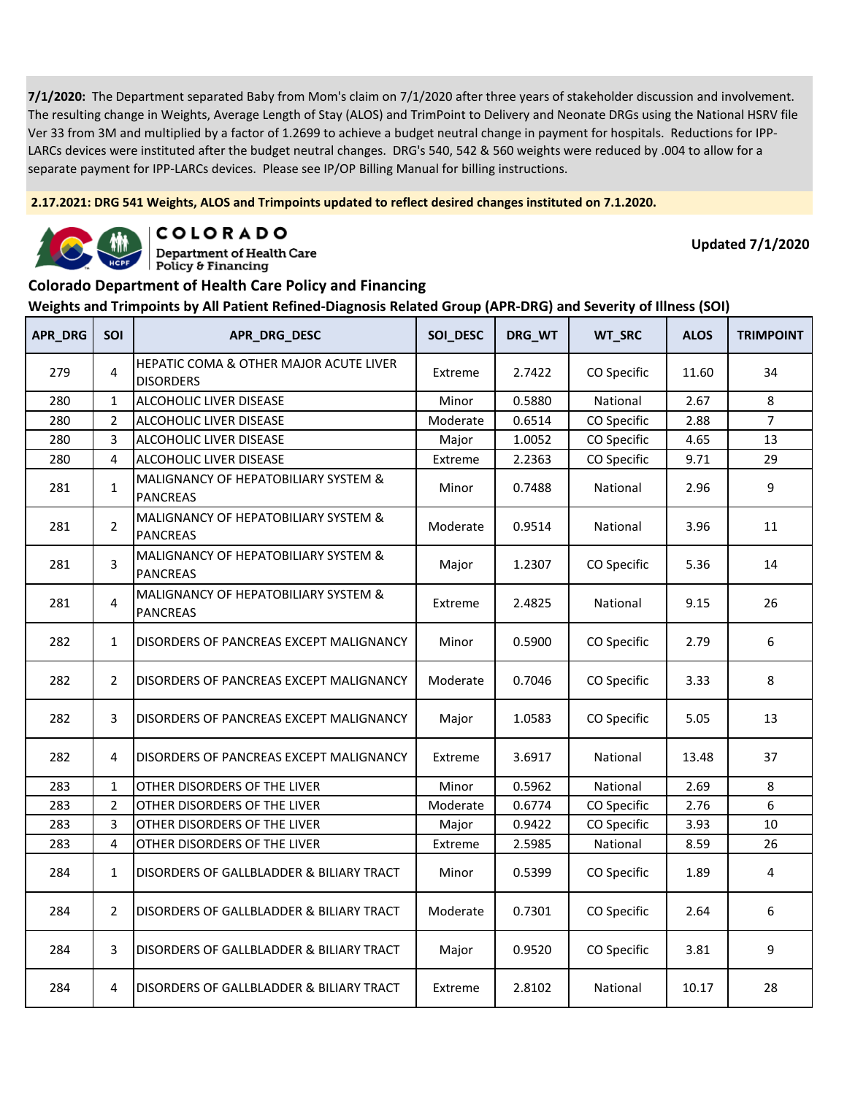**2.17.2021: DRG 541 Weights, ALOS and Trimpoints updated to reflect desired changes instituted on 7.1.2020.**



COLORADO

**Department of Health Care** Policy & Financing

**Updated 7/1/2020**

### **Colorado Department of Health Care Policy and Financing**

| APR_DRG | <b>SOI</b>     | APR_DRG_DESC                                               | SOI_DESC | DRG_WT | WT_SRC      | <b>ALOS</b> | <b>TRIMPOINT</b> |
|---------|----------------|------------------------------------------------------------|----------|--------|-------------|-------------|------------------|
| 279     | 4              | HEPATIC COMA & OTHER MAJOR ACUTE LIVER<br><b>DISORDERS</b> | Extreme  | 2.7422 | CO Specific | 11.60       | 34               |
| 280     | $\mathbf{1}$   | ALCOHOLIC LIVER DISEASE                                    | Minor    | 0.5880 | National    | 2.67        | 8                |
| 280     | $\overline{2}$ | ALCOHOLIC LIVER DISEASE                                    | Moderate | 0.6514 | CO Specific | 2.88        | $\overline{7}$   |
| 280     | 3              | ALCOHOLIC LIVER DISEASE                                    | Major    | 1.0052 | CO Specific | 4.65        | 13               |
| 280     | 4              | ALCOHOLIC LIVER DISEASE                                    | Extreme  | 2.2363 | CO Specific | 9.71        | 29               |
| 281     | $\mathbf{1}$   | MALIGNANCY OF HEPATOBILIARY SYSTEM &<br><b>PANCREAS</b>    | Minor    | 0.7488 | National    | 2.96        | 9                |
| 281     | $\overline{2}$ | MALIGNANCY OF HEPATOBILIARY SYSTEM &<br><b>PANCREAS</b>    | Moderate | 0.9514 | National    | 3.96        | 11               |
| 281     | 3              | MALIGNANCY OF HEPATOBILIARY SYSTEM &<br><b>PANCREAS</b>    | Major    | 1.2307 | CO Specific | 5.36        | 14               |
| 281     | 4              | MALIGNANCY OF HEPATOBILIARY SYSTEM &<br><b>PANCREAS</b>    | Extreme  | 2.4825 | National    | 9.15        | 26               |
| 282     | $\mathbf{1}$   | DISORDERS OF PANCREAS EXCEPT MALIGNANCY                    | Minor    | 0.5900 | CO Specific | 2.79        | 6                |
| 282     | $\overline{2}$ | DISORDERS OF PANCREAS EXCEPT MALIGNANCY                    | Moderate | 0.7046 | CO Specific | 3.33        | 8                |
| 282     | 3              | DISORDERS OF PANCREAS EXCEPT MALIGNANCY                    | Major    | 1.0583 | CO Specific | 5.05        | 13               |
| 282     | 4              | DISORDERS OF PANCREAS EXCEPT MALIGNANCY                    | Extreme  | 3.6917 | National    | 13.48       | 37               |
| 283     | $\mathbf{1}$   | OTHER DISORDERS OF THE LIVER                               | Minor    | 0.5962 | National    | 2.69        | 8                |
| 283     | $\overline{2}$ | OTHER DISORDERS OF THE LIVER                               | Moderate | 0.6774 | CO Specific | 2.76        | 6                |
| 283     | 3              | OTHER DISORDERS OF THE LIVER                               | Major    | 0.9422 | CO Specific | 3.93        | 10               |
| 283     | 4              | OTHER DISORDERS OF THE LIVER                               | Extreme  | 2.5985 | National    | 8.59        | 26               |
| 284     | $\mathbf{1}$   | DISORDERS OF GALLBLADDER & BILIARY TRACT                   | Minor    | 0.5399 | CO Specific | 1.89        | 4                |
| 284     | $\overline{2}$ | DISORDERS OF GALLBLADDER & BILIARY TRACT                   | Moderate | 0.7301 | CO Specific | 2.64        | 6                |
| 284     | 3              | DISORDERS OF GALLBLADDER & BILIARY TRACT                   | Major    | 0.9520 | CO Specific | 3.81        | 9                |
| 284     | 4              | DISORDERS OF GALLBLADDER & BILIARY TRACT                   | Extreme  | 2.8102 | National    | 10.17       | 28               |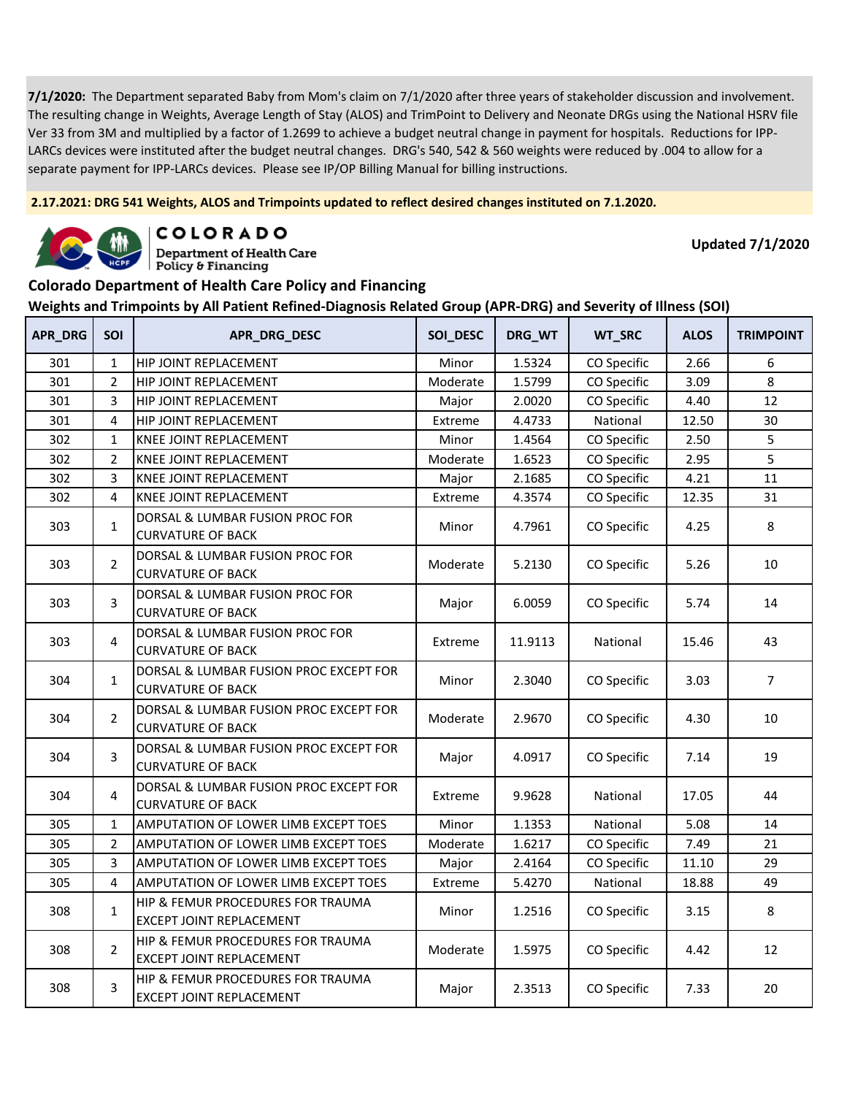**2.17.2021: DRG 541 Weights, ALOS and Trimpoints updated to reflect desired changes instituted on 7.1.2020.**



COLORADO

**Department of Health Care** Policy & Financing

**Updated 7/1/2020**

#### **Colorado Department of Health Care Policy and Financing**

| APR_DRG | <b>SOI</b>     | APR_DRG_DESC                                                         | SOI_DESC | DRG_WT  | WT_SRC      | <b>ALOS</b> | <b>TRIMPOINT</b> |
|---------|----------------|----------------------------------------------------------------------|----------|---------|-------------|-------------|------------------|
| 301     | $\mathbf{1}$   | HIP JOINT REPLACEMENT                                                | Minor    | 1.5324  | CO Specific | 2.66        | 6                |
| 301     | $\overline{2}$ | HIP JOINT REPLACEMENT                                                | Moderate | 1.5799  | CO Specific | 3.09        | 8                |
| 301     | 3              | HIP JOINT REPLACEMENT                                                | Major    | 2.0020  | CO Specific | 4.40        | 12               |
| 301     | $\overline{4}$ | HIP JOINT REPLACEMENT                                                | Extreme  | 4.4733  | National    | 12.50       | 30               |
| 302     | $\mathbf{1}$   | <b>KNEE JOINT REPLACEMENT</b>                                        | Minor    | 1.4564  | CO Specific | 2.50        | 5                |
| 302     | $\overline{2}$ | KNEE JOINT REPLACEMENT                                               | Moderate | 1.6523  | CO Specific | 2.95        | 5                |
| 302     | 3              | KNEE JOINT REPLACEMENT                                               | Major    | 2.1685  | CO Specific | 4.21        | 11               |
| 302     | 4              | KNEE JOINT REPLACEMENT                                               | Extreme  | 4.3574  | CO Specific | 12.35       | 31               |
| 303     | $\mathbf{1}$   | DORSAL & LUMBAR FUSION PROC FOR<br><b>CURVATURE OF BACK</b>          | Minor    | 4.7961  | CO Specific | 4.25        | 8                |
| 303     | $\overline{2}$ | DORSAL & LUMBAR FUSION PROC FOR<br><b>CURVATURE OF BACK</b>          | Moderate | 5.2130  | CO Specific | 5.26        | 10               |
| 303     | 3              | DORSAL & LUMBAR FUSION PROC FOR<br><b>CURVATURE OF BACK</b>          | Major    | 6.0059  | CO Specific | 5.74        | 14               |
| 303     | 4              | DORSAL & LUMBAR FUSION PROC FOR<br><b>CURVATURE OF BACK</b>          | Extreme  | 11.9113 | National    | 15.46       | 43               |
| 304     | $\mathbf{1}$   | DORSAL & LUMBAR FUSION PROC EXCEPT FOR<br><b>CURVATURE OF BACK</b>   | Minor    | 2.3040  | CO Specific | 3.03        | $\overline{7}$   |
| 304     | $\overline{2}$ | DORSAL & LUMBAR FUSION PROC EXCEPT FOR<br><b>CURVATURE OF BACK</b>   | Moderate | 2.9670  | CO Specific | 4.30        | 10               |
| 304     | 3              | DORSAL & LUMBAR FUSION PROC EXCEPT FOR<br><b>CURVATURE OF BACK</b>   | Major    | 4.0917  | CO Specific | 7.14        | 19               |
| 304     | 4              | DORSAL & LUMBAR FUSION PROC EXCEPT FOR<br><b>CURVATURE OF BACK</b>   | Extreme  | 9.9628  | National    | 17.05       | 44               |
| 305     | $\mathbf{1}$   | AMPUTATION OF LOWER LIMB EXCEPT TOES                                 | Minor    | 1.1353  | National    | 5.08        | 14               |
| 305     | $\overline{2}$ | AMPUTATION OF LOWER LIMB EXCEPT TOES                                 | Moderate | 1.6217  | CO Specific | 7.49        | 21               |
| 305     | 3              | AMPUTATION OF LOWER LIMB EXCEPT TOES                                 | Major    | 2.4164  | CO Specific | 11.10       | 29               |
| 305     | 4              | AMPUTATION OF LOWER LIMB EXCEPT TOES                                 | Extreme  | 5.4270  | National    | 18.88       | 49               |
| 308     | $\mathbf{1}$   | HIP & FEMUR PROCEDURES FOR TRAUMA<br><b>EXCEPT JOINT REPLACEMENT</b> | Minor    | 1.2516  | CO Specific | 3.15        | 8                |
| 308     | $\overline{2}$ | HIP & FEMUR PROCEDURES FOR TRAUMA<br><b>EXCEPT JOINT REPLACEMENT</b> | Moderate | 1.5975  | CO Specific | 4.42        | 12               |
| 308     | 3              | HIP & FEMUR PROCEDURES FOR TRAUMA<br>EXCEPT JOINT REPLACEMENT        | Major    | 2.3513  | CO Specific | 7.33        | 20               |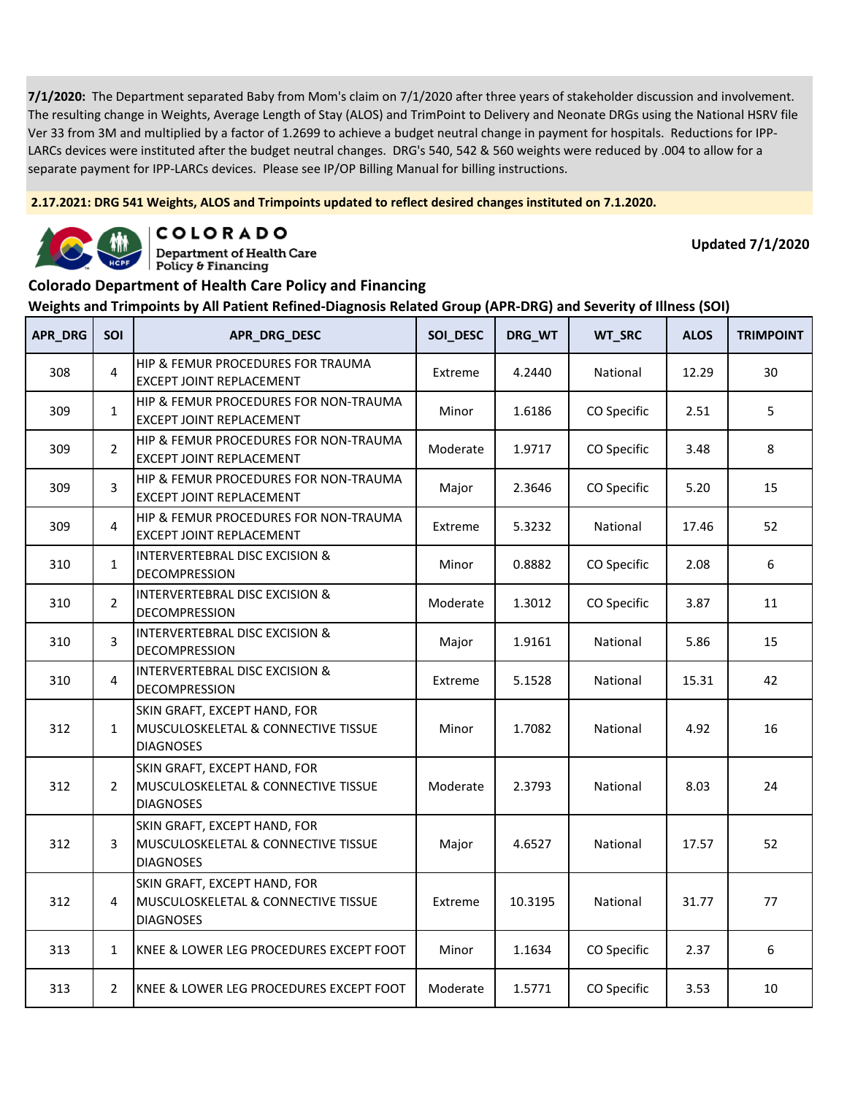**2.17.2021: DRG 541 Weights, ALOS and Trimpoints updated to reflect desired changes instituted on 7.1.2020.**



COLORADO

**Department of Health Care** Policy & Financing

**Updated 7/1/2020**

### **Colorado Department of Health Care Policy and Financing**

| APR_DRG | SOI            | APR_DRG_DESC                                                                            | SOI_DESC | DRG_WT  | WT_SRC      | <b>ALOS</b> | <b>TRIMPOINT</b> |
|---------|----------------|-----------------------------------------------------------------------------------------|----------|---------|-------------|-------------|------------------|
| 308     | 4              | HIP & FEMUR PROCEDURES FOR TRAUMA<br><b>EXCEPT JOINT REPLACEMENT</b>                    | Extreme  | 4.2440  | National    | 12.29       | 30               |
| 309     | $\mathbf{1}$   | HIP & FEMUR PROCEDURES FOR NON-TRAUMA<br>EXCEPT JOINT REPLACEMENT                       | Minor    | 1.6186  | CO Specific | 2.51        | 5                |
| 309     | $\overline{2}$ | HIP & FEMUR PROCEDURES FOR NON-TRAUMA<br>EXCEPT JOINT REPLACEMENT                       | Moderate | 1.9717  | CO Specific | 3.48        | 8                |
| 309     | 3              | HIP & FEMUR PROCEDURES FOR NON-TRAUMA<br><b>EXCEPT JOINT REPLACEMENT</b>                | Major    | 2.3646  | CO Specific | 5.20        | 15               |
| 309     | 4              | HIP & FEMUR PROCEDURES FOR NON-TRAUMA<br>EXCEPT JOINT REPLACEMENT                       | Extreme  | 5.3232  | National    | 17.46       | 52               |
| 310     | $\mathbf{1}$   | <b>INTERVERTEBRAL DISC EXCISION &amp;</b><br>DECOMPRESSION                              | Minor    | 0.8882  | CO Specific | 2.08        | 6                |
| 310     | $\overline{2}$ | <b>INTERVERTEBRAL DISC EXCISION &amp;</b><br>DECOMPRESSION                              | Moderate | 1.3012  | CO Specific | 3.87        | 11               |
| 310     | 3              | <b>INTERVERTEBRAL DISC EXCISION &amp;</b><br>DECOMPRESSION                              | Major    | 1.9161  | National    | 5.86        | 15               |
| 310     | 4              | <b>INTERVERTEBRAL DISC EXCISION &amp;</b><br><b>DECOMPRESSION</b>                       | Extreme  | 5.1528  | National    | 15.31       | 42               |
| 312     | $\mathbf{1}$   | SKIN GRAFT, EXCEPT HAND, FOR<br>MUSCULOSKELETAL & CONNECTIVE TISSUE<br><b>DIAGNOSES</b> | Minor    | 1.7082  | National    | 4.92        | 16               |
| 312     | $\overline{2}$ | SKIN GRAFT, EXCEPT HAND, FOR<br>MUSCULOSKELETAL & CONNECTIVE TISSUE<br><b>DIAGNOSES</b> | Moderate | 2.3793  | National    | 8.03        | 24               |
| 312     | 3              | SKIN GRAFT, EXCEPT HAND, FOR<br>MUSCULOSKELETAL & CONNECTIVE TISSUE<br><b>DIAGNOSES</b> | Major    | 4.6527  | National    | 17.57       | 52               |
| 312     | 4              | SKIN GRAFT, EXCEPT HAND, FOR<br>MUSCULOSKELETAL & CONNECTIVE TISSUE<br><b>DIAGNOSES</b> | Extreme  | 10.3195 | National    | 31.77       | 77               |
| 313     | $\mathbf{1}$   | KNEE & LOWER LEG PROCEDURES EXCEPT FOOT                                                 | Minor    | 1.1634  | CO Specific | 2.37        | 6                |
| 313     | $\overline{2}$ | KNEE & LOWER LEG PROCEDURES EXCEPT FOOT                                                 | Moderate | 1.5771  | CO Specific | 3.53        | 10               |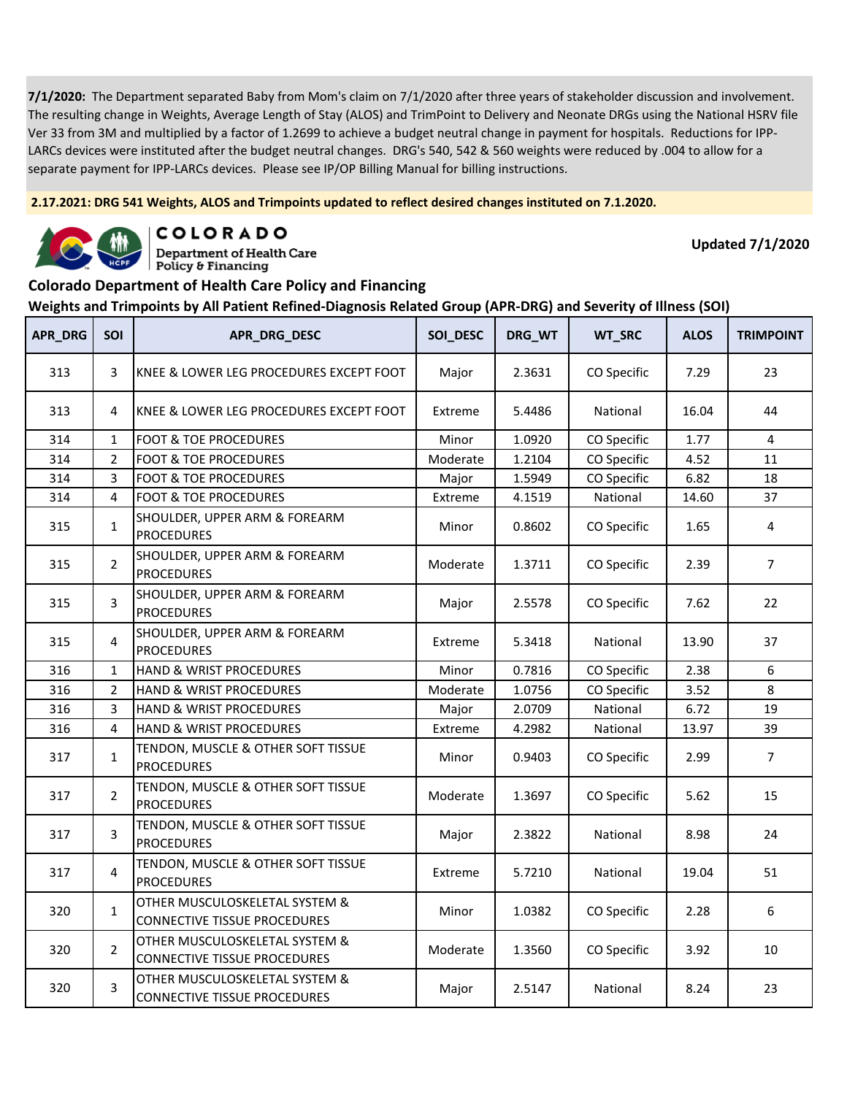**2.17.2021: DRG 541 Weights, ALOS and Trimpoints updated to reflect desired changes instituted on 7.1.2020.**



COLORADO **Department of Health Care** 

Policy & Financing

**Updated 7/1/2020**

### **Colorado Department of Health Care Policy and Financing**

| APR_DRG | SOI            | APR_DRG_DESC                                                          | SOI_DESC | DRG_WT | WT_SRC      | <b>ALOS</b> | <b>TRIMPOINT</b> |
|---------|----------------|-----------------------------------------------------------------------|----------|--------|-------------|-------------|------------------|
| 313     | 3              | IKNEE & LOWER LEG PROCEDURES EXCEPT FOOT                              | Major    | 2.3631 | CO Specific | 7.29        | 23               |
| 313     | 4              | KNEE & LOWER LEG PROCEDURES EXCEPT FOOT                               | Extreme  | 5.4486 | National    | 16.04       | 44               |
| 314     | $\mathbf{1}$   | <b>FOOT &amp; TOE PROCEDURES</b>                                      | Minor    | 1.0920 | CO Specific | 1.77        | $\overline{4}$   |
| 314     | $\overline{2}$ | <b>FOOT &amp; TOE PROCEDURES</b>                                      | Moderate | 1.2104 | CO Specific | 4.52        | $11\,$           |
| 314     | 3              | <b>FOOT &amp; TOE PROCEDURES</b>                                      | Major    | 1.5949 | CO Specific | 6.82        | 18               |
| 314     | 4              | <b>FOOT &amp; TOE PROCEDURES</b>                                      | Extreme  | 4.1519 | National    | 14.60       | 37               |
| 315     | $\mathbf{1}$   | SHOULDER, UPPER ARM & FOREARM<br><b>PROCEDURES</b>                    | Minor    | 0.8602 | CO Specific | 1.65        | 4                |
| 315     | $\overline{2}$ | SHOULDER, UPPER ARM & FOREARM<br><b>PROCEDURES</b>                    | Moderate | 1.3711 | CO Specific | 2.39        | $\overline{7}$   |
| 315     | 3              | SHOULDER, UPPER ARM & FOREARM<br><b>PROCEDURES</b>                    | Major    | 2.5578 | CO Specific | 7.62        | 22               |
| 315     | 4              | SHOULDER, UPPER ARM & FOREARM<br><b>PROCEDURES</b>                    | Extreme  | 5.3418 | National    | 13.90       | 37               |
| 316     | $\mathbf{1}$   | HAND & WRIST PROCEDURES                                               | Minor    | 0.7816 | CO Specific | 2.38        | 6                |
| 316     | $\overline{2}$ | HAND & WRIST PROCEDURES                                               | Moderate | 1.0756 | CO Specific | 3.52        | 8                |
| 316     | 3              | HAND & WRIST PROCEDURES                                               | Major    | 2.0709 | National    | 6.72        | 19               |
| 316     | 4              | HAND & WRIST PROCEDURES                                               | Extreme  | 4.2982 | National    | 13.97       | 39               |
| 317     | $\mathbf{1}$   | TENDON, MUSCLE & OTHER SOFT TISSUE<br><b>PROCEDURES</b>               | Minor    | 0.9403 | CO Specific | 2.99        | $\overline{7}$   |
| 317     | $\overline{2}$ | TENDON, MUSCLE & OTHER SOFT TISSUE<br><b>PROCEDURES</b>               | Moderate | 1.3697 | CO Specific | 5.62        | 15               |
| 317     | 3              | TENDON, MUSCLE & OTHER SOFT TISSUE<br><b>PROCEDURES</b>               | Major    | 2.3822 | National    | 8.98        | 24               |
| 317     | 4              | TENDON, MUSCLE & OTHER SOFT TISSUE<br><b>PROCEDURES</b>               | Extreme  | 5.7210 | National    | 19.04       | 51               |
| 320     | $\mathbf{1}$   | OTHER MUSCULOSKELETAL SYSTEM &<br><b>CONNECTIVE TISSUE PROCEDURES</b> | Minor    | 1.0382 | CO Specific | 2.28        | $\boldsymbol{6}$ |
| 320     | $\overline{2}$ | OTHER MUSCULOSKELETAL SYSTEM &<br><b>CONNECTIVE TISSUE PROCEDURES</b> | Moderate | 1.3560 | CO Specific | 3.92        | 10               |
| 320     | 3              | OTHER MUSCULOSKELETAL SYSTEM &<br><b>CONNECTIVE TISSUE PROCEDURES</b> | Major    | 2.5147 | National    | 8.24        | 23               |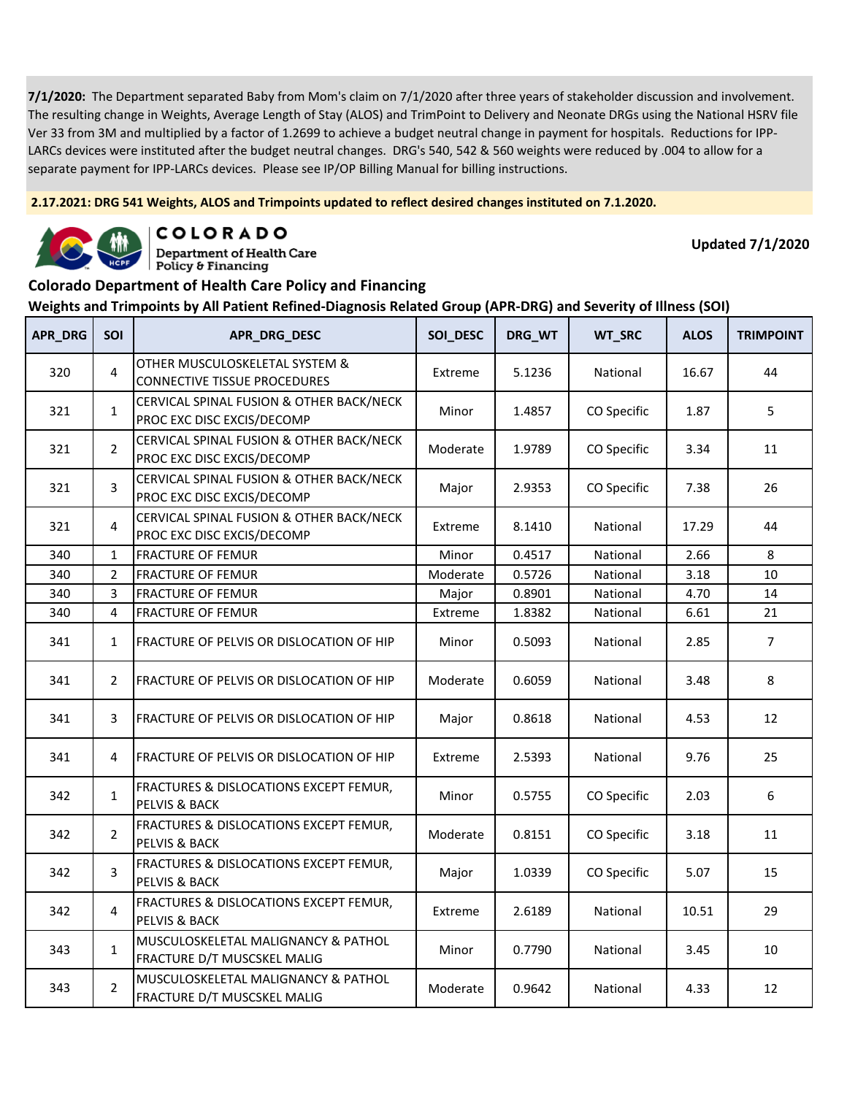**2.17.2021: DRG 541 Weights, ALOS and Trimpoints updated to reflect desired changes instituted on 7.1.2020.**



COLORADO

**Department of Health Care** Policy & Financing

**Updated 7/1/2020**

### **Colorado Department of Health Care Policy and Financing**

| APR_DRG | <b>SOI</b>     | APR_DRG_DESC                                                           | SOI_DESC | DRG_WT | WT_SRC      | <b>ALOS</b> | <b>TRIMPOINT</b> |
|---------|----------------|------------------------------------------------------------------------|----------|--------|-------------|-------------|------------------|
| 320     | 4              | OTHER MUSCULOSKELETAL SYSTEM &<br><b>CONNECTIVE TISSUE PROCEDURES</b>  | Extreme  | 5.1236 | National    | 16.67       | 44               |
| 321     | $\mathbf{1}$   | CERVICAL SPINAL FUSION & OTHER BACK/NECK<br>PROC EXC DISC EXCIS/DECOMP | Minor    | 1.4857 | CO Specific | 1.87        | 5                |
| 321     | $\overline{2}$ | CERVICAL SPINAL FUSION & OTHER BACK/NECK<br>PROC EXC DISC EXCIS/DECOMP | Moderate | 1.9789 | CO Specific | 3.34        | 11               |
| 321     | 3              | CERVICAL SPINAL FUSION & OTHER BACK/NECK<br>PROC EXC DISC EXCIS/DECOMP | Major    | 2.9353 | CO Specific | 7.38        | 26               |
| 321     | 4              | CERVICAL SPINAL FUSION & OTHER BACK/NECK<br>PROC EXC DISC EXCIS/DECOMP | Extreme  | 8.1410 | National    | 17.29       | 44               |
| 340     | $\mathbf{1}$   | <b>FRACTURE OF FEMUR</b>                                               | Minor    | 0.4517 | National    | 2.66        | 8                |
| 340     | $\overline{2}$ | <b>FRACTURE OF FEMUR</b>                                               | Moderate | 0.5726 | National    | 3.18        | 10               |
| 340     | 3              | <b>FRACTURE OF FEMUR</b>                                               | Major    | 0.8901 | National    | 4.70        | 14               |
| 340     | 4              | <b>FRACTURE OF FEMUR</b>                                               | Extreme  | 1.8382 | National    | 6.61        | 21               |
| 341     | $\mathbf{1}$   | <b>FRACTURE OF PELVIS OR DISLOCATION OF HIP</b>                        | Minor    | 0.5093 | National    | 2.85        | $\overline{7}$   |
| 341     | $\overline{2}$ | FRACTURE OF PELVIS OR DISLOCATION OF HIP                               | Moderate | 0.6059 | National    | 3.48        | 8                |
| 341     | 3              | FRACTURE OF PELVIS OR DISLOCATION OF HIP                               | Major    | 0.8618 | National    | 4.53        | 12               |
| 341     | 4              | <b>FRACTURE OF PELVIS OR DISLOCATION OF HIP</b>                        | Extreme  | 2.5393 | National    | 9.76        | 25               |
| 342     | $\mathbf{1}$   | FRACTURES & DISLOCATIONS EXCEPT FEMUR,<br><b>PELVIS &amp; BACK</b>     | Minor    | 0.5755 | CO Specific | 2.03        | 6                |
| 342     | $\overline{2}$ | FRACTURES & DISLOCATIONS EXCEPT FEMUR,<br><b>PELVIS &amp; BACK</b>     | Moderate | 0.8151 | CO Specific | 3.18        | 11               |
| 342     | 3              | FRACTURES & DISLOCATIONS EXCEPT FEMUR,<br><b>PELVIS &amp; BACK</b>     | Major    | 1.0339 | CO Specific | 5.07        | 15               |
| 342     | $\overline{4}$ | FRACTURES & DISLOCATIONS EXCEPT FEMUR,<br>PELVIS & BACK                | Extreme  | 2.6189 | National    | 10.51       | 29               |
| 343     | $\mathbf{1}$   | MUSCULOSKELETAL MALIGNANCY & PATHOL<br>FRACTURE D/T MUSCSKEL MALIG     | Minor    | 0.7790 | National    | 3.45        | 10               |
| 343     | $\overline{2}$ | MUSCULOSKELETAL MALIGNANCY & PATHOL<br>FRACTURE D/T MUSCSKEL MALIG     | Moderate | 0.9642 | National    | 4.33        | 12               |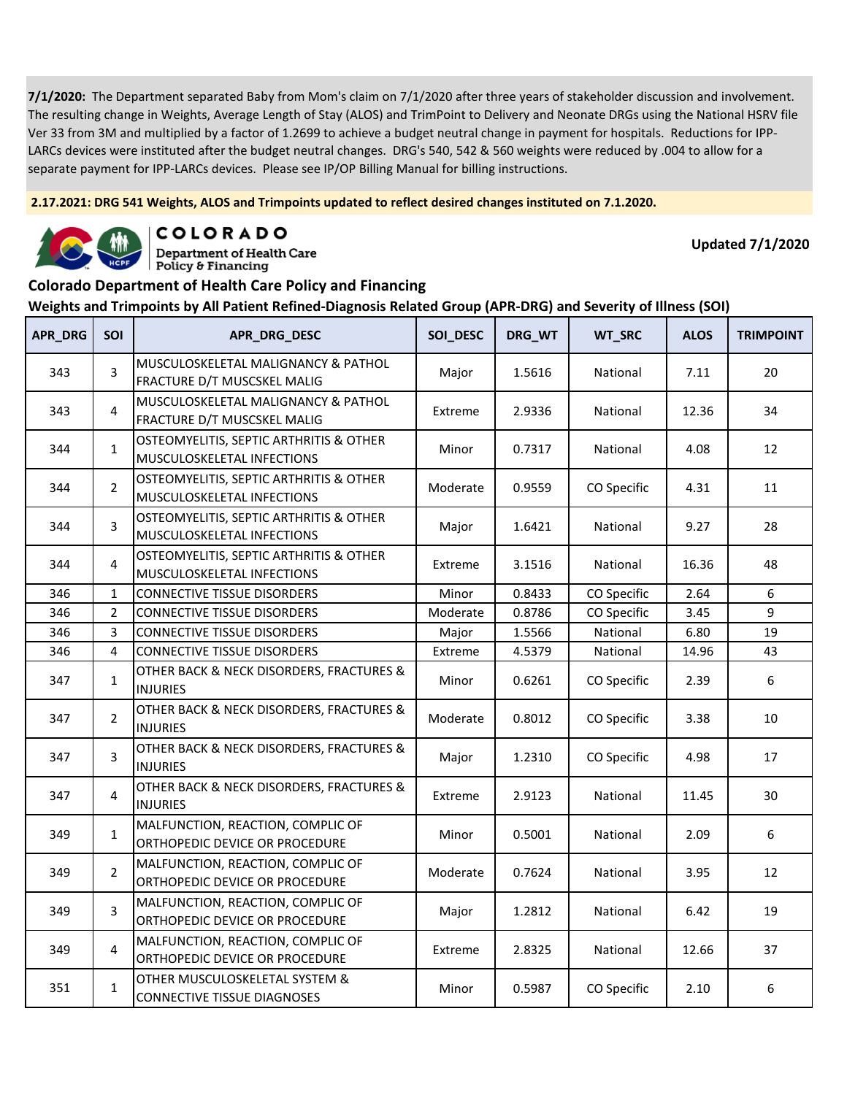**2.17.2021: DRG 541 Weights, ALOS and Trimpoints updated to reflect desired changes instituted on 7.1.2020.**



COLORADO

**Department of Health Care** Policy & Financing

**Updated 7/1/2020**

### **Colorado Department of Health Care Policy and Financing**

| APR_DRG | <b>SOI</b>     | APR_DRG_DESC                                                          | SOI_DESC | DRG_WT | WT_SRC      | <b>ALOS</b> | <b>TRIMPOINT</b> |
|---------|----------------|-----------------------------------------------------------------------|----------|--------|-------------|-------------|------------------|
| 343     | 3              | MUSCULOSKELETAL MALIGNANCY & PATHOL<br>FRACTURE D/T MUSCSKEL MALIG    | Major    | 1.5616 | National    | 7.11        | 20               |
| 343     | $\overline{4}$ | MUSCULOSKELETAL MALIGNANCY & PATHOL<br>FRACTURE D/T MUSCSKEL MALIG    | Extreme  | 2.9336 | National    | 12.36       | 34               |
| 344     | $\mathbf{1}$   | OSTEOMYELITIS, SEPTIC ARTHRITIS & OTHER<br>MUSCULOSKELETAL INFECTIONS | Minor    | 0.7317 | National    | 4.08        | 12               |
| 344     | $\overline{2}$ | OSTEOMYELITIS, SEPTIC ARTHRITIS & OTHER<br>MUSCULOSKELETAL INFECTIONS | Moderate | 0.9559 | CO Specific | 4.31        | 11               |
| 344     | 3              | OSTEOMYELITIS, SEPTIC ARTHRITIS & OTHER<br>MUSCULOSKELETAL INFECTIONS | Major    | 1.6421 | National    | 9.27        | 28               |
| 344     | $\overline{4}$ | OSTEOMYELITIS, SEPTIC ARTHRITIS & OTHER<br>MUSCULOSKELETAL INFECTIONS | Extreme  | 3.1516 | National    | 16.36       | 48               |
| 346     | $\mathbf{1}$   | <b>CONNECTIVE TISSUE DISORDERS</b>                                    | Minor    | 0.8433 | CO Specific | 2.64        | 6                |
| 346     | $\overline{2}$ | <b>CONNECTIVE TISSUE DISORDERS</b>                                    | Moderate | 0.8786 | CO Specific | 3.45        | 9                |
| 346     | 3              | <b>CONNECTIVE TISSUE DISORDERS</b>                                    | Major    | 1.5566 | National    | 6.80        | 19               |
| 346     | 4              | <b>CONNECTIVE TISSUE DISORDERS</b>                                    | Extreme  | 4.5379 | National    | 14.96       | 43               |
| 347     | $\mathbf{1}$   | OTHER BACK & NECK DISORDERS, FRACTURES &<br><b>INJURIES</b>           | Minor    | 0.6261 | CO Specific | 2.39        | 6                |
| 347     | $\overline{2}$ | OTHER BACK & NECK DISORDERS, FRACTURES &<br><b>INJURIES</b>           | Moderate | 0.8012 | CO Specific | 3.38        | 10               |
| 347     | 3              | OTHER BACK & NECK DISORDERS, FRACTURES &<br><b>INJURIES</b>           | Major    | 1.2310 | CO Specific | 4.98        | 17               |
| 347     | 4              | OTHER BACK & NECK DISORDERS, FRACTURES &<br><b>INJURIES</b>           | Extreme  | 2.9123 | National    | 11.45       | 30               |
| 349     | $\mathbf{1}$   | MALFUNCTION, REACTION, COMPLIC OF<br>ORTHOPEDIC DEVICE OR PROCEDURE   | Minor    | 0.5001 | National    | 2.09        | 6                |
| 349     | $\overline{2}$ | MALFUNCTION, REACTION, COMPLIC OF<br>ORTHOPEDIC DEVICE OR PROCEDURE   | Moderate | 0.7624 | National    | 3.95        | 12               |
| 349     | 3              | MALFUNCTION, REACTION, COMPLIC OF<br>ORTHOPEDIC DEVICE OR PROCEDURE   | Major    | 1.2812 | National    | 6.42        | 19               |
| 349     | 4              | MALFUNCTION, REACTION, COMPLIC OF<br>ORTHOPEDIC DEVICE OR PROCEDURE   | Extreme  | 2.8325 | National    | 12.66       | 37               |
| 351     | $\mathbf{1}$   | OTHER MUSCULOSKELETAL SYSTEM &<br><b>CONNECTIVE TISSUE DIAGNOSES</b>  | Minor    | 0.5987 | CO Specific | 2.10        | $\boldsymbol{6}$ |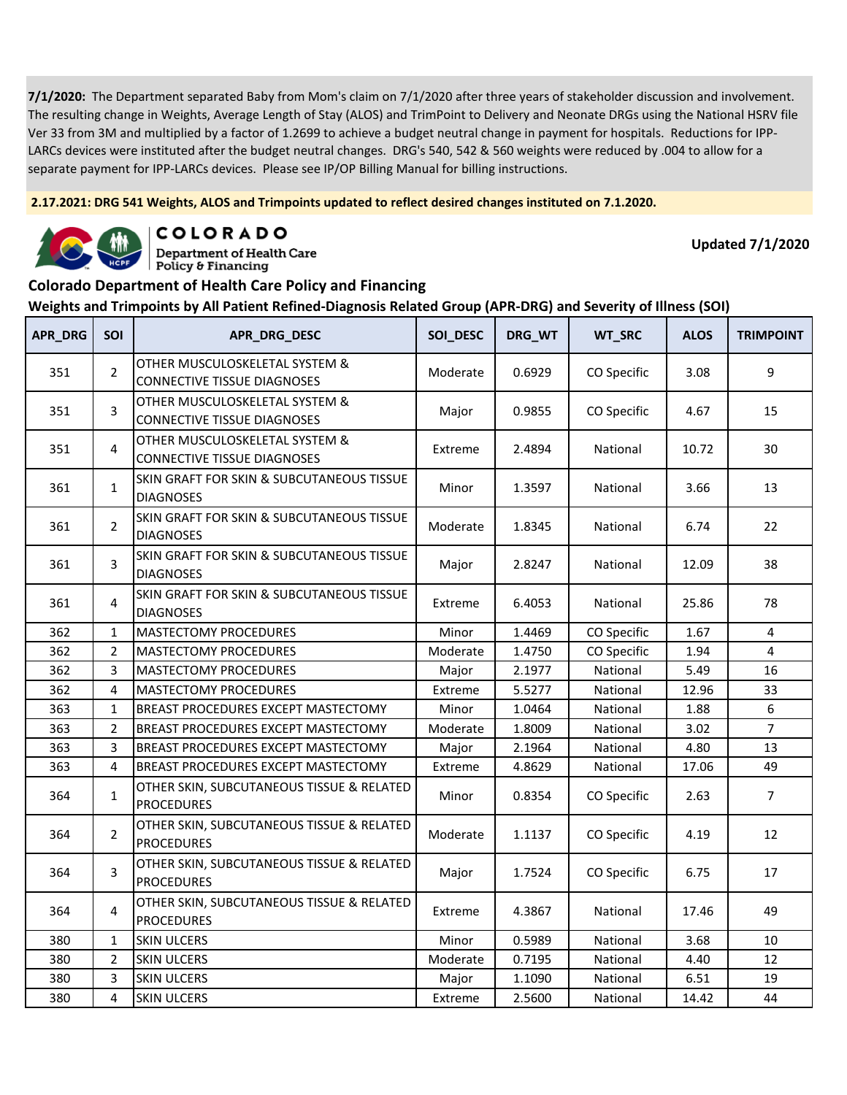**2.17.2021: DRG 541 Weights, ALOS and Trimpoints updated to reflect desired changes instituted on 7.1.2020.**



COLORADO

**Department of Health Care** Policy & Financing

**Updated 7/1/2020**

### **Colorado Department of Health Care Policy and Financing**

| APR_DRG | SOI            | APR_DRG_DESC                                                         | SOI_DESC | DRG_WT | WT_SRC      | <b>ALOS</b> | <b>TRIMPOINT</b> |
|---------|----------------|----------------------------------------------------------------------|----------|--------|-------------|-------------|------------------|
| 351     | $\overline{2}$ | OTHER MUSCULOSKELETAL SYSTEM &<br><b>CONNECTIVE TISSUE DIAGNOSES</b> | Moderate | 0.6929 | CO Specific | 3.08        | 9                |
| 351     | 3              | OTHER MUSCULOSKELETAL SYSTEM &<br><b>CONNECTIVE TISSUE DIAGNOSES</b> | Major    | 0.9855 | CO Specific | 4.67        | 15               |
| 351     | 4              | OTHER MUSCULOSKELETAL SYSTEM &<br><b>CONNECTIVE TISSUE DIAGNOSES</b> | Extreme  | 2.4894 | National    | 10.72       | 30               |
| 361     | $\mathbf{1}$   | SKIN GRAFT FOR SKIN & SUBCUTANEOUS TISSUE<br><b>DIAGNOSES</b>        | Minor    | 1.3597 | National    | 3.66        | 13               |
| 361     | $\overline{2}$ | SKIN GRAFT FOR SKIN & SUBCUTANEOUS TISSUE<br><b>DIAGNOSES</b>        | Moderate | 1.8345 | National    | 6.74        | 22               |
| 361     | 3              | SKIN GRAFT FOR SKIN & SUBCUTANEOUS TISSUE<br><b>DIAGNOSES</b>        | Major    | 2.8247 | National    | 12.09       | 38               |
| 361     | 4              | SKIN GRAFT FOR SKIN & SUBCUTANEOUS TISSUE<br><b>DIAGNOSES</b>        | Extreme  | 6.4053 | National    | 25.86       | 78               |
| 362     | $\mathbf{1}$   | <b>MASTECTOMY PROCEDURES</b>                                         | Minor    | 1.4469 | CO Specific | 1.67        | 4                |
| 362     | $\overline{2}$ | MASTECTOMY PROCEDURES                                                | Moderate | 1.4750 | CO Specific | 1.94        | $\overline{4}$   |
| 362     | 3              | MASTECTOMY PROCEDURES                                                | Major    | 2.1977 | National    | 5.49        | 16               |
| 362     | 4              | <b>MASTECTOMY PROCEDURES</b>                                         | Extreme  | 5.5277 | National    | 12.96       | 33               |
| 363     | $\mathbf{1}$   | BREAST PROCEDURES EXCEPT MASTECTOMY                                  | Minor    | 1.0464 | National    | 1.88        | 6                |
| 363     | 2              | BREAST PROCEDURES EXCEPT MASTECTOMY                                  | Moderate | 1.8009 | National    | 3.02        | $\overline{7}$   |
| 363     | 3              | BREAST PROCEDURES EXCEPT MASTECTOMY                                  | Major    | 2.1964 | National    | 4.80        | 13               |
| 363     | 4              | <b>BREAST PROCEDURES EXCEPT MASTECTOMY</b>                           | Extreme  | 4.8629 | National    | 17.06       | 49               |
| 364     | $\mathbf{1}$   | OTHER SKIN, SUBCUTANEOUS TISSUE & RELATED<br><b>PROCEDURES</b>       | Minor    | 0.8354 | CO Specific | 2.63        | $\overline{7}$   |
| 364     | $\overline{2}$ | OTHER SKIN, SUBCUTANEOUS TISSUE & RELATED<br><b>PROCEDURES</b>       | Moderate | 1.1137 | CO Specific | 4.19        | 12               |
| 364     | 3              | OTHER SKIN, SUBCUTANEOUS TISSUE & RELATED<br><b>PROCEDURES</b>       | Major    | 1.7524 | CO Specific | 6.75        | 17               |
| 364     | 4              | OTHER SKIN, SUBCUTANEOUS TISSUE & RELATED<br><b>PROCEDURES</b>       | Extreme  | 4.3867 | National    | 17.46       | 49               |
| 380     | $\mathbf{1}$   | <b>SKIN ULCERS</b>                                                   | Minor    | 0.5989 | National    | 3.68        | 10               |
| 380     | $\overline{2}$ | <b>SKIN ULCERS</b>                                                   | Moderate | 0.7195 | National    | 4.40        | 12               |
| 380     | 3              | <b>SKIN ULCERS</b>                                                   | Major    | 1.1090 | National    | 6.51        | 19               |
| 380     | 4              | <b>SKIN ULCERS</b>                                                   | Extreme  | 2.5600 | National    | 14.42       | 44               |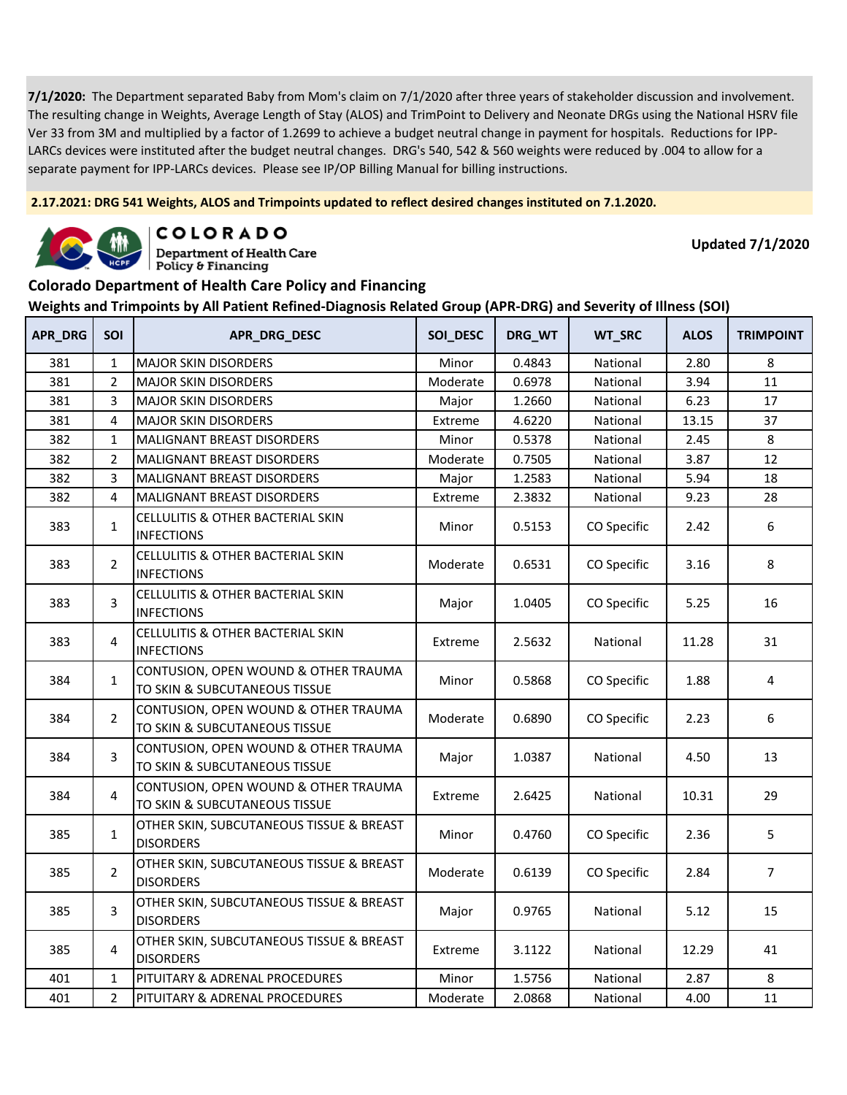**2.17.2021: DRG 541 Weights, ALOS and Trimpoints updated to reflect desired changes instituted on 7.1.2020.**



COLORADO

**Department of Health Care** Policy & Financing

**Updated 7/1/2020**

#### **Colorado Department of Health Care Policy and Financing**

| APR_DRG | SOI            | APR_DRG_DESC                                                          | SOI_DESC | DRG_WT | WT_SRC      | <b>ALOS</b> | <b>TRIMPOINT</b> |
|---------|----------------|-----------------------------------------------------------------------|----------|--------|-------------|-------------|------------------|
| 381     | 1              | <b>MAJOR SKIN DISORDERS</b>                                           | Minor    | 0.4843 | National    | 2.80        | 8                |
| 381     | $\overline{2}$ | <b>MAJOR SKIN DISORDERS</b>                                           | Moderate | 0.6978 | National    | 3.94        | 11               |
| 381     | 3              | <b>MAJOR SKIN DISORDERS</b>                                           | Major    | 1.2660 | National    | 6.23        | 17               |
| 381     | $\overline{4}$ | <b>MAJOR SKIN DISORDERS</b>                                           | Extreme  | 4.6220 | National    | 13.15       | 37               |
| 382     | $\mathbf{1}$   | MALIGNANT BREAST DISORDERS                                            | Minor    | 0.5378 | National    | 2.45        | 8                |
| 382     | $\overline{2}$ | <b>MALIGNANT BREAST DISORDERS</b>                                     | Moderate | 0.7505 | National    | 3.87        | 12               |
| 382     | 3              | MALIGNANT BREAST DISORDERS                                            | Major    | 1.2583 | National    | 5.94        | 18               |
| 382     | 4              | <b>MALIGNANT BREAST DISORDERS</b>                                     | Extreme  | 2.3832 | National    | 9.23        | 28               |
| 383     | $\mathbf{1}$   | <b>CELLULITIS &amp; OTHER BACTERIAL SKIN</b><br><b>INFECTIONS</b>     | Minor    | 0.5153 | CO Specific | 2.42        | 6                |
| 383     | $\overline{2}$ | CELLULITIS & OTHER BACTERIAL SKIN<br><b>INFECTIONS</b>                | Moderate | 0.6531 | CO Specific | 3.16        | 8                |
| 383     | 3              | CELLULITIS & OTHER BACTERIAL SKIN<br><b>INFECTIONS</b>                | Major    | 1.0405 | CO Specific | 5.25        | 16               |
| 383     | 4              | CELLULITIS & OTHER BACTERIAL SKIN<br><b>INFECTIONS</b>                | Extreme  | 2.5632 | National    | 11.28       | 31               |
| 384     | $\mathbf{1}$   | CONTUSION, OPEN WOUND & OTHER TRAUMA<br>TO SKIN & SUBCUTANEOUS TISSUE | Minor    | 0.5868 | CO Specific | 1.88        | $\overline{4}$   |
| 384     | $\overline{2}$ | CONTUSION, OPEN WOUND & OTHER TRAUMA<br>TO SKIN & SUBCUTANEOUS TISSUE | Moderate | 0.6890 | CO Specific | 2.23        | 6                |
| 384     | 3              | CONTUSION, OPEN WOUND & OTHER TRAUMA<br>TO SKIN & SUBCUTANEOUS TISSUE | Major    | 1.0387 | National    | 4.50        | 13               |
| 384     | 4              | CONTUSION, OPEN WOUND & OTHER TRAUMA<br>TO SKIN & SUBCUTANEOUS TISSUE | Extreme  | 2.6425 | National    | 10.31       | 29               |
| 385     | $\mathbf{1}$   | OTHER SKIN, SUBCUTANEOUS TISSUE & BREAST<br><b>DISORDERS</b>          | Minor    | 0.4760 | CO Specific | 2.36        | 5                |
| 385     | $\overline{2}$ | OTHER SKIN, SUBCUTANEOUS TISSUE & BREAST<br><b>DISORDERS</b>          | Moderate | 0.6139 | CO Specific | 2.84        | $\overline{7}$   |
| 385     | 3              | OTHER SKIN, SUBCUTANEOUS TISSUE & BREAST<br><b>DISORDERS</b>          | Major    | 0.9765 | National    | 5.12        | 15               |
| 385     | 4              | OTHER SKIN, SUBCUTANEOUS TISSUE & BREAST<br><b>DISORDERS</b>          | Extreme  | 3.1122 | National    | 12.29       | 41               |
| 401     | $\mathbf{1}$   | PITUITARY & ADRENAL PROCEDURES                                        | Minor    | 1.5756 | National    | 2.87        | $\bf 8$          |
| 401     | 2              | PITUITARY & ADRENAL PROCEDURES                                        | Moderate | 2.0868 | National    | 4.00        | $11\,$           |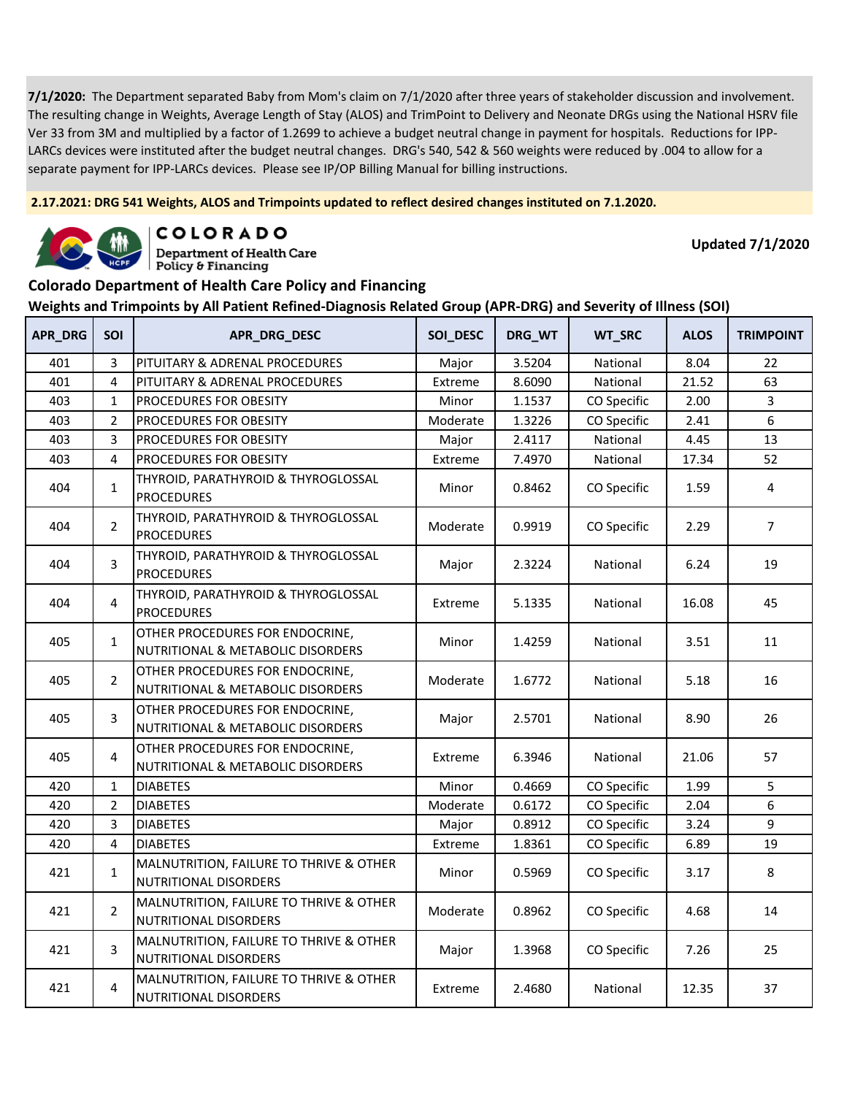**2.17.2021: DRG 541 Weights, ALOS and Trimpoints updated to reflect desired changes instituted on 7.1.2020.**



COLORADO

**Department of Health Care** Policy & Financing

**Updated 7/1/2020**

#### **Colorado Department of Health Care Policy and Financing**

| APR_DRG | SOI            | APR_DRG_DESC                                                         | SOI_DESC | DRG_WT | WT_SRC      | <b>ALOS</b> | <b>TRIMPOINT</b> |
|---------|----------------|----------------------------------------------------------------------|----------|--------|-------------|-------------|------------------|
| 401     | $\overline{3}$ | PITUITARY & ADRENAL PROCEDURES                                       | Major    | 3.5204 | National    | 8.04        | 22               |
| 401     | $\overline{4}$ | PITUITARY & ADRENAL PROCEDURES                                       | Extreme  | 8.6090 | National    | 21.52       | 63               |
| 403     | $\mathbf{1}$   | PROCEDURES FOR OBESITY                                               | Minor    | 1.1537 | CO Specific | 2.00        | 3                |
| 403     | $\overline{2}$ | PROCEDURES FOR OBESITY                                               | Moderate | 1.3226 | CO Specific | 2.41        | 6                |
| 403     | 3              | PROCEDURES FOR OBESITY                                               | Major    | 2.4117 | National    | 4.45        | 13               |
| 403     | $\overline{4}$ | PROCEDURES FOR OBESITY                                               | Extreme  | 7.4970 | National    | 17.34       | 52               |
| 404     | $\mathbf{1}$   | THYROID, PARATHYROID & THYROGLOSSAL<br><b>PROCEDURES</b>             | Minor    | 0.8462 | CO Specific | 1.59        | 4                |
| 404     | $\overline{2}$ | THYROID, PARATHYROID & THYROGLOSSAL<br><b>PROCEDURES</b>             | Moderate | 0.9919 | CO Specific | 2.29        | $\overline{7}$   |
| 404     | 3              | THYROID, PARATHYROID & THYROGLOSSAL<br><b>PROCEDURES</b>             | Major    | 2.3224 | National    | 6.24        | 19               |
| 404     | 4              | THYROID, PARATHYROID & THYROGLOSSAL<br><b>PROCEDURES</b>             | Extreme  | 5.1335 | National    | 16.08       | 45               |
| 405     | $\mathbf{1}$   | OTHER PROCEDURES FOR ENDOCRINE,<br>NUTRITIONAL & METABOLIC DISORDERS | Minor    | 1.4259 | National    | 3.51        | 11               |
| 405     | $\overline{2}$ | OTHER PROCEDURES FOR ENDOCRINE,<br>NUTRITIONAL & METABOLIC DISORDERS | Moderate | 1.6772 | National    | 5.18        | 16               |
| 405     | 3              | OTHER PROCEDURES FOR ENDOCRINE,<br>NUTRITIONAL & METABOLIC DISORDERS | Major    | 2.5701 | National    | 8.90        | 26               |
| 405     | $\overline{4}$ | OTHER PROCEDURES FOR ENDOCRINE,<br>NUTRITIONAL & METABOLIC DISORDERS | Extreme  | 6.3946 | National    | 21.06       | 57               |
| 420     | $\mathbf{1}$   | <b>DIABETES</b>                                                      | Minor    | 0.4669 | CO Specific | 1.99        | 5                |
| 420     | $\overline{2}$ | <b>DIABETES</b>                                                      | Moderate | 0.6172 | CO Specific | 2.04        | 6                |
| 420     | 3              | <b>DIABETES</b>                                                      | Major    | 0.8912 | CO Specific | 3.24        | 9                |
| 420     | $\overline{4}$ | <b>DIABETES</b>                                                      | Extreme  | 1.8361 | CO Specific | 6.89        | 19               |
| 421     | $\mathbf{1}$   | MALNUTRITION, FAILURE TO THRIVE & OTHER<br>NUTRITIONAL DISORDERS     | Minor    | 0.5969 | CO Specific | 3.17        | 8                |
| 421     | $\overline{2}$ | MALNUTRITION, FAILURE TO THRIVE & OTHER<br>NUTRITIONAL DISORDERS     | Moderate | 0.8962 | CO Specific | 4.68        | 14               |
| 421     | 3              | MALNUTRITION, FAILURE TO THRIVE & OTHER<br>NUTRITIONAL DISORDERS     | Major    | 1.3968 | CO Specific | 7.26        | 25               |
| 421     | $\overline{4}$ | MALNUTRITION, FAILURE TO THRIVE & OTHER<br>NUTRITIONAL DISORDERS     | Extreme  | 2.4680 | National    | 12.35       | 37               |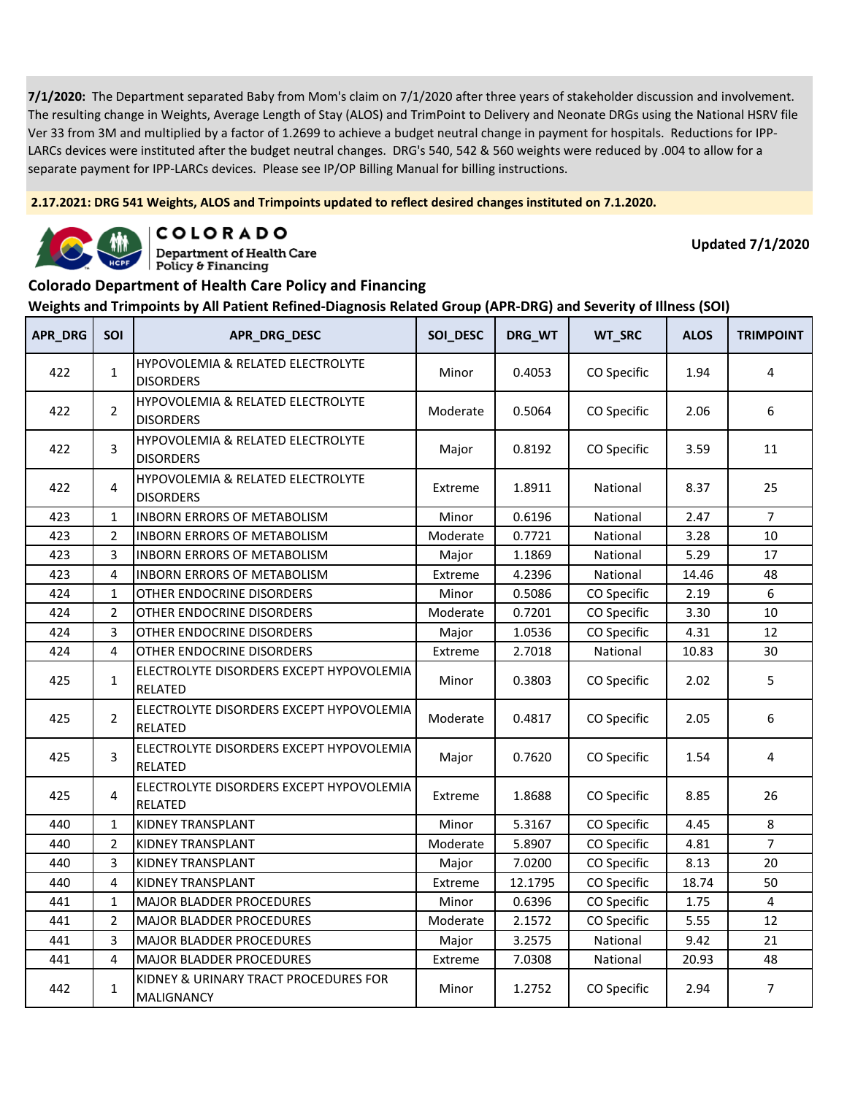**2.17.2021: DRG 541 Weights, ALOS and Trimpoints updated to reflect desired changes instituted on 7.1.2020.**



COLORADO **Department of Health Care** 

**Updated 7/1/2020**

#### **Colorado Department of Health Care Policy and Financing**

Policy & Financing

| <b>APR_DRG</b> | <b>SOI</b>     | APR_DRG_DESC                                                     | SOI_DESC | DRG_WT  | WT_SRC      | <b>ALOS</b> | <b>TRIMPOINT</b> |
|----------------|----------------|------------------------------------------------------------------|----------|---------|-------------|-------------|------------------|
| 422            | $\mathbf{1}$   | <b>HYPOVOLEMIA &amp; RELATED ELECTROLYTE</b><br><b>DISORDERS</b> | Minor    | 0.4053  | CO Specific | 1.94        | 4                |
| 422            | $\overline{2}$ | HYPOVOLEMIA & RELATED ELECTROLYTE<br><b>DISORDERS</b>            | Moderate | 0.5064  | CO Specific | 2.06        | 6                |
| 422            | 3              | <b>HYPOVOLEMIA &amp; RELATED ELECTROLYTE</b><br><b>DISORDERS</b> | Major    | 0.8192  | CO Specific | 3.59        | 11               |
| 422            | 4              | HYPOVOLEMIA & RELATED ELECTROLYTE<br><b>DISORDERS</b>            | Extreme  | 1.8911  | National    | 8.37        | 25               |
| 423            | $\mathbf{1}$   | <b>INBORN ERRORS OF METABOLISM</b>                               | Minor    | 0.6196  | National    | 2.47        | $\overline{7}$   |
| 423            | 2              | <b>INBORN ERRORS OF METABOLISM</b>                               | Moderate | 0.7721  | National    | 3.28        | 10               |
| 423            | 3              | INBORN ERRORS OF METABOLISM                                      | Major    | 1.1869  | National    | 5.29        | 17               |
| 423            | $\overline{4}$ | <b>INBORN ERRORS OF METABOLISM</b>                               | Extreme  | 4.2396  | National    | 14.46       | 48               |
| 424            | $\mathbf{1}$   | OTHER ENDOCRINE DISORDERS                                        | Minor    | 0.5086  | CO Specific | 2.19        | 6                |
| 424            | 2              | OTHER ENDOCRINE DISORDERS                                        | Moderate | 0.7201  | CO Specific | 3.30        | 10               |
| 424            | 3              | OTHER ENDOCRINE DISORDERS                                        | Major    | 1.0536  | CO Specific | 4.31        | 12               |
| 424            | 4              | OTHER ENDOCRINE DISORDERS                                        | Extreme  | 2.7018  | National    | 10.83       | 30               |
| 425            | $\mathbf{1}$   | ELECTROLYTE DISORDERS EXCEPT HYPOVOLEMIA<br><b>RELATED</b>       | Minor    | 0.3803  | CO Specific | 2.02        | 5                |
| 425            | $\overline{2}$ | ELECTROLYTE DISORDERS EXCEPT HYPOVOLEMIA<br><b>RELATED</b>       | Moderate | 0.4817  | CO Specific | 2.05        | 6                |
| 425            | 3              | ELECTROLYTE DISORDERS EXCEPT HYPOVOLEMIA<br><b>RELATED</b>       | Major    | 0.7620  | CO Specific | 1.54        | 4                |
| 425            | 4              | ELECTROLYTE DISORDERS EXCEPT HYPOVOLEMIA<br><b>RELATED</b>       | Extreme  | 1.8688  | CO Specific | 8.85        | 26               |
| 440            | $\mathbf 1$    | <b>KIDNEY TRANSPLANT</b>                                         | Minor    | 5.3167  | CO Specific | 4.45        | 8                |
| 440            | $\overline{2}$ | KIDNEY TRANSPLANT                                                | Moderate | 5.8907  | CO Specific | 4.81        | $\overline{7}$   |
| 440            | 3              | <b>KIDNEY TRANSPLANT</b>                                         | Major    | 7.0200  | CO Specific | 8.13        | 20               |
| 440            | $\overline{4}$ | <b>KIDNEY TRANSPLANT</b>                                         | Extreme  | 12.1795 | CO Specific | 18.74       | 50               |
| 441            | $\mathbf{1}$   | <b>MAJOR BLADDER PROCEDURES</b>                                  | Minor    | 0.6396  | CO Specific | 1.75        | 4                |
| 441            | $\overline{2}$ | MAJOR BLADDER PROCEDURES                                         | Moderate | 2.1572  | CO Specific | 5.55        | 12               |
| 441            | 3              | MAJOR BLADDER PROCEDURES                                         | Major    | 3.2575  | National    | 9.42        | 21               |
| 441            | 4              | <b>MAJOR BLADDER PROCEDURES</b>                                  | Extreme  | 7.0308  | National    | 20.93       | 48               |
| 442            | $\mathbf{1}$   | KIDNEY & URINARY TRACT PROCEDURES FOR<br><b>MALIGNANCY</b>       | Minor    | 1.2752  | CO Specific | 2.94        | $\overline{7}$   |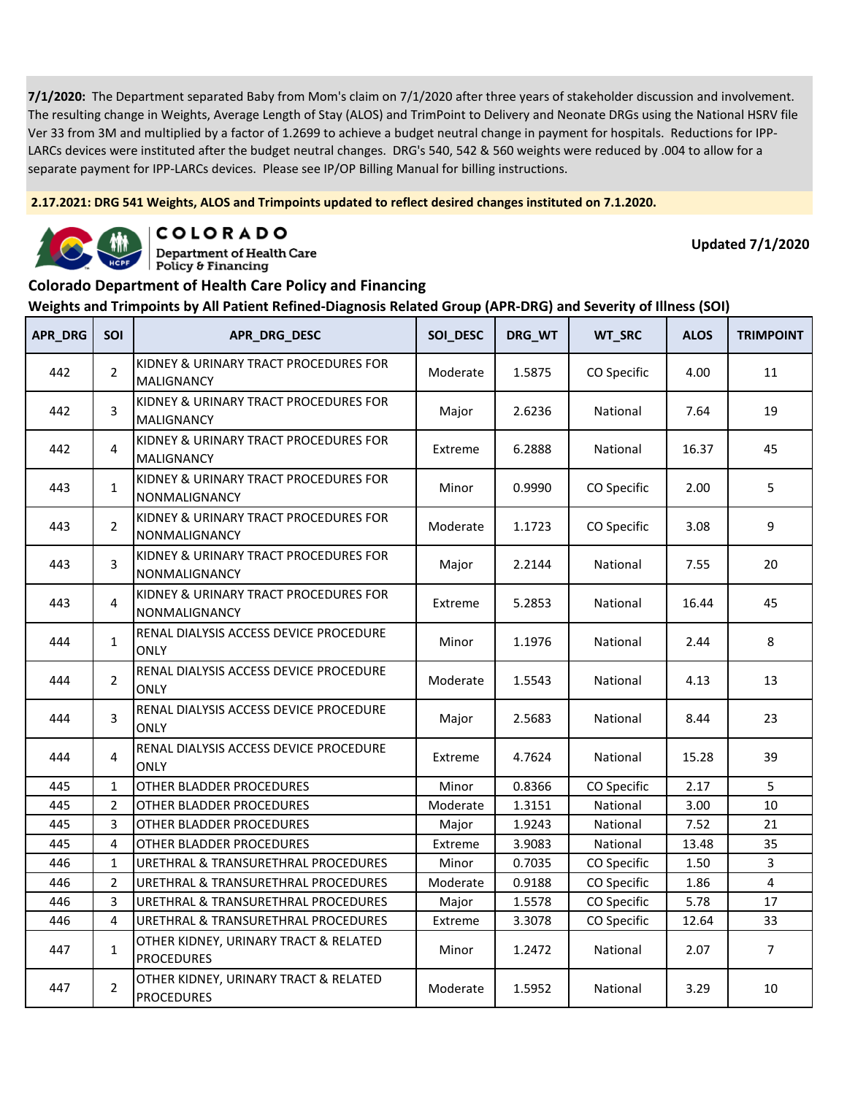**2.17.2021: DRG 541 Weights, ALOS and Trimpoints updated to reflect desired changes instituted on 7.1.2020.**



COLORADO

**Department of Health Care** Policy & Financing

**Updated 7/1/2020**

### **Colorado Department of Health Care Policy and Financing**

| <b>APR_DRG</b> | SOI            | APR_DRG_DESC                                               | SOI_DESC | DRG_WT | WT_SRC      | <b>ALOS</b> | <b>TRIMPOINT</b> |
|----------------|----------------|------------------------------------------------------------|----------|--------|-------------|-------------|------------------|
| 442            | $\overline{2}$ | KIDNEY & URINARY TRACT PROCEDURES FOR<br><b>MALIGNANCY</b> | Moderate | 1.5875 | CO Specific | 4.00        | 11               |
| 442            | 3              | KIDNEY & URINARY TRACT PROCEDURES FOR<br>MALIGNANCY        | Major    | 2.6236 | National    | 7.64        | 19               |
| 442            | 4              | KIDNEY & URINARY TRACT PROCEDURES FOR<br>MALIGNANCY        | Extreme  | 6.2888 | National    | 16.37       | 45               |
| 443            | $\mathbf{1}$   | KIDNEY & URINARY TRACT PROCEDURES FOR<br>NONMALIGNANCY     | Minor    | 0.9990 | CO Specific | 2.00        | 5                |
| 443            | $\overline{2}$ | KIDNEY & URINARY TRACT PROCEDURES FOR<br>NONMALIGNANCY     | Moderate | 1.1723 | CO Specific | 3.08        | 9                |
| 443            | 3              | KIDNEY & URINARY TRACT PROCEDURES FOR<br>NONMALIGNANCY     | Major    | 2.2144 | National    | 7.55        | 20               |
| 443            | 4              | KIDNEY & URINARY TRACT PROCEDURES FOR<br>NONMALIGNANCY     | Extreme  | 5.2853 | National    | 16.44       | 45               |
| 444            | $\mathbf{1}$   | RENAL DIALYSIS ACCESS DEVICE PROCEDURE<br><b>ONLY</b>      | Minor    | 1.1976 | National    | 2.44        | 8                |
| 444            | $\overline{2}$ | RENAL DIALYSIS ACCESS DEVICE PROCEDURE<br><b>ONLY</b>      | Moderate | 1.5543 | National    | 4.13        | 13               |
| 444            | 3              | RENAL DIALYSIS ACCESS DEVICE PROCEDURE<br><b>ONLY</b>      | Major    | 2.5683 | National    | 8.44        | 23               |
| 444            | 4              | RENAL DIALYSIS ACCESS DEVICE PROCEDURE<br><b>ONLY</b>      | Extreme  | 4.7624 | National    | 15.28       | 39               |
| 445            | $\mathbf{1}$   | OTHER BLADDER PROCEDURES                                   | Minor    | 0.8366 | CO Specific | 2.17        | 5                |
| 445            | $\overline{2}$ | OTHER BLADDER PROCEDURES                                   | Moderate | 1.3151 | National    | 3.00        | 10               |
| 445            | 3              | OTHER BLADDER PROCEDURES                                   | Major    | 1.9243 | National    | 7.52        | 21               |
| 445            | $\overline{4}$ | OTHER BLADDER PROCEDURES                                   | Extreme  | 3.9083 | National    | 13.48       | 35               |
| 446            | $\mathbf{1}$   | URETHRAL & TRANSURETHRAL PROCEDURES                        | Minor    | 0.7035 | CO Specific | 1.50        | 3                |
| 446            | $\overline{2}$ | URETHRAL & TRANSURETHRAL PROCEDURES                        | Moderate | 0.9188 | CO Specific | 1.86        | $\overline{4}$   |
| 446            | 3              | URETHRAL & TRANSURETHRAL PROCEDURES                        | Major    | 1.5578 | CO Specific | 5.78        | 17               |
| 446            | 4              | URETHRAL & TRANSURETHRAL PROCEDURES                        | Extreme  | 3.3078 | CO Specific | 12.64       | 33               |
| 447            | $\mathbf{1}$   | OTHER KIDNEY, URINARY TRACT & RELATED<br><b>PROCEDURES</b> | Minor    | 1.2472 | National    | 2.07        | $\overline{7}$   |
| 447            | $\overline{2}$ | OTHER KIDNEY, URINARY TRACT & RELATED<br><b>PROCEDURES</b> | Moderate | 1.5952 | National    | 3.29        | 10               |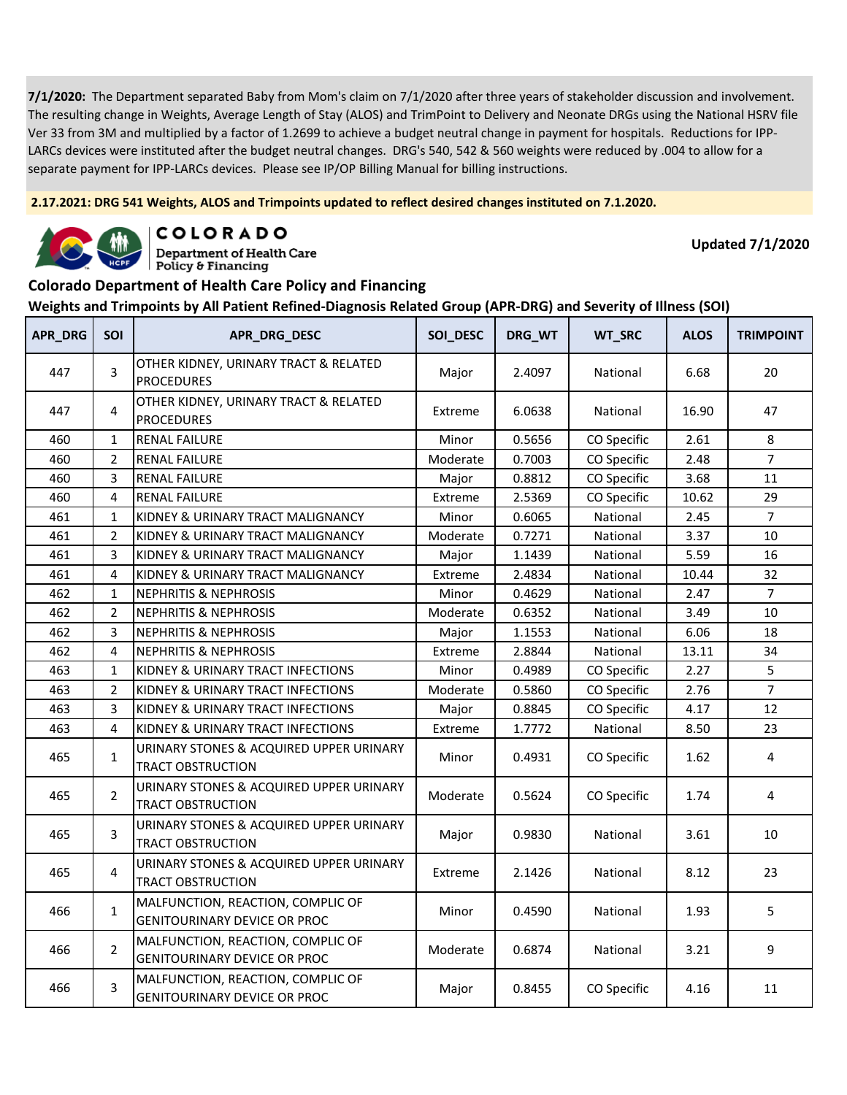**2.17.2021: DRG 541 Weights, ALOS and Trimpoints updated to reflect desired changes instituted on 7.1.2020.**



COLORADO

**Department of Health Care** Policy & Financing

**Updated 7/1/2020**

#### **Colorado Department of Health Care Policy and Financing**

| APR_DRG | SOI            | APR_DRG_DESC                                                             | SOI_DESC | DRG_WT | WT_SRC      | <b>ALOS</b> | <b>TRIMPOINT</b> |
|---------|----------------|--------------------------------------------------------------------------|----------|--------|-------------|-------------|------------------|
| 447     | 3              | OTHER KIDNEY, URINARY TRACT & RELATED<br><b>PROCEDURES</b>               | Major    | 2.4097 | National    | 6.68        | 20               |
| 447     | 4              | OTHER KIDNEY, URINARY TRACT & RELATED<br><b>PROCEDURES</b>               | Extreme  | 6.0638 | National    | 16.90       | 47               |
| 460     | $\mathbf{1}$   | <b>RENAL FAILURE</b>                                                     | Minor    | 0.5656 | CO Specific | 2.61        | 8                |
| 460     | $\overline{2}$ | <b>RENAL FAILURE</b>                                                     | Moderate | 0.7003 | CO Specific | 2.48        | $\overline{7}$   |
| 460     | 3              | <b>RENAL FAILURE</b>                                                     | Major    | 0.8812 | CO Specific | 3.68        | 11               |
| 460     | 4              | <b>RENAL FAILURE</b>                                                     | Extreme  | 2.5369 | CO Specific | 10.62       | 29               |
| 461     | $\mathbf{1}$   | KIDNEY & URINARY TRACT MALIGNANCY                                        | Minor    | 0.6065 | National    | 2.45        | $\overline{7}$   |
| 461     | $\overline{2}$ | KIDNEY & URINARY TRACT MALIGNANCY                                        | Moderate | 0.7271 | National    | 3.37        | 10               |
| 461     | 3              | KIDNEY & URINARY TRACT MALIGNANCY                                        | Major    | 1.1439 | National    | 5.59        | 16               |
| 461     | 4              | KIDNEY & URINARY TRACT MALIGNANCY                                        | Extreme  | 2.4834 | National    | 10.44       | 32               |
| 462     | $\mathbf{1}$   | <b>NEPHRITIS &amp; NEPHROSIS</b>                                         | Minor    | 0.4629 | National    | 2.47        | $\overline{7}$   |
| 462     | $\overline{2}$ | <b>NEPHRITIS &amp; NEPHROSIS</b>                                         | Moderate | 0.6352 | National    | 3.49        | 10               |
| 462     | 3              | <b>NEPHRITIS &amp; NEPHROSIS</b>                                         | Major    | 1.1553 | National    | 6.06        | 18               |
| 462     | 4              | <b>NEPHRITIS &amp; NEPHROSIS</b>                                         | Extreme  | 2.8844 | National    | 13.11       | 34               |
| 463     | $\mathbf{1}$   | KIDNEY & URINARY TRACT INFECTIONS                                        | Minor    | 0.4989 | CO Specific | 2.27        | 5                |
| 463     | $\overline{2}$ | KIDNEY & URINARY TRACT INFECTIONS                                        | Moderate | 0.5860 | CO Specific | 2.76        | $\overline{7}$   |
| 463     | 3              | KIDNEY & URINARY TRACT INFECTIONS                                        | Major    | 0.8845 | CO Specific | 4.17        | 12               |
| 463     | 4              | KIDNEY & URINARY TRACT INFECTIONS                                        | Extreme  | 1.7772 | National    | 8.50        | 23               |
| 465     | $\mathbf{1}$   | URINARY STONES & ACQUIRED UPPER URINARY<br><b>TRACT OBSTRUCTION</b>      | Minor    | 0.4931 | CO Specific | 1.62        | 4                |
| 465     | $\overline{2}$ | URINARY STONES & ACQUIRED UPPER URINARY<br><b>TRACT OBSTRUCTION</b>      | Moderate | 0.5624 | CO Specific | 1.74        | 4                |
| 465     | 3              | URINARY STONES & ACQUIRED UPPER URINARY<br><b>TRACT OBSTRUCTION</b>      | Major    | 0.9830 | National    | 3.61        | 10               |
| 465     | 4              | URINARY STONES & ACQUIRED UPPER URINARY<br><b>TRACT OBSTRUCTION</b>      | Extreme  | 2.1426 | National    | 8.12        | 23               |
| 466     | $\mathbf{1}$   | MALFUNCTION, REACTION, COMPLIC OF<br><b>GENITOURINARY DEVICE OR PROC</b> | Minor    | 0.4590 | National    | 1.93        | 5                |
| 466     | $\overline{2}$ | MALFUNCTION, REACTION, COMPLIC OF<br><b>GENITOURINARY DEVICE OR PROC</b> | Moderate | 0.6874 | National    | 3.21        | 9                |
| 466     | 3              | MALFUNCTION, REACTION, COMPLIC OF<br><b>GENITOURINARY DEVICE OR PROC</b> | Major    | 0.8455 | CO Specific | 4.16        | 11               |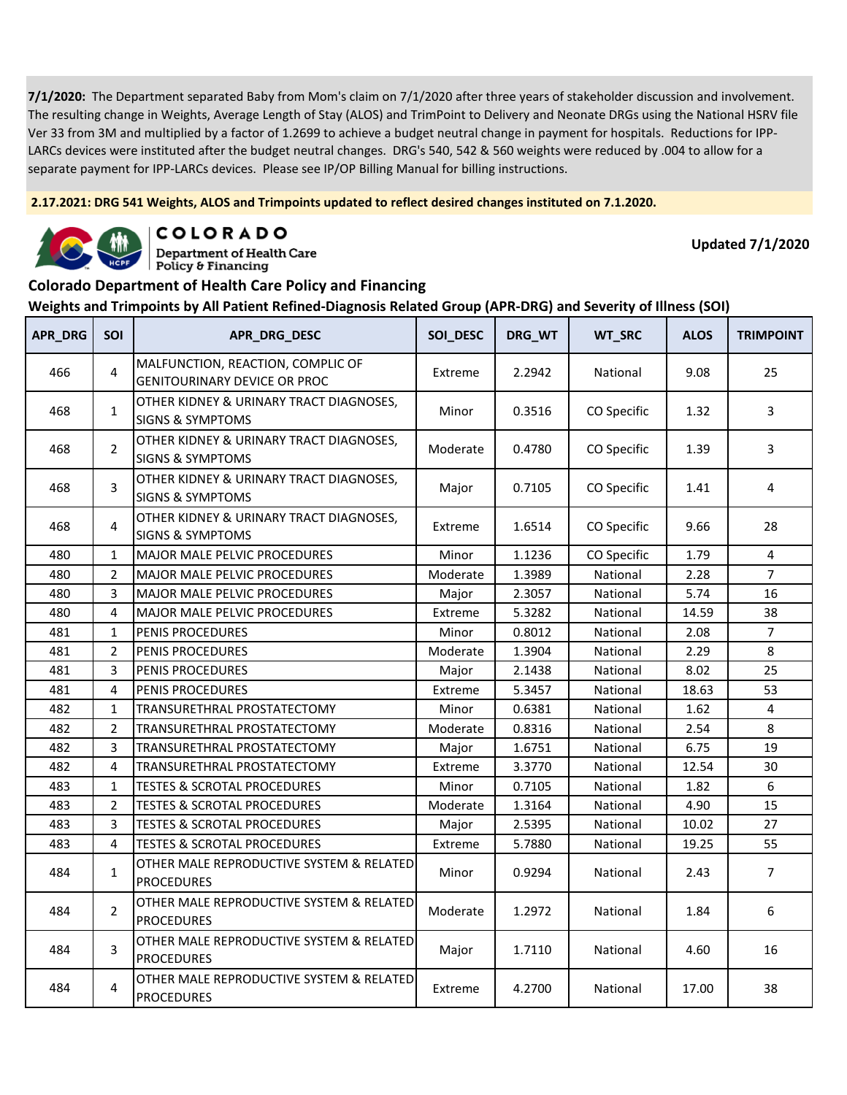**2.17.2021: DRG 541 Weights, ALOS and Trimpoints updated to reflect desired changes instituted on 7.1.2020.**



COLORADO **Department of Health Care** 

**Updated 7/1/2020**

#### **Colorado Department of Health Care Policy and Financing**

Policy & Financing

| APR_DRG | SOI            | APR_DRG_DESC                                                             | SOI_DESC | DRG_WT | WT_SRC      | <b>ALOS</b> | <b>TRIMPOINT</b> |
|---------|----------------|--------------------------------------------------------------------------|----------|--------|-------------|-------------|------------------|
| 466     | 4              | MALFUNCTION, REACTION, COMPLIC OF<br><b>GENITOURINARY DEVICE OR PROC</b> | Extreme  | 2.2942 | National    | 9.08        | 25               |
| 468     | $\mathbf{1}$   | OTHER KIDNEY & URINARY TRACT DIAGNOSES,<br><b>SIGNS &amp; SYMPTOMS</b>   | Minor    | 0.3516 | CO Specific | 1.32        | 3                |
| 468     | $\overline{2}$ | OTHER KIDNEY & URINARY TRACT DIAGNOSES,<br><b>SIGNS &amp; SYMPTOMS</b>   | Moderate | 0.4780 | CO Specific | 1.39        | 3                |
| 468     | 3              | OTHER KIDNEY & URINARY TRACT DIAGNOSES,<br><b>SIGNS &amp; SYMPTOMS</b>   | Major    | 0.7105 | CO Specific | 1.41        | 4                |
| 468     | 4              | OTHER KIDNEY & URINARY TRACT DIAGNOSES,<br><b>SIGNS &amp; SYMPTOMS</b>   | Extreme  | 1.6514 | CO Specific | 9.66        | 28               |
| 480     | $\mathbf 1$    | MAJOR MALE PELVIC PROCEDURES                                             | Minor    | 1.1236 | CO Specific | 1.79        | 4                |
| 480     | $\overline{2}$ | MAJOR MALE PELVIC PROCEDURES                                             | Moderate | 1.3989 | National    | 2.28        | $\overline{7}$   |
| 480     | 3              | MAJOR MALE PELVIC PROCEDURES                                             | Major    | 2.3057 | National    | 5.74        | 16               |
| 480     | 4              | MAJOR MALE PELVIC PROCEDURES                                             | Extreme  | 5.3282 | National    | 14.59       | 38               |
| 481     | $\mathbf{1}$   | PENIS PROCEDURES                                                         | Minor    | 0.8012 | National    | 2.08        | $\overline{7}$   |
| 481     | $\overline{2}$ | PENIS PROCEDURES                                                         | Moderate | 1.3904 | National    | 2.29        | 8                |
| 481     | 3              | PENIS PROCEDURES                                                         | Major    | 2.1438 | National    | 8.02        | 25               |
| 481     | 4              | PENIS PROCEDURES                                                         | Extreme  | 5.3457 | National    | 18.63       | 53               |
| 482     | $\mathbf{1}$   | TRANSURETHRAL PROSTATECTOMY                                              | Minor    | 0.6381 | National    | 1.62        | $\overline{4}$   |
| 482     | $\overline{2}$ | TRANSURETHRAL PROSTATECTOMY                                              | Moderate | 0.8316 | National    | 2.54        | 8                |
| 482     | 3              | TRANSURETHRAL PROSTATECTOMY                                              | Major    | 1.6751 | National    | 6.75        | 19               |
| 482     | 4              | TRANSURETHRAL PROSTATECTOMY                                              | Extreme  | 3.3770 | National    | 12.54       | 30               |
| 483     | $\mathbf 1$    | <b>TESTES &amp; SCROTAL PROCEDURES</b>                                   | Minor    | 0.7105 | National    | 1.82        | 6                |
| 483     | $\overline{2}$ | <b>TESTES &amp; SCROTAL PROCEDURES</b>                                   | Moderate | 1.3164 | National    | 4.90        | 15               |
| 483     | 3              | <b>TESTES &amp; SCROTAL PROCEDURES</b>                                   | Major    | 2.5395 | National    | 10.02       | 27               |
| 483     | 4              | <b>TESTES &amp; SCROTAL PROCEDURES</b>                                   | Extreme  | 5.7880 | National    | 19.25       | 55               |
| 484     | $\mathbf{1}$   | OTHER MALE REPRODUCTIVE SYSTEM & RELATED<br><b>PROCEDURES</b>            | Minor    | 0.9294 | National    | 2.43        | $\overline{7}$   |
| 484     | $\overline{2}$ | OTHER MALE REPRODUCTIVE SYSTEM & RELATED<br><b>PROCEDURES</b>            | Moderate | 1.2972 | National    | 1.84        | 6                |
| 484     | 3              | OTHER MALE REPRODUCTIVE SYSTEM & RELATED<br><b>PROCEDURES</b>            | Major    | 1.7110 | National    | 4.60        | 16               |
| 484     | 4              | OTHER MALE REPRODUCTIVE SYSTEM & RELATED<br><b>PROCEDURES</b>            | Extreme  | 4.2700 | National    | 17.00       | 38               |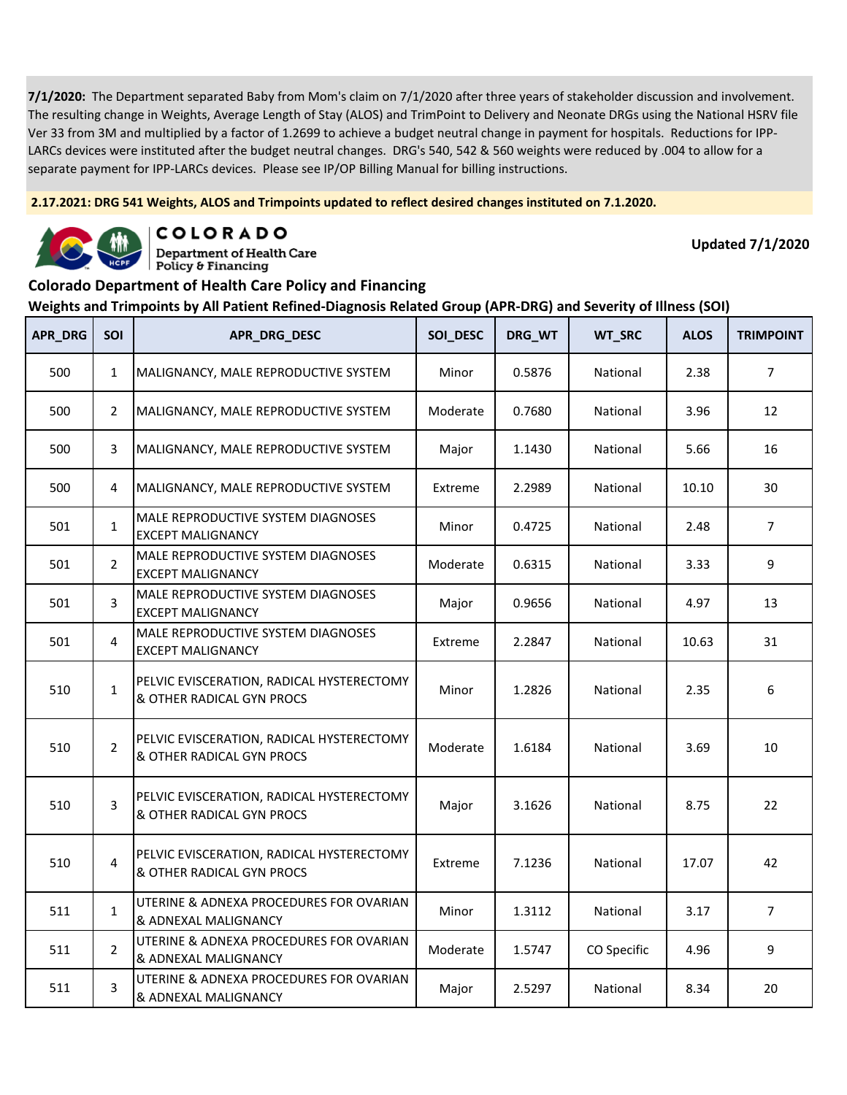**2.17.2021: DRG 541 Weights, ALOS and Trimpoints updated to reflect desired changes instituted on 7.1.2020.**



COLORADO **Department of Health Care** 

Policy & Financing

**Updated 7/1/2020**

# **Colorado Department of Health Care Policy and Financing**

| APR_DRG | SOI            | APR_DRG_DESC                                                           | SOI_DESC | DRG_WT | WT_SRC      | <b>ALOS</b> | <b>TRIMPOINT</b> |
|---------|----------------|------------------------------------------------------------------------|----------|--------|-------------|-------------|------------------|
| 500     | $\mathbf{1}$   | MALIGNANCY, MALE REPRODUCTIVE SYSTEM                                   | Minor    | 0.5876 | National    | 2.38        | $\overline{7}$   |
| 500     | $\overline{2}$ | MALIGNANCY, MALE REPRODUCTIVE SYSTEM                                   | Moderate | 0.7680 | National    | 3.96        | 12               |
| 500     | 3              | MALIGNANCY, MALE REPRODUCTIVE SYSTEM                                   | Major    | 1.1430 | National    | 5.66        | 16               |
| 500     | 4              | MALIGNANCY, MALE REPRODUCTIVE SYSTEM                                   | Extreme  | 2.2989 | National    | 10.10       | 30               |
| 501     | $\mathbf{1}$   | MALE REPRODUCTIVE SYSTEM DIAGNOSES<br><b>EXCEPT MALIGNANCY</b>         | Minor    | 0.4725 | National    | 2.48        | $\overline{7}$   |
| 501     | $\overline{2}$ | MALE REPRODUCTIVE SYSTEM DIAGNOSES<br><b>EXCEPT MALIGNANCY</b>         | Moderate | 0.6315 | National    | 3.33        | 9                |
| 501     | 3              | MALE REPRODUCTIVE SYSTEM DIAGNOSES<br><b>EXCEPT MALIGNANCY</b>         | Major    | 0.9656 | National    | 4.97        | 13               |
| 501     | 4              | MALE REPRODUCTIVE SYSTEM DIAGNOSES<br><b>EXCEPT MALIGNANCY</b>         | Extreme  | 2.2847 | National    | 10.63       | 31               |
| 510     | $\mathbf{1}$   | PELVIC EVISCERATION, RADICAL HYSTERECTOMY<br>& OTHER RADICAL GYN PROCS | Minor    | 1.2826 | National    | 2.35        | 6                |
| 510     | $\overline{2}$ | PELVIC EVISCERATION, RADICAL HYSTERECTOMY<br>& OTHER RADICAL GYN PROCS | Moderate | 1.6184 | National    | 3.69        | 10               |
| 510     | 3              | PELVIC EVISCERATION, RADICAL HYSTERECTOMY<br>& OTHER RADICAL GYN PROCS | Major    | 3.1626 | National    | 8.75        | 22               |
| 510     | 4              | PELVIC EVISCERATION, RADICAL HYSTERECTOMY<br>& OTHER RADICAL GYN PROCS | Extreme  | 7.1236 | National    | 17.07       | 42               |
| 511     | $\mathbf{1}$   | UTERINE & ADNEXA PROCEDURES FOR OVARIAN<br>& ADNEXAL MALIGNANCY        | Minor    | 1.3112 | National    | 3.17        | $\overline{7}$   |
| 511     | $\overline{2}$ | UTERINE & ADNEXA PROCEDURES FOR OVARIAN<br>& ADNEXAL MALIGNANCY        | Moderate | 1.5747 | CO Specific | 4.96        | 9                |
| 511     | $\mathbf{3}$   | UTERINE & ADNEXA PROCEDURES FOR OVARIAN<br>& ADNEXAL MALIGNANCY        | Major    | 2.5297 | National    | 8.34        | 20               |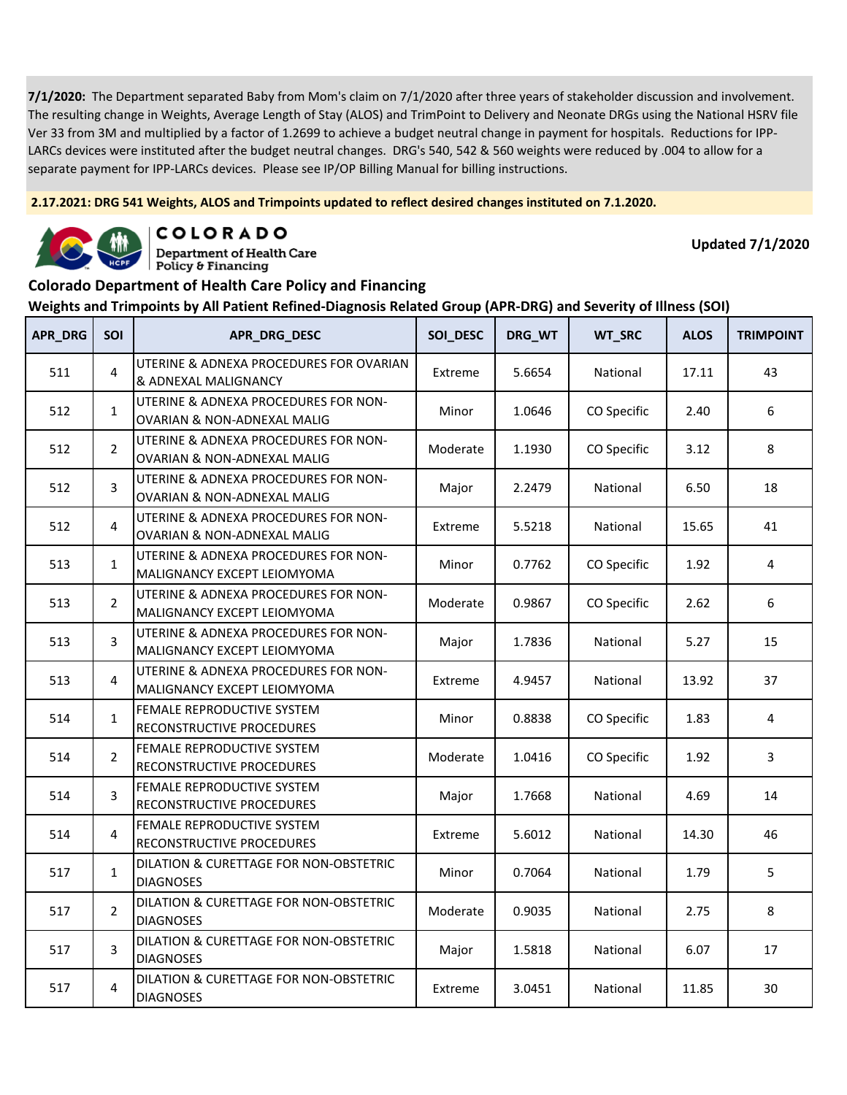**2.17.2021: DRG 541 Weights, ALOS and Trimpoints updated to reflect desired changes instituted on 7.1.2020.**



COLORADO **Department of Health Care** 

Policy & Financing

**Updated 7/1/2020**

#### **Colorado Department of Health Care Policy and Financing**

| <b>APR_DRG</b> | <b>SOI</b>     | APR_DRG_DESC                                                                   | SOI_DESC | DRG_WT | WT_SRC      | <b>ALOS</b> | <b>TRIMPOINT</b> |
|----------------|----------------|--------------------------------------------------------------------------------|----------|--------|-------------|-------------|------------------|
| 511            | 4              | UTERINE & ADNEXA PROCEDURES FOR OVARIAN<br>& ADNEXAL MALIGNANCY                | Extreme  | 5.6654 | National    | 17.11       | 43               |
| 512            | $\mathbf{1}$   | UTERINE & ADNEXA PROCEDURES FOR NON-<br>OVARIAN & NON-ADNEXAL MALIG            | Minor    | 1.0646 | CO Specific | 2.40        | 6                |
| 512            | $\overline{2}$ | UTERINE & ADNEXA PROCEDURES FOR NON-<br>OVARIAN & NON-ADNEXAL MALIG            | Moderate | 1.1930 | CO Specific | 3.12        | 8                |
| 512            | 3              | UTERINE & ADNEXA PROCEDURES FOR NON-<br><b>OVARIAN &amp; NON-ADNEXAL MALIG</b> | Major    | 2.2479 | National    | 6.50        | 18               |
| 512            | 4              | UTERINE & ADNEXA PROCEDURES FOR NON-<br><b>OVARIAN &amp; NON-ADNEXAL MALIG</b> | Extreme  | 5.5218 | National    | 15.65       | 41               |
| 513            | $\mathbf{1}$   | UTERINE & ADNEXA PROCEDURES FOR NON-<br>MALIGNANCY EXCEPT LEIOMYOMA            | Minor    | 0.7762 | CO Specific | 1.92        | 4                |
| 513            | $\overline{2}$ | UTERINE & ADNEXA PROCEDURES FOR NON-<br>MALIGNANCY EXCEPT LEIOMYOMA            | Moderate | 0.9867 | CO Specific | 2.62        | 6                |
| 513            | 3              | UTERINE & ADNEXA PROCEDURES FOR NON-<br>MALIGNANCY EXCEPT LEIOMYOMA            | Major    | 1.7836 | National    | 5.27        | 15               |
| 513            | 4              | UTERINE & ADNEXA PROCEDURES FOR NON-<br>MALIGNANCY EXCEPT LEIOMYOMA            | Extreme  | 4.9457 | National    | 13.92       | 37               |
| 514            | $\mathbf{1}$   | FEMALE REPRODUCTIVE SYSTEM<br>RECONSTRUCTIVE PROCEDURES                        | Minor    | 0.8838 | CO Specific | 1.83        | 4                |
| 514            | $\overline{2}$ | FEMALE REPRODUCTIVE SYSTEM<br>RECONSTRUCTIVE PROCEDURES                        | Moderate | 1.0416 | CO Specific | 1.92        | 3                |
| 514            | 3              | FEMALE REPRODUCTIVE SYSTEM<br>RECONSTRUCTIVE PROCEDURES                        | Major    | 1.7668 | National    | 4.69        | 14               |
| 514            | 4              | FEMALE REPRODUCTIVE SYSTEM<br>RECONSTRUCTIVE PROCEDURES                        | Extreme  | 5.6012 | National    | 14.30       | 46               |
| 517            | $\mathbf{1}$   | DILATION & CURETTAGE FOR NON-OBSTETRIC<br><b>DIAGNOSES</b>                     | Minor    | 0.7064 | National    | 1.79        | 5                |
| 517            | $\overline{2}$ | DILATION & CURETTAGE FOR NON-OBSTETRIC<br><b>DIAGNOSES</b>                     | Moderate | 0.9035 | National    | 2.75        | 8                |
| 517            | 3              | DILATION & CURETTAGE FOR NON-OBSTETRIC<br><b>DIAGNOSES</b>                     | Major    | 1.5818 | National    | 6.07        | 17               |
| 517            | 4              | DILATION & CURETTAGE FOR NON-OBSTETRIC<br><b>DIAGNOSES</b>                     | Extreme  | 3.0451 | National    | 11.85       | 30               |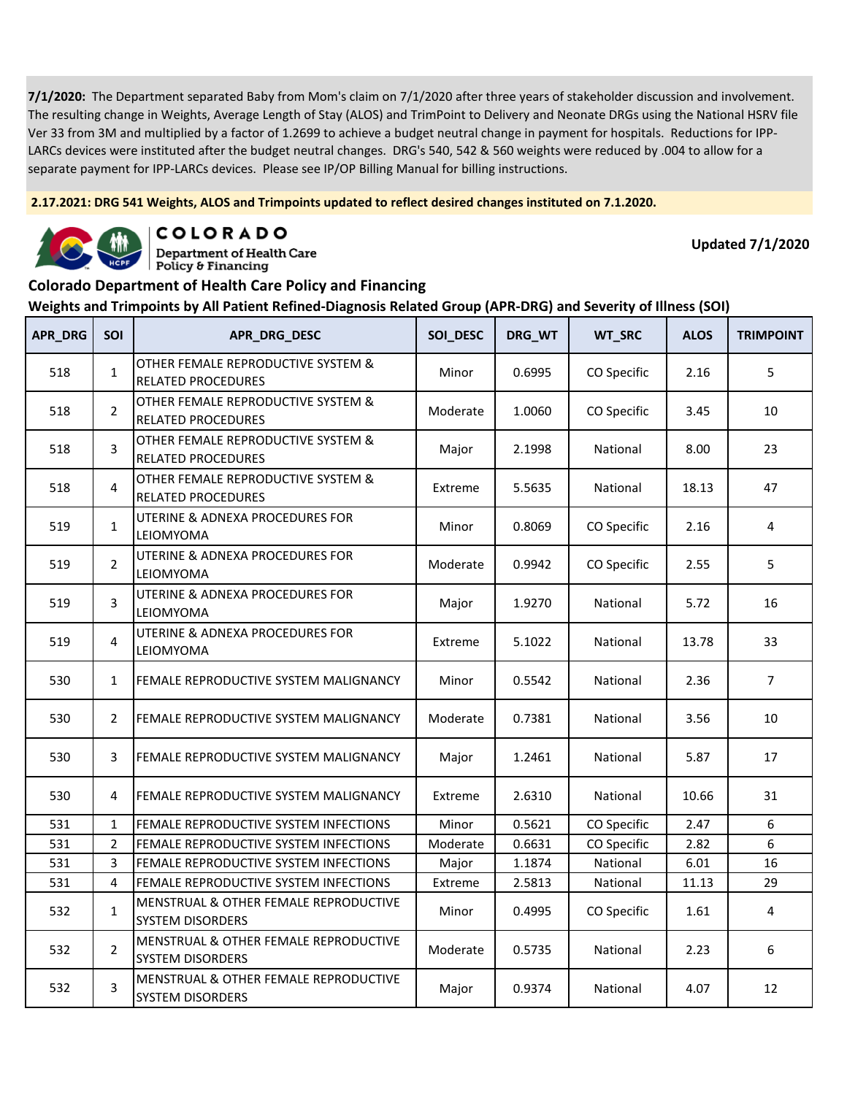**2.17.2021: DRG 541 Weights, ALOS and Trimpoints updated to reflect desired changes instituted on 7.1.2020.**



COLORADO

**Department of Health Care** Policy & Financing

**Updated 7/1/2020**

#### **Colorado Department of Health Care Policy and Financing**

| APR_DRG | <b>SOI</b>     | APR_DRG_DESC                                                     | SOI_DESC | DRG_WT | WT_SRC      | <b>ALOS</b> | <b>TRIMPOINT</b> |
|---------|----------------|------------------------------------------------------------------|----------|--------|-------------|-------------|------------------|
| 518     | $\mathbf{1}$   | OTHER FEMALE REPRODUCTIVE SYSTEM &<br><b>RELATED PROCEDURES</b>  | Minor    | 0.6995 | CO Specific | 2.16        | 5                |
| 518     | $\overline{2}$ | OTHER FEMALE REPRODUCTIVE SYSTEM &<br><b>RELATED PROCEDURES</b>  | Moderate | 1.0060 | CO Specific | 3.45        | 10               |
| 518     | 3              | OTHER FEMALE REPRODUCTIVE SYSTEM &<br><b>RELATED PROCEDURES</b>  | Major    | 2.1998 | National    | 8.00        | 23               |
| 518     | 4              | OTHER FEMALE REPRODUCTIVE SYSTEM &<br><b>RELATED PROCEDURES</b>  | Extreme  | 5.5635 | National    | 18.13       | 47               |
| 519     | $\mathbf{1}$   | UTERINE & ADNEXA PROCEDURES FOR<br>LEIOMYOMA                     | Minor    | 0.8069 | CO Specific | 2.16        | 4                |
| 519     | $\overline{2}$ | UTERINE & ADNEXA PROCEDURES FOR<br>LEIOMYOMA                     | Moderate | 0.9942 | CO Specific | 2.55        | 5                |
| 519     | 3              | UTERINE & ADNEXA PROCEDURES FOR<br>LEIOMYOMA                     | Major    | 1.9270 | National    | 5.72        | 16               |
| 519     | $\overline{4}$ | UTERINE & ADNEXA PROCEDURES FOR<br>LEIOMYOMA                     | Extreme  | 5.1022 | National    | 13.78       | 33               |
| 530     | $\mathbf{1}$   | FEMALE REPRODUCTIVE SYSTEM MALIGNANCY                            | Minor    | 0.5542 | National    | 2.36        | $\overline{7}$   |
| 530     | $\overline{2}$ | FEMALE REPRODUCTIVE SYSTEM MALIGNANCY                            | Moderate | 0.7381 | National    | 3.56        | 10               |
| 530     | 3              | FEMALE REPRODUCTIVE SYSTEM MALIGNANCY                            | Major    | 1.2461 | National    | 5.87        | 17               |
| 530     | 4              | FEMALE REPRODUCTIVE SYSTEM MALIGNANCY                            | Extreme  | 2.6310 | National    | 10.66       | 31               |
| 531     | $\mathbf{1}$   | FEMALE REPRODUCTIVE SYSTEM INFECTIONS                            | Minor    | 0.5621 | CO Specific | 2.47        | 6                |
| 531     | $\overline{2}$ | FEMALE REPRODUCTIVE SYSTEM INFECTIONS                            | Moderate | 0.6631 | CO Specific | 2.82        | 6                |
| 531     | 3              | FEMALE REPRODUCTIVE SYSTEM INFECTIONS                            | Major    | 1.1874 | National    | 6.01        | 16               |
| 531     | 4              | FEMALE REPRODUCTIVE SYSTEM INFECTIONS                            | Extreme  | 2.5813 | National    | 11.13       | 29               |
| 532     | $\mathbf{1}$   | MENSTRUAL & OTHER FEMALE REPRODUCTIVE<br><b>SYSTEM DISORDERS</b> | Minor    | 0.4995 | CO Specific | 1.61        | 4                |
| 532     | $\overline{2}$ | MENSTRUAL & OTHER FEMALE REPRODUCTIVE<br><b>SYSTEM DISORDERS</b> | Moderate | 0.5735 | National    | 2.23        | 6                |
| 532     | 3              | MENSTRUAL & OTHER FEMALE REPRODUCTIVE<br><b>SYSTEM DISORDERS</b> | Major    | 0.9374 | National    | 4.07        | 12               |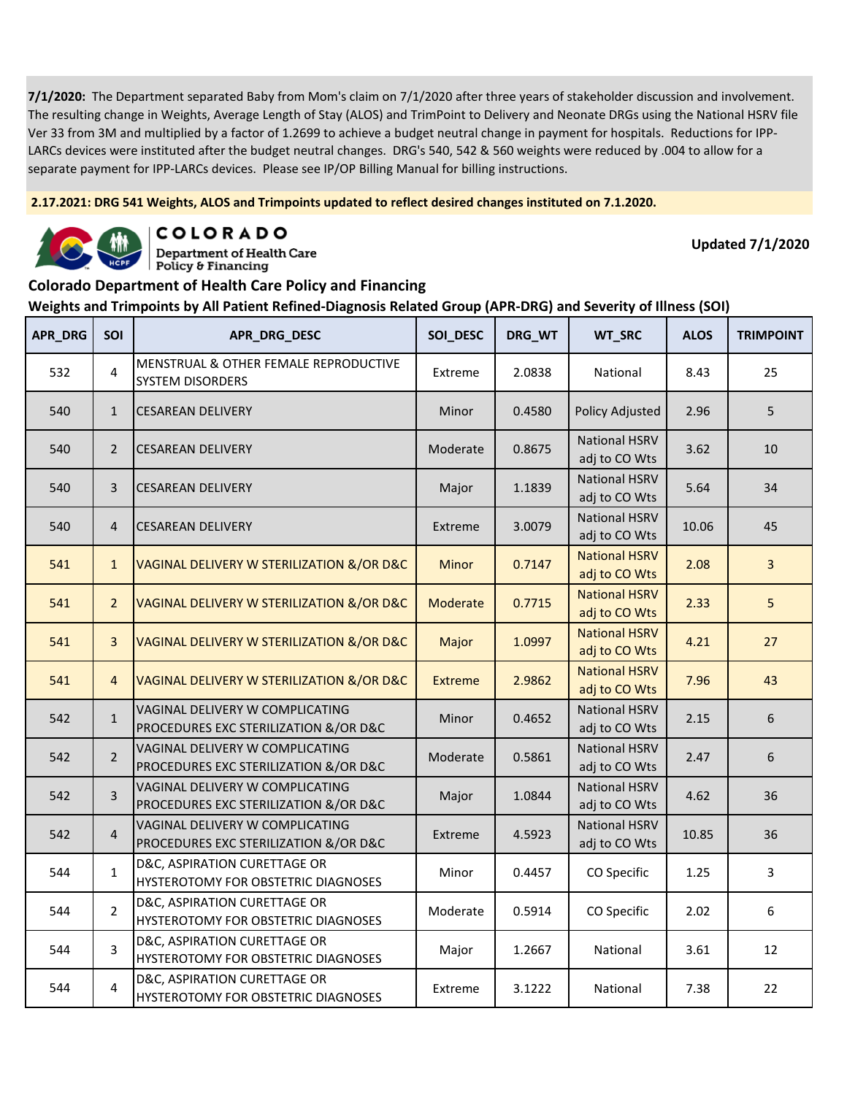**2.17.2021: DRG 541 Weights, ALOS and Trimpoints updated to reflect desired changes instituted on 7.1.2020.**



COLORADO

**Department of Health Care** Policy & Financing

**Updated 7/1/2020**

#### **Colorado Department of Health Care Policy and Financing**

| <b>APR_DRG</b> | SOI            | APR_DRG_DESC                                                               | SOI_DESC       | DRG_WT | WT_SRC                                | <b>ALOS</b> | <b>TRIMPOINT</b> |
|----------------|----------------|----------------------------------------------------------------------------|----------------|--------|---------------------------------------|-------------|------------------|
| 532            | $\overline{4}$ | MENSTRUAL & OTHER FEMALE REPRODUCTIVE<br><b>SYSTEM DISORDERS</b>           | Extreme        | 2.0838 | National                              | 8.43        | 25               |
| 540            | $\mathbf{1}$   | <b>CESAREAN DELIVERY</b>                                                   | Minor          | 0.4580 | <b>Policy Adjusted</b>                | 2.96        | 5                |
| 540            | $\overline{2}$ | <b>CESAREAN DELIVERY</b>                                                   | Moderate       | 0.8675 | <b>National HSRV</b><br>adj to CO Wts | 3.62        | 10               |
| 540            | $\overline{3}$ | <b>CESAREAN DELIVERY</b>                                                   | Major          | 1.1839 | <b>National HSRV</b><br>adj to CO Wts | 5.64        | 34               |
| 540            | $\overline{4}$ | <b>CESAREAN DELIVERY</b>                                                   | Extreme        | 3.0079 | <b>National HSRV</b><br>adj to CO Wts | 10.06       | 45               |
| 541            | $\mathbf{1}$   | VAGINAL DELIVERY W STERILIZATION &/OR D&C                                  | <b>Minor</b>   | 0.7147 | <b>National HSRV</b><br>adj to CO Wts | 2.08        | $\overline{3}$   |
| 541            | $\overline{2}$ | VAGINAL DELIVERY W STERILIZATION &/OR D&C                                  | Moderate       | 0.7715 | <b>National HSRV</b><br>adj to CO Wts | 2.33        | 5                |
| 541            | $\overline{3}$ | VAGINAL DELIVERY W STERILIZATION &/OR D&C                                  | Major          | 1.0997 | <b>National HSRV</b><br>adj to CO Wts | 4.21        | 27               |
| 541            | $\overline{4}$ | VAGINAL DELIVERY W STERILIZATION &/OR D&C                                  | <b>Extreme</b> | 2.9862 | <b>National HSRV</b><br>adj to CO Wts | 7.96        | 43               |
| 542            | $\mathbf{1}$   | VAGINAL DELIVERY W COMPLICATING<br>PROCEDURES EXC STERILIZATION &/OR D&C   | Minor          | 0.4652 | <b>National HSRV</b><br>adj to CO Wts | 2.15        | 6                |
| 542            | $\overline{2}$ | VAGINAL DELIVERY W COMPLICATING<br>PROCEDURES EXC STERILIZATION &/OR D&C   | Moderate       | 0.5861 | <b>National HSRV</b><br>adj to CO Wts | 2.47        | 6                |
| 542            | 3              | VAGINAL DELIVERY W COMPLICATING<br>PROCEDURES EXC STERILIZATION &/OR D&C   | Major          | 1.0844 | <b>National HSRV</b><br>adj to CO Wts | 4.62        | 36               |
| 542            | $\overline{4}$ | VAGINAL DELIVERY W COMPLICATING<br>PROCEDURES EXC STERILIZATION &/OR D&C   | Extreme        | 4.5923 | <b>National HSRV</b><br>adj to CO Wts | 10.85       | 36               |
| 544            | $\mathbf{1}$   | D&C, ASPIRATION CURETTAGE OR<br><b>HYSTEROTOMY FOR OBSTETRIC DIAGNOSES</b> | Minor          | 0.4457 | CO Specific                           | 1.25        | 3                |
| 544            | $\overline{2}$ | D&C, ASPIRATION CURETTAGE OR<br>HYSTEROTOMY FOR OBSTETRIC DIAGNOSES        | Moderate       | 0.5914 | CO Specific                           | 2.02        | 6                |
| 544            | 3              | D&C, ASPIRATION CURETTAGE OR<br><b>HYSTEROTOMY FOR OBSTETRIC DIAGNOSES</b> | Major          | 1.2667 | National                              | 3.61        | 12               |
| 544            | $\overline{4}$ | D&C, ASPIRATION CURETTAGE OR<br>HYSTEROTOMY FOR OBSTETRIC DIAGNOSES        | Extreme        | 3.1222 | National                              | 7.38        | 22               |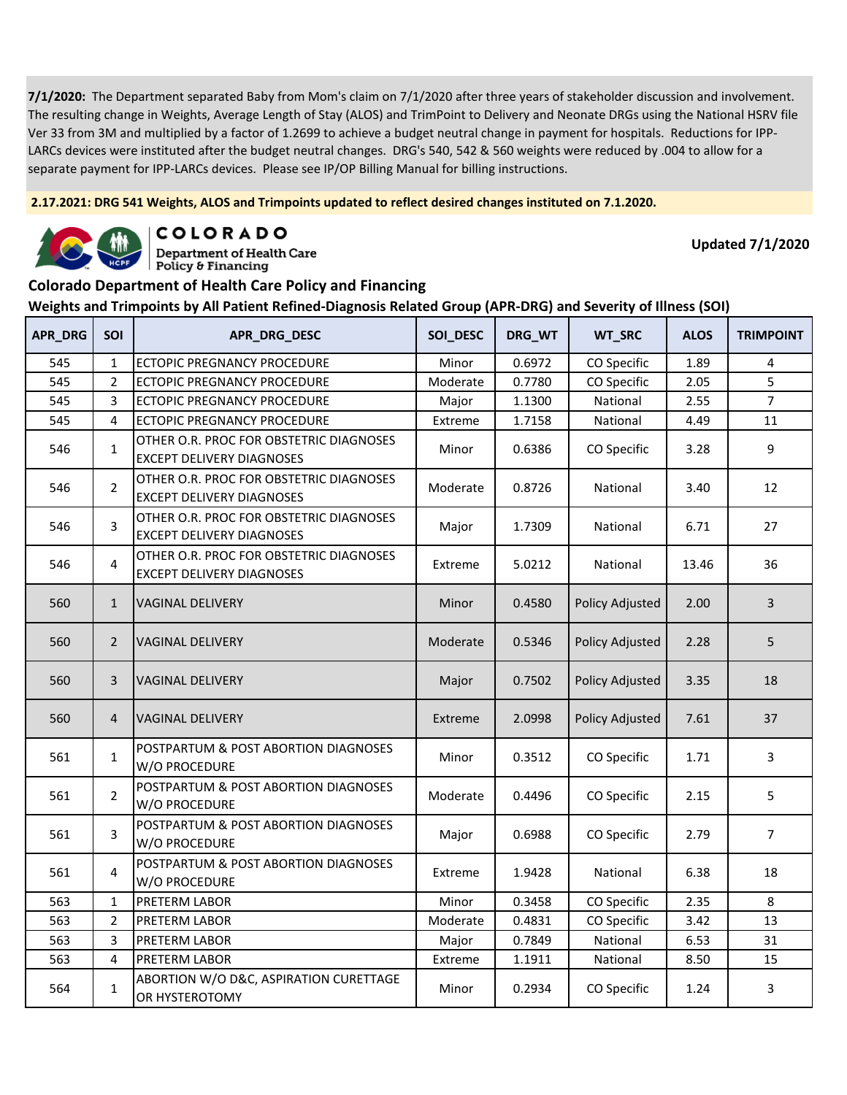**2.17.2021: DRG 541 Weights, ALOS and Trimpoints updated to reflect desired changes instituted on 7.1.2020.**



COLORADO

**Department of Health Care** Policy & Financing

**Updated 7/1/2020**

### **Colorado Department of Health Care Policy and Financing**

| APR_DRG | SOI            | APR_DRG_DESC                                                                | SOI_DESC     | DRG_WT | WT_SRC                 | <b>ALOS</b> | <b>TRIMPOINT</b> |
|---------|----------------|-----------------------------------------------------------------------------|--------------|--------|------------------------|-------------|------------------|
| 545     | $\mathbf{1}$   | ECTOPIC PREGNANCY PROCEDURE                                                 | Minor        | 0.6972 | CO Specific            | 1.89        | 4                |
| 545     | $\overline{2}$ | ECTOPIC PREGNANCY PROCEDURE                                                 | Moderate     | 0.7780 | CO Specific            | 2.05        | 5                |
| 545     | 3              | ECTOPIC PREGNANCY PROCEDURE                                                 | Major        | 1.1300 | National               | 2.55        | $\overline{7}$   |
| 545     | $\overline{4}$ | <b>ECTOPIC PREGNANCY PROCEDURE</b>                                          | Extreme      | 1.7158 | National               | 4.49        | 11               |
| 546     | $\mathbf{1}$   | OTHER O.R. PROC FOR OBSTETRIC DIAGNOSES<br><b>EXCEPT DELIVERY DIAGNOSES</b> | Minor        | 0.6386 | CO Specific            | 3.28        | 9                |
| 546     | $\overline{2}$ | OTHER O.R. PROC FOR OBSTETRIC DIAGNOSES<br><b>EXCEPT DELIVERY DIAGNOSES</b> | Moderate     | 0.8726 | National               | 3.40        | 12               |
| 546     | 3              | OTHER O.R. PROC FOR OBSTETRIC DIAGNOSES<br><b>EXCEPT DELIVERY DIAGNOSES</b> | Major        | 1.7309 | National               | 6.71        | 27               |
| 546     | 4              | OTHER O.R. PROC FOR OBSTETRIC DIAGNOSES<br><b>EXCEPT DELIVERY DIAGNOSES</b> | Extreme      | 5.0212 | National               | 13.46       | 36               |
| 560     | $\mathbf{1}$   | <b>VAGINAL DELIVERY</b>                                                     | <b>Minor</b> | 0.4580 | Policy Adjusted        | 2.00        | 3                |
| 560     | $\overline{2}$ | <b>VAGINAL DELIVERY</b>                                                     | Moderate     | 0.5346 | Policy Adjusted        | 2.28        | 5                |
| 560     | 3              | <b>VAGINAL DELIVERY</b>                                                     | Major        | 0.7502 | Policy Adjusted        | 3.35        | 18               |
| 560     | $\overline{4}$ | <b>VAGINAL DELIVERY</b>                                                     | Extreme      | 2.0998 | <b>Policy Adjusted</b> | 7.61        | 37               |
| 561     | $\mathbf{1}$   | POSTPARTUM & POST ABORTION DIAGNOSES<br>W/O PROCEDURE                       | Minor        | 0.3512 | CO Specific            | 1.71        | 3                |
| 561     | $\overline{2}$ | POSTPARTUM & POST ABORTION DIAGNOSES<br>W/O PROCEDURE                       | Moderate     | 0.4496 | CO Specific            | 2.15        | 5                |
| 561     | 3              | POSTPARTUM & POST ABORTION DIAGNOSES<br>W/O PROCEDURE                       | Major        | 0.6988 | CO Specific            | 2.79        | $\overline{7}$   |
| 561     | 4              | POSTPARTUM & POST ABORTION DIAGNOSES<br>W/O PROCEDURE                       | Extreme      | 1.9428 | National               | 6.38        | 18               |
| 563     | $\mathbf{1}$   | PRETERM LABOR                                                               | Minor        | 0.3458 | CO Specific            | 2.35        | 8                |
| 563     | $\overline{2}$ | PRETERM LABOR                                                               | Moderate     | 0.4831 | CO Specific            | 3.42        | 13               |
| 563     | 3              | PRETERM LABOR                                                               | Major        | 0.7849 | National               | 6.53        | 31               |
| 563     | 4              | PRETERM LABOR                                                               | Extreme      | 1.1911 | National               | 8.50        | 15               |
| 564     | $\mathbf{1}$   | ABORTION W/O D&C, ASPIRATION CURETTAGE<br>OR HYSTEROTOMY                    | Minor        | 0.2934 | CO Specific            | 1.24        | 3                |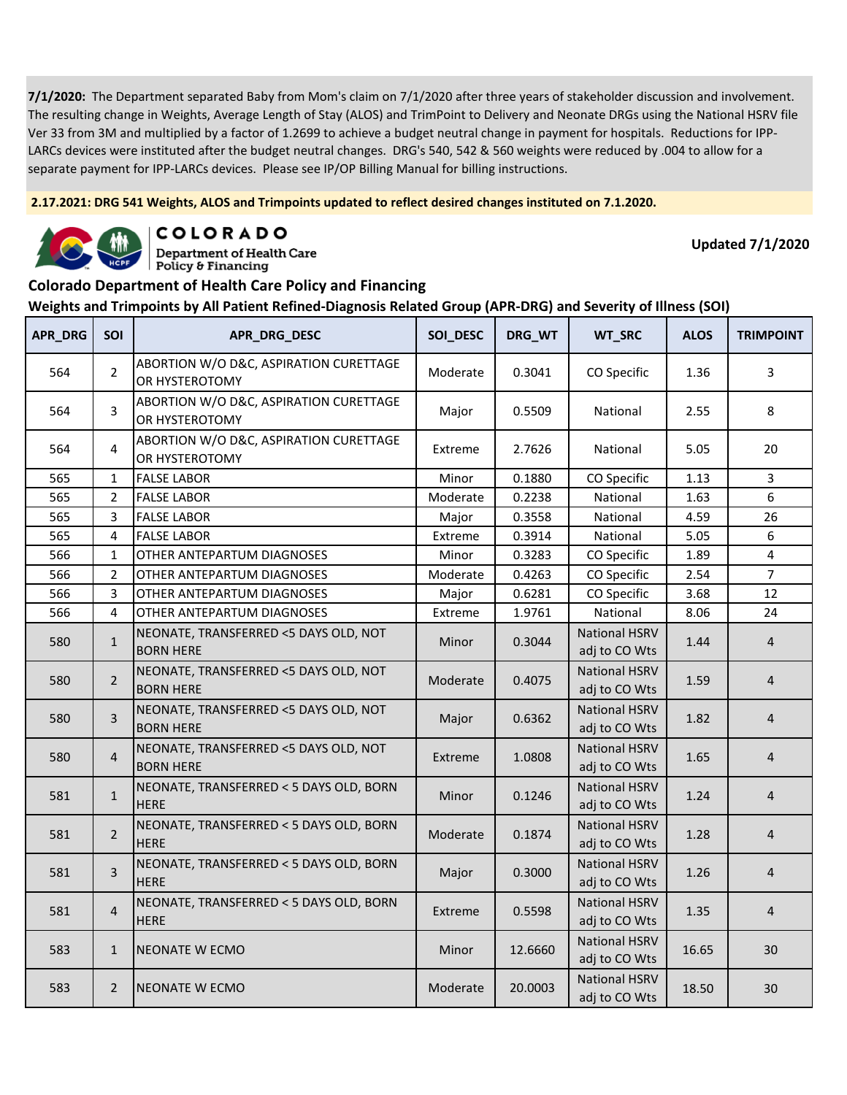**2.17.2021: DRG 541 Weights, ALOS and Trimpoints updated to reflect desired changes instituted on 7.1.2020.**



COLORADO

**Department of Health Care** Policy & Financing

**Updated 7/1/2020**

#### **Colorado Department of Health Care Policy and Financing**

| <b>APR_DRG</b> | SOI            | APR_DRG_DESC                                              | SOI_DESC | DRG_WT  | WT_SRC                                | <b>ALOS</b> | <b>TRIMPOINT</b> |
|----------------|----------------|-----------------------------------------------------------|----------|---------|---------------------------------------|-------------|------------------|
| 564            | $\overline{2}$ | ABORTION W/O D&C, ASPIRATION CURETTAGE<br>OR HYSTEROTOMY  | Moderate | 0.3041  | CO Specific                           | 1.36        | 3                |
| 564            | 3              | ABORTION W/O D&C, ASPIRATION CURETTAGE<br>OR HYSTEROTOMY  | Major    | 0.5509  | National                              | 2.55        | 8                |
| 564            | 4              | ABORTION W/O D&C, ASPIRATION CURETTAGE<br>OR HYSTEROTOMY  | Extreme  | 2.7626  | National                              | 5.05        | 20               |
| 565            | $\mathbf{1}$   | <b>FALSE LABOR</b>                                        | Minor    | 0.1880  | CO Specific                           | 1.13        | 3                |
| 565            | 2              | <b>FALSE LABOR</b>                                        | Moderate | 0.2238  | National                              | 1.63        | 6                |
| 565            | 3              | <b>FALSE LABOR</b>                                        | Major    | 0.3558  | National                              | 4.59        | 26               |
| 565            | 4              | <b>FALSE LABOR</b>                                        | Extreme  | 0.3914  | National                              | 5.05        | 6                |
| 566            | $\mathbf{1}$   | OTHER ANTEPARTUM DIAGNOSES                                | Minor    | 0.3283  | CO Specific                           | 1.89        | $\overline{4}$   |
| 566            | $\overline{2}$ | OTHER ANTEPARTUM DIAGNOSES                                | Moderate | 0.4263  | CO Specific                           | 2.54        | $\overline{7}$   |
| 566            | 3              | OTHER ANTEPARTUM DIAGNOSES                                | Major    | 0.6281  | CO Specific                           | 3.68        | 12               |
| 566            | 4              | OTHER ANTEPARTUM DIAGNOSES                                | Extreme  | 1.9761  | National                              | 8.06        | 24               |
| 580            | $\mathbf{1}$   | NEONATE, TRANSFERRED <5 DAYS OLD, NOT<br><b>BORN HERE</b> | Minor    | 0.3044  | <b>National HSRV</b><br>adj to CO Wts | 1.44        | $\overline{4}$   |
| 580            | $\overline{2}$ | NEONATE, TRANSFERRED <5 DAYS OLD, NOT<br><b>BORN HERE</b> | Moderate | 0.4075  | <b>National HSRV</b><br>adj to CO Wts | 1.59        | $\overline{4}$   |
| 580            | 3              | NEONATE, TRANSFERRED <5 DAYS OLD, NOT<br><b>BORN HERE</b> | Major    | 0.6362  | <b>National HSRV</b><br>adj to CO Wts | 1.82        | 4                |
| 580            | $\overline{4}$ | NEONATE, TRANSFERRED <5 DAYS OLD, NOT<br><b>BORN HERE</b> | Extreme  | 1.0808  | <b>National HSRV</b><br>adj to CO Wts | 1.65        | 4                |
| 581            | $\mathbf{1}$   | NEONATE, TRANSFERRED < 5 DAYS OLD, BORN<br><b>HERE</b>    | Minor    | 0.1246  | <b>National HSRV</b><br>adj to CO Wts | 1.24        | 4                |
| 581            | $\overline{2}$ | NEONATE, TRANSFERRED < 5 DAYS OLD, BORN<br><b>HERE</b>    | Moderate | 0.1874  | <b>National HSRV</b><br>adj to CO Wts | 1.28        | $\overline{4}$   |
| 581            | 3              | NEONATE, TRANSFERRED < 5 DAYS OLD, BORN<br><b>HERE</b>    | Major    | 0.3000  | <b>National HSRV</b><br>adj to CO Wts | 1.26        | $\overline{4}$   |
| 581            | $\overline{4}$ | NEONATE, TRANSFERRED < 5 DAYS OLD, BORN<br><b>HERE</b>    | Extreme  | 0.5598  | <b>National HSRV</b><br>adj to CO Wts | 1.35        | $\overline{4}$   |
| 583            | $\mathbf{1}$   | NEONATE W ECMO                                            | Minor    | 12.6660 | <b>National HSRV</b><br>adj to CO Wts | 16.65       | 30               |
| 583            | $\overline{2}$ | NEONATE W ECMO                                            | Moderate | 20.0003 | <b>National HSRV</b><br>adj to CO Wts | 18.50       | 30               |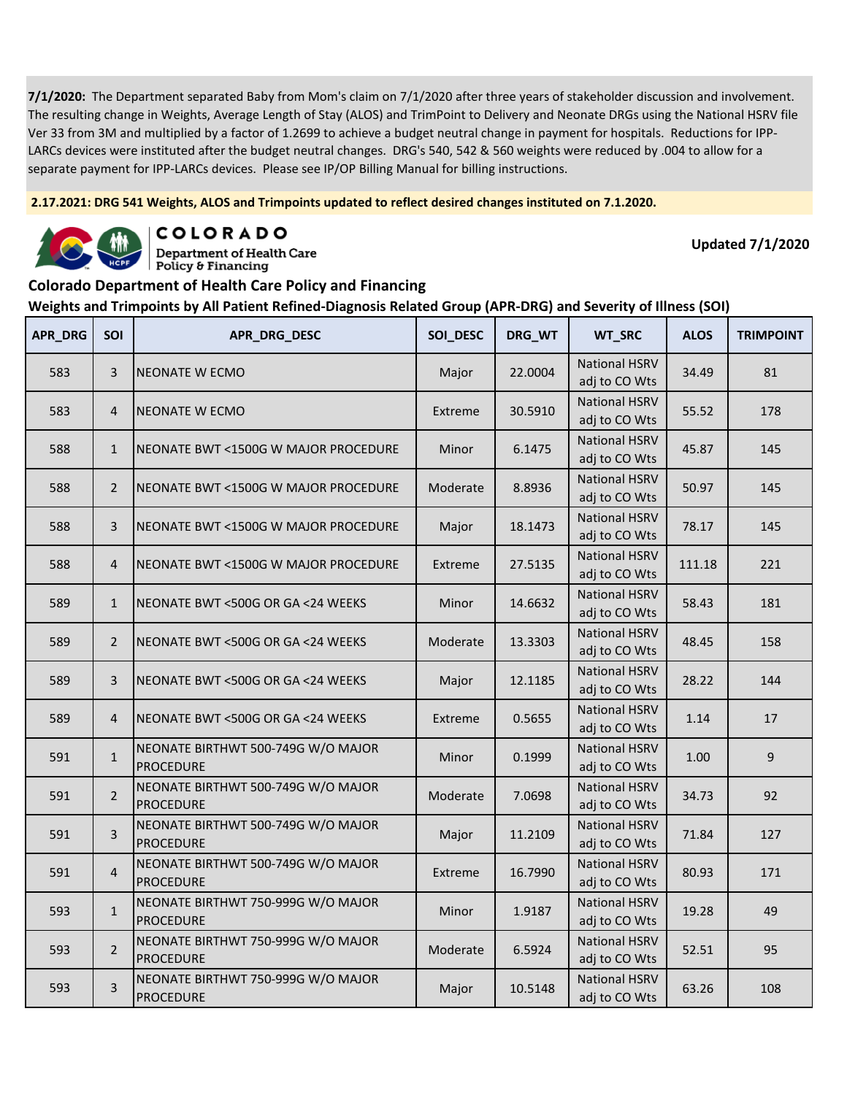**2.17.2021: DRG 541 Weights, ALOS and Trimpoints updated to reflect desired changes instituted on 7.1.2020.**



COLORADO **Department of Health Care** 

Policy & Financing

**Updated 7/1/2020**

### **Colorado Department of Health Care Policy and Financing**

| <b>APR_DRG</b> | SOI            | APR_DRG_DESC                                           | SOI_DESC | DRG_WT  | WT_SRC                                | <b>ALOS</b> | <b>TRIMPOINT</b> |
|----------------|----------------|--------------------------------------------------------|----------|---------|---------------------------------------|-------------|------------------|
| 583            | 3              | NEONATE W ECMO                                         | Major    | 22.0004 | <b>National HSRV</b><br>adj to CO Wts | 34.49       | 81               |
| 583            | 4              | NEONATE W ECMO                                         | Extreme  | 30.5910 | <b>National HSRV</b><br>adj to CO Wts | 55.52       | 178              |
| 588            | $\mathbf{1}$   | NEONATE BWT <1500G W MAJOR PROCEDURE                   | Minor    | 6.1475  | <b>National HSRV</b><br>adj to CO Wts | 45.87       | 145              |
| 588            | $\overline{2}$ | NEONATE BWT <1500G W MAJOR PROCEDURE                   | Moderate | 8.8936  | <b>National HSRV</b><br>adj to CO Wts | 50.97       | 145              |
| 588            | $\overline{3}$ | NEONATE BWT <1500G W MAJOR PROCEDURE                   | Major    | 18.1473 | <b>National HSRV</b><br>adj to CO Wts | 78.17       | 145              |
| 588            | $\overline{4}$ | NEONATE BWT <1500G W MAJOR PROCEDURE                   | Extreme  | 27.5135 | <b>National HSRV</b><br>adj to CO Wts | 111.18      | 221              |
| 589            | $\mathbf{1}$   | NEONATE BWT <500G OR GA <24 WEEKS                      | Minor    | 14.6632 | <b>National HSRV</b><br>adj to CO Wts | 58.43       | 181              |
| 589            | $\overline{2}$ | NEONATE BWT <500G OR GA <24 WEEKS                      | Moderate | 13.3303 | <b>National HSRV</b><br>adj to CO Wts | 48.45       | 158              |
| 589            | 3              | NEONATE BWT <500G OR GA <24 WEEKS                      | Major    | 12.1185 | <b>National HSRV</b><br>adj to CO Wts | 28.22       | 144              |
| 589            | $\overline{4}$ | NEONATE BWT <500G OR GA <24 WEEKS                      | Extreme  | 0.5655  | <b>National HSRV</b><br>adj to CO Wts | 1.14        | 17               |
| 591            | $\mathbf{1}$   | NEONATE BIRTHWT 500-749G W/O MAJOR<br><b>PROCEDURE</b> | Minor    | 0.1999  | <b>National HSRV</b><br>adj to CO Wts | 1.00        | 9                |
| 591            | $\overline{2}$ | NEONATE BIRTHWT 500-749G W/O MAJOR<br><b>PROCEDURE</b> | Moderate | 7.0698  | <b>National HSRV</b><br>adj to CO Wts | 34.73       | 92               |
| 591            | 3              | NEONATE BIRTHWT 500-749G W/O MAJOR<br><b>PROCEDURE</b> | Major    | 11.2109 | <b>National HSRV</b><br>adj to CO Wts | 71.84       | 127              |
| 591            | $\overline{4}$ | NEONATE BIRTHWT 500-749G W/O MAJOR<br><b>PROCEDURE</b> | Extreme  | 16.7990 | <b>National HSRV</b><br>adj to CO Wts | 80.93       | 171              |
| 593            | $\mathbf{1}$   | NEONATE BIRTHWT 750-999G W/O MAJOR<br><b>PROCEDURE</b> | Minor    | 1.9187  | <b>National HSRV</b><br>adj to CO Wts | 19.28       | 49               |
| 593            | $\overline{2}$ | NEONATE BIRTHWT 750-999G W/O MAJOR<br><b>PROCEDURE</b> | Moderate | 6.5924  | <b>National HSRV</b><br>adj to CO Wts | 52.51       | 95               |
| 593            | $\overline{3}$ | NEONATE BIRTHWT 750-999G W/O MAJOR<br><b>PROCEDURE</b> | Major    | 10.5148 | <b>National HSRV</b><br>adj to CO Wts | 63.26       | 108              |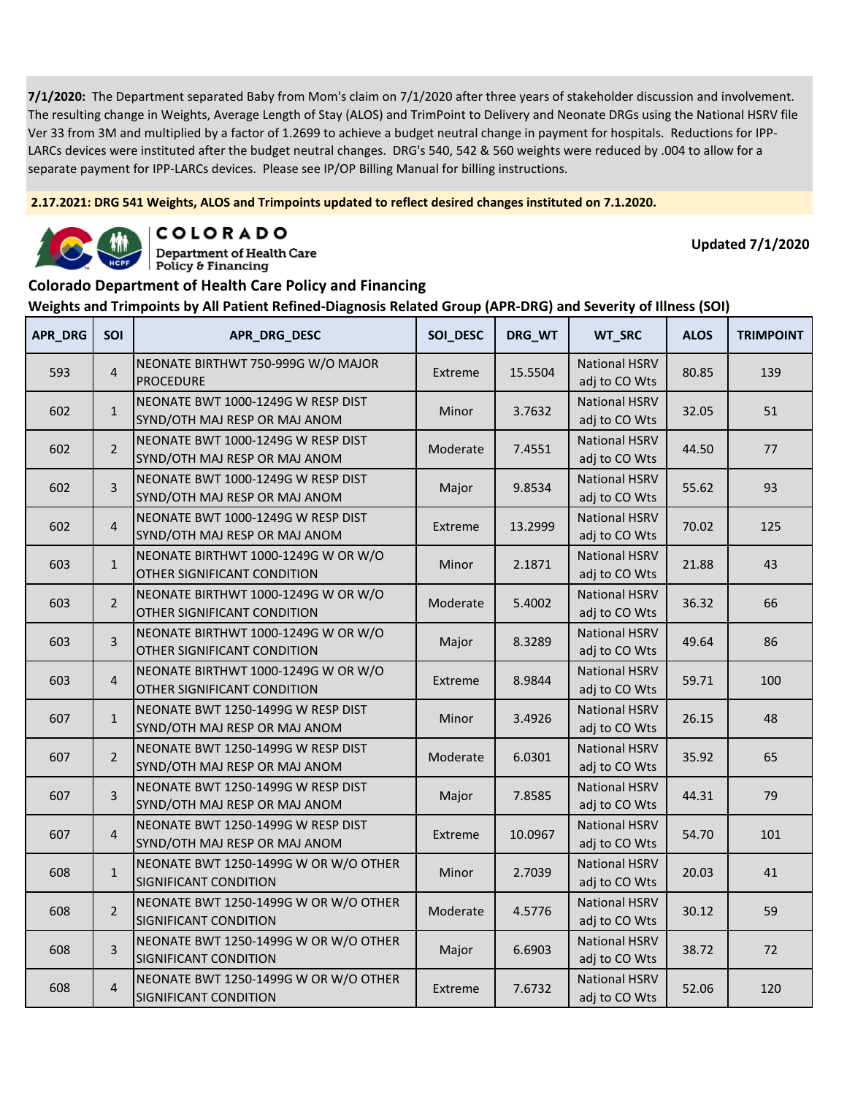**2.17.2021: DRG 541 Weights, ALOS and Trimpoints updated to reflect desired changes instituted on 7.1.2020.**



COLORADO **Department of Health Care** 

**Updated 7/1/2020**

#### **Colorado Department of Health Care Policy and Financing**

Policy & Financing

| APR DRG | SOI            | APR_DRG_DESC                                                        | SOI DESC | DRG_WT  | WT_SRC                                | <b>ALOS</b> | <b>TRIMPOINT</b> |
|---------|----------------|---------------------------------------------------------------------|----------|---------|---------------------------------------|-------------|------------------|
| 593     | $\overline{4}$ | NEONATE BIRTHWT 750-999G W/O MAJOR<br><b>PROCEDURE</b>              | Extreme  | 15.5504 | <b>National HSRV</b><br>adj to CO Wts | 80.85       | 139              |
| 602     | $\mathbf{1}$   | NEONATE BWT 1000-1249G W RESP DIST<br>SYND/OTH MAJ RESP OR MAJ ANOM | Minor    | 3.7632  | <b>National HSRV</b><br>adj to CO Wts | 32.05       | 51               |
| 602     | $\overline{2}$ | NEONATE BWT 1000-1249G W RESP DIST<br>SYND/OTH MAJ RESP OR MAJ ANOM | Moderate | 7.4551  | <b>National HSRV</b><br>adj to CO Wts | 44.50       | 77               |
| 602     | 3              | NEONATE BWT 1000-1249G W RESP DIST<br>SYND/OTH MAJ RESP OR MAJ ANOM | Major    | 9.8534  | <b>National HSRV</b><br>adj to CO Wts | 55.62       | 93               |
| 602     | $\overline{4}$ | NEONATE BWT 1000-1249G W RESP DIST<br>SYND/OTH MAJ RESP OR MAJ ANOM | Extreme  | 13.2999 | <b>National HSRV</b><br>adj to CO Wts | 70.02       | 125              |
| 603     | $\mathbf{1}$   | NEONATE BIRTHWT 1000-1249G W OR W/O<br>OTHER SIGNIFICANT CONDITION  | Minor    | 2.1871  | <b>National HSRV</b><br>adj to CO Wts | 21.88       | 43               |
| 603     | $\overline{2}$ | NEONATE BIRTHWT 1000-1249G W OR W/O<br>OTHER SIGNIFICANT CONDITION  | Moderate | 5.4002  | <b>National HSRV</b><br>adj to CO Wts | 36.32       | 66               |
| 603     | 3              | NEONATE BIRTHWT 1000-1249G W OR W/O<br>OTHER SIGNIFICANT CONDITION  | Major    | 8.3289  | <b>National HSRV</b><br>adj to CO Wts | 49.64       | 86               |
| 603     | $\overline{4}$ | NEONATE BIRTHWT 1000-1249G W OR W/O<br>OTHER SIGNIFICANT CONDITION  | Extreme  | 8.9844  | <b>National HSRV</b><br>adj to CO Wts | 59.71       | 100              |
| 607     | $\mathbf{1}$   | NEONATE BWT 1250-1499G W RESP DIST<br>SYND/OTH MAJ RESP OR MAJ ANOM | Minor    | 3.4926  | <b>National HSRV</b><br>adj to CO Wts | 26.15       | 48               |
| 607     | $\overline{2}$ | NEONATE BWT 1250-1499G W RESP DIST<br>SYND/OTH MAJ RESP OR MAJ ANOM | Moderate | 6.0301  | <b>National HSRV</b><br>adj to CO Wts | 35.92       | 65               |
| 607     | 3              | NEONATE BWT 1250-1499G W RESP DIST<br>SYND/OTH MAJ RESP OR MAJ ANOM | Major    | 7.8585  | <b>National HSRV</b><br>adj to CO Wts | 44.31       | 79               |
| 607     | $\overline{4}$ | NEONATE BWT 1250-1499G W RESP DIST<br>SYND/OTH MAJ RESP OR MAJ ANOM | Extreme  | 10.0967 | <b>National HSRV</b><br>adj to CO Wts | 54.70       | 101              |
| 608     | $\mathbf{1}$   | NEONATE BWT 1250-1499G W OR W/O OTHER<br>SIGNIFICANT CONDITION      | Minor    | 2.7039  | <b>National HSRV</b><br>adj to CO Wts | 20.03       | 41               |
| 608     | $\overline{2}$ | NEONATE BWT 1250-1499G W OR W/O OTHER<br>SIGNIFICANT CONDITION      | Moderate | 4.5776  | <b>National HSRV</b><br>adj to CO Wts | 30.12       | 59               |
| 608     | 3              | NEONATE BWT 1250-1499G W OR W/O OTHER<br>SIGNIFICANT CONDITION      | Major    | 6.6903  | <b>National HSRV</b><br>adj to CO Wts | 38.72       | 72               |
| 608     | $\overline{4}$ | NEONATE BWT 1250-1499G W OR W/O OTHER<br>SIGNIFICANT CONDITION      | Extreme  | 7.6732  | <b>National HSRV</b><br>adj to CO Wts | 52.06       | 120              |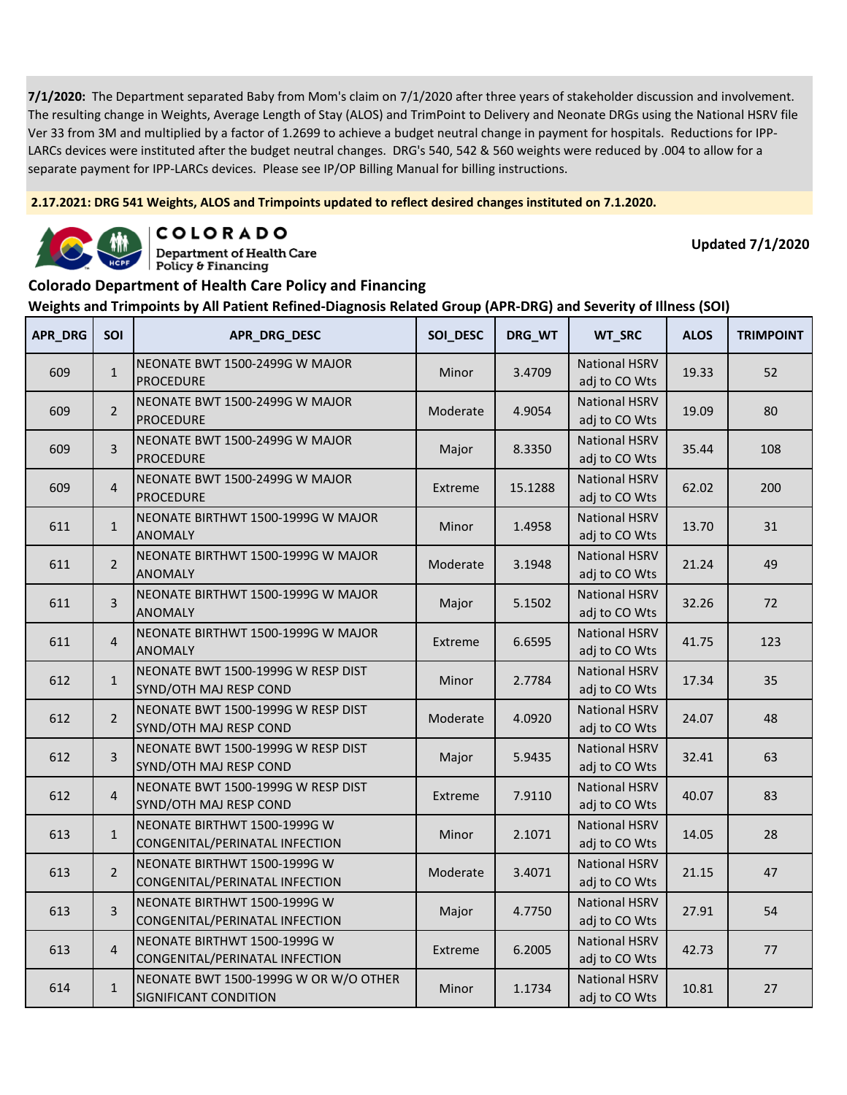**2.17.2021: DRG 541 Weights, ALOS and Trimpoints updated to reflect desired changes instituted on 7.1.2020.**



COLORADO **Department of Health Care** 

**Updated 7/1/2020**

#### **Colorado Department of Health Care Policy and Financing**

Policy & Financing

| APR_DRG | <b>SOI</b>     | APR_DRG_DESC                                                   | SOI_DESC | DRG_WT  | WT_SRC                                | <b>ALOS</b> | <b>TRIMPOINT</b> |
|---------|----------------|----------------------------------------------------------------|----------|---------|---------------------------------------|-------------|------------------|
| 609     | $\mathbf{1}$   | NEONATE BWT 1500-2499G W MAJOR<br><b>PROCEDURE</b>             | Minor    | 3.4709  | <b>National HSRV</b><br>adj to CO Wts | 19.33       | 52               |
| 609     | $\overline{2}$ | NEONATE BWT 1500-2499G W MAJOR<br><b>PROCEDURE</b>             | Moderate | 4.9054  | <b>National HSRV</b><br>adj to CO Wts | 19.09       | 80               |
| 609     | 3              | NEONATE BWT 1500-2499G W MAJOR<br><b>PROCEDURE</b>             | Major    | 8.3350  | <b>National HSRV</b><br>adj to CO Wts | 35.44       | 108              |
| 609     | $\overline{4}$ | NEONATE BWT 1500-2499G W MAJOR<br><b>PROCEDURE</b>             | Extreme  | 15.1288 | <b>National HSRV</b><br>adj to CO Wts | 62.02       | 200              |
| 611     | $\mathbf{1}$   | NEONATE BIRTHWT 1500-1999G W MAJOR<br><b>ANOMALY</b>           | Minor    | 1.4958  | <b>National HSRV</b><br>adj to CO Wts | 13.70       | 31               |
| 611     | $\overline{2}$ | NEONATE BIRTHWT 1500-1999G W MAJOR<br><b>ANOMALY</b>           | Moderate | 3.1948  | <b>National HSRV</b><br>adj to CO Wts | 21.24       | 49               |
| 611     | $\overline{3}$ | NEONATE BIRTHWT 1500-1999G W MAJOR<br><b>ANOMALY</b>           | Major    | 5.1502  | <b>National HSRV</b><br>adj to CO Wts | 32.26       | 72               |
| 611     | $\overline{4}$ | NEONATE BIRTHWT 1500-1999G W MAJOR<br><b>ANOMALY</b>           | Extreme  | 6.6595  | <b>National HSRV</b><br>adj to CO Wts | 41.75       | 123              |
| 612     | $\mathbf{1}$   | NEONATE BWT 1500-1999G W RESP DIST<br>SYND/OTH MAJ RESP COND   | Minor    | 2.7784  | <b>National HSRV</b><br>adj to CO Wts | 17.34       | 35               |
| 612     | $\overline{2}$ | NEONATE BWT 1500-1999G W RESP DIST<br>SYND/OTH MAJ RESP COND   | Moderate | 4.0920  | <b>National HSRV</b><br>adj to CO Wts | 24.07       | 48               |
| 612     | 3              | NEONATE BWT 1500-1999G W RESP DIST<br>SYND/OTH MAJ RESP COND   | Major    | 5.9435  | <b>National HSRV</b><br>adj to CO Wts | 32.41       | 63               |
| 612     | $\overline{4}$ | NEONATE BWT 1500-1999G W RESP DIST<br>SYND/OTH MAJ RESP COND   | Extreme  | 7.9110  | <b>National HSRV</b><br>adj to CO Wts | 40.07       | 83               |
| 613     | $\mathbf{1}$   | NEONATE BIRTHWT 1500-1999G W<br>CONGENITAL/PERINATAL INFECTION | Minor    | 2.1071  | <b>National HSRV</b><br>adj to CO Wts | 14.05       | 28               |
| 613     | $\overline{2}$ | NEONATE BIRTHWT 1500-1999G W<br>CONGENITAL/PERINATAL INFECTION | Moderate | 3.4071  | <b>National HSRV</b><br>adj to CO Wts | 21.15       | 47               |
| 613     | $\overline{3}$ | NEONATE BIRTHWT 1500-1999G W<br>CONGENITAL/PERINATAL INFECTION | Major    | 4.7750  | <b>National HSRV</b><br>adj to CO Wts | 27.91       | 54               |
| 613     | $\overline{4}$ | NEONATE BIRTHWT 1500-1999G W<br>CONGENITAL/PERINATAL INFECTION | Extreme  | 6.2005  | <b>National HSRV</b><br>adj to CO Wts | 42.73       | 77               |
| 614     | $\mathbf{1}$   | NEONATE BWT 1500-1999G W OR W/O OTHER<br>SIGNIFICANT CONDITION | Minor    | 1.1734  | <b>National HSRV</b><br>adj to CO Wts | 10.81       | 27               |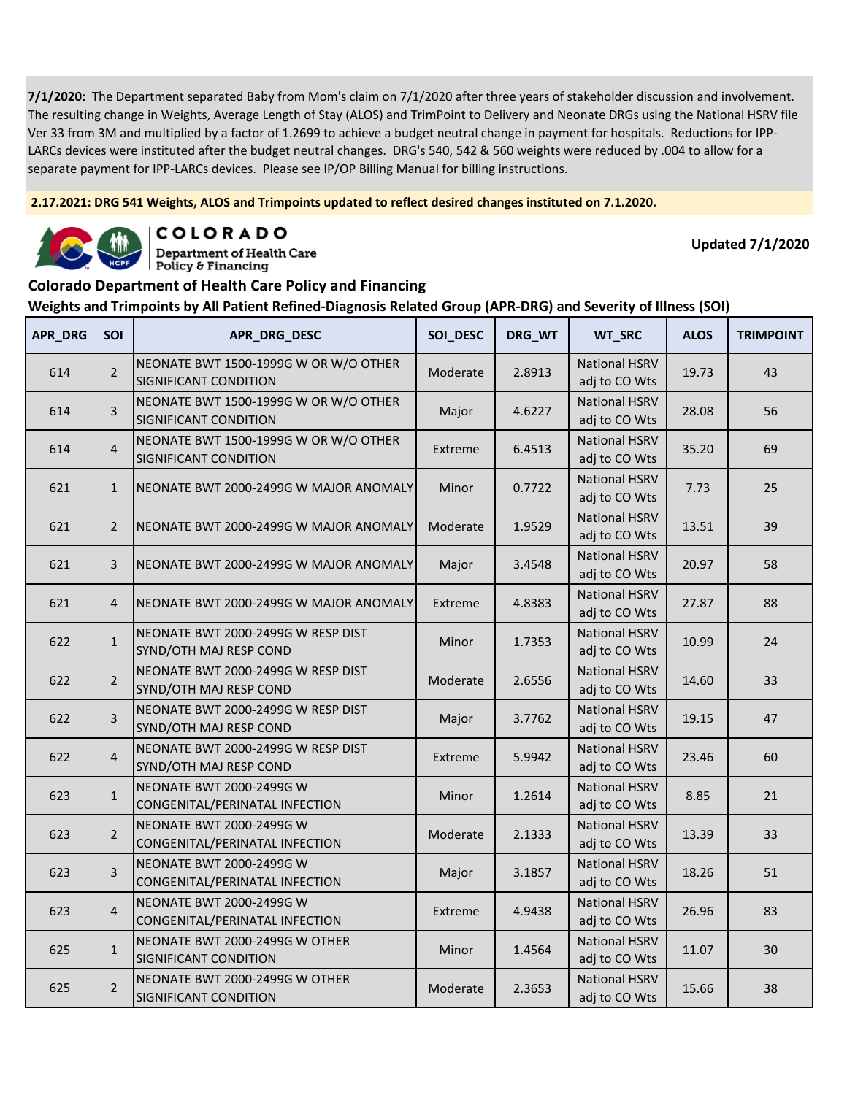**2.17.2021: DRG 541 Weights, ALOS and Trimpoints updated to reflect desired changes instituted on 7.1.2020.**



COLORADO **Department of Health Care** 

**Updated 7/1/2020**

#### **Colorado Department of Health Care Policy and Financing**

Policy & Financing

| APR_DRG | SOI            | APR_DRG_DESC                                                      | SOI_DESC | DRG_WT | WT_SRC                                | <b>ALOS</b> | <b>TRIMPOINT</b> |
|---------|----------------|-------------------------------------------------------------------|----------|--------|---------------------------------------|-------------|------------------|
| 614     | $\overline{2}$ | NEONATE BWT 1500-1999G W OR W/O OTHER<br>SIGNIFICANT CONDITION    | Moderate | 2.8913 | <b>National HSRV</b><br>adj to CO Wts | 19.73       | 43               |
| 614     | 3              | NEONATE BWT 1500-1999G W OR W/O OTHER<br>SIGNIFICANT CONDITION    | Major    | 4.6227 | <b>National HSRV</b><br>adj to CO Wts | 28.08       | 56               |
| 614     | $\overline{4}$ | NEONATE BWT 1500-1999G W OR W/O OTHER<br>SIGNIFICANT CONDITION    | Extreme  | 6.4513 | <b>National HSRV</b><br>adj to CO Wts | 35.20       | 69               |
| 621     | $\mathbf{1}$   | NEONATE BWT 2000-2499G W MAJOR ANOMALY                            | Minor    | 0.7722 | <b>National HSRV</b><br>adj to CO Wts | 7.73        | 25               |
| 621     | $\overline{2}$ | NEONATE BWT 2000-2499G W MAJOR ANOMALY                            | Moderate | 1.9529 | <b>National HSRV</b><br>adj to CO Wts | 13.51       | 39               |
| 621     | 3              | NEONATE BWT 2000-2499G W MAJOR ANOMALY                            | Major    | 3.4548 | <b>National HSRV</b><br>adj to CO Wts | 20.97       | 58               |
| 621     | $\overline{4}$ | NEONATE BWT 2000-2499G W MAJOR ANOMALY                            | Extreme  | 4.8383 | <b>National HSRV</b><br>adj to CO Wts | 27.87       | 88               |
| 622     | $\mathbf{1}$   | NEONATE BWT 2000-2499G W RESP DIST<br>SYND/OTH MAJ RESP COND      | Minor    | 1.7353 | <b>National HSRV</b><br>adj to CO Wts | 10.99       | 24               |
| 622     | $\overline{2}$ | NEONATE BWT 2000-2499G W RESP DIST<br>SYND/OTH MAJ RESP COND      | Moderate | 2.6556 | <b>National HSRV</b><br>adj to CO Wts | 14.60       | 33               |
| 622     | 3              | NEONATE BWT 2000-2499G W RESP DIST<br>SYND/OTH MAJ RESP COND      | Major    | 3.7762 | <b>National HSRV</b><br>adj to CO Wts | 19.15       | 47               |
| 622     | $\overline{4}$ | NEONATE BWT 2000-2499G W RESP DIST<br>SYND/OTH MAJ RESP COND      | Extreme  | 5.9942 | <b>National HSRV</b><br>adj to CO Wts | 23.46       | 60               |
| 623     | $\mathbf{1}$   | <b>NEONATE BWT 2000-2499G W</b><br>CONGENITAL/PERINATAL INFECTION | Minor    | 1.2614 | <b>National HSRV</b><br>adj to CO Wts | 8.85        | 21               |
| 623     | $\overline{2}$ | <b>NEONATE BWT 2000-2499G W</b><br>CONGENITAL/PERINATAL INFECTION | Moderate | 2.1333 | <b>National HSRV</b><br>adj to CO Wts | 13.39       | 33               |
| 623     | $\overline{3}$ | NEONATE BWT 2000-2499G W<br>CONGENITAL/PERINATAL INFECTION        | Major    | 3.1857 | <b>National HSRV</b><br>adj to CO Wts | 18.26       | 51               |
| 623     | $\overline{4}$ | <b>NEONATE BWT 2000-2499G W</b><br>CONGENITAL/PERINATAL INFECTION | Extreme  | 4.9438 | <b>National HSRV</b><br>adj to CO Wts | 26.96       | 83               |
| 625     | $\mathbf 1$    | NEONATE BWT 2000-2499G W OTHER<br>SIGNIFICANT CONDITION           | Minor    | 1.4564 | <b>National HSRV</b><br>adj to CO Wts | 11.07       | 30               |
| 625     | $\overline{2}$ | NEONATE BWT 2000-2499G W OTHER<br>SIGNIFICANT CONDITION           | Moderate | 2.3653 | <b>National HSRV</b><br>adj to CO Wts | 15.66       | 38               |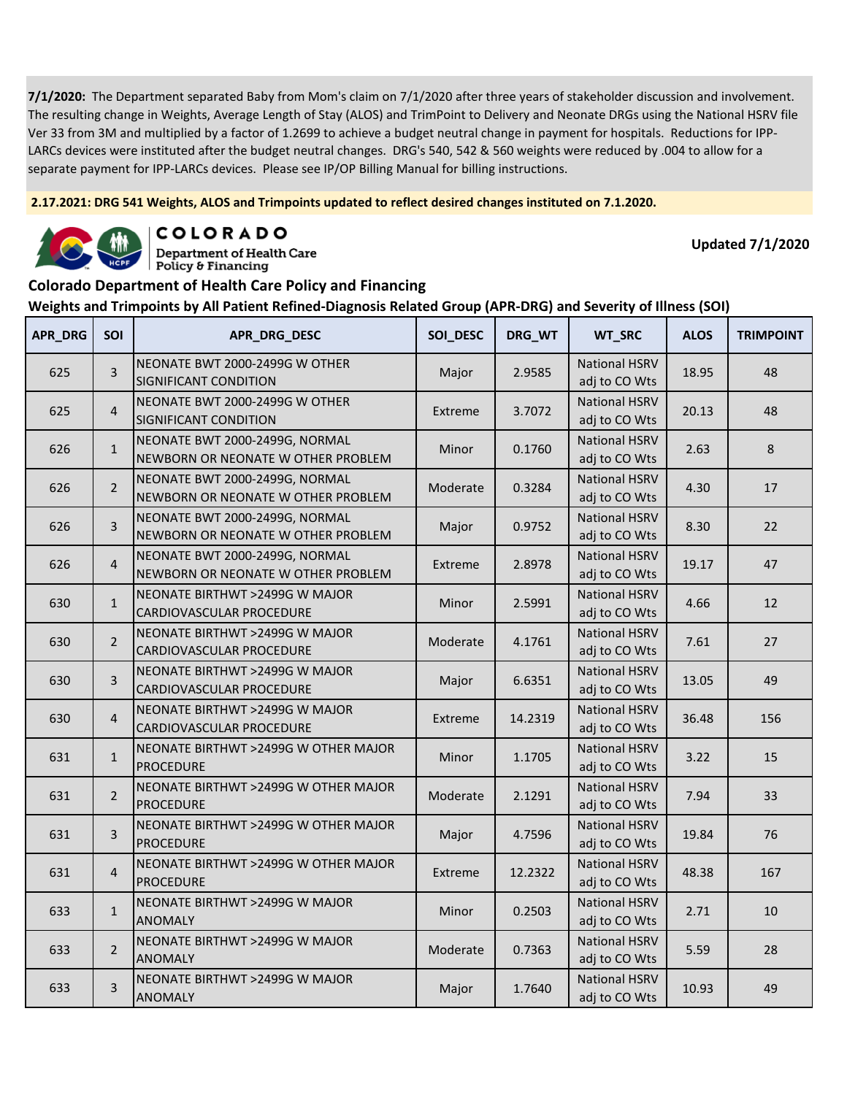**2.17.2021: DRG 541 Weights, ALOS and Trimpoints updated to reflect desired changes instituted on 7.1.2020.**



COLORADO **Department of Health Care** 

**Updated 7/1/2020**

### **Colorado Department of Health Care Policy and Financing**

Policy & Financing

| APR_DRG | SOI            | APR_DRG_DESC                                                         | SOI_DESC | DRG_WT  | WT_SRC                                | <b>ALOS</b> | <b>TRIMPOINT</b> |
|---------|----------------|----------------------------------------------------------------------|----------|---------|---------------------------------------|-------------|------------------|
| 625     | $\overline{3}$ | NEONATE BWT 2000-2499G W OTHER<br>SIGNIFICANT CONDITION              | Major    | 2.9585  | <b>National HSRV</b><br>adj to CO Wts | 18.95       | 48               |
| 625     | $\overline{4}$ | NEONATE BWT 2000-2499G W OTHER<br>SIGNIFICANT CONDITION              | Extreme  | 3.7072  | <b>National HSRV</b><br>adj to CO Wts | 20.13       | 48               |
| 626     | $\mathbf{1}$   | NEONATE BWT 2000-2499G, NORMAL<br>NEWBORN OR NEONATE W OTHER PROBLEM | Minor    | 0.1760  | <b>National HSRV</b><br>adj to CO Wts | 2.63        | 8                |
| 626     | $\overline{2}$ | NEONATE BWT 2000-2499G, NORMAL<br>NEWBORN OR NEONATE W OTHER PROBLEM | Moderate | 0.3284  | <b>National HSRV</b><br>adj to CO Wts | 4.30        | 17               |
| 626     | 3              | NEONATE BWT 2000-2499G, NORMAL<br>NEWBORN OR NEONATE W OTHER PROBLEM | Major    | 0.9752  | <b>National HSRV</b><br>adj to CO Wts | 8.30        | 22               |
| 626     | $\overline{4}$ | NEONATE BWT 2000-2499G, NORMAL<br>NEWBORN OR NEONATE W OTHER PROBLEM | Extreme  | 2.8978  | <b>National HSRV</b><br>adj to CO Wts | 19.17       | 47               |
| 630     | $\mathbf{1}$   | NEONATE BIRTHWT >2499G W MAJOR<br>CARDIOVASCULAR PROCEDURE           | Minor    | 2.5991  | <b>National HSRV</b><br>adj to CO Wts | 4.66        | 12               |
| 630     | $\overline{2}$ | NEONATE BIRTHWT >2499G W MAJOR<br>CARDIOVASCULAR PROCEDURE           | Moderate | 4.1761  | <b>National HSRV</b><br>adj to CO Wts | 7.61        | 27               |
| 630     | 3              | NEONATE BIRTHWT >2499G W MAJOR<br>CARDIOVASCULAR PROCEDURE           | Major    | 6.6351  | <b>National HSRV</b><br>adj to CO Wts | 13.05       | 49               |
| 630     | $\overline{4}$ | NEONATE BIRTHWT >2499G W MAJOR<br>CARDIOVASCULAR PROCEDURE           | Extreme  | 14.2319 | <b>National HSRV</b><br>adj to CO Wts | 36.48       | 156              |
| 631     | $\mathbf{1}$   | NEONATE BIRTHWT >2499G W OTHER MAJOR<br><b>PROCEDURE</b>             | Minor    | 1.1705  | <b>National HSRV</b><br>adj to CO Wts | 3.22        | 15               |
| 631     | $\overline{2}$ | NEONATE BIRTHWT >2499G W OTHER MAJOR<br><b>PROCEDURE</b>             | Moderate | 2.1291  | <b>National HSRV</b><br>adj to CO Wts | 7.94        | 33               |
| 631     | $\overline{3}$ | NEONATE BIRTHWT >2499G W OTHER MAJOR<br><b>PROCEDURE</b>             | Major    | 4.7596  | <b>National HSRV</b><br>adj to CO Wts | 19.84       | 76               |
| 631     | $\overline{4}$ | NEONATE BIRTHWT >2499G W OTHER MAJOR<br><b>PROCEDURE</b>             | Extreme  | 12.2322 | <b>National HSRV</b><br>adj to CO Wts | 48.38       | 167              |
| 633     | $\mathbf{1}$   | NEONATE BIRTHWT >2499G W MAJOR<br><b>ANOMALY</b>                     | Minor    | 0.2503  | <b>National HSRV</b><br>adj to CO Wts | 2.71        | 10               |
| 633     | $\overline{2}$ | NEONATE BIRTHWT >2499G W MAJOR<br><b>ANOMALY</b>                     | Moderate | 0.7363  | <b>National HSRV</b><br>adj to CO Wts | 5.59        | 28               |
| 633     | 3              | <b>NEONATE BIRTHWT &gt;2499G W MAJOR</b><br><b>ANOMALY</b>           | Major    | 1.7640  | <b>National HSRV</b><br>adj to CO Wts | 10.93       | 49               |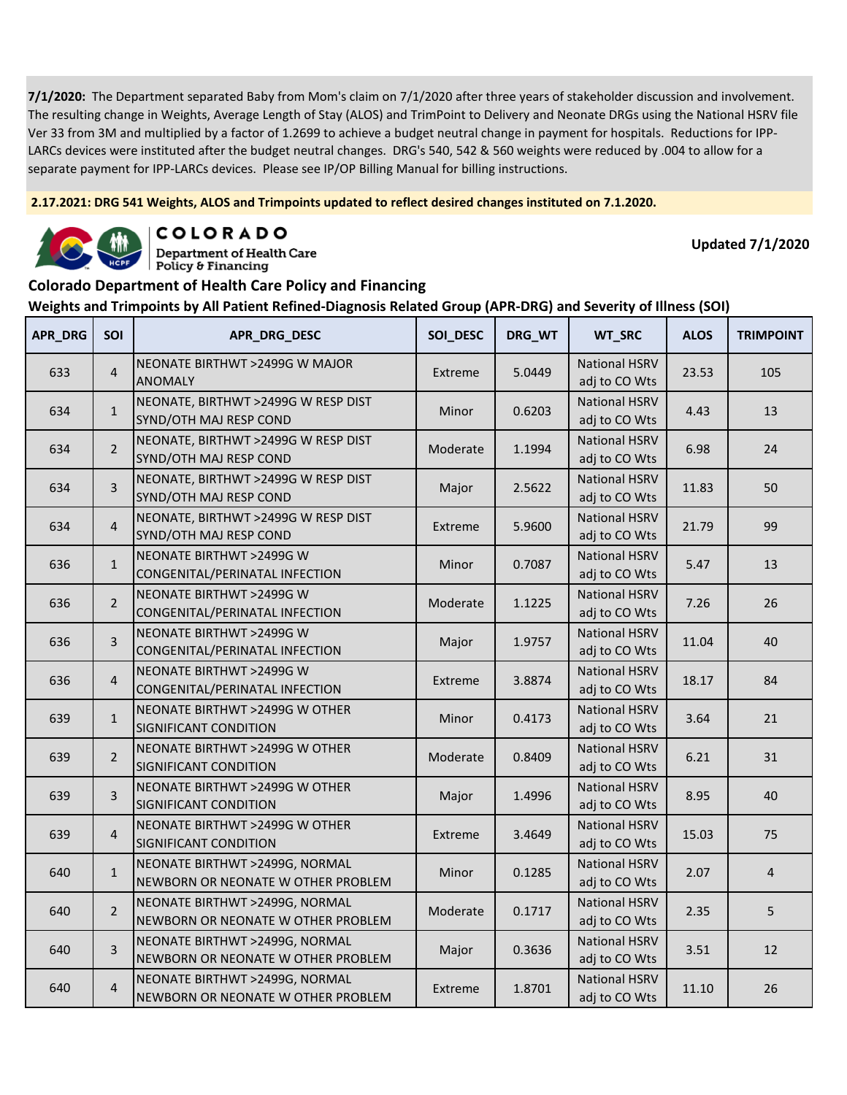**2.17.2021: DRG 541 Weights, ALOS and Trimpoints updated to reflect desired changes instituted on 7.1.2020.**



COLORADO **Department of Health Care** 

**Updated 7/1/2020**

#### **Colorado Department of Health Care Policy and Financing**

Policy & Financing

| <b>APR_DRG</b> | SOI            | APR_DRG_DESC                                                         | SOI_DESC | DRG_WT | WT_SRC                                | <b>ALOS</b> | <b>TRIMPOINT</b> |
|----------------|----------------|----------------------------------------------------------------------|----------|--------|---------------------------------------|-------------|------------------|
| 633            | $\overline{4}$ | NEONATE BIRTHWT >2499G W MAJOR<br><b>ANOMALY</b>                     | Extreme  | 5.0449 | <b>National HSRV</b><br>adj to CO Wts | 23.53       | 105              |
| 634            | $\mathbf{1}$   | NEONATE, BIRTHWT >2499G W RESP DIST<br>SYND/OTH MAJ RESP COND        | Minor    | 0.6203 | <b>National HSRV</b><br>adj to CO Wts | 4.43        | 13               |
| 634            | $\overline{2}$ | NEONATE, BIRTHWT >2499G W RESP DIST<br>SYND/OTH MAJ RESP COND        | Moderate | 1.1994 | <b>National HSRV</b><br>adj to CO Wts | 6.98        | 24               |
| 634            | 3              | NEONATE, BIRTHWT >2499G W RESP DIST<br>SYND/OTH MAJ RESP COND        | Major    | 2.5622 | <b>National HSRV</b><br>adj to CO Wts | 11.83       | 50               |
| 634            | $\overline{4}$ | NEONATE, BIRTHWT >2499G W RESP DIST<br>SYND/OTH MAJ RESP COND        | Extreme  | 5.9600 | <b>National HSRV</b><br>adj to CO Wts | 21.79       | 99               |
| 636            | $\mathbf{1}$   | NEONATE BIRTHWT >2499G W<br>CONGENITAL/PERINATAL INFECTION           | Minor    | 0.7087 | <b>National HSRV</b><br>adj to CO Wts | 5.47        | 13               |
| 636            | $\overline{2}$ | NEONATE BIRTHWT >2499G W<br>CONGENITAL/PERINATAL INFECTION           | Moderate | 1.1225 | <b>National HSRV</b><br>adj to CO Wts | 7.26        | 26               |
| 636            | 3              | NEONATE BIRTHWT >2499G W<br>CONGENITAL/PERINATAL INFECTION           | Major    | 1.9757 | <b>National HSRV</b><br>adj to CO Wts | 11.04       | 40               |
| 636            | $\overline{4}$ | NEONATE BIRTHWT >2499G W<br>CONGENITAL/PERINATAL INFECTION           | Extreme  | 3.8874 | <b>National HSRV</b><br>adj to CO Wts | 18.17       | 84               |
| 639            | $\mathbf{1}$   | NEONATE BIRTHWT >2499G W OTHER<br>SIGNIFICANT CONDITION              | Minor    | 0.4173 | <b>National HSRV</b><br>adj to CO Wts | 3.64        | 21               |
| 639            | $\overline{2}$ | NEONATE BIRTHWT >2499G W OTHER<br>SIGNIFICANT CONDITION              | Moderate | 0.8409 | <b>National HSRV</b><br>adj to CO Wts | 6.21        | 31               |
| 639            | 3              | NEONATE BIRTHWT >2499G W OTHER<br>SIGNIFICANT CONDITION              | Major    | 1.4996 | <b>National HSRV</b><br>adj to CO Wts | 8.95        | 40               |
| 639            | $\overline{4}$ | NEONATE BIRTHWT >2499G W OTHER<br>SIGNIFICANT CONDITION              | Extreme  | 3.4649 | <b>National HSRV</b><br>adj to CO Wts | 15.03       | 75               |
| 640            | $\mathbf{1}$   | NEONATE BIRTHWT >2499G, NORMAL<br>NEWBORN OR NEONATE W OTHER PROBLEM | Minor    | 0.1285 | <b>National HSRV</b><br>adj to CO Wts | 2.07        | $\overline{4}$   |
| 640            | $\overline{2}$ | NEONATE BIRTHWT >2499G, NORMAL<br>NEWBORN OR NEONATE W OTHER PROBLEM | Moderate | 0.1717 | <b>National HSRV</b><br>adj to CO Wts | 2.35        | 5                |
| 640            | 3              | NEONATE BIRTHWT >2499G, NORMAL<br>NEWBORN OR NEONATE W OTHER PROBLEM | Major    | 0.3636 | <b>National HSRV</b><br>adj to CO Wts | 3.51        | 12               |
| 640            | $\overline{4}$ | NEONATE BIRTHWT >2499G, NORMAL<br>NEWBORN OR NEONATE W OTHER PROBLEM | Extreme  | 1.8701 | <b>National HSRV</b><br>adj to CO Wts | 11.10       | 26               |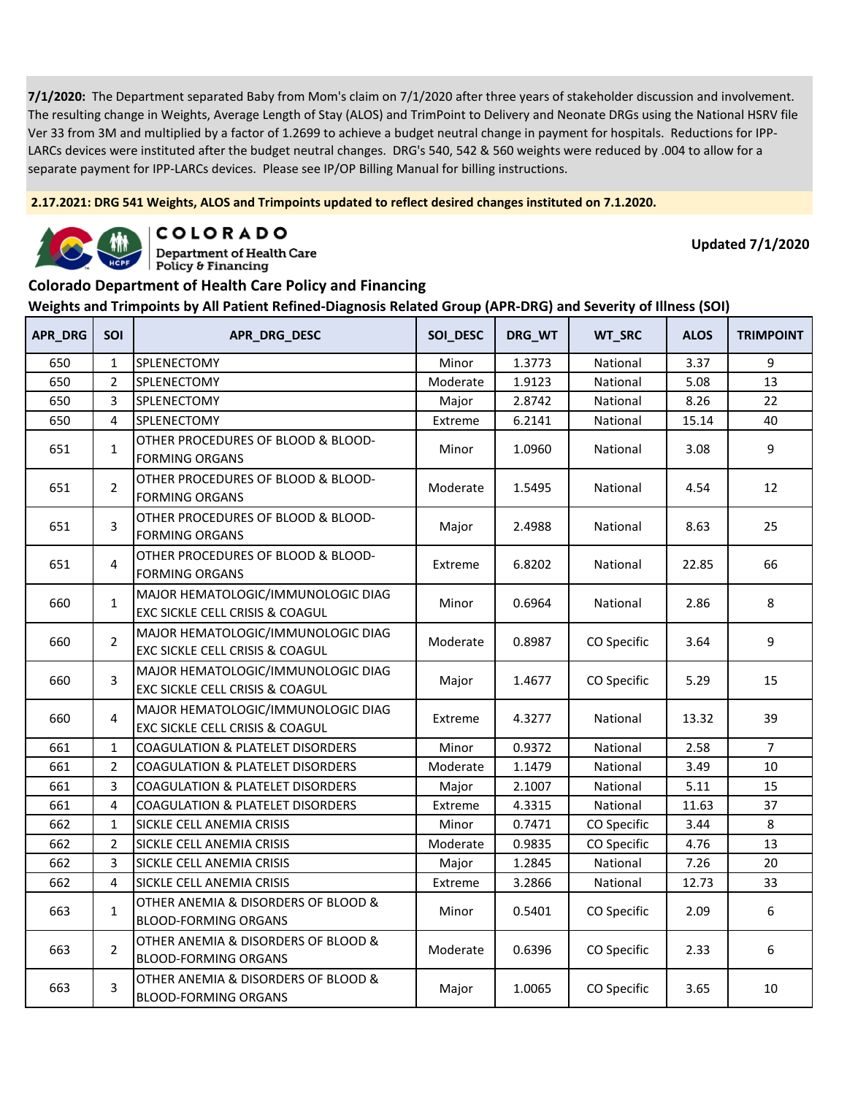**2.17.2021: DRG 541 Weights, ALOS and Trimpoints updated to reflect desired changes instituted on 7.1.2020.**



COLORADO

**Department of Health Care** Policy & Financing

**Updated 7/1/2020**

### **Colorado Department of Health Care Policy and Financing**

| <b>APR_DRG</b> | <b>SOI</b>     | APR_DRG_DESC                                                          | SOI_DESC | DRG_WT | WT_SRC      | <b>ALOS</b> | <b>TRIMPOINT</b> |
|----------------|----------------|-----------------------------------------------------------------------|----------|--------|-------------|-------------|------------------|
| 650            | $\mathbf{1}$   | SPLENECTOMY                                                           | Minor    | 1.3773 | National    | 3.37        | 9                |
| 650            | $\overline{2}$ | SPLENECTOMY                                                           | Moderate | 1.9123 | National    | 5.08        | 13               |
| 650            | 3              | SPLENECTOMY                                                           | Major    | 2.8742 | National    | 8.26        | 22               |
| 650            | 4              | SPLENECTOMY                                                           | Extreme  | 6.2141 | National    | 15.14       | 40               |
| 651            | $\mathbf{1}$   | OTHER PROCEDURES OF BLOOD & BLOOD-<br><b>FORMING ORGANS</b>           | Minor    | 1.0960 | National    | 3.08        | 9                |
| 651            | $\overline{2}$ | OTHER PROCEDURES OF BLOOD & BLOOD-<br><b>FORMING ORGANS</b>           | Moderate | 1.5495 | National    | 4.54        | 12               |
| 651            | 3              | OTHER PROCEDURES OF BLOOD & BLOOD-<br><b>FORMING ORGANS</b>           | Major    | 2.4988 | National    | 8.63        | 25               |
| 651            | 4              | OTHER PROCEDURES OF BLOOD & BLOOD-<br><b>FORMING ORGANS</b>           | Extreme  | 6.8202 | National    | 22.85       | 66               |
| 660            | $\mathbf{1}$   | MAJOR HEMATOLOGIC/IMMUNOLOGIC DIAG<br>EXC SICKLE CELL CRISIS & COAGUL | Minor    | 0.6964 | National    | 2.86        | 8                |
| 660            | $\overline{2}$ | MAJOR HEMATOLOGIC/IMMUNOLOGIC DIAG<br>EXC SICKLE CELL CRISIS & COAGUL | Moderate | 0.8987 | CO Specific | 3.64        | 9                |
| 660            | 3              | MAJOR HEMATOLOGIC/IMMUNOLOGIC DIAG<br>EXC SICKLE CELL CRISIS & COAGUL | Major    | 1.4677 | CO Specific | 5.29        | 15               |
| 660            | 4              | MAJOR HEMATOLOGIC/IMMUNOLOGIC DIAG<br>EXC SICKLE CELL CRISIS & COAGUL | Extreme  | 4.3277 | National    | 13.32       | 39               |
| 661            | $\mathbf{1}$   | <b>COAGULATION &amp; PLATELET DISORDERS</b>                           | Minor    | 0.9372 | National    | 2.58        | $\overline{7}$   |
| 661            | $\overline{2}$ | <b>COAGULATION &amp; PLATELET DISORDERS</b>                           | Moderate | 1.1479 | National    | 3.49        | 10               |
| 661            | 3              | <b>COAGULATION &amp; PLATELET DISORDERS</b>                           | Major    | 2.1007 | National    | 5.11        | 15               |
| 661            | 4              | <b>COAGULATION &amp; PLATELET DISORDERS</b>                           | Extreme  | 4.3315 | National    | 11.63       | 37               |
| 662            | $\mathbf{1}$   | SICKLE CELL ANEMIA CRISIS                                             | Minor    | 0.7471 | CO Specific | 3.44        | 8                |
| 662            | 2              | SICKLE CELL ANEMIA CRISIS                                             | Moderate | 0.9835 | CO Specific | 4.76        | 13               |
| 662            | 3              | SICKLE CELL ANEMIA CRISIS                                             | Major    | 1.2845 | National    | 7.26        | 20               |
| 662            | 4              | SICKLE CELL ANEMIA CRISIS                                             | Extreme  | 3.2866 | National    | 12.73       | 33               |
| 663            | $\mathbf{1}$   | OTHER ANEMIA & DISORDERS OF BLOOD &<br><b>BLOOD-FORMING ORGANS</b>    | Minor    | 0.5401 | CO Specific | 2.09        | 6                |
| 663            | $\overline{2}$ | OTHER ANEMIA & DISORDERS OF BLOOD &<br><b>BLOOD-FORMING ORGANS</b>    | Moderate | 0.6396 | CO Specific | 2.33        | 6                |
| 663            | 3              | OTHER ANEMIA & DISORDERS OF BLOOD &<br><b>BLOOD-FORMING ORGANS</b>    | Major    | 1.0065 | CO Specific | 3.65        | 10               |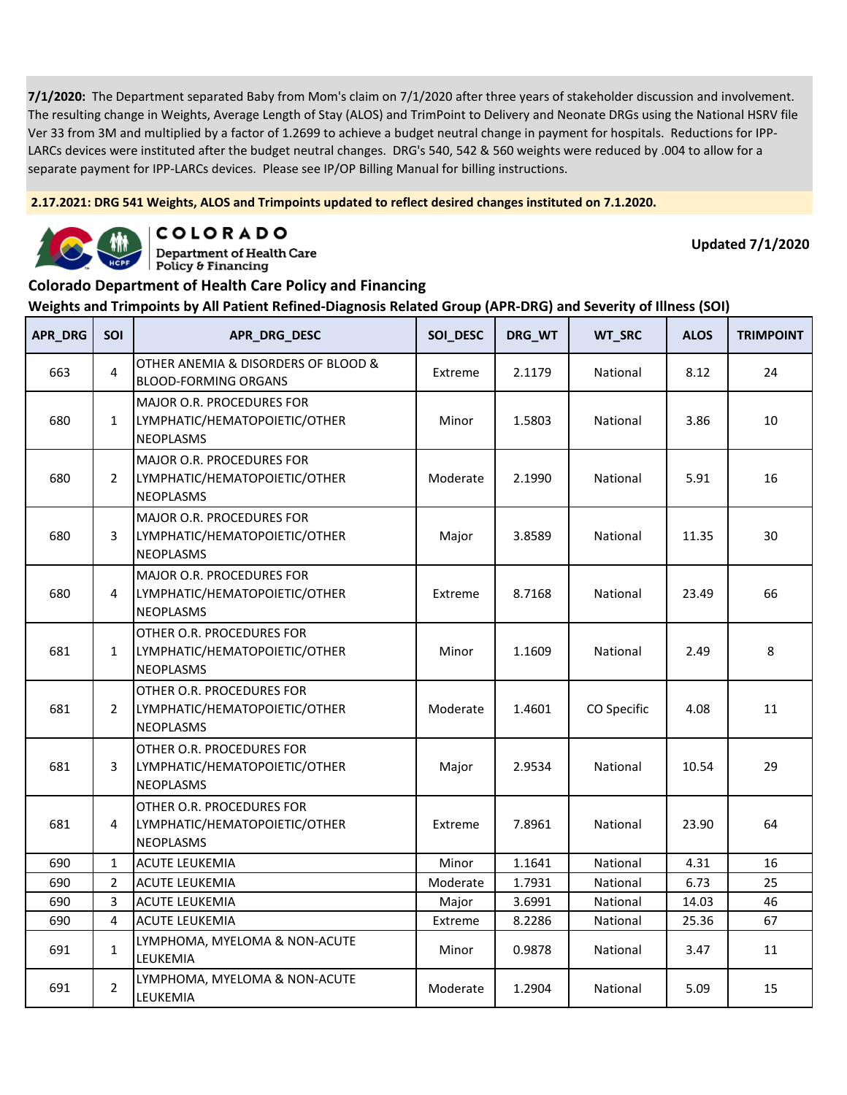**2.17.2021: DRG 541 Weights, ALOS and Trimpoints updated to reflect desired changes instituted on 7.1.2020.**



COLORADO

**Department of Health Care** Policy & Financing

**Updated 7/1/2020**

#### **Colorado Department of Health Care Policy and Financing**

| <b>APR_DRG</b> | SOI            | APR_DRG_DESC                                                                          | SOI_DESC | DRG_WT | WT_SRC      | <b>ALOS</b> | <b>TRIMPOINT</b> |
|----------------|----------------|---------------------------------------------------------------------------------------|----------|--------|-------------|-------------|------------------|
| 663            | 4              | OTHER ANEMIA & DISORDERS OF BLOOD &<br><b>BLOOD-FORMING ORGANS</b>                    | Extreme  | 2.1179 | National    | 8.12        | 24               |
| 680            | $\mathbf{1}$   | <b>MAJOR O.R. PROCEDURES FOR</b><br>LYMPHATIC/HEMATOPOIETIC/OTHER<br><b>NEOPLASMS</b> | Minor    | 1.5803 | National    | 3.86        | 10               |
| 680            | $\overline{2}$ | <b>MAJOR O.R. PROCEDURES FOR</b><br>LYMPHATIC/HEMATOPOIETIC/OTHER<br><b>NEOPLASMS</b> | Moderate | 2.1990 | National    | 5.91        | 16               |
| 680            | 3              | MAJOR O.R. PROCEDURES FOR<br>LYMPHATIC/HEMATOPOIETIC/OTHER<br><b>NEOPLASMS</b>        | Major    | 3.8589 | National    | 11.35       | 30               |
| 680            | 4              | MAJOR O.R. PROCEDURES FOR<br>LYMPHATIC/HEMATOPOIETIC/OTHER<br>NEOPLASMS               | Extreme  | 8.7168 | National    | 23.49       | 66               |
| 681            | $\mathbf{1}$   | OTHER O.R. PROCEDURES FOR<br>LYMPHATIC/HEMATOPOIETIC/OTHER<br>NEOPLASMS               | Minor    | 1.1609 | National    | 2.49        | 8                |
| 681            | $\overline{2}$ | OTHER O.R. PROCEDURES FOR<br>LYMPHATIC/HEMATOPOIETIC/OTHER<br><b>NEOPLASMS</b>        | Moderate | 1.4601 | CO Specific | 4.08        | 11               |
| 681            | 3              | OTHER O.R. PROCEDURES FOR<br>LYMPHATIC/HEMATOPOIETIC/OTHER<br><b>NEOPLASMS</b>        | Major    | 2.9534 | National    | 10.54       | 29               |
| 681            | 4              | OTHER O.R. PROCEDURES FOR<br>LYMPHATIC/HEMATOPOIETIC/OTHER<br><b>NEOPLASMS</b>        | Extreme  | 7.8961 | National    | 23.90       | 64               |
| 690            | $\mathbf{1}$   | <b>ACUTE LEUKEMIA</b>                                                                 | Minor    | 1.1641 | National    | 4.31        | 16               |
| 690            | $\overline{2}$ | <b>ACUTE LEUKEMIA</b>                                                                 | Moderate | 1.7931 | National    | 6.73        | 25               |
| 690            | 3              | <b>ACUTE LEUKEMIA</b>                                                                 | Major    | 3.6991 | National    | 14.03       | 46               |
| 690            | $\overline{4}$ | <b>ACUTE LEUKEMIA</b>                                                                 | Extreme  | 8.2286 | National    | 25.36       | 67               |
| 691            | $\mathbf{1}$   | LYMPHOMA, MYELOMA & NON-ACUTE<br>LEUKEMIA                                             | Minor    | 0.9878 | National    | 3.47        | 11               |
| 691            | $\overline{2}$ | LYMPHOMA, MYELOMA & NON-ACUTE<br>LEUKEMIA                                             | Moderate | 1.2904 | National    | 5.09        | 15               |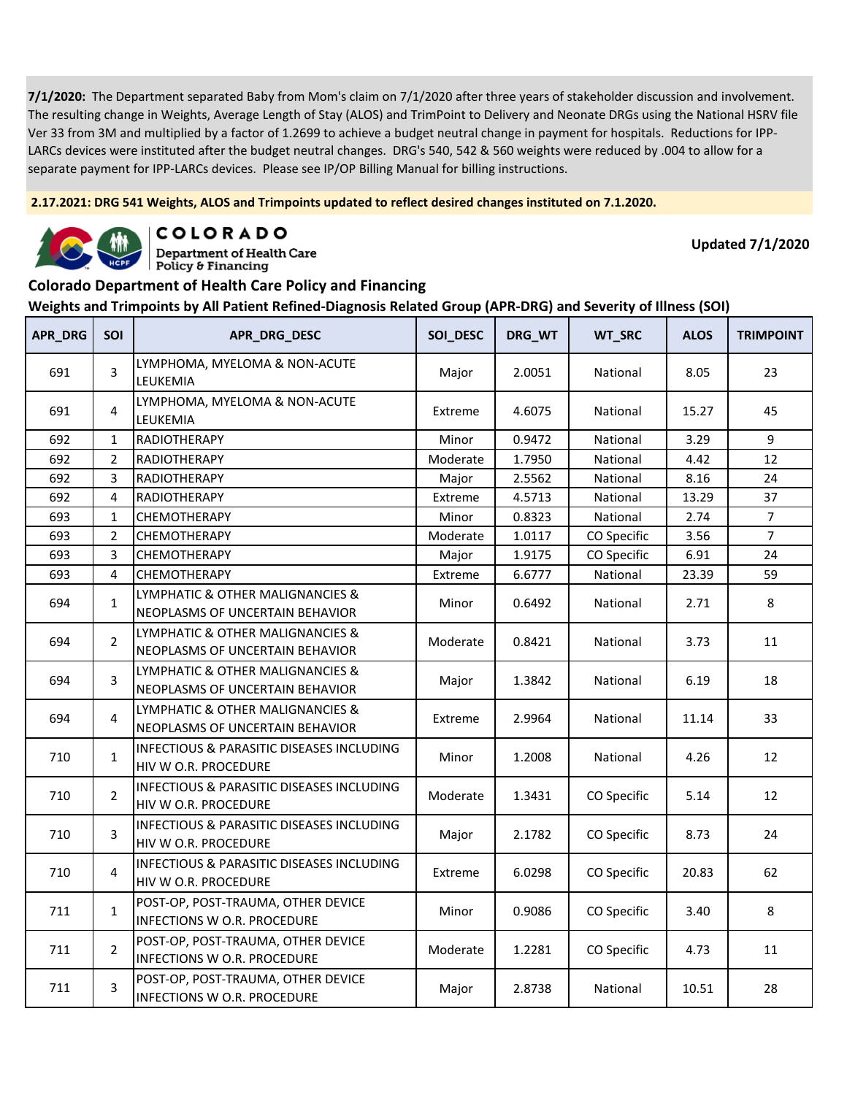**2.17.2021: DRG 541 Weights, ALOS and Trimpoints updated to reflect desired changes instituted on 7.1.2020.**



COLORADO **Department of Health Care** 

**Updated 7/1/2020**

#### Policy & Financing **Colorado Department of Health Care Policy and Financing**

| <b>APR_DRG</b> | <b>SOI</b>     | APR_DRG_DESC                                                                 | SOI_DESC | DRG_WT | WT_SRC      | <b>ALOS</b> | <b>TRIMPOINT</b> |
|----------------|----------------|------------------------------------------------------------------------------|----------|--------|-------------|-------------|------------------|
| 691            | 3              | LYMPHOMA, MYELOMA & NON-ACUTE<br>LEUKEMIA                                    | Major    | 2.0051 | National    | 8.05        | 23               |
| 691            | $\overline{4}$ | LYMPHOMA, MYELOMA & NON-ACUTE<br>LEUKEMIA                                    | Extreme  | 4.6075 | National    | 15.27       | 45               |
| 692            | $\mathbf{1}$   | RADIOTHERAPY                                                                 | Minor    | 0.9472 | National    | 3.29        | 9                |
| 692            | $\overline{2}$ | RADIOTHERAPY                                                                 | Moderate | 1.7950 | National    | 4.42        | 12               |
| 692            | 3              | RADIOTHERAPY                                                                 | Major    | 2.5562 | National    | 8.16        | 24               |
| 692            | 4              | RADIOTHERAPY                                                                 | Extreme  | 4.5713 | National    | 13.29       | 37               |
| 693            | $\mathbf{1}$   | CHEMOTHERAPY                                                                 | Minor    | 0.8323 | National    | 2.74        | $\overline{7}$   |
| 693            | $\overline{2}$ | CHEMOTHERAPY                                                                 | Moderate | 1.0117 | CO Specific | 3.56        | $\overline{7}$   |
| 693            | 3              | CHEMOTHERAPY                                                                 | Major    | 1.9175 | CO Specific | 6.91        | 24               |
| 693            | $\overline{4}$ | <b>CHEMOTHERAPY</b>                                                          | Extreme  | 6.6777 | National    | 23.39       | 59               |
| 694            | $\mathbf{1}$   | LYMPHATIC & OTHER MALIGNANCIES &<br>NEOPLASMS OF UNCERTAIN BEHAVIOR          | Minor    | 0.6492 | National    | 2.71        | 8                |
| 694            | $\overline{2}$ | LYMPHATIC & OTHER MALIGNANCIES &<br>NEOPLASMS OF UNCERTAIN BEHAVIOR          | Moderate | 0.8421 | National    | 3.73        | 11               |
| 694            | 3              | LYMPHATIC & OTHER MALIGNANCIES &<br>NEOPLASMS OF UNCERTAIN BEHAVIOR          | Major    | 1.3842 | National    | 6.19        | 18               |
| 694            | 4              | LYMPHATIC & OTHER MALIGNANCIES &<br>NEOPLASMS OF UNCERTAIN BEHAVIOR          | Extreme  | 2.9964 | National    | 11.14       | 33               |
| 710            | $\mathbf{1}$   | INFECTIOUS & PARASITIC DISEASES INCLUDING<br>HIV W O.R. PROCEDURE            | Minor    | 1.2008 | National    | 4.26        | 12               |
| 710            | $\overline{2}$ | <b>INFECTIOUS &amp; PARASITIC DISEASES INCLUDING</b><br>HIV W O.R. PROCEDURE | Moderate | 1.3431 | CO Specific | 5.14        | 12               |
| 710            | 3              | <b>INFECTIOUS &amp; PARASITIC DISEASES INCLUDING</b><br>HIV W O.R. PROCEDURE | Major    | 2.1782 | CO Specific | 8.73        | 24               |
| 710            | 4              | INFECTIOUS & PARASITIC DISEASES INCLUDING<br>HIV W O.R. PROCEDURE            | Extreme  | 6.0298 | CO Specific | 20.83       | 62               |
| 711            | $\mathbf{1}$   | POST-OP, POST-TRAUMA, OTHER DEVICE<br><b>INFECTIONS W O.R. PROCEDURE</b>     | Minor    | 0.9086 | CO Specific | 3.40        | 8                |
| 711            | $\overline{2}$ | POST-OP, POST-TRAUMA, OTHER DEVICE<br><b>INFECTIONS W O.R. PROCEDURE</b>     | Moderate | 1.2281 | CO Specific | 4.73        | 11               |
| 711            | 3              | POST-OP, POST-TRAUMA, OTHER DEVICE<br>INFECTIONS W O.R. PROCEDURE            | Major    | 2.8738 | National    | 10.51       | 28               |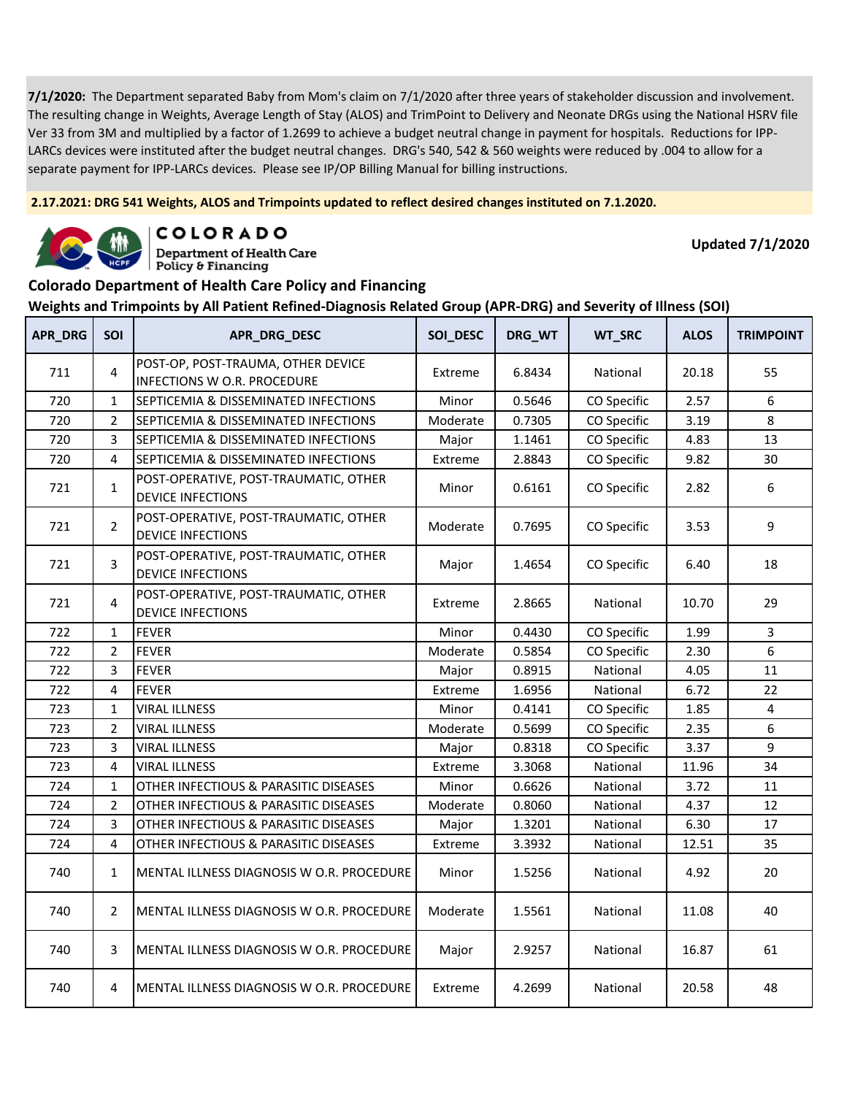**2.17.2021: DRG 541 Weights, ALOS and Trimpoints updated to reflect desired changes instituted on 7.1.2020.**



COLORADO

**Department of Health Care** Policy & Financing

**Updated 7/1/2020**

#### **Colorado Department of Health Care Policy and Financing**

| APR_DRG | <b>SOI</b>     | APR_DRG_DESC                                                      | SOI_DESC | DRG_WT | WT_SRC      | <b>ALOS</b> | <b>TRIMPOINT</b> |
|---------|----------------|-------------------------------------------------------------------|----------|--------|-------------|-------------|------------------|
| 711     | 4              | POST-OP, POST-TRAUMA, OTHER DEVICE<br>INFECTIONS W O.R. PROCEDURE | Extreme  | 6.8434 | National    | 20.18       | 55               |
| 720     | $\mathbf{1}$   | SEPTICEMIA & DISSEMINATED INFECTIONS                              | Minor    | 0.5646 | CO Specific | 2.57        | 6                |
| 720     | $\overline{2}$ | SEPTICEMIA & DISSEMINATED INFECTIONS                              | Moderate | 0.7305 | CO Specific | 3.19        | 8                |
| 720     | 3              | SEPTICEMIA & DISSEMINATED INFECTIONS                              | Major    | 1.1461 | CO Specific | 4.83        | 13               |
| 720     | 4              | SEPTICEMIA & DISSEMINATED INFECTIONS                              | Extreme  | 2.8843 | CO Specific | 9.82        | 30               |
| 721     | $\mathbf{1}$   | POST-OPERATIVE, POST-TRAUMATIC, OTHER<br><b>DEVICE INFECTIONS</b> | Minor    | 0.6161 | CO Specific | 2.82        | 6                |
| 721     | $\overline{2}$ | POST-OPERATIVE, POST-TRAUMATIC, OTHER<br><b>DEVICE INFECTIONS</b> | Moderate | 0.7695 | CO Specific | 3.53        | 9                |
| 721     | 3              | POST-OPERATIVE, POST-TRAUMATIC, OTHER<br><b>DEVICE INFECTIONS</b> | Major    | 1.4654 | CO Specific | 6.40        | 18               |
| 721     | 4              | POST-OPERATIVE, POST-TRAUMATIC, OTHER<br><b>DEVICE INFECTIONS</b> | Extreme  | 2.8665 | National    | 10.70       | 29               |
| 722     | $\mathbf{1}$   | <b>FEVER</b>                                                      | Minor    | 0.4430 | CO Specific | 1.99        | 3                |
| 722     | $\overline{2}$ | <b>FEVER</b>                                                      | Moderate | 0.5854 | CO Specific | 2.30        | 6                |
| 722     | 3              | <b>FEVER</b>                                                      | Major    | 0.8915 | National    | 4.05        | 11               |
| 722     | 4              | <b>FEVER</b>                                                      | Extreme  | 1.6956 | National    | 6.72        | 22               |
| 723     | 1              | <b>VIRAL ILLNESS</b>                                              | Minor    | 0.4141 | CO Specific | 1.85        | 4                |
| 723     | 2              | <b>VIRAL ILLNESS</b>                                              | Moderate | 0.5699 | CO Specific | 2.35        | 6                |
| 723     | 3              | <b>VIRAL ILLNESS</b>                                              | Major    | 0.8318 | CO Specific | 3.37        | 9                |
| 723     | 4              | <b>VIRAL ILLNESS</b>                                              | Extreme  | 3.3068 | National    | 11.96       | 34               |
| 724     | $\mathbf{1}$   | OTHER INFECTIOUS & PARASITIC DISEASES                             | Minor    | 0.6626 | National    | 3.72        | 11               |
| 724     | $\overline{2}$ | OTHER INFECTIOUS & PARASITIC DISEASES                             | Moderate | 0.8060 | National    | 4.37        | 12               |
| 724     | 3              | OTHER INFECTIOUS & PARASITIC DISEASES                             | Major    | 1.3201 | National    | 6.30        | 17               |
| 724     | 4              | OTHER INFECTIOUS & PARASITIC DISEASES                             | Extreme  | 3.3932 | National    | 12.51       | 35               |
| 740     | $\mathbf{1}$   | MENTAL ILLNESS DIAGNOSIS W O.R. PROCEDURE                         | Minor    | 1.5256 | National    | 4.92        | 20               |
| 740     | $\overline{2}$ | MENTAL ILLNESS DIAGNOSIS W O.R. PROCEDURE                         | Moderate | 1.5561 | National    | 11.08       | 40               |
| 740     | 3              | MENTAL ILLNESS DIAGNOSIS W O.R. PROCEDURE                         | Major    | 2.9257 | National    | 16.87       | 61               |
| 740     | 4              | MENTAL ILLNESS DIAGNOSIS W O.R. PROCEDURE                         | Extreme  | 4.2699 | National    | 20.58       | 48               |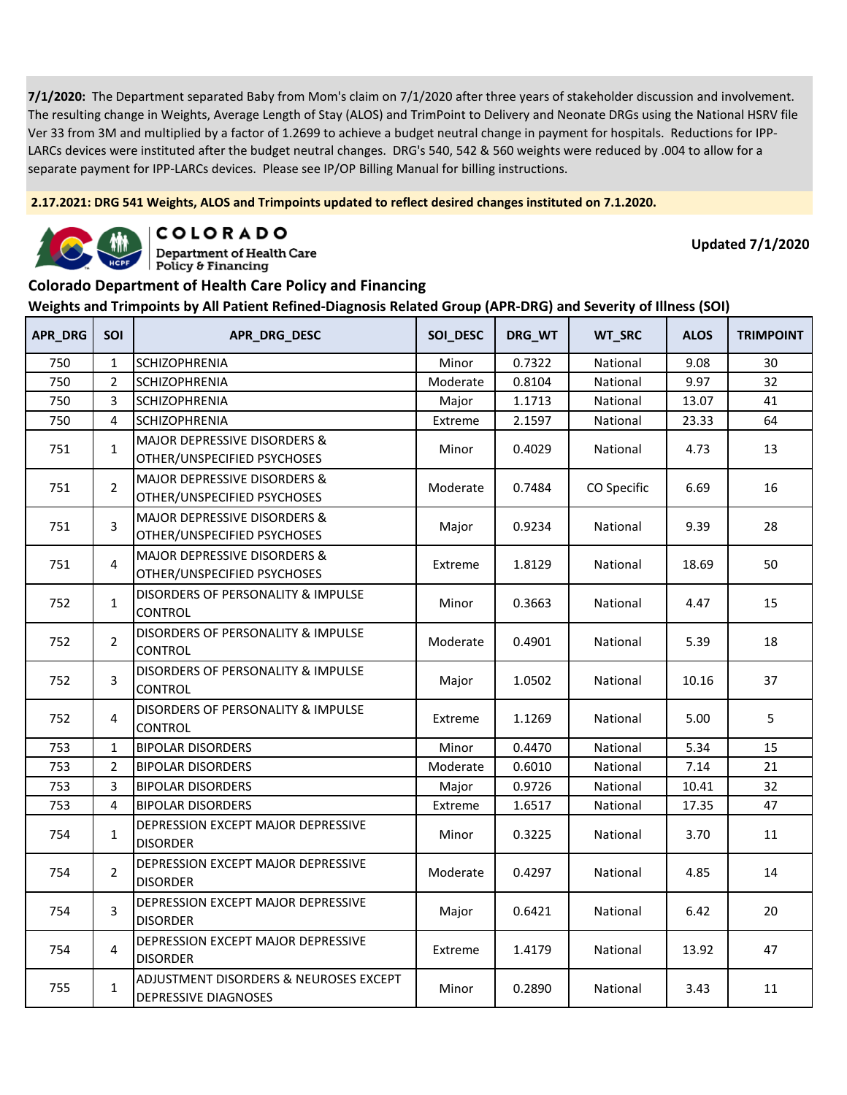**2.17.2021: DRG 541 Weights, ALOS and Trimpoints updated to reflect desired changes instituted on 7.1.2020.**



COLORADO

**Department of Health Care** Policy & Financing

**Updated 7/1/2020**

#### **Colorado Department of Health Care Policy and Financing**

| APR_DRG | SOI            | APR_DRG_DESC                                                           | SOI_DESC | DRG_WT | WT_SRC      | <b>ALOS</b> | <b>TRIMPOINT</b> |
|---------|----------------|------------------------------------------------------------------------|----------|--------|-------------|-------------|------------------|
| 750     | $\mathbf{1}$   | SCHIZOPHRENIA                                                          | Minor    | 0.7322 | National    | 9.08        | 30               |
| 750     | $\overline{2}$ | <b>SCHIZOPHRENIA</b>                                                   | Moderate | 0.8104 | National    | 9.97        | 32               |
| 750     | 3              | SCHIZOPHRENIA                                                          | Major    | 1.1713 | National    | 13.07       | 41               |
| 750     | 4              | <b>SCHIZOPHRENIA</b>                                                   | Extreme  | 2.1597 | National    | 23.33       | 64               |
| 751     | $\mathbf{1}$   | MAJOR DEPRESSIVE DISORDERS &<br>OTHER/UNSPECIFIED PSYCHOSES            | Minor    | 0.4029 | National    | 4.73        | 13               |
| 751     | $\overline{2}$ | <b>MAJOR DEPRESSIVE DISORDERS &amp;</b><br>OTHER/UNSPECIFIED PSYCHOSES | Moderate | 0.7484 | CO Specific | 6.69        | 16               |
| 751     | 3              | MAJOR DEPRESSIVE DISORDERS &<br>OTHER/UNSPECIFIED PSYCHOSES            | Major    | 0.9234 | National    | 9.39        | 28               |
| 751     | 4              | MAJOR DEPRESSIVE DISORDERS &<br>OTHER/UNSPECIFIED PSYCHOSES            | Extreme  | 1.8129 | National    | 18.69       | 50               |
| 752     | $\mathbf{1}$   | DISORDERS OF PERSONALITY & IMPULSE<br><b>CONTROL</b>                   | Minor    | 0.3663 | National    | 4.47        | 15               |
| 752     | $\overline{2}$ | DISORDERS OF PERSONALITY & IMPULSE<br><b>CONTROL</b>                   | Moderate | 0.4901 | National    | 5.39        | 18               |
| 752     | 3              | DISORDERS OF PERSONALITY & IMPULSE<br><b>CONTROL</b>                   | Major    | 1.0502 | National    | 10.16       | 37               |
| 752     | $\overline{4}$ | DISORDERS OF PERSONALITY & IMPULSE<br><b>CONTROL</b>                   | Extreme  | 1.1269 | National    | 5.00        | 5                |
| 753     | $\mathbf{1}$   | <b>BIPOLAR DISORDERS</b>                                               | Minor    | 0.4470 | National    | 5.34        | 15               |
| 753     | $\overline{2}$ | <b>BIPOLAR DISORDERS</b>                                               | Moderate | 0.6010 | National    | 7.14        | 21               |
| 753     | 3              | <b>BIPOLAR DISORDERS</b>                                               | Major    | 0.9726 | National    | 10.41       | 32               |
| 753     | 4              | <b>BIPOLAR DISORDERS</b>                                               | Extreme  | 1.6517 | National    | 17.35       | 47               |
| 754     | $\mathbf{1}$   | DEPRESSION EXCEPT MAJOR DEPRESSIVE<br><b>DISORDER</b>                  | Minor    | 0.3225 | National    | 3.70        | 11               |
| 754     | $\overline{2}$ | DEPRESSION EXCEPT MAJOR DEPRESSIVE<br><b>DISORDER</b>                  | Moderate | 0.4297 | National    | 4.85        | 14               |
| 754     | 3              | DEPRESSION EXCEPT MAJOR DEPRESSIVE<br><b>DISORDER</b>                  | Major    | 0.6421 | National    | 6.42        | 20               |
| 754     | $\overline{4}$ | DEPRESSION EXCEPT MAJOR DEPRESSIVE<br><b>DISORDER</b>                  | Extreme  | 1.4179 | National    | 13.92       | 47               |
| 755     | $\mathbf{1}$   | ADJUSTMENT DISORDERS & NEUROSES EXCEPT<br>DEPRESSIVE DIAGNOSES         | Minor    | 0.2890 | National    | 3.43        | 11               |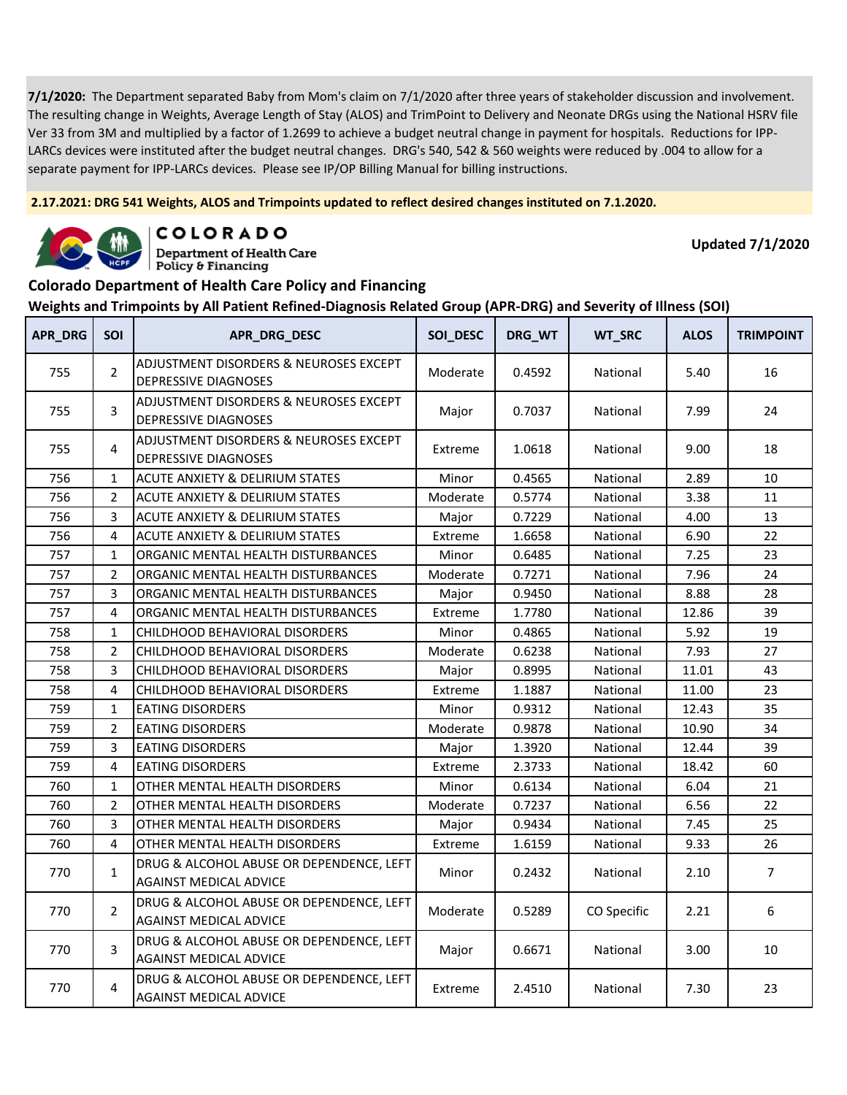**2.17.2021: DRG 541 Weights, ALOS and Trimpoints updated to reflect desired changes instituted on 7.1.2020.**



COLORADO

**Department of Health Care** Policy & Financing

**Updated 7/1/2020**

#### **Colorado Department of Health Care Policy and Financing**

| <b>APR_DRG</b> | <b>SOI</b>     | APR_DRG_DESC                                                              | SOI_DESC | DRG_WT | WT_SRC      | <b>ALOS</b> | <b>TRIMPOINT</b> |
|----------------|----------------|---------------------------------------------------------------------------|----------|--------|-------------|-------------|------------------|
| 755            | $\overline{2}$ | ADJUSTMENT DISORDERS & NEUROSES EXCEPT<br><b>DEPRESSIVE DIAGNOSES</b>     | Moderate | 0.4592 | National    | 5.40        | 16               |
| 755            | 3              | ADJUSTMENT DISORDERS & NEUROSES EXCEPT<br>DEPRESSIVE DIAGNOSES            | Major    | 0.7037 | National    | 7.99        | 24               |
| 755            | 4              | ADJUSTMENT DISORDERS & NEUROSES EXCEPT<br>DEPRESSIVE DIAGNOSES            | Extreme  | 1.0618 | National    | 9.00        | 18               |
| 756            | $\mathbf{1}$   | ACUTE ANXIETY & DELIRIUM STATES                                           | Minor    | 0.4565 | National    | 2.89        | 10               |
| 756            | $\overline{2}$ | ACUTE ANXIETY & DELIRIUM STATES                                           | Moderate | 0.5774 | National    | 3.38        | 11               |
| 756            | 3              | ACUTE ANXIETY & DELIRIUM STATES                                           | Major    | 0.7229 | National    | 4.00        | 13               |
| 756            | 4              | <b>ACUTE ANXIETY &amp; DELIRIUM STATES</b>                                | Extreme  | 1.6658 | National    | 6.90        | 22               |
| 757            | $\mathbf{1}$   | ORGANIC MENTAL HEALTH DISTURBANCES                                        | Minor    | 0.6485 | National    | 7.25        | 23               |
| 757            | 2              | ORGANIC MENTAL HEALTH DISTURBANCES                                        | Moderate | 0.7271 | National    | 7.96        | 24               |
| 757            | 3              | ORGANIC MENTAL HEALTH DISTURBANCES                                        | Major    | 0.9450 | National    | 8.88        | 28               |
| 757            | 4              | ORGANIC MENTAL HEALTH DISTURBANCES                                        | Extreme  | 1.7780 | National    | 12.86       | 39               |
| 758            | $\mathbf{1}$   | CHILDHOOD BEHAVIORAL DISORDERS                                            | Minor    | 0.4865 | National    | 5.92        | 19               |
| 758            | $\overline{2}$ | CHILDHOOD BEHAVIORAL DISORDERS                                            | Moderate | 0.6238 | National    | 7.93        | 27               |
| 758            | 3              | CHILDHOOD BEHAVIORAL DISORDERS                                            | Major    | 0.8995 | National    | 11.01       | 43               |
| 758            | 4              | CHILDHOOD BEHAVIORAL DISORDERS                                            | Extreme  | 1.1887 | National    | 11.00       | 23               |
| 759            | $\mathbf{1}$   | <b>EATING DISORDERS</b>                                                   | Minor    | 0.9312 | National    | 12.43       | 35               |
| 759            | $\overline{2}$ | <b>EATING DISORDERS</b>                                                   | Moderate | 0.9878 | National    | 10.90       | 34               |
| 759            | 3              | <b>EATING DISORDERS</b>                                                   | Major    | 1.3920 | National    | 12.44       | 39               |
| 759            | 4              | <b>EATING DISORDERS</b>                                                   | Extreme  | 2.3733 | National    | 18.42       | 60               |
| 760            | $\mathbf{1}$   | OTHER MENTAL HEALTH DISORDERS                                             | Minor    | 0.6134 | National    | 6.04        | 21               |
| 760            | $\overline{2}$ | OTHER MENTAL HEALTH DISORDERS                                             | Moderate | 0.7237 | National    | 6.56        | 22               |
| 760            | 3              | OTHER MENTAL HEALTH DISORDERS                                             | Major    | 0.9434 | National    | 7.45        | 25               |
| 760            | 4              | OTHER MENTAL HEALTH DISORDERS                                             | Extreme  | 1.6159 | National    | 9.33        | 26               |
| 770            | $\mathbf{1}$   | DRUG & ALCOHOL ABUSE OR DEPENDENCE, LEFT<br><b>AGAINST MEDICAL ADVICE</b> | Minor    | 0.2432 | National    | 2.10        | $\overline{7}$   |
| 770            | $\overline{2}$ | DRUG & ALCOHOL ABUSE OR DEPENDENCE, LEFT<br><b>AGAINST MEDICAL ADVICE</b> | Moderate | 0.5289 | CO Specific | 2.21        | 6                |
| 770            | 3              | DRUG & ALCOHOL ABUSE OR DEPENDENCE, LEFT<br><b>AGAINST MEDICAL ADVICE</b> | Major    | 0.6671 | National    | 3.00        | 10               |
| 770            | 4              | DRUG & ALCOHOL ABUSE OR DEPENDENCE, LEFT<br><b>AGAINST MEDICAL ADVICE</b> | Extreme  | 2.4510 | National    | 7.30        | 23               |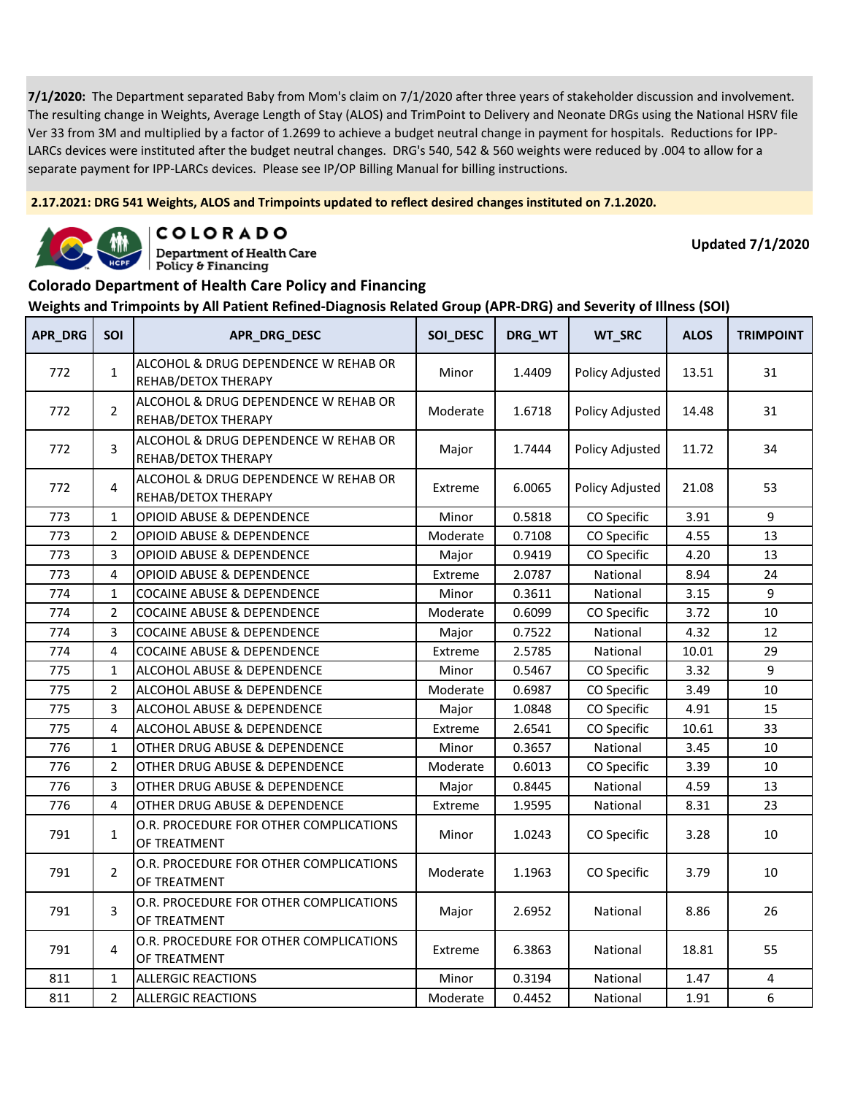**2.17.2021: DRG 541 Weights, ALOS and Trimpoints updated to reflect desired changes instituted on 7.1.2020.**



COLORADO

**Department of Health Care** Policy & Financing

**Updated 7/1/2020**

#### **Colorado Department of Health Care Policy and Financing**

| <b>APR_DRG</b> | SOI            | APR_DRG_DESC                                                | SOI_DESC | DRG_WT | WT_SRC          | <b>ALOS</b> | <b>TRIMPOINT</b> |
|----------------|----------------|-------------------------------------------------------------|----------|--------|-----------------|-------------|------------------|
| 772            | $\mathbf{1}$   | ALCOHOL & DRUG DEPENDENCE W REHAB OR<br>REHAB/DETOX THERAPY | Minor    | 1.4409 | Policy Adjusted | 13.51       | 31               |
| 772            | $\overline{2}$ | ALCOHOL & DRUG DEPENDENCE W REHAB OR<br>REHAB/DETOX THERAPY | Moderate | 1.6718 | Policy Adjusted | 14.48       | 31               |
| 772            | 3              | ALCOHOL & DRUG DEPENDENCE W REHAB OR<br>REHAB/DETOX THERAPY | Major    | 1.7444 | Policy Adjusted | 11.72       | 34               |
| 772            | $\overline{4}$ | ALCOHOL & DRUG DEPENDENCE W REHAB OR<br>REHAB/DETOX THERAPY | Extreme  | 6.0065 | Policy Adjusted | 21.08       | 53               |
| 773            | $\mathbf 1$    | <b>OPIOID ABUSE &amp; DEPENDENCE</b>                        | Minor    | 0.5818 | CO Specific     | 3.91        | 9                |
| 773            | $\overline{2}$ | <b>OPIOID ABUSE &amp; DEPENDENCE</b>                        | Moderate | 0.7108 | CO Specific     | 4.55        | 13               |
| 773            | 3              | <b>OPIOID ABUSE &amp; DEPENDENCE</b>                        | Major    | 0.9419 | CO Specific     | 4.20        | 13               |
| 773            | 4              | <b>OPIOID ABUSE &amp; DEPENDENCE</b>                        | Extreme  | 2.0787 | National        | 8.94        | 24               |
| 774            | $\mathbf{1}$   | <b>COCAINE ABUSE &amp; DEPENDENCE</b>                       | Minor    | 0.3611 | National        | 3.15        | 9                |
| 774            | $\overline{2}$ | COCAINE ABUSE & DEPENDENCE                                  | Moderate | 0.6099 | CO Specific     | 3.72        | 10               |
| 774            | 3              | <b>COCAINE ABUSE &amp; DEPENDENCE</b>                       | Major    | 0.7522 | National        | 4.32        | 12               |
| 774            | 4              | <b>COCAINE ABUSE &amp; DEPENDENCE</b>                       | Extreme  | 2.5785 | National        | 10.01       | 29               |
| 775            | $\mathbf{1}$   | ALCOHOL ABUSE & DEPENDENCE                                  | Minor    | 0.5467 | CO Specific     | 3.32        | 9                |
| 775            | $\overline{2}$ | ALCOHOL ABUSE & DEPENDENCE                                  | Moderate | 0.6987 | CO Specific     | 3.49        | 10               |
| 775            | 3              | ALCOHOL ABUSE & DEPENDENCE                                  | Major    | 1.0848 | CO Specific     | 4.91        | 15               |
| 775            | 4              | ALCOHOL ABUSE & DEPENDENCE                                  | Extreme  | 2.6541 | CO Specific     | 10.61       | 33               |
| 776            | $\mathbf{1}$   | OTHER DRUG ABUSE & DEPENDENCE                               | Minor    | 0.3657 | National        | 3.45        | 10               |
| 776            | $\overline{2}$ | OTHER DRUG ABUSE & DEPENDENCE                               | Moderate | 0.6013 | CO Specific     | 3.39        | 10               |
| 776            | 3              | OTHER DRUG ABUSE & DEPENDENCE                               | Major    | 0.8445 | National        | 4.59        | 13               |
| 776            | 4              | OTHER DRUG ABUSE & DEPENDENCE                               | Extreme  | 1.9595 | National        | 8.31        | 23               |
| 791            | $\mathbf{1}$   | O.R. PROCEDURE FOR OTHER COMPLICATIONS<br>OF TREATMENT      | Minor    | 1.0243 | CO Specific     | 3.28        | 10               |
| 791            | $\overline{2}$ | O.R. PROCEDURE FOR OTHER COMPLICATIONS<br>OF TREATMENT      | Moderate | 1.1963 | CO Specific     | 3.79        | 10               |
| 791            | 3              | O.R. PROCEDURE FOR OTHER COMPLICATIONS<br>OF TREATMENT      | Major    | 2.6952 | National        | 8.86        | 26               |
| 791            | 4              | O.R. PROCEDURE FOR OTHER COMPLICATIONS<br>OF TREATMENT      | Extreme  | 6.3863 | National        | 18.81       | 55               |
| 811            | $\mathbf{1}$   | <b>ALLERGIC REACTIONS</b>                                   | Minor    | 0.3194 | National        | 1.47        | 4                |
| 811            | $\overline{2}$ | <b>ALLERGIC REACTIONS</b>                                   | Moderate | 0.4452 | National        | 1.91        | 6                |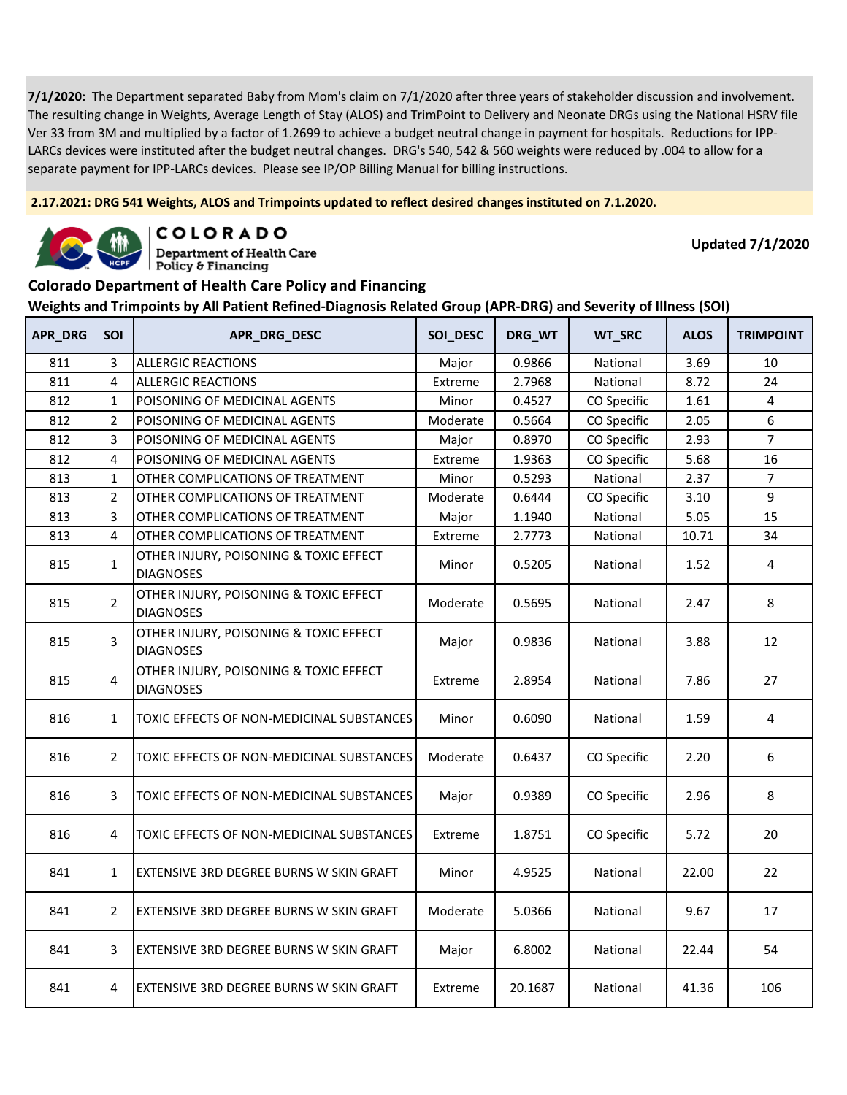**2.17.2021: DRG 541 Weights, ALOS and Trimpoints updated to reflect desired changes instituted on 7.1.2020.**



COLORADO

**Department of Health Care** Policy & Financing

**Updated 7/1/2020**

#### **Colorado Department of Health Care Policy and Financing**

| APR_DRG | SOI            | APR_DRG_DESC                                               | SOI_DESC | DRG_WT  | WT_SRC      | <b>ALOS</b> | <b>TRIMPOINT</b> |
|---------|----------------|------------------------------------------------------------|----------|---------|-------------|-------------|------------------|
| 811     | 3              | <b>ALLERGIC REACTIONS</b>                                  | Major    | 0.9866  | National    | 3.69        | 10               |
| 811     | 4              | <b>ALLERGIC REACTIONS</b>                                  | Extreme  | 2.7968  | National    | 8.72        | 24               |
| 812     | $\mathbf{1}$   | POISONING OF MEDICINAL AGENTS                              | Minor    | 0.4527  | CO Specific | 1.61        | 4                |
| 812     | $\overline{2}$ | POISONING OF MEDICINAL AGENTS                              | Moderate | 0.5664  | CO Specific | 2.05        | 6                |
| 812     | 3              | POISONING OF MEDICINAL AGENTS                              | Major    | 0.8970  | CO Specific | 2.93        | $\overline{7}$   |
| 812     | 4              | POISONING OF MEDICINAL AGENTS                              | Extreme  | 1.9363  | CO Specific | 5.68        | 16               |
| 813     | $\mathbf{1}$   | OTHER COMPLICATIONS OF TREATMENT                           | Minor    | 0.5293  | National    | 2.37        | $\overline{7}$   |
| 813     | $\overline{2}$ | OTHER COMPLICATIONS OF TREATMENT                           | Moderate | 0.6444  | CO Specific | 3.10        | 9                |
| 813     | 3              | OTHER COMPLICATIONS OF TREATMENT                           | Major    | 1.1940  | National    | 5.05        | 15               |
| 813     | 4              | OTHER COMPLICATIONS OF TREATMENT                           | Extreme  | 2.7773  | National    | 10.71       | 34               |
| 815     | $\mathbf{1}$   | OTHER INJURY, POISONING & TOXIC EFFECT<br><b>DIAGNOSES</b> | Minor    | 0.5205  | National    | 1.52        | 4                |
| 815     | $\overline{2}$ | OTHER INJURY, POISONING & TOXIC EFFECT<br><b>DIAGNOSES</b> | Moderate | 0.5695  | National    | 2.47        | 8                |
| 815     | 3              | OTHER INJURY, POISONING & TOXIC EFFECT<br><b>DIAGNOSES</b> | Major    | 0.9836  | National    | 3.88        | 12               |
| 815     | 4              | OTHER INJURY, POISONING & TOXIC EFFECT<br><b>DIAGNOSES</b> | Extreme  | 2.8954  | National    | 7.86        | 27               |
| 816     | 1              | TOXIC EFFECTS OF NON-MEDICINAL SUBSTANCES                  | Minor    | 0.6090  | National    | 1.59        | 4                |
| 816     | $\overline{2}$ | TOXIC EFFECTS OF NON-MEDICINAL SUBSTANCES                  | Moderate | 0.6437  | CO Specific | 2.20        | 6                |
| 816     | 3              | TOXIC EFFECTS OF NON-MEDICINAL SUBSTANCES                  | Major    | 0.9389  | CO Specific | 2.96        | 8                |
| 816     | 4              | TOXIC EFFECTS OF NON-MEDICINAL SUBSTANCES                  | Extreme  | 1.8751  | CO Specific | 5.72        | 20               |
| 841     | $\mathbf{1}$   | EXTENSIVE 3RD DEGREE BURNS W SKIN GRAFT                    | Minor    | 4.9525  | National    | 22.00       | 22               |
| 841     | $\overline{2}$ | EXTENSIVE 3RD DEGREE BURNS W SKIN GRAFT                    | Moderate | 5.0366  | National    | 9.67        | 17               |
| 841     | 3              | EXTENSIVE 3RD DEGREE BURNS W SKIN GRAFT                    | Major    | 6.8002  | National    | 22.44       | 54               |
| 841     | 4              | EXTENSIVE 3RD DEGREE BURNS W SKIN GRAFT                    | Extreme  | 20.1687 | National    | 41.36       | 106              |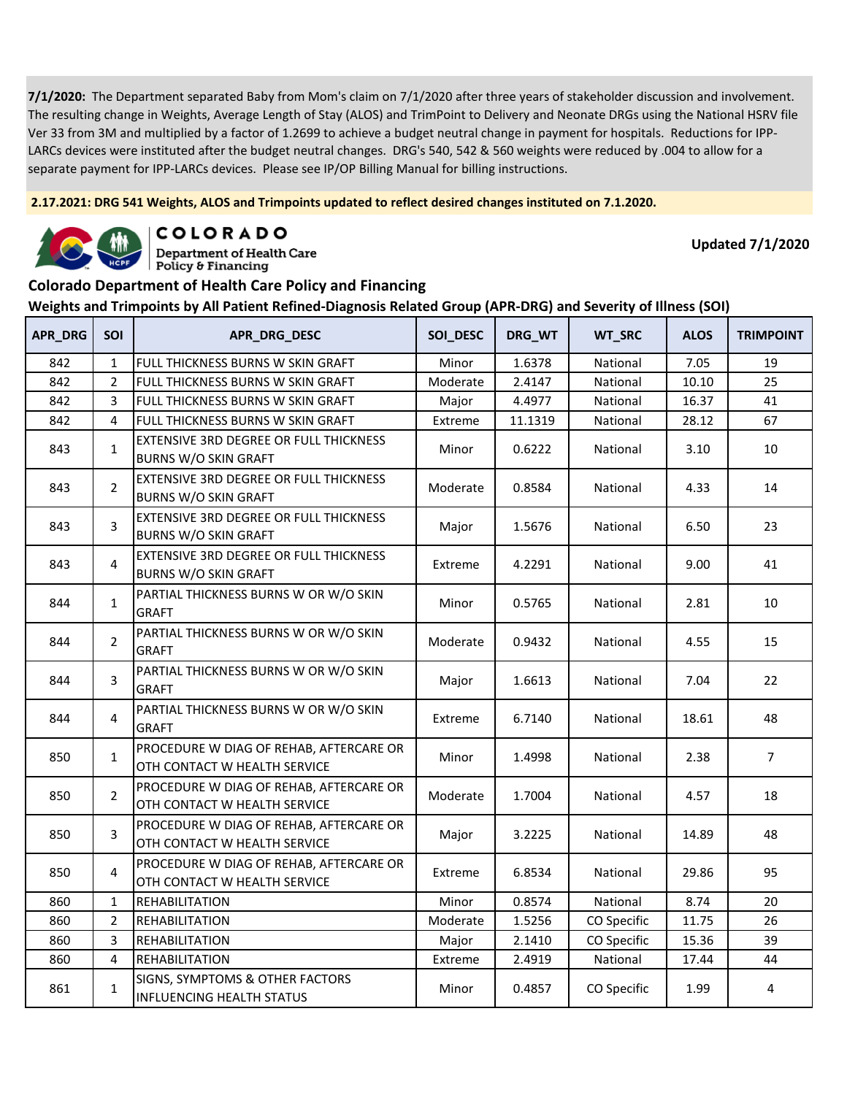**2.17.2021: DRG 541 Weights, ALOS and Trimpoints updated to reflect desired changes instituted on 7.1.2020.**



COLORADO

**Department of Health Care** Policy & Financing

**Updated 7/1/2020**

### **Colorado Department of Health Care Policy and Financing**

| APR_DRG | SOI            | APR_DRG_DESC                                                                 | SOI_DESC | DRG_WT  | WT_SRC      | <b>ALOS</b> | <b>TRIMPOINT</b> |
|---------|----------------|------------------------------------------------------------------------------|----------|---------|-------------|-------------|------------------|
| 842     | $\mathbf{1}$   | FULL THICKNESS BURNS W SKIN GRAFT                                            | Minor    | 1.6378  | National    | 7.05        | 19               |
| 842     | $\overline{2}$ | FULL THICKNESS BURNS W SKIN GRAFT                                            | Moderate | 2.4147  | National    | 10.10       | 25               |
| 842     | 3              | FULL THICKNESS BURNS W SKIN GRAFT                                            | Major    | 4.4977  | National    | 16.37       | 41               |
| 842     | 4              | FULL THICKNESS BURNS W SKIN GRAFT                                            | Extreme  | 11.1319 | National    | 28.12       | 67               |
| 843     | $\mathbf{1}$   | EXTENSIVE 3RD DEGREE OR FULL THICKNESS<br><b>BURNS W/O SKIN GRAFT</b>        | Minor    | 0.6222  | National    | 3.10        | 10               |
| 843     | $\overline{2}$ | <b>EXTENSIVE 3RD DEGREE OR FULL THICKNESS</b><br><b>BURNS W/O SKIN GRAFT</b> | Moderate | 0.8584  | National    | 4.33        | 14               |
| 843     | 3              | EXTENSIVE 3RD DEGREE OR FULL THICKNESS<br><b>BURNS W/O SKIN GRAFT</b>        | Major    | 1.5676  | National    | 6.50        | 23               |
| 843     | 4              | <b>EXTENSIVE 3RD DEGREE OR FULL THICKNESS</b><br><b>BURNS W/O SKIN GRAFT</b> | Extreme  | 4.2291  | National    | 9.00        | 41               |
| 844     | $\mathbf{1}$   | PARTIAL THICKNESS BURNS W OR W/O SKIN<br><b>GRAFT</b>                        | Minor    | 0.5765  | National    | 2.81        | 10               |
| 844     | $\overline{2}$ | PARTIAL THICKNESS BURNS W OR W/O SKIN<br><b>GRAFT</b>                        | Moderate | 0.9432  | National    | 4.55        | 15               |
| 844     | 3              | PARTIAL THICKNESS BURNS W OR W/O SKIN<br><b>GRAFT</b>                        | Major    | 1.6613  | National    | 7.04        | 22               |
| 844     | $\overline{4}$ | PARTIAL THICKNESS BURNS W OR W/O SKIN<br><b>GRAFT</b>                        | Extreme  | 6.7140  | National    | 18.61       | 48               |
| 850     | $\mathbf{1}$   | PROCEDURE W DIAG OF REHAB, AFTERCARE OR<br>OTH CONTACT W HEALTH SERVICE      | Minor    | 1.4998  | National    | 2.38        | $\overline{7}$   |
| 850     | $\overline{2}$ | PROCEDURE W DIAG OF REHAB, AFTERCARE OR<br>OTH CONTACT W HEALTH SERVICE      | Moderate | 1.7004  | National    | 4.57        | 18               |
| 850     | 3              | PROCEDURE W DIAG OF REHAB, AFTERCARE OR<br>OTH CONTACT W HEALTH SERVICE      | Major    | 3.2225  | National    | 14.89       | 48               |
| 850     | 4              | PROCEDURE W DIAG OF REHAB, AFTERCARE OR<br>OTH CONTACT W HEALTH SERVICE      | Extreme  | 6.8534  | National    | 29.86       | 95               |
| 860     | $\mathbf{1}$   | <b>REHABILITATION</b>                                                        | Minor    | 0.8574  | National    | 8.74        | 20               |
| 860     | $\overline{2}$ | <b>REHABILITATION</b>                                                        | Moderate | 1.5256  | CO Specific | 11.75       | 26               |
| 860     | 3              | <b>REHABILITATION</b>                                                        | Major    | 2.1410  | CO Specific | 15.36       | 39               |
| 860     | 4              | <b>REHABILITATION</b>                                                        | Extreme  | 2.4919  | National    | 17.44       | 44               |
| 861     | $\mathbf{1}$   | SIGNS, SYMPTOMS & OTHER FACTORS<br><b>INFLUENCING HEALTH STATUS</b>          | Minor    | 0.4857  | CO Specific | 1.99        | 4                |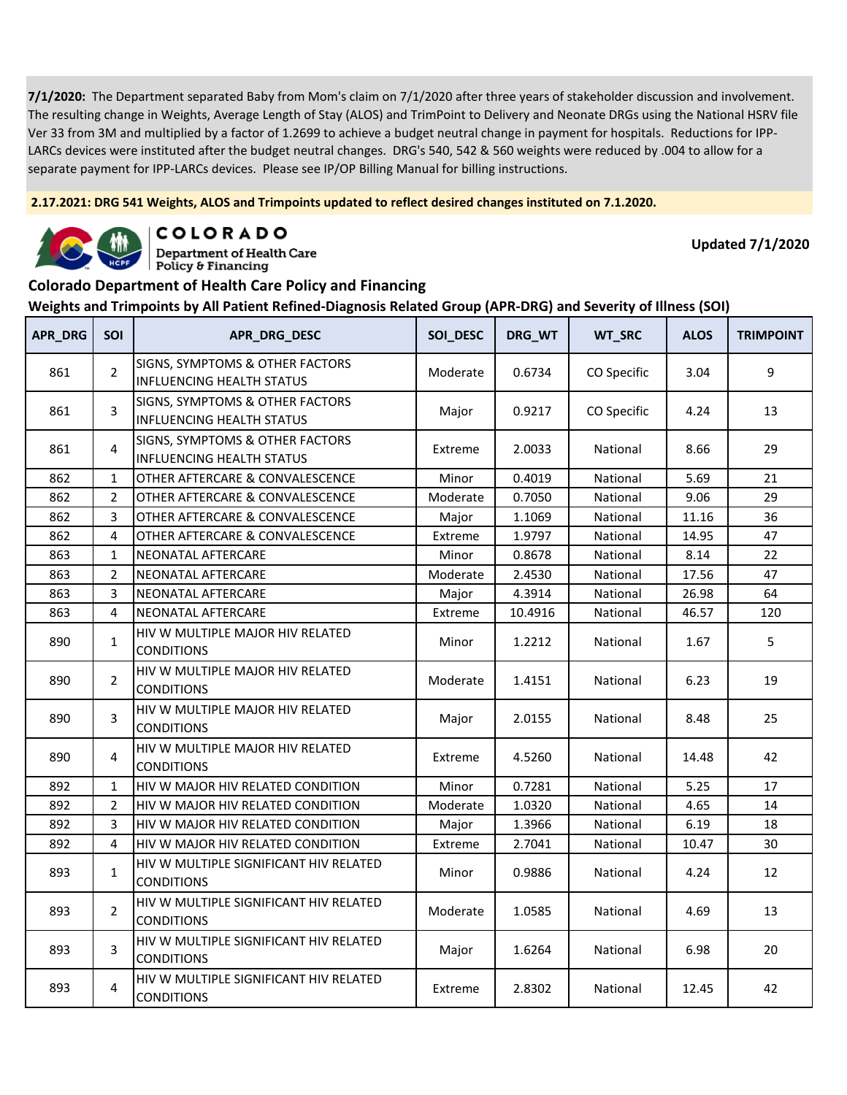**2.17.2021: DRG 541 Weights, ALOS and Trimpoints updated to reflect desired changes instituted on 7.1.2020.**



COLORADO

**Department of Health Care** Policy & Financing

**Updated 7/1/2020**

#### **Colorado Department of Health Care Policy and Financing**

| <b>APR_DRG</b> | SOI            | APR_DRG_DESC                                                        | SOI_DESC | DRG_WT  | WT_SRC      | <b>ALOS</b> | <b>TRIMPOINT</b> |
|----------------|----------------|---------------------------------------------------------------------|----------|---------|-------------|-------------|------------------|
| 861            | $\overline{2}$ | SIGNS, SYMPTOMS & OTHER FACTORS<br><b>INFLUENCING HEALTH STATUS</b> | Moderate | 0.6734  | CO Specific | 3.04        | 9                |
| 861            | 3              | SIGNS, SYMPTOMS & OTHER FACTORS<br><b>INFLUENCING HEALTH STATUS</b> | Major    | 0.9217  | CO Specific | 4.24        | 13               |
| 861            | 4              | SIGNS, SYMPTOMS & OTHER FACTORS<br><b>INFLUENCING HEALTH STATUS</b> | Extreme  | 2.0033  | National    | 8.66        | 29               |
| 862            | $\mathbf{1}$   | OTHER AFTERCARE & CONVALESCENCE                                     | Minor    | 0.4019  | National    | 5.69        | 21               |
| 862            | $\overline{2}$ | OTHER AFTERCARE & CONVALESCENCE                                     | Moderate | 0.7050  | National    | 9.06        | 29               |
| 862            | 3              | OTHER AFTERCARE & CONVALESCENCE                                     | Major    | 1.1069  | National    | 11.16       | 36               |
| 862            | $\overline{4}$ | OTHER AFTERCARE & CONVALESCENCE                                     | Extreme  | 1.9797  | National    | 14.95       | 47               |
| 863            | 1              | NEONATAL AFTERCARE                                                  | Minor    | 0.8678  | National    | 8.14        | 22               |
| 863            | $\overline{2}$ | NEONATAL AFTERCARE                                                  | Moderate | 2.4530  | National    | 17.56       | 47               |
| 863            | 3              | NEONATAL AFTERCARE                                                  | Major    | 4.3914  | National    | 26.98       | 64               |
| 863            | 4              | NEONATAL AFTERCARE                                                  | Extreme  | 10.4916 | National    | 46.57       | 120              |
| 890            | $\mathbf{1}$   | HIV W MULTIPLE MAJOR HIV RELATED<br><b>CONDITIONS</b>               | Minor    | 1.2212  | National    | 1.67        | 5                |
| 890            | $\overline{2}$ | HIV W MULTIPLE MAJOR HIV RELATED<br><b>CONDITIONS</b>               | Moderate | 1.4151  | National    | 6.23        | 19               |
| 890            | 3              | HIV W MULTIPLE MAJOR HIV RELATED<br><b>CONDITIONS</b>               | Major    | 2.0155  | National    | 8.48        | 25               |
| 890            | 4              | HIV W MULTIPLE MAJOR HIV RELATED<br><b>CONDITIONS</b>               | Extreme  | 4.5260  | National    | 14.48       | 42               |
| 892            | $\mathbf{1}$   | HIV W MAJOR HIV RELATED CONDITION                                   | Minor    | 0.7281  | National    | 5.25        | 17               |
| 892            | $\overline{2}$ | HIV W MAJOR HIV RELATED CONDITION                                   | Moderate | 1.0320  | National    | 4.65        | 14               |
| 892            | 3              | HIV W MAJOR HIV RELATED CONDITION                                   | Major    | 1.3966  | National    | 6.19        | 18               |
| 892            | 4              | HIV W MAJOR HIV RELATED CONDITION                                   | Extreme  | 2.7041  | National    | 10.47       | 30               |
| 893            | $\mathbf{1}$   | HIV W MULTIPLE SIGNIFICANT HIV RELATED<br><b>CONDITIONS</b>         | Minor    | 0.9886  | National    | 4.24        | 12               |
| 893            | $\overline{2}$ | HIV W MULTIPLE SIGNIFICANT HIV RELATED<br><b>CONDITIONS</b>         | Moderate | 1.0585  | National    | 4.69        | 13               |
| 893            | $\overline{3}$ | HIV W MULTIPLE SIGNIFICANT HIV RELATED<br><b>CONDITIONS</b>         | Major    | 1.6264  | National    | 6.98        | 20               |
| 893            | 4              | HIV W MULTIPLE SIGNIFICANT HIV RELATED<br><b>CONDITIONS</b>         | Extreme  | 2.8302  | National    | 12.45       | 42               |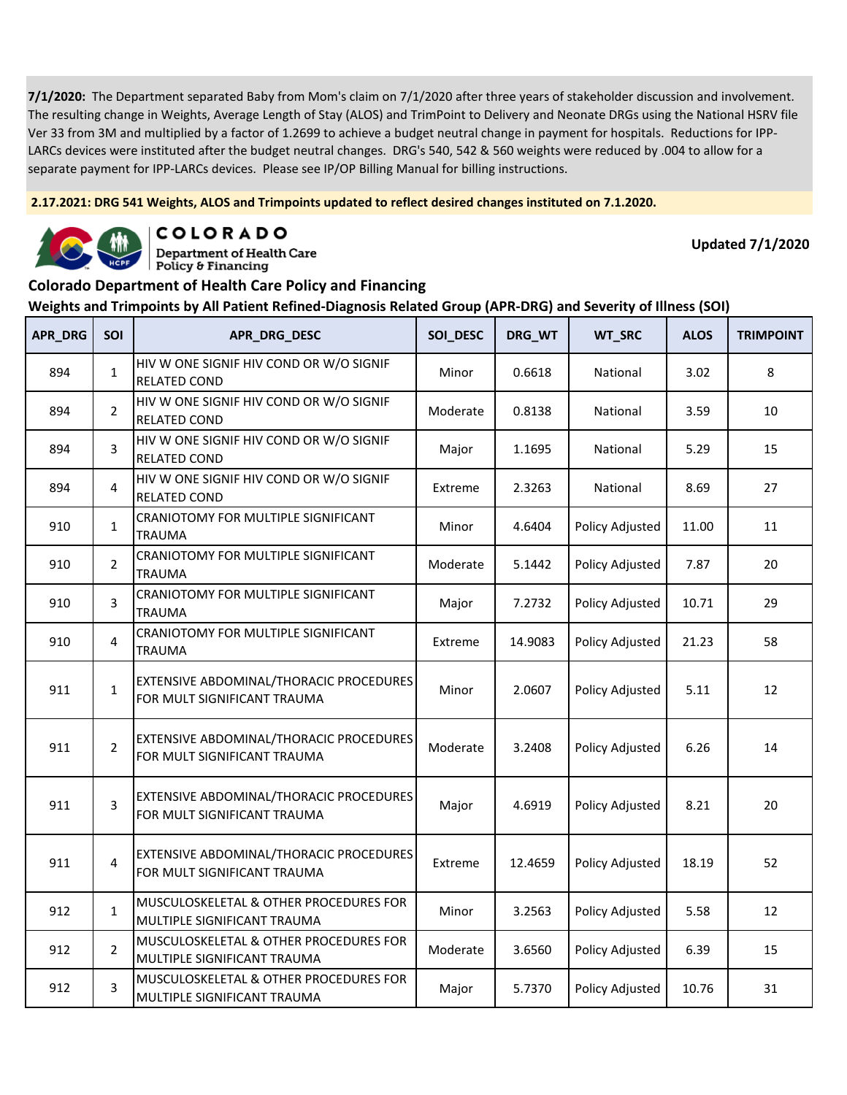**2.17.2021: DRG 541 Weights, ALOS and Trimpoints updated to reflect desired changes instituted on 7.1.2020.**



COLORADO

**Department of Health Care** Policy & Financing

**Updated 7/1/2020**

### **Colorado Department of Health Care Policy and Financing**

| APR_DRG | <b>SOI</b>     | APR_DRG_DESC                                                           | SOI_DESC | DRG_WT  | WT_SRC          | <b>ALOS</b> | <b>TRIMPOINT</b> |
|---------|----------------|------------------------------------------------------------------------|----------|---------|-----------------|-------------|------------------|
| 894     | $\mathbf{1}$   | HIV W ONE SIGNIF HIV COND OR W/O SIGNIF<br><b>RELATED COND</b>         | Minor    | 0.6618  | National        | 3.02        | 8                |
| 894     | $\overline{2}$ | HIV W ONE SIGNIF HIV COND OR W/O SIGNIF<br><b>RELATED COND</b>         | Moderate | 0.8138  | National        | 3.59        | 10               |
| 894     | 3              | HIV W ONE SIGNIF HIV COND OR W/O SIGNIF<br><b>RELATED COND</b>         | Major    | 1.1695  | National        | 5.29        | 15               |
| 894     | 4              | HIV W ONE SIGNIF HIV COND OR W/O SIGNIF<br><b>RELATED COND</b>         | Extreme  | 2.3263  | National        | 8.69        | 27               |
| 910     | $\mathbf{1}$   | CRANIOTOMY FOR MULTIPLE SIGNIFICANT<br><b>TRAUMA</b>                   | Minor    | 4.6404  | Policy Adjusted | 11.00       | 11               |
| 910     | $\overline{2}$ | CRANIOTOMY FOR MULTIPLE SIGNIFICANT<br><b>TRAUMA</b>                   | Moderate | 5.1442  | Policy Adjusted | 7.87        | 20               |
| 910     | 3              | CRANIOTOMY FOR MULTIPLE SIGNIFICANT<br>TRAUMA                          | Major    | 7.2732  | Policy Adjusted | 10.71       | 29               |
| 910     | 4              | CRANIOTOMY FOR MULTIPLE SIGNIFICANT<br><b>TRAUMA</b>                   | Extreme  | 14.9083 | Policy Adjusted | 21.23       | 58               |
| 911     | $\mathbf{1}$   | EXTENSIVE ABDOMINAL/THORACIC PROCEDURES<br>FOR MULT SIGNIFICANT TRAUMA | Minor    | 2.0607  | Policy Adjusted | 5.11        | 12               |
| 911     | $\overline{2}$ | EXTENSIVE ABDOMINAL/THORACIC PROCEDURES<br>FOR MULT SIGNIFICANT TRAUMA | Moderate | 3.2408  | Policy Adjusted | 6.26        | 14               |
| 911     | 3              | EXTENSIVE ABDOMINAL/THORACIC PROCEDURES<br>FOR MULT SIGNIFICANT TRAUMA | Major    | 4.6919  | Policy Adjusted | 8.21        | 20               |
| 911     | 4              | EXTENSIVE ABDOMINAL/THORACIC PROCEDURES<br>FOR MULT SIGNIFICANT TRAUMA | Extreme  | 12.4659 | Policy Adjusted | 18.19       | 52               |
| 912     | $\mathbf{1}$   | MUSCULOSKELETAL & OTHER PROCEDURES FOR<br>MULTIPLE SIGNIFICANT TRAUMA  | Minor    | 3.2563  | Policy Adjusted | 5.58        | 12               |
| 912     | $\overline{2}$ | MUSCULOSKELETAL & OTHER PROCEDURES FOR<br>MULTIPLE SIGNIFICANT TRAUMA  | Moderate | 3.6560  | Policy Adjusted | 6.39        | 15               |
| 912     | 3              | MUSCULOSKELETAL & OTHER PROCEDURES FOR<br>MULTIPLE SIGNIFICANT TRAUMA  | Major    | 5.7370  | Policy Adjusted | 10.76       | 31               |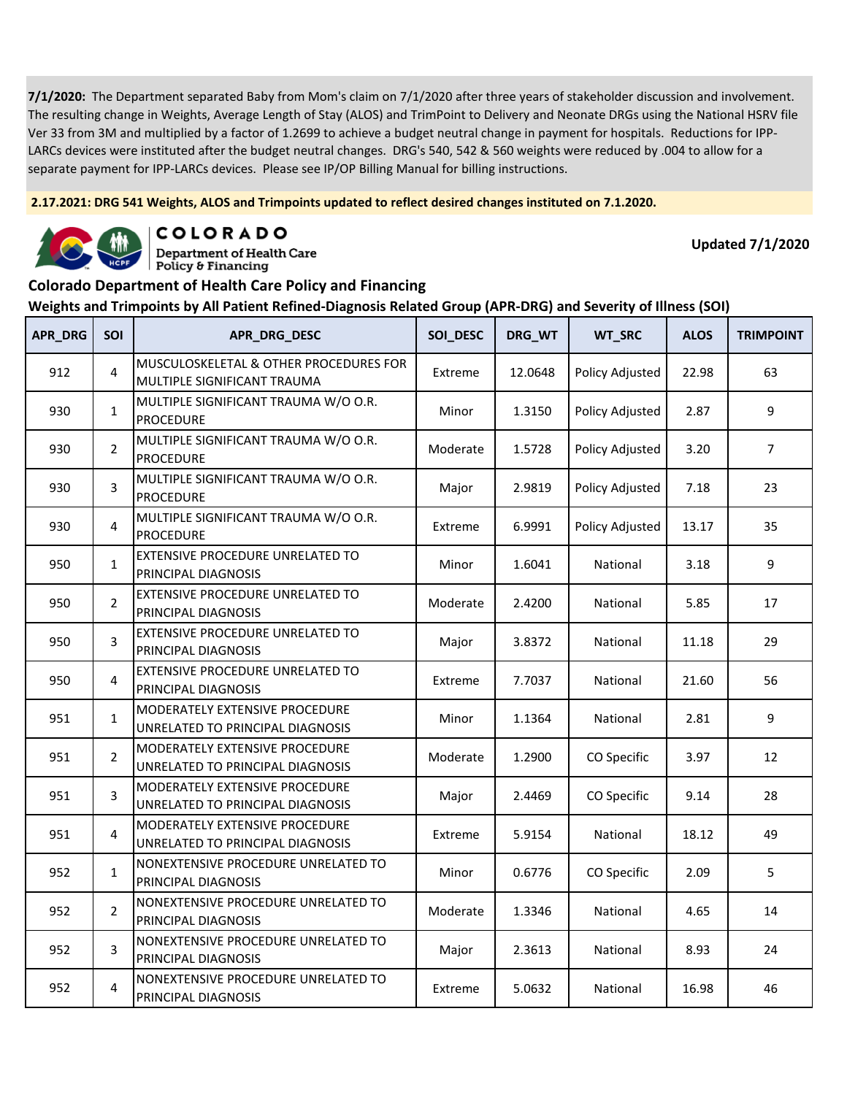**2.17.2021: DRG 541 Weights, ALOS and Trimpoints updated to reflect desired changes instituted on 7.1.2020.**



COLORADO

**Department of Health Care** Policy & Financing

**Updated 7/1/2020**

### **Colorado Department of Health Care Policy and Financing**

| <b>APR_DRG</b> | SOI            | APR_DRG_DESC                                                          | SOI_DESC | DRG_WT  | WT_SRC          | <b>ALOS</b> | <b>TRIMPOINT</b> |
|----------------|----------------|-----------------------------------------------------------------------|----------|---------|-----------------|-------------|------------------|
| 912            | 4              | MUSCULOSKELETAL & OTHER PROCEDURES FOR<br>MULTIPLE SIGNIFICANT TRAUMA | Extreme  | 12.0648 | Policy Adjusted | 22.98       | 63               |
| 930            | $\mathbf{1}$   | MULTIPLE SIGNIFICANT TRAUMA W/O O.R.<br><b>PROCEDURE</b>              | Minor    | 1.3150  | Policy Adjusted | 2.87        | 9                |
| 930            | $\overline{2}$ | MULTIPLE SIGNIFICANT TRAUMA W/O O.R.<br><b>PROCEDURE</b>              | Moderate | 1.5728  | Policy Adjusted | 3.20        | $\overline{7}$   |
| 930            | 3              | MULTIPLE SIGNIFICANT TRAUMA W/O O.R.<br><b>PROCEDURE</b>              | Major    | 2.9819  | Policy Adjusted | 7.18        | 23               |
| 930            | $\overline{4}$ | MULTIPLE SIGNIFICANT TRAUMA W/O O.R.<br><b>PROCEDURE</b>              | Extreme  | 6.9991  | Policy Adjusted | 13.17       | 35               |
| 950            | $\mathbf{1}$   | EXTENSIVE PROCEDURE UNRELATED TO<br>PRINCIPAL DIAGNOSIS               | Minor    | 1.6041  | National        | 3.18        | 9                |
| 950            | $\overline{2}$ | EXTENSIVE PROCEDURE UNRELATED TO<br>PRINCIPAL DIAGNOSIS               | Moderate | 2.4200  | National        | 5.85        | 17               |
| 950            | 3              | <b>EXTENSIVE PROCEDURE UNRELATED TO</b><br>PRINCIPAL DIAGNOSIS        | Major    | 3.8372  | National        | 11.18       | 29               |
| 950            | 4              | EXTENSIVE PROCEDURE UNRELATED TO<br>PRINCIPAL DIAGNOSIS               | Extreme  | 7.7037  | National        | 21.60       | 56               |
| 951            | $\mathbf{1}$   | MODERATELY EXTENSIVE PROCEDURE<br>UNRELATED TO PRINCIPAL DIAGNOSIS    | Minor    | 1.1364  | National        | 2.81        | 9                |
| 951            | $\overline{2}$ | MODERATELY EXTENSIVE PROCEDURE<br>UNRELATED TO PRINCIPAL DIAGNOSIS    | Moderate | 1.2900  | CO Specific     | 3.97        | 12               |
| 951            | 3              | MODERATELY EXTENSIVE PROCEDURE<br>UNRELATED TO PRINCIPAL DIAGNOSIS    | Major    | 2.4469  | CO Specific     | 9.14        | 28               |
| 951            | 4              | MODERATELY EXTENSIVE PROCEDURE<br>UNRELATED TO PRINCIPAL DIAGNOSIS    | Extreme  | 5.9154  | National        | 18.12       | 49               |
| 952            | $\mathbf{1}$   | NONEXTENSIVE PROCEDURE UNRELATED TO<br>PRINCIPAL DIAGNOSIS            | Minor    | 0.6776  | CO Specific     | 2.09        | 5                |
| 952            | $\overline{2}$ | NONEXTENSIVE PROCEDURE UNRELATED TO<br>PRINCIPAL DIAGNOSIS            | Moderate | 1.3346  | National        | 4.65        | 14               |
| 952            | 3              | NONEXTENSIVE PROCEDURE UNRELATED TO<br>PRINCIPAL DIAGNOSIS            | Major    | 2.3613  | National        | 8.93        | 24               |
| 952            | $\overline{4}$ | NONEXTENSIVE PROCEDURE UNRELATED TO<br>PRINCIPAL DIAGNOSIS            | Extreme  | 5.0632  | National        | 16.98       | 46               |